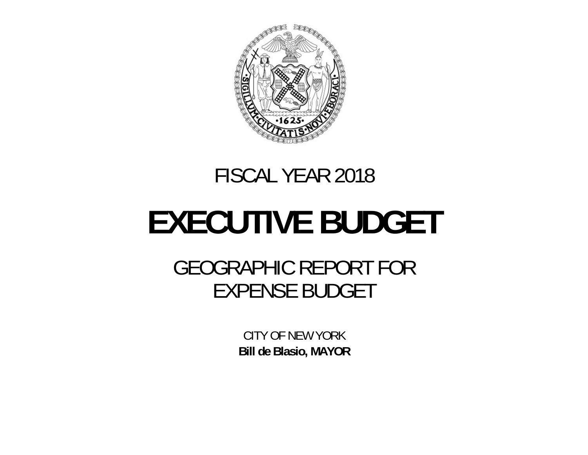

# FISCAL YEAR 2018

# **EXECUTIVE BUDGET**

GEOGRAPHIC REPORT FOR EXPENSE BUDGET

> CITY OF NEW YORK **Bill de Blasio, MAYOR**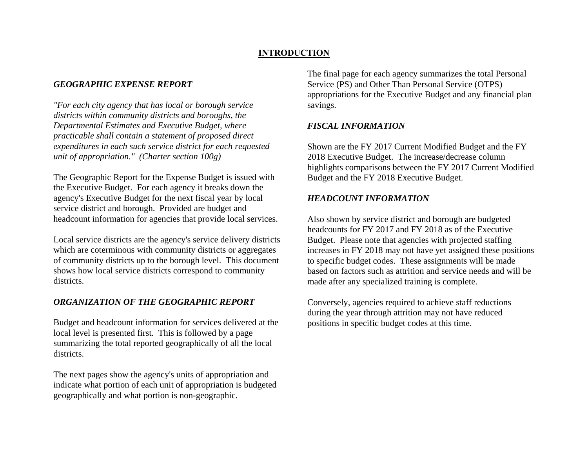### **INTRODUCTION**

### *GEOGRAPHIC EXPENSE REPORT*

*"For each city agency that has local or borough service districts within community districts and boroughs, the Departmental Estimates and Executive Budget, where practicable shall contain a statement of proposed direct expenditures in each such service district for each requested unit of appropriation." (Charter section 100g)*

The Geographic Report for the Expense Budget is issued with the Executive Budget. For each agency it breaks down the agency's Executive Budget for the next fiscal year by local service district and borough. Provided are budget and headcount information for agencies that provide local services.

Local service districts are the agency's service delivery districts which are coterminous with community districts or aggregates of community districts up to the borough level. This document shows how local service districts correspond to community districts.

### *ORGANIZATION OF THE GEOGRAPHIC REPORT*

Budget and headcount information for services delivered at the local level is presented first. This is followed by a page summarizing the total reported geographically of all the local districts.

The next pages show the agency's units of appropriation and indicate what portion of each unit of appropriation is budgeted geographically and what portion is non-geographic.

The final page for each agency summarizes the total Personal Service (PS) and Other Than Personal Service (OTPS) appropriations for the Executive Budget and any financial plan savings.

### *FISCAL INFORMATION*

Shown are the FY 2017 Current Modified Budget and the FY 2018 Executive Budget. The increase/decrease column highlights comparisons between the FY 2017 Current Modified Budget and the FY 2018 Executive Budget.

### *HEADCOUNT INFORMATION*

Also shown by service district and borough are budgeted headcounts for FY 2017 and FY 2018 as of the Executive Budget. Please note that agencies with projected staffing increases in FY 2018 may not have yet assigned these positions to specific budget codes. These assignments will be made based on factors such as attrition and service needs and will be made after any specialized training is complete.

Conversely, agencies required to achieve staff reductions during the year through attrition may not have reduced positions in specific budget codes at this time.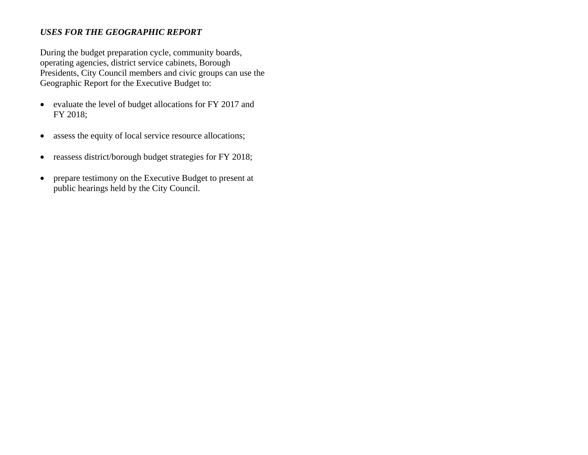### *USES FOR THE GEOGRAPHIC REPORT*

During the budget preparation cycle, community boards, operating agencies, district service cabinets, Borough Presidents, City Council members and civic groups can use the Geographic Report for the Executive Budget to:

- evaluate the level of budget allocations for FY 2017 and FY 2018;
- $\bullet$ assess the equity of local service resource allocations;
- $\bullet$ reassess district/borough budget strategies for FY 2018;
- $\bullet$  prepare testimony on the Executive Budget to present at public hearings held by the City Council.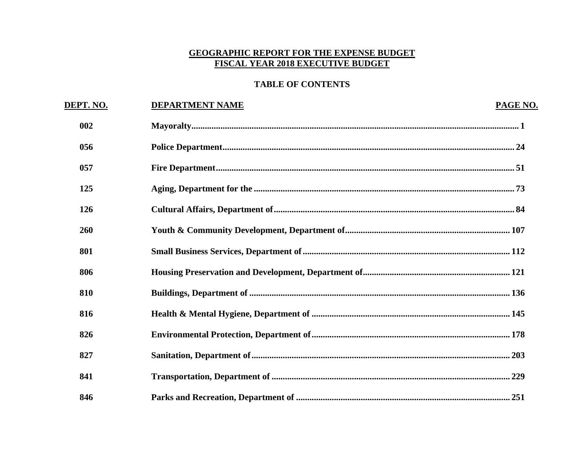### **GEOGRAPHIC REPORT FOR THE EXPENSE BUDGET** FISCAL YEAR 2018 EXECUTIVE BUDGET

# **TABLE OF CONTENTS**

| DEPT. NO. | <b>DEPARTMENT NAME</b> | PAGE NO. |
|-----------|------------------------|----------|
| 002       |                        |          |
| 056       |                        |          |
| 057       |                        |          |
| 125       |                        |          |
| 126       |                        |          |
| 260       |                        |          |
| 801       |                        |          |
| 806       |                        |          |
| 810       |                        |          |
| 816       |                        |          |
| 826       |                        |          |
| 827       |                        |          |
| 841       |                        |          |
| 846       |                        |          |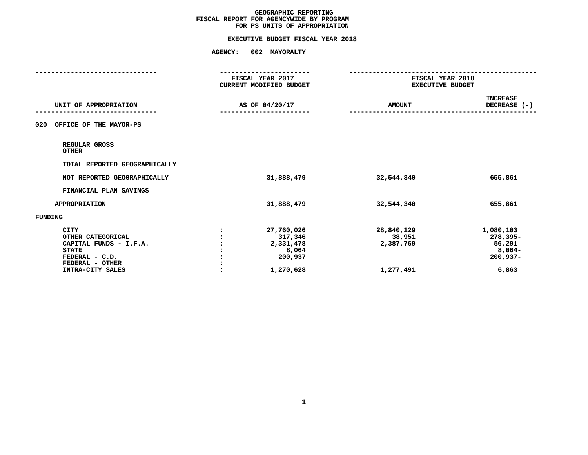# **FOR PS UNITS OF APPROPRIATIONEXECUTIVE BUDGET FISCAL YEAR <sup>2018</sup>**

|                                                                                                                                     | ---------------<br>FISCAL YEAR 2017<br>CURRENT MODIFIED BUDGET<br>AS OF 04/20/17 |                                                                     | FISCAL YEAR 2018<br><b>EXECUTIVE BUDGET</b>    |                                                                  |
|-------------------------------------------------------------------------------------------------------------------------------------|----------------------------------------------------------------------------------|---------------------------------------------------------------------|------------------------------------------------|------------------------------------------------------------------|
| UNIT OF APPROPRIATION                                                                                                               |                                                                                  |                                                                     | <b>AMOUNT</b>                                  | <b>INCREASE</b><br>DECREASE (-)                                  |
| OFFICE OF THE MAYOR-PS<br>020                                                                                                       |                                                                                  |                                                                     |                                                |                                                                  |
| REGULAR GROSS<br><b>OTHER</b>                                                                                                       |                                                                                  |                                                                     |                                                |                                                                  |
| TOTAL REPORTED GEOGRAPHICALLY                                                                                                       |                                                                                  |                                                                     |                                                |                                                                  |
| NOT REPORTED GEOGRAPHICALLY                                                                                                         |                                                                                  | 31,888,479                                                          | 32,544,340                                     | 655,861                                                          |
| FINANCIAL PLAN SAVINGS                                                                                                              |                                                                                  |                                                                     |                                                |                                                                  |
| APPROPRIATION                                                                                                                       |                                                                                  | 31,888,479                                                          | 32,544,340                                     | 655,861                                                          |
| FUNDING                                                                                                                             |                                                                                  |                                                                     |                                                |                                                                  |
| <b>CITY</b><br>OTHER CATEGORICAL<br>CAPITAL FUNDS - I.F.A.<br><b>STATE</b><br>FEDERAL - C.D.<br>FEDERAL - OTHER<br>INTRA-CITY SALES |                                                                                  | 27,760,026<br>317,346<br>2,331,478<br>8,064<br>200,937<br>1,270,628 | 28,840,129<br>38,951<br>2,387,769<br>1,277,491 | 1,080,103<br>278,395-<br>56,291<br>8,064-<br>$200,937-$<br>6,863 |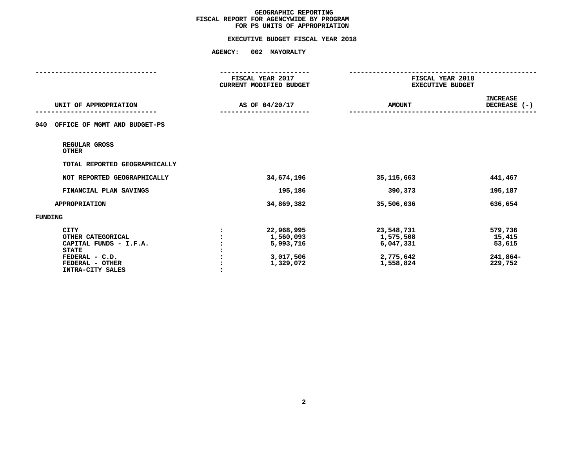# **FOR PS UNITS OF APPROPRIATIONEXECUTIVE BUDGET FISCAL YEAR <sup>2018</sup>**

|                                                                                                                                     | FISCAL YEAR 2017<br><b>CURRENT MODIFIED BUDGET</b><br>AS OF 04/20/17 |                                                                | FISCAL YEAR 2018<br><b>EXECUTIVE BUDGET</b>                    |                                                    |  |
|-------------------------------------------------------------------------------------------------------------------------------------|----------------------------------------------------------------------|----------------------------------------------------------------|----------------------------------------------------------------|----------------------------------------------------|--|
| UNIT OF APPROPRIATION                                                                                                               |                                                                      |                                                                | <b>AMOUNT</b>                                                  | <b>INCREASE</b><br>DECREASE (-)                    |  |
| OFFICE OF MGMT AND BUDGET-PS<br>040                                                                                                 |                                                                      |                                                                |                                                                |                                                    |  |
| REGULAR GROSS<br><b>OTHER</b>                                                                                                       |                                                                      |                                                                |                                                                |                                                    |  |
| TOTAL REPORTED GEOGRAPHICALLY                                                                                                       |                                                                      |                                                                |                                                                |                                                    |  |
| NOT REPORTED GEOGRAPHICALLY                                                                                                         |                                                                      | 34,674,196                                                     | 35, 115, 663                                                   | 441,467                                            |  |
| FINANCIAL PLAN SAVINGS                                                                                                              |                                                                      | 195,186                                                        | 390,373                                                        | 195,187                                            |  |
| <b>APPROPRIATION</b>                                                                                                                |                                                                      | 34,869,382                                                     | 35,506,036                                                     | 636,654                                            |  |
| FUNDING                                                                                                                             |                                                                      |                                                                |                                                                |                                                    |  |
| <b>CITY</b><br>OTHER CATEGORICAL<br>CAPITAL FUNDS - I.F.A.<br><b>STATE</b><br>FEDERAL - C.D.<br>FEDERAL - OTHER<br>INTRA-CITY SALES |                                                                      | 22,968,995<br>1,560,093<br>5,993,716<br>3,017,506<br>1,329,072 | 23,548,731<br>1,575,508<br>6,047,331<br>2,775,642<br>1,558,824 | 579,736<br>15,415<br>53,615<br>241,864-<br>229,752 |  |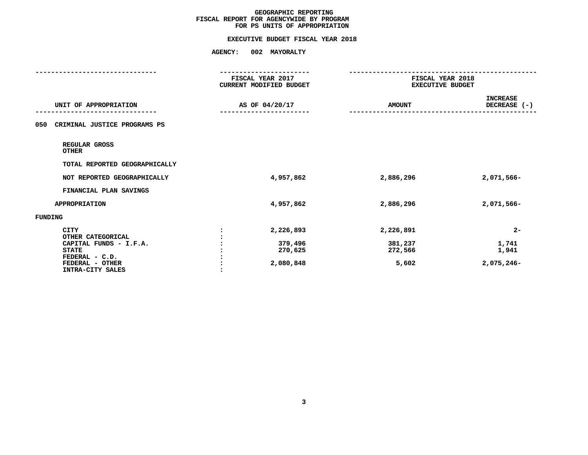# **FOR PS UNITS OF APPROPRIATIONEXECUTIVE BUDGET FISCAL YEAR <sup>2018</sup>**

|                                                                                                                                     | FISCAL YEAR 2017<br>CURRENT MODIFIED BUDGET  | FISCAL YEAR 2018<br><b>EXECUTIVE BUDGET</b> |                                       |  |
|-------------------------------------------------------------------------------------------------------------------------------------|----------------------------------------------|---------------------------------------------|---------------------------------------|--|
| UNIT OF APPROPRIATION                                                                                                               | AS OF 04/20/17                               | <b>AMOUNT</b>                               | <b>INCREASE</b><br>DECREASE (-)       |  |
| CRIMINAL JUSTICE PROGRAMS PS<br>050                                                                                                 |                                              |                                             |                                       |  |
| REGULAR GROSS<br><b>OTHER</b>                                                                                                       |                                              |                                             |                                       |  |
| TOTAL REPORTED GEOGRAPHICALLY                                                                                                       |                                              |                                             |                                       |  |
| NOT REPORTED GEOGRAPHICALLY                                                                                                         | 4,957,862                                    | 2,886,296                                   | 2,071,566-                            |  |
| FINANCIAL PLAN SAVINGS                                                                                                              |                                              |                                             |                                       |  |
| <b>APPROPRIATION</b>                                                                                                                | 4,957,862                                    | 2,886,296                                   | 2,071,566-                            |  |
| FUNDING                                                                                                                             |                                              |                                             |                                       |  |
| <b>CITY</b><br>OTHER CATEGORICAL<br>CAPITAL FUNDS - I.F.A.<br><b>STATE</b><br>FEDERAL - C.D.<br>FEDERAL - OTHER<br>INTRA-CITY SALES | 2,226,893<br>379,496<br>270,625<br>2,080,848 | 2,226,891<br>381,237<br>272,566<br>5,602    | $2 -$<br>1,741<br>1,941<br>2,075,246- |  |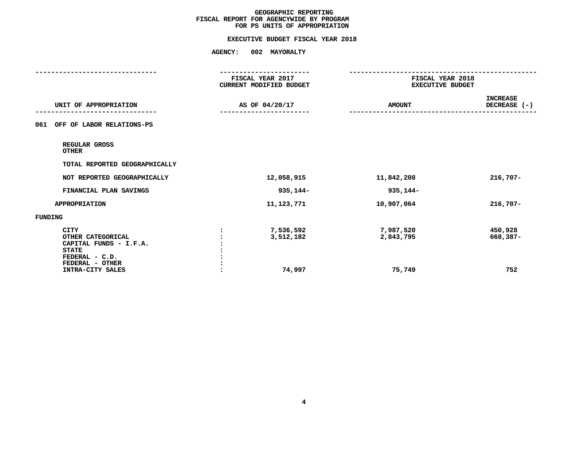# **FOR PS UNITS OF APPROPRIATIONEXECUTIVE BUDGET FISCAL YEAR <sup>2018</sup>**

|                                                                                                                                     |                | FISCAL YEAR 2017<br>CURRENT MODIFIED BUDGET | FISCAL YEAR 2018<br><b>EXECUTIVE BUDGET</b> |                                 |  |
|-------------------------------------------------------------------------------------------------------------------------------------|----------------|---------------------------------------------|---------------------------------------------|---------------------------------|--|
| UNIT OF APPROPRIATION                                                                                                               | AS OF 04/20/17 |                                             | <b>AMOUNT</b>                               | <b>INCREASE</b><br>DECREASE (-) |  |
| OFF OF LABOR RELATIONS-PS<br>061                                                                                                    |                |                                             |                                             |                                 |  |
| REGULAR GROSS<br><b>OTHER</b>                                                                                                       |                |                                             |                                             |                                 |  |
| TOTAL REPORTED GEOGRAPHICALLY                                                                                                       |                |                                             |                                             |                                 |  |
| NOT REPORTED GEOGRAPHICALLY                                                                                                         |                | 12,058,915                                  | 11,842,208                                  | $216,707-$                      |  |
| FINANCIAL PLAN SAVINGS                                                                                                              |                | 935,144-                                    | 935,144-                                    |                                 |  |
| <b>APPROPRIATION</b>                                                                                                                |                | 11,123,771                                  | 10,907,064                                  | $216,707-$                      |  |
| FUNDING                                                                                                                             |                |                                             |                                             |                                 |  |
| <b>CITY</b><br>OTHER CATEGORICAL<br>CAPITAL FUNDS - I.F.A.<br><b>STATE</b><br>FEDERAL - C.D.<br>FEDERAL - OTHER<br>INTRA-CITY SALES |                | 7,536,592<br>3,512,182<br>74,997            | 7,987,520<br>2,843,795<br>75,749            | 450,928<br>668,387-<br>752      |  |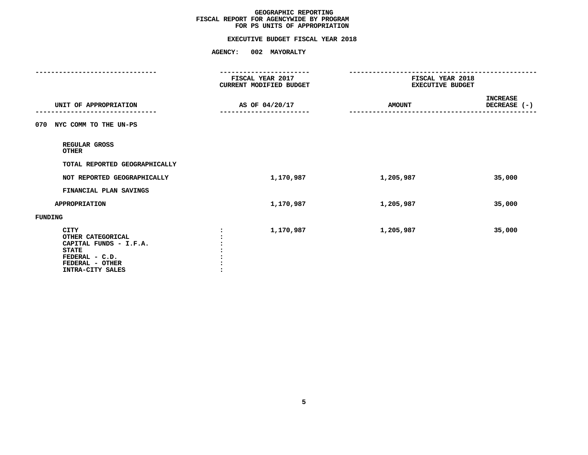# **FOR PS UNITS OF APPROPRIATIONEXECUTIVE BUDGET FISCAL YEAR <sup>2018</sup>**

|                                                                                                                              | ----------------<br>FISCAL YEAR 2017<br><b>CURRENT MODIFIED BUDGET</b> | FISCAL YEAR 2018<br><b>EXECUTIVE BUDGET</b> |                                                   |  |
|------------------------------------------------------------------------------------------------------------------------------|------------------------------------------------------------------------|---------------------------------------------|---------------------------------------------------|--|
| UNIT OF APPROPRIATION                                                                                                        | AS OF 04/20/17                                                         | <b>AMOUNT</b>                               | INCREASE<br>DECREASE (-)<br>--------------------- |  |
| NYC COMM TO THE UN-PS<br>070                                                                                                 |                                                                        |                                             |                                                   |  |
| REGULAR GROSS<br><b>OTHER</b>                                                                                                |                                                                        |                                             |                                                   |  |
| TOTAL REPORTED GEOGRAPHICALLY                                                                                                |                                                                        |                                             |                                                   |  |
| NOT REPORTED GEOGRAPHICALLY                                                                                                  | 1,170,987                                                              | 1,205,987                                   | 35,000                                            |  |
| FINANCIAL PLAN SAVINGS                                                                                                       |                                                                        |                                             |                                                   |  |
| <b>APPROPRIATION</b>                                                                                                         | 1,170,987                                                              | 1,205,987                                   | 35,000                                            |  |
| FUNDING                                                                                                                      |                                                                        |                                             |                                                   |  |
| CITY<br>OTHER CATEGORICAL<br>CAPITAL FUNDS - I.F.A.<br><b>STATE</b><br>FEDERAL - C.D.<br>FEDERAL - OTHER<br>INTRA-CITY SALES | 1,170,987                                                              | 1,205,987                                   | 35,000                                            |  |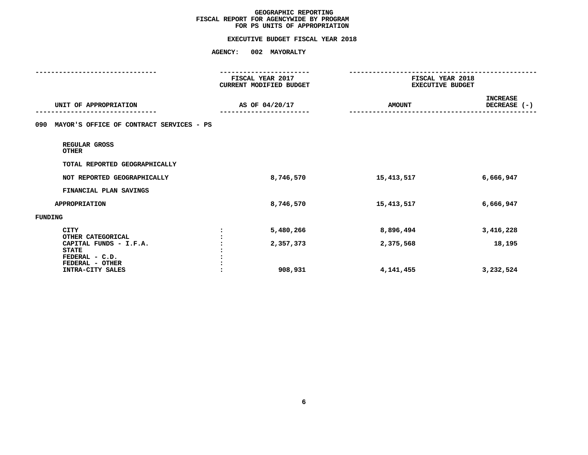# **FOR PS UNITS OF APPROPRIATIONEXECUTIVE BUDGET FISCAL YEAR <sup>2018</sup>**

|                                                 | ---------------<br>FISCAL YEAR 2017<br>CURRENT MODIFIED BUDGET | FISCAL YEAR 2018<br><b>EXECUTIVE BUDGET</b> |                          |  |
|-------------------------------------------------|----------------------------------------------------------------|---------------------------------------------|--------------------------|--|
| UNIT OF APPROPRIATION                           | AS OF 04/20/17                                                 | <b>AMOUNT</b>                               | INCREASE<br>DECREASE (-) |  |
| MAYOR'S OFFICE OF CONTRACT SERVICES - PS<br>090 |                                                                |                                             |                          |  |
| REGULAR GROSS<br><b>OTHER</b>                   |                                                                |                                             |                          |  |
| TOTAL REPORTED GEOGRAPHICALLY                   |                                                                |                                             |                          |  |
| NOT REPORTED GEOGRAPHICALLY                     | 8,746,570                                                      | 15,413,517                                  | 6,666,947                |  |
| FINANCIAL PLAN SAVINGS                          |                                                                |                                             |                          |  |
| <b>APPROPRIATION</b>                            | 8,746,570                                                      | 15,413,517                                  | 6,666,947                |  |
| FUNDING                                         |                                                                |                                             |                          |  |
| <b>CITY</b><br>OTHER CATEGORICAL                | 5,480,266                                                      | 8,896,494                                   | 3,416,228                |  |
| CAPITAL FUNDS - I.F.A.<br><b>STATE</b>          | 2,357,373                                                      | 2,375,568                                   | 18,195                   |  |
| FEDERAL - C.D.                                  |                                                                |                                             |                          |  |
| FEDERAL - OTHER<br>INTRA-CITY SALES             | 908,931                                                        | 4,141,455                                   | 3,232,524                |  |
|                                                 |                                                                |                                             |                          |  |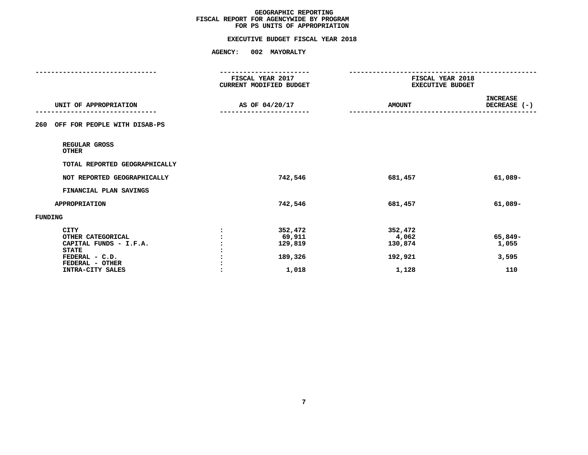# **FOR PS UNITS OF APPROPRIATIONEXECUTIVE BUDGET FISCAL YEAR <sup>2018</sup>**

|                                                                                                                                     | ----------------<br>FISCAL YEAR 2017<br>CURRENT MODIFIED BUDGET<br>AS OF 04/20/17 |                                                  | FISCAL YEAR 2018<br><b>EXECUTIVE BUDGET</b>     |                                  |  |
|-------------------------------------------------------------------------------------------------------------------------------------|-----------------------------------------------------------------------------------|--------------------------------------------------|-------------------------------------------------|----------------------------------|--|
| UNIT OF APPROPRIATION                                                                                                               |                                                                                   |                                                  | <b>AMOUNT</b>                                   | <b>INCREASE</b><br>DECREASE (-)  |  |
| OFF FOR PEOPLE WITH DISAB-PS<br>260                                                                                                 |                                                                                   |                                                  |                                                 |                                  |  |
| REGULAR GROSS<br><b>OTHER</b>                                                                                                       |                                                                                   |                                                  |                                                 |                                  |  |
| TOTAL REPORTED GEOGRAPHICALLY                                                                                                       |                                                                                   |                                                  |                                                 |                                  |  |
| NOT REPORTED GEOGRAPHICALLY                                                                                                         |                                                                                   | 742,546                                          | 681,457                                         | $61,089-$                        |  |
| FINANCIAL PLAN SAVINGS                                                                                                              |                                                                                   |                                                  |                                                 |                                  |  |
| APPROPRIATION                                                                                                                       |                                                                                   | 742,546                                          | 681,457                                         | $61,089-$                        |  |
| <b>FUNDING</b>                                                                                                                      |                                                                                   |                                                  |                                                 |                                  |  |
| <b>CITY</b><br>OTHER CATEGORICAL<br>CAPITAL FUNDS - I.F.A.<br><b>STATE</b><br>FEDERAL - C.D.<br>FEDERAL - OTHER<br>INTRA-CITY SALES |                                                                                   | 352,472<br>69,911<br>129,819<br>189,326<br>1,018 | 352,472<br>4,062<br>130,874<br>192,921<br>1,128 | 65,849-<br>1,055<br>3,595<br>110 |  |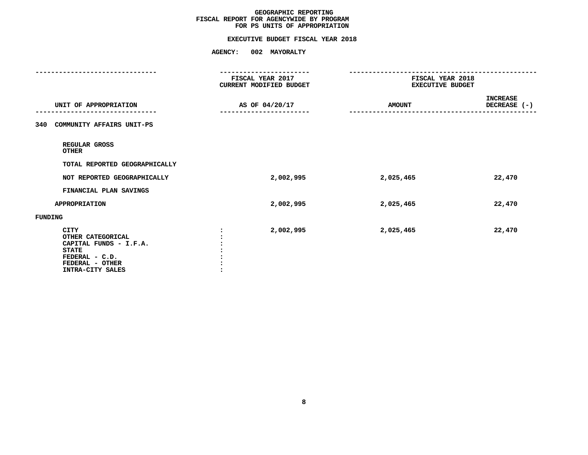# **FOR PS UNITS OF APPROPRIATIONEXECUTIVE BUDGET FISCAL YEAR <sup>2018</sup>**

|                                                                                                                              | ----------------<br>FISCAL YEAR 2017<br><b>CURRENT MODIFIED BUDGET</b> | FISCAL YEAR 2018<br><b>EXECUTIVE BUDGET</b> |                          |  |
|------------------------------------------------------------------------------------------------------------------------------|------------------------------------------------------------------------|---------------------------------------------|--------------------------|--|
| UNIT OF APPROPRIATION                                                                                                        | AS OF 04/20/17                                                         | <b>AMOUNT</b>                               | INCREASE<br>DECREASE (-) |  |
| 340 COMMUNITY AFFAIRS UNIT-PS                                                                                                |                                                                        |                                             |                          |  |
| REGULAR GROSS<br><b>OTHER</b>                                                                                                |                                                                        |                                             |                          |  |
| TOTAL REPORTED GEOGRAPHICALLY                                                                                                |                                                                        |                                             |                          |  |
| NOT REPORTED GEOGRAPHICALLY                                                                                                  | 2,002,995                                                              | 2,025,465                                   | 22,470                   |  |
| FINANCIAL PLAN SAVINGS                                                                                                       |                                                                        |                                             |                          |  |
| <b>APPROPRIATION</b>                                                                                                         | 2,002,995                                                              | 2,025,465                                   | 22,470                   |  |
| FUNDING                                                                                                                      |                                                                        |                                             |                          |  |
| CITY<br>OTHER CATEGORICAL<br>CAPITAL FUNDS - I.F.A.<br><b>STATE</b><br>FEDERAL - C.D.<br>FEDERAL - OTHER<br>INTRA-CITY SALES | 2,002,995                                                              | 2,025,465                                   | 22,470                   |  |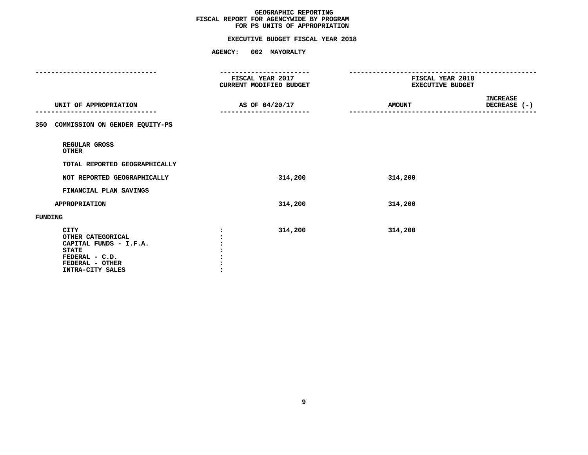# **FOR PS UNITS OF APPROPRIATIONEXECUTIVE BUDGET FISCAL YEAR <sup>2018</sup>**

|                                                                                                                                     | FISCAL YEAR 2017<br>CURRENT MODIFIED BUDGET | FISCAL YEAR 2018<br><b>EXECUTIVE BUDGET</b>      |  |
|-------------------------------------------------------------------------------------------------------------------------------------|---------------------------------------------|--------------------------------------------------|--|
| UNIT OF APPROPRIATION                                                                                                               | AS OF 04/20/17                              | <b>INCREASE</b><br><b>AMOUNT</b><br>DECREASE (-) |  |
| 350 COMMISSION ON GENDER EQUITY-PS                                                                                                  |                                             |                                                  |  |
| REGULAR GROSS<br><b>OTHER</b>                                                                                                       |                                             |                                                  |  |
| TOTAL REPORTED GEOGRAPHICALLY                                                                                                       |                                             |                                                  |  |
| NOT REPORTED GEOGRAPHICALLY                                                                                                         | 314,200                                     | 314,200                                          |  |
| FINANCIAL PLAN SAVINGS                                                                                                              |                                             |                                                  |  |
| <b>APPROPRIATION</b>                                                                                                                | 314,200                                     | 314,200                                          |  |
| FUNDING                                                                                                                             |                                             |                                                  |  |
| <b>CITY</b><br>OTHER CATEGORICAL<br>CAPITAL FUNDS - I.F.A.<br><b>STATE</b><br>FEDERAL - C.D.<br>FEDERAL - OTHER<br>INTRA-CITY SALES | 314,200                                     | 314,200                                          |  |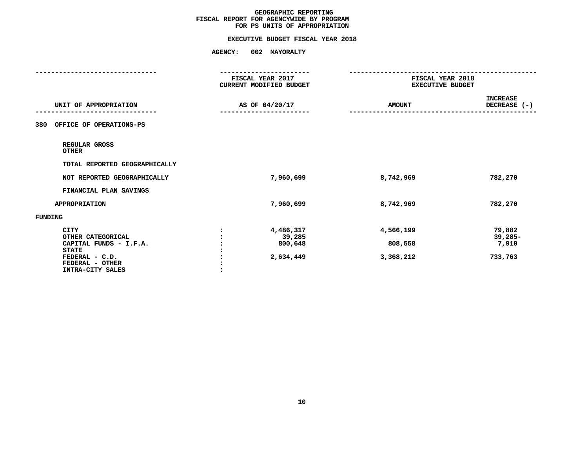# **FOR PS UNITS OF APPROPRIATIONEXECUTIVE BUDGET FISCAL YEAR <sup>2018</sup>**

|                                                                                                                                     | FISCAL YEAR 2017<br><b>CURRENT MODIFIED BUDGET</b> |                                                                                  | FISCAL YEAR 2018<br><b>EXECUTIVE BUDGET</b> |  |  |
|-------------------------------------------------------------------------------------------------------------------------------------|----------------------------------------------------|----------------------------------------------------------------------------------|---------------------------------------------|--|--|
| UNIT OF APPROPRIATION                                                                                                               | AS OF 04/20/17                                     | <b>AMOUNT</b>                                                                    | <b>INCREASE</b><br>DECREASE (-)             |  |  |
| OFFICE OF OPERATIONS-PS<br>380                                                                                                      |                                                    |                                                                                  |                                             |  |  |
| REGULAR GROSS<br><b>OTHER</b>                                                                                                       |                                                    |                                                                                  |                                             |  |  |
| TOTAL REPORTED GEOGRAPHICALLY                                                                                                       |                                                    |                                                                                  |                                             |  |  |
| NOT REPORTED GEOGRAPHICALLY                                                                                                         |                                                    | 7,960,699<br>8,742,969                                                           | 782,270                                     |  |  |
| FINANCIAL PLAN SAVINGS                                                                                                              |                                                    |                                                                                  |                                             |  |  |
| <b>APPROPRIATION</b>                                                                                                                |                                                    | 7,960,699<br>8,742,969                                                           | 782,270                                     |  |  |
| FUNDING                                                                                                                             |                                                    |                                                                                  |                                             |  |  |
| <b>CITY</b><br>OTHER CATEGORICAL<br>CAPITAL FUNDS - I.F.A.<br><b>STATE</b><br>FEDERAL - C.D.<br>FEDERAL - OTHER<br>INTRA-CITY SALES |                                                    | 4,486,317<br>4,566,199<br>39,285<br>800,648<br>808,558<br>2,634,449<br>3,368,212 | 79,882<br>39,285-<br>7,910<br>733,763       |  |  |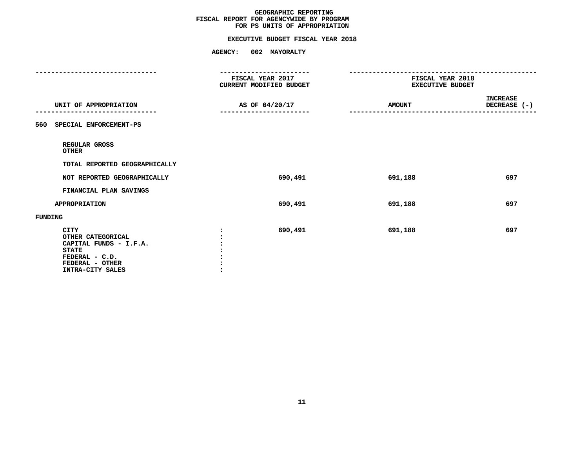# **FOR PS UNITS OF APPROPRIATIONEXECUTIVE BUDGET FISCAL YEAR <sup>2018</sup>**

|                                                                                                                              | FISCAL YEAR 2017<br><b>CURRENT MODIFIED BUDGET</b> | FISCAL YEAR 2018<br><b>EXECUTIVE BUDGET</b> |                                 |  |
|------------------------------------------------------------------------------------------------------------------------------|----------------------------------------------------|---------------------------------------------|---------------------------------|--|
| UNIT OF APPROPRIATION                                                                                                        | AS OF 04/20/17                                     | <b>AMOUNT</b>                               | <b>INCREASE</b><br>DECREASE (-) |  |
| 560 SPECIAL ENFORCEMENT-PS                                                                                                   |                                                    |                                             |                                 |  |
| REGULAR GROSS<br><b>OTHER</b>                                                                                                |                                                    |                                             |                                 |  |
| TOTAL REPORTED GEOGRAPHICALLY                                                                                                |                                                    |                                             |                                 |  |
| NOT REPORTED GEOGRAPHICALLY                                                                                                  | 690,491                                            | 691,188                                     | 697                             |  |
| FINANCIAL PLAN SAVINGS                                                                                                       |                                                    |                                             |                                 |  |
| <b>APPROPRIATION</b>                                                                                                         | 690,491                                            | 691,188                                     | 697                             |  |
| FUNDING                                                                                                                      |                                                    |                                             |                                 |  |
| CITY<br>OTHER CATEGORICAL<br>CAPITAL FUNDS - I.F.A.<br><b>STATE</b><br>FEDERAL - C.D.<br>FEDERAL - OTHER<br>INTRA-CITY SALES | 690,491                                            | 691,188                                     | 697                             |  |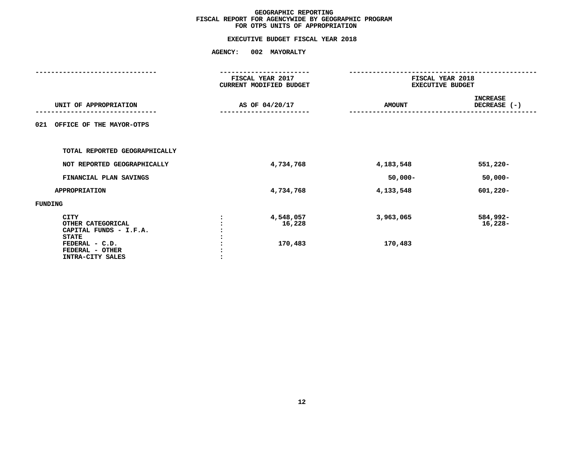# **FOR OTPS UNITS OF APPROPRIATIONEXECUTIVE BUDGET FISCAL YEAR <sup>2018</sup>**

|                                                                                                                                     |                | FISCAL YEAR 2017<br><b>CURRENT MODIFIED BUDGET</b> |                      | FISCAL YEAR 2018<br><b>EXECUTIVE BUDGET</b> |
|-------------------------------------------------------------------------------------------------------------------------------------|----------------|----------------------------------------------------|----------------------|---------------------------------------------|
| UNIT OF APPROPRIATION                                                                                                               | AS OF 04/20/17 |                                                    | <b>AMOUNT</b>        | <b>INCREASE</b><br>DECREASE (-)             |
| OFFICE OF THE MAYOR-OTPS<br>021                                                                                                     |                |                                                    |                      |                                             |
| TOTAL REPORTED GEOGRAPHICALLY                                                                                                       |                |                                                    |                      |                                             |
| NOT REPORTED GEOGRAPHICALLY                                                                                                         |                | 4,734,768                                          | 4,183,548            | $551,220 -$                                 |
| FINANCIAL PLAN SAVINGS                                                                                                              |                |                                                    | $50,000 -$           | $50,000 -$                                  |
| <b>APPROPRIATION</b>                                                                                                                |                | 4,734,768                                          | 4,133,548            | $601,220 -$                                 |
| FUNDING                                                                                                                             |                |                                                    |                      |                                             |
| <b>CITY</b><br>OTHER CATEGORICAL<br>CAPITAL FUNDS - I.F.A.<br><b>STATE</b><br>FEDERAL - C.D.<br>FEDERAL - OTHER<br>INTRA-CITY SALES | $\cdot$        | 4,548,057<br>16,228<br>170,483                     | 3,963,065<br>170,483 | 584,992-<br>16,228-                         |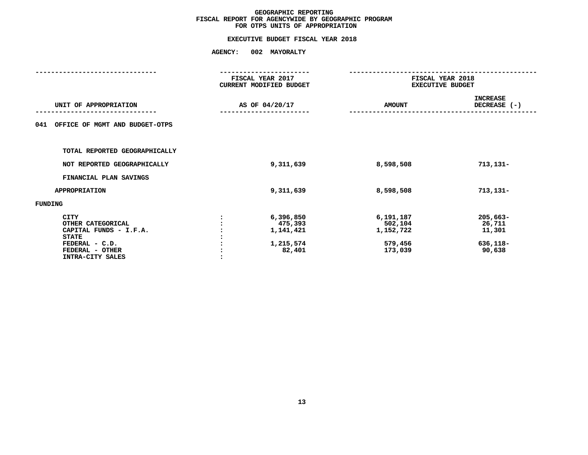# **FOR OTPS UNITS OF APPROPRIATIONEXECUTIVE BUDGET FISCAL YEAR <sup>2018</sup>**

|                                       |         | FISCAL YEAR 2017               |                         | FISCAL YEAR 2018 |  |  |
|---------------------------------------|---------|--------------------------------|-------------------------|------------------|--|--|
|                                       |         | <b>CURRENT MODIFIED BUDGET</b> | <b>EXECUTIVE BUDGET</b> |                  |  |  |
|                                       |         |                                |                         | <b>INCREASE</b>  |  |  |
| UNIT OF APPROPRIATION                 |         | AS OF 04/20/17                 | <b>AMOUNT</b>           | DECREASE (-)     |  |  |
|                                       |         |                                |                         |                  |  |  |
| OFFICE OF MGMT AND BUDGET-OTPS<br>041 |         |                                |                         |                  |  |  |
|                                       |         |                                |                         |                  |  |  |
| TOTAL REPORTED GEOGRAPHICALLY         |         |                                |                         |                  |  |  |
| NOT REPORTED GEOGRAPHICALLY           |         | 9,311,639                      | 8,598,508               | $713, 131 -$     |  |  |
| FINANCIAL PLAN SAVINGS                |         |                                |                         |                  |  |  |
| <b>APPROPRIATION</b>                  |         | 9,311,639                      | 8,598,508               | $713, 131 -$     |  |  |
| FUNDING                               |         |                                |                         |                  |  |  |
| <b>CITY</b>                           |         | 6,396,850                      | 6,191,187               | $205,663-$       |  |  |
| OTHER CATEGORICAL                     |         | 475,393                        | 502,104                 | 26,711           |  |  |
| CAPITAL FUNDS - I.F.A.                |         | 1,141,421                      | 1,152,722               | 11,301           |  |  |
| <b>STATE</b>                          |         |                                |                         |                  |  |  |
| FEDERAL - C.D.                        |         | 1,215,574                      | 579,456                 | 636,118-         |  |  |
| FEDERAL - OTHER                       |         | 82,401                         | 173,039                 | 90,638           |  |  |
| INTRA-CITY SALES                      | $\cdot$ |                                |                         |                  |  |  |
|                                       |         |                                |                         |                  |  |  |
|                                       |         |                                |                         |                  |  |  |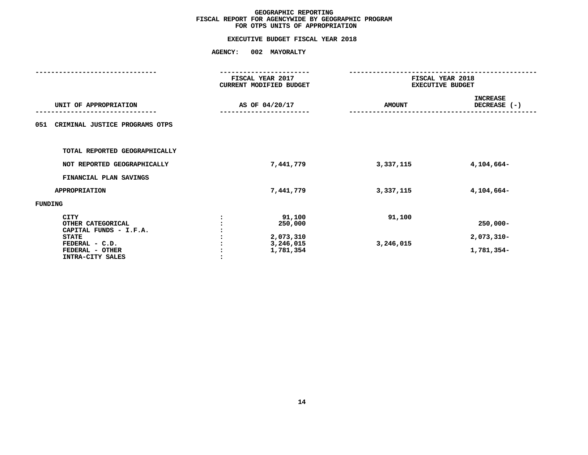# **FOR OTPS UNITS OF APPROPRIATIONEXECUTIVE BUDGET FISCAL YEAR <sup>2018</sup>**

|                                                            |                | FISCAL YEAR 2017<br>CURRENT MODIFIED BUDGET |               | FISCAL YEAR 2018<br><b>EXECUTIVE BUDGET</b> |  |
|------------------------------------------------------------|----------------|---------------------------------------------|---------------|---------------------------------------------|--|
| UNIT OF APPROPRIATION                                      | AS OF 04/20/17 |                                             | <b>AMOUNT</b> | <b>INCREASE</b><br>DECREASE (-)             |  |
| CRIMINAL JUSTICE PROGRAMS OTPS<br>051                      |                |                                             |               |                                             |  |
| TOTAL REPORTED GEOGRAPHICALLY                              |                |                                             |               |                                             |  |
| NOT REPORTED GEOGRAPHICALLY                                |                | 7,441,779                                   | 3,337,115     | 4,104,664-                                  |  |
| FINANCIAL PLAN SAVINGS                                     |                |                                             |               |                                             |  |
| <b>APPROPRIATION</b>                                       |                | 7,441,779                                   | 3,337,115     | 4,104,664-                                  |  |
| <b>FUNDING</b>                                             |                |                                             |               |                                             |  |
| <b>CITY</b><br>OTHER CATEGORICAL<br>CAPITAL FUNDS - I.F.A. |                | 91,100<br>250,000                           | 91,100        | $250,000 -$                                 |  |
| <b>STATE</b>                                               |                | 2,073,310                                   |               | $2,073,310-$                                |  |
| FEDERAL - C.D.<br>FEDERAL - OTHER<br>INTRA-CITY SALES      |                | 3,246,015<br>1,781,354                      | 3,246,015     | 1,781,354-                                  |  |
|                                                            |                |                                             |               |                                             |  |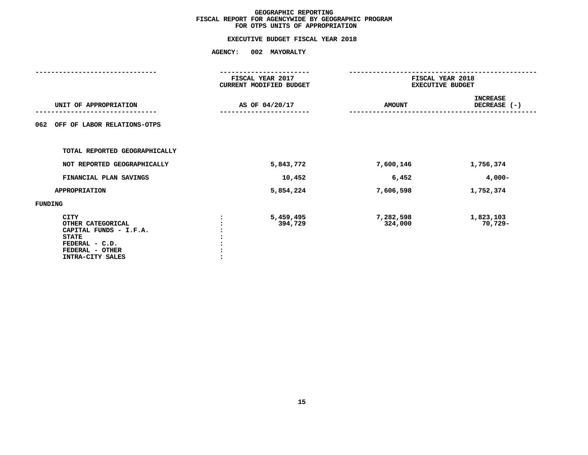# **FOR OTPS UNITS OF APPROPRIATIONEXECUTIVE BUDGET FISCAL YEAR <sup>2018</sup>**

|                                                                                                                                     | FISCAL YEAR 2017<br>CURRENT MODIFIED BUDGET |                                              | FISCAL YEAR 2018<br><b>EXECUTIVE BUDGET</b> |  |  |  |
|-------------------------------------------------------------------------------------------------------------------------------------|---------------------------------------------|----------------------------------------------|---------------------------------------------|--|--|--|
| UNIT OF APPROPRIATION                                                                                                               | AS OF 04/20/17                              | <b>AMOUNT</b>                                | <b>INCREASE</b><br>DECREASE (-)             |  |  |  |
| OFF OF LABOR RELATIONS-OTPS<br>062                                                                                                  |                                             |                                              |                                             |  |  |  |
| TOTAL REPORTED GEOGRAPHICALLY                                                                                                       |                                             |                                              |                                             |  |  |  |
| NOT REPORTED GEOGRAPHICALLY                                                                                                         |                                             | 5,843,772<br>7,600,146                       | 1,756,374                                   |  |  |  |
| FINANCIAL PLAN SAVINGS                                                                                                              |                                             | 10,452<br>6,452                              | $4,000-$                                    |  |  |  |
| <b>APPROPRIATION</b>                                                                                                                |                                             | 5,854,224<br>7,606,598                       | 1,752,374                                   |  |  |  |
| FUNDING                                                                                                                             |                                             |                                              |                                             |  |  |  |
| <b>CITY</b><br>OTHER CATEGORICAL<br>CAPITAL FUNDS - I.F.A.<br><b>STATE</b><br>FEDERAL - C.D.<br>FEDERAL - OTHER<br>INTRA-CITY SALES |                                             | 5,459,495<br>7,282,598<br>394,729<br>324,000 | 1,823,103<br>70,729-                        |  |  |  |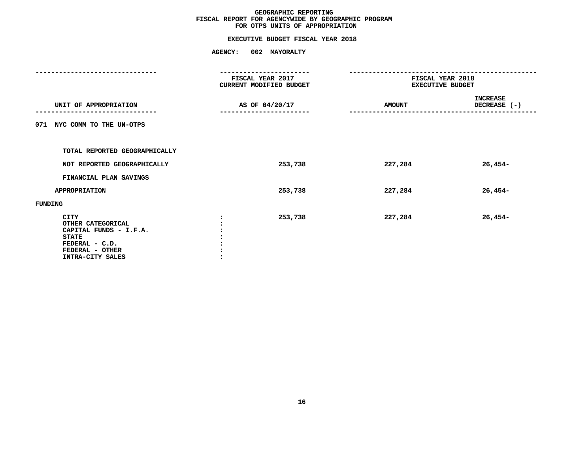# **FOR OTPS UNITS OF APPROPRIATIONEXECUTIVE BUDGET FISCAL YEAR <sup>2018</sup>**

|                                                                                                                              |                | FISCAL YEAR 2017<br>CURRENT MODIFIED BUDGET | FISCAL YEAR 2018<br><b>EXECUTIVE BUDGET</b> |                                 |
|------------------------------------------------------------------------------------------------------------------------------|----------------|---------------------------------------------|---------------------------------------------|---------------------------------|
| UNIT OF APPROPRIATION                                                                                                        | AS OF 04/20/17 |                                             | <b>AMOUNT</b>                               | <b>INCREASE</b><br>DECREASE (-) |
| NYC COMM TO THE UN-OTPS<br>071                                                                                               |                |                                             |                                             |                                 |
| TOTAL REPORTED GEOGRAPHICALLY                                                                                                |                |                                             |                                             |                                 |
| NOT REPORTED GEOGRAPHICALLY                                                                                                  |                | 253,738                                     | 227,284                                     | $26,454-$                       |
| FINANCIAL PLAN SAVINGS                                                                                                       |                |                                             |                                             |                                 |
| <b>APPROPRIATION</b>                                                                                                         |                | 253,738                                     | 227,284                                     | $26,454-$                       |
| FUNDING                                                                                                                      |                |                                             |                                             |                                 |
| CITY<br>OTHER CATEGORICAL<br>CAPITAL FUNDS - I.F.A.<br><b>STATE</b><br>FEDERAL - C.D.<br>FEDERAL - OTHER<br>INTRA-CITY SALES | $\cdot$        | 253,738                                     | 227,284                                     | $26,454-$                       |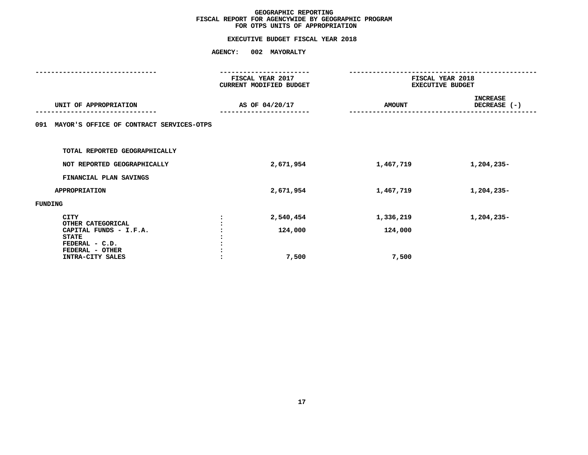# **FOR OTPS UNITS OF APPROPRIATIONEXECUTIVE BUDGET FISCAL YEAR <sup>2018</sup>**

|                                                 |         | FISCAL YEAR 2017<br>CURRENT MODIFIED BUDGET | FISCAL YEAR 2018<br><b>EXECUTIVE BUDGET</b> |                                 |
|-------------------------------------------------|---------|---------------------------------------------|---------------------------------------------|---------------------------------|
| UNIT OF APPROPRIATION                           |         | AS OF 04/20/17                              | <b>AMOUNT</b>                               | <b>INCREASE</b><br>DECREASE (-) |
| MAYOR'S OFFICE OF CONTRACT SERVICES-OTPS<br>091 |         |                                             |                                             |                                 |
| TOTAL REPORTED GEOGRAPHICALLY                   |         |                                             |                                             |                                 |
| NOT REPORTED GEOGRAPHICALLY                     |         | 2,671,954                                   | 1,467,719                                   | 1,204,235-                      |
| FINANCIAL PLAN SAVINGS                          |         |                                             |                                             |                                 |
| <b>APPROPRIATION</b>                            |         | 2,671,954                                   | 1,467,719                                   | 1,204,235-                      |
| FUNDING                                         |         |                                             |                                             |                                 |
| <b>CITY</b><br>OTHER CATEGORICAL                |         | 2,540,454                                   | 1,336,219                                   | 1,204,235-                      |
| CAPITAL FUNDS - I.F.A.<br><b>STATE</b>          |         | 124,000                                     | 124,000                                     |                                 |
| FEDERAL - C.D.<br>FEDERAL - OTHER               |         |                                             |                                             |                                 |
| INTRA-CITY SALES                                | $\cdot$ | 7,500                                       | 7,500                                       |                                 |
|                                                 |         |                                             |                                             |                                 |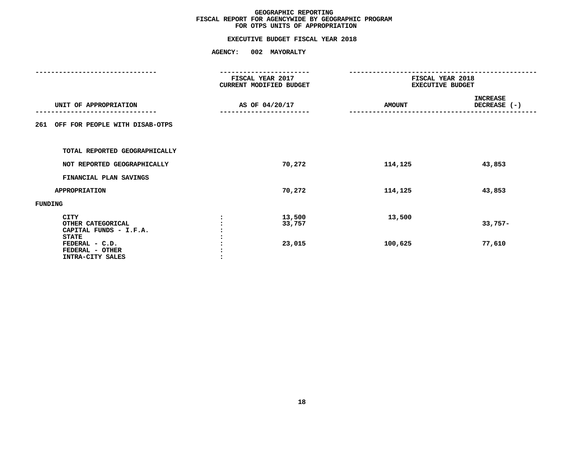# **FOR OTPS UNITS OF APPROPRIATIONEXECUTIVE BUDGET FISCAL YEAR <sup>2018</sup>**

|                                                                                                                              |                | FISCAL YEAR 2017<br>CURRENT MODIFIED BUDGET |                   | FISCAL YEAR 2018<br><b>EXECUTIVE BUDGET</b> |  |
|------------------------------------------------------------------------------------------------------------------------------|----------------|---------------------------------------------|-------------------|---------------------------------------------|--|
| UNIT OF APPROPRIATION                                                                                                        | AS OF 04/20/17 |                                             | <b>AMOUNT</b>     | <b>INCREASE</b><br>DECREASE $(-)$           |  |
| OFF FOR PEOPLE WITH DISAB-OTPS<br>261                                                                                        |                |                                             |                   |                                             |  |
| TOTAL REPORTED GEOGRAPHICALLY                                                                                                |                |                                             |                   |                                             |  |
| NOT REPORTED GEOGRAPHICALLY                                                                                                  |                | 70,272                                      | 114,125           | 43,853                                      |  |
| FINANCIAL PLAN SAVINGS                                                                                                       |                |                                             |                   |                                             |  |
| <b>APPROPRIATION</b>                                                                                                         |                | 70,272                                      | 114,125           | 43,853                                      |  |
| FUNDING                                                                                                                      |                |                                             |                   |                                             |  |
| CITY<br>OTHER CATEGORICAL<br>CAPITAL FUNDS - I.F.A.<br><b>STATE</b><br>FEDERAL - C.D.<br>FEDERAL - OTHER<br>INTRA-CITY SALES | $\cdot$        | 13,500<br>33,757<br>23,015                  | 13,500<br>100,625 | $33,757-$<br>77,610                         |  |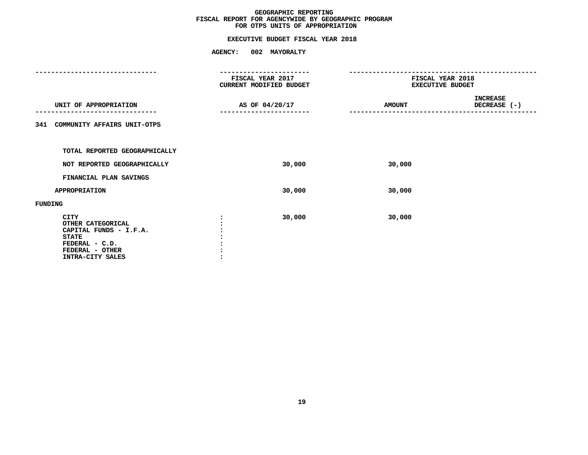# **FOR OTPS UNITS OF APPROPRIATIONEXECUTIVE BUDGET FISCAL YEAR <sup>2018</sup>**

|                                                                                                                                     | FISCAL YEAR 2017 | CURRENT MODIFIED BUDGET | FISCAL YEAR 2018<br><b>EXECUTIVE BUDGET</b> |                                 |  |
|-------------------------------------------------------------------------------------------------------------------------------------|------------------|-------------------------|---------------------------------------------|---------------------------------|--|
| UNIT OF APPROPRIATION                                                                                                               | AS OF 04/20/17   |                         | <b>AMOUNT</b>                               | <b>INCREASE</b><br>DECREASE (-) |  |
| COMMUNITY AFFAIRS UNIT-OTPS<br>341                                                                                                  |                  |                         |                                             |                                 |  |
| TOTAL REPORTED GEOGRAPHICALLY                                                                                                       |                  |                         |                                             |                                 |  |
| NOT REPORTED GEOGRAPHICALLY                                                                                                         |                  | 30,000                  | 30,000                                      |                                 |  |
| FINANCIAL PLAN SAVINGS                                                                                                              |                  |                         |                                             |                                 |  |
| <b>APPROPRIATION</b>                                                                                                                |                  | 30,000                  | 30,000                                      |                                 |  |
| <b>FUNDING</b>                                                                                                                      |                  |                         |                                             |                                 |  |
| <b>CITY</b><br>OTHER CATEGORICAL<br>CAPITAL FUNDS - I.F.A.<br><b>STATE</b><br>FEDERAL - C.D.<br>FEDERAL - OTHER<br>INTRA-CITY SALES |                  | 30,000                  | 30,000                                      |                                 |  |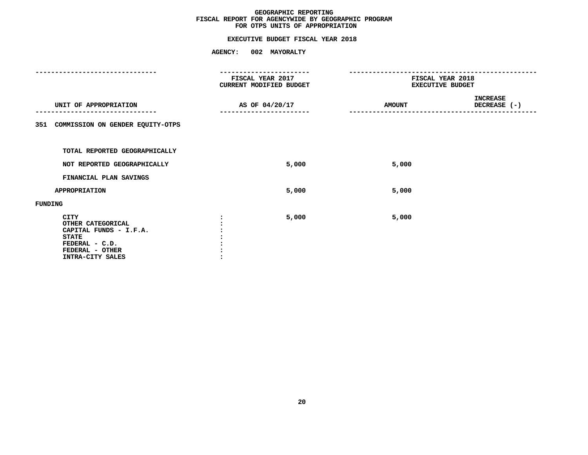# **FOR OTPS UNITS OF APPROPRIATIONEXECUTIVE BUDGET FISCAL YEAR <sup>2018</sup>**

|                                                                                                                                     |                | FISCAL YEAR 2017<br><b>CURRENT MODIFIED BUDGET</b> | FISCAL YEAR 2018<br><b>EXECUTIVE BUDGET</b> |                                 |  |
|-------------------------------------------------------------------------------------------------------------------------------------|----------------|----------------------------------------------------|---------------------------------------------|---------------------------------|--|
| UNIT OF APPROPRIATION                                                                                                               | AS OF 04/20/17 |                                                    | <b>AMOUNT</b>                               | <b>INCREASE</b><br>DECREASE (-) |  |
| COMMISSION ON GENDER EQUITY-OTPS<br>351                                                                                             |                |                                                    |                                             |                                 |  |
| TOTAL REPORTED GEOGRAPHICALLY                                                                                                       |                |                                                    |                                             |                                 |  |
| NOT REPORTED GEOGRAPHICALLY                                                                                                         |                | 5,000                                              | 5,000                                       |                                 |  |
| FINANCIAL PLAN SAVINGS                                                                                                              |                |                                                    |                                             |                                 |  |
| <b>APPROPRIATION</b>                                                                                                                |                | 5,000                                              | 5,000                                       |                                 |  |
| <b>FUNDING</b>                                                                                                                      |                |                                                    |                                             |                                 |  |
| <b>CITY</b><br>OTHER CATEGORICAL<br>CAPITAL FUNDS - I.F.A.<br><b>STATE</b><br>FEDERAL - C.D.<br>FEDERAL - OTHER<br>INTRA-CITY SALES |                | 5,000                                              | 5,000                                       |                                 |  |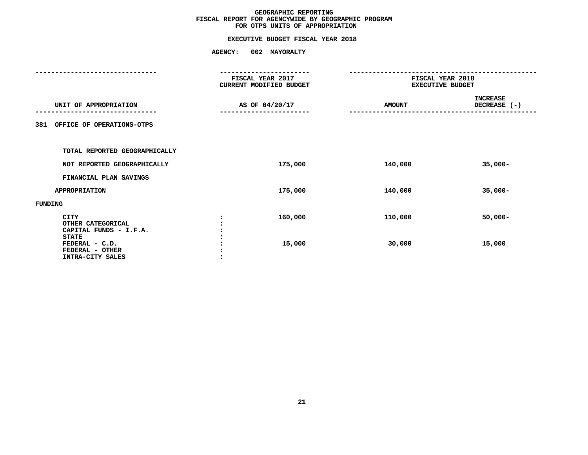# **FOR OTPS UNITS OF APPROPRIATIONEXECUTIVE BUDGET FISCAL YEAR <sup>2018</sup>**

|                                                                            | -----------<br>FISCAL YEAR 2017<br>CURRENT MODIFIED BUDGET | FISCAL YEAR 2018<br><b>EXECUTIVE BUDGET</b> |                                 |
|----------------------------------------------------------------------------|------------------------------------------------------------|---------------------------------------------|---------------------------------|
| UNIT OF APPROPRIATION                                                      | AS OF 04/20/17                                             | <b>AMOUNT</b>                               | <b>INCREASE</b><br>DECREASE (-) |
| OFFICE OF OPERATIONS-OTPS<br>381                                           |                                                            |                                             |                                 |
| TOTAL REPORTED GEOGRAPHICALLY                                              |                                                            |                                             |                                 |
| NOT REPORTED GEOGRAPHICALLY                                                | 175,000                                                    | 140,000                                     | $35,000 -$                      |
| FINANCIAL PLAN SAVINGS                                                     |                                                            |                                             |                                 |
| <b>APPROPRIATION</b>                                                       | 175,000                                                    | 140,000                                     | $35,000 -$                      |
| FUNDING                                                                    |                                                            |                                             |                                 |
| <b>CITY</b><br>OTHER CATEGORICAL<br>CAPITAL FUNDS - I.F.A.<br><b>STATE</b> | 160,000                                                    | 110,000                                     | $50,000 -$                      |
| FEDERAL - C.D.<br>FEDERAL - OTHER<br>INTRA-CITY SALES                      | 15,000<br>$\cdot$                                          | 30,000                                      | 15,000                          |
|                                                                            |                                                            |                                             |                                 |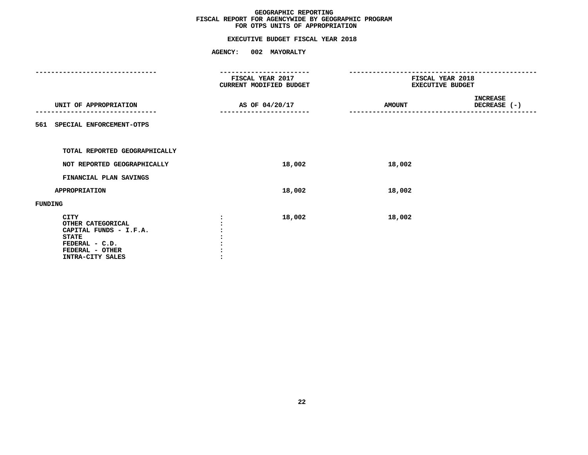# **FOR OTPS UNITS OF APPROPRIATIONEXECUTIVE BUDGET FISCAL YEAR <sup>2018</sup>**

|                                                                                                                                     |                | FISCAL YEAR 2017<br><b>CURRENT MODIFIED BUDGET</b> | FISCAL YEAR 2018<br><b>EXECUTIVE BUDGET</b> |                                 |  |
|-------------------------------------------------------------------------------------------------------------------------------------|----------------|----------------------------------------------------|---------------------------------------------|---------------------------------|--|
| UNIT OF APPROPRIATION                                                                                                               | AS OF 04/20/17 |                                                    | <b>AMOUNT</b>                               | <b>INCREASE</b><br>DECREASE (-) |  |
| SPECIAL ENFORCEMENT-OTPS<br>561                                                                                                     |                |                                                    |                                             |                                 |  |
| TOTAL REPORTED GEOGRAPHICALLY                                                                                                       |                |                                                    |                                             |                                 |  |
| NOT REPORTED GEOGRAPHICALLY                                                                                                         |                | 18,002                                             | 18,002                                      |                                 |  |
| FINANCIAL PLAN SAVINGS                                                                                                              |                |                                                    |                                             |                                 |  |
| <b>APPROPRIATION</b>                                                                                                                |                | 18,002                                             | 18,002                                      |                                 |  |
| FUNDING                                                                                                                             |                |                                                    |                                             |                                 |  |
| <b>CITY</b><br>OTHER CATEGORICAL<br>CAPITAL FUNDS - I.F.A.<br><b>STATE</b><br>FEDERAL - C.D.<br>FEDERAL - OTHER<br>INTRA-CITY SALES |                | 18,002                                             | 18,002                                      |                                 |  |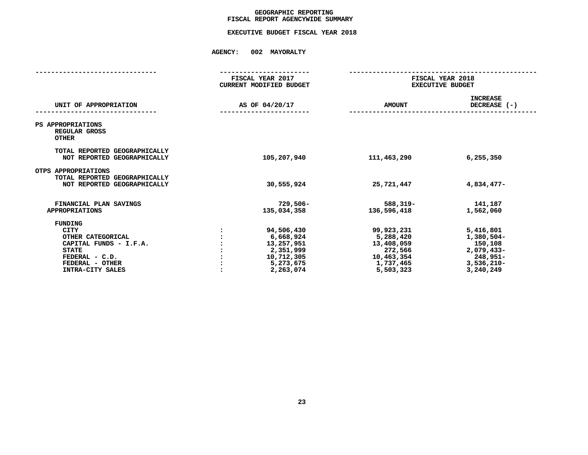# GEOGRAPHIC REPORTING<br>FISCAL REPORT AGENCYWIDE SUMMARY

# **FISCAL REPORT AGENCYWIDE SUMMARY EXECUTIVE BUDGET FISCAL YEAR <sup>2018</sup>**

|                                                                                                                                                       | FISCAL YEAR 2017<br><b>CURRENT MODIFIED BUDGET</b>                                         | FISCAL YEAR 2018<br><b>EXECUTIVE BUDGET</b>                                              |                                                                                            |
|-------------------------------------------------------------------------------------------------------------------------------------------------------|--------------------------------------------------------------------------------------------|------------------------------------------------------------------------------------------|--------------------------------------------------------------------------------------------|
| UNIT OF APPROPRIATION                                                                                                                                 | AS OF 04/20/17                                                                             | <b>AMOUNT</b>                                                                            | <b>INCREASE</b><br>DECREASE $(-)$                                                          |
| PS APPROPRIATIONS<br>REGULAR GROSS<br><b>OTHER</b>                                                                                                    |                                                                                            |                                                                                          |                                                                                            |
| TOTAL REPORTED GEOGRAPHICALLY<br>NOT REPORTED GEOGRAPHICALLY                                                                                          | 105,207,940                                                                                | 111,463,290                                                                              | 6,255,350                                                                                  |
| OTPS APPROPRIATIONS<br>TOTAL REPORTED GEOGRAPHICALLY<br>NOT REPORTED GEOGRAPHICALLY                                                                   | 30,555,924                                                                                 | 25,721,447                                                                               | 4,834,477-                                                                                 |
| FINANCIAL PLAN SAVINGS<br><b>APPROPRIATIONS</b>                                                                                                       | 729,506–<br>135,034,358                                                                    | 588,319-<br>136,596,418                                                                  | 141,187<br>1,562,060                                                                       |
| <b>FUNDING</b><br><b>CITY</b><br>OTHER CATEGORICAL<br>CAPITAL FUNDS - I.F.A.<br><b>STATE</b><br>FEDERAL - C.D.<br>FEDERAL - OTHER<br>INTRA-CITY SALES | 94,506,430<br>6,668,924<br>13,257,951<br>2,351,999<br>10,712,305<br>5,273,675<br>2,263,074 | 99,923,231<br>5,288,420<br>13,408,059<br>272,566<br>10,463,354<br>1,737,465<br>5,503,323 | 5,416,801<br>1,380,504-<br>150,108<br>2,079,433-<br>248,951-<br>$3,536,210 -$<br>3,240,249 |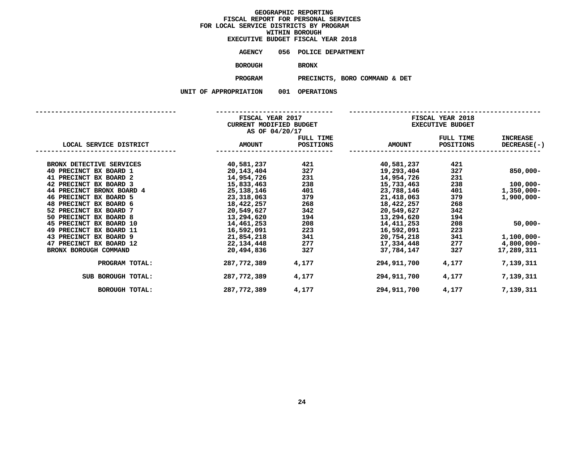|                | EXECUTIVE BUDGET FISCAL YEAR 2018 |
|----------------|-----------------------------------|
| AGENCY         | 056 POLICE DEPARTMENT             |
| <b>BOROUGH</b> | <b>BRONX</b>                      |
| <b>PROGRAM</b> | PRECINCTS, BORO COM               |

**PRECINCTS, BORO COMMAND & DET**

|                           | FISCAL YEAR 2017<br>CURRENT MODIFIED BUDGET<br>AS OF 04/20/17 |           | FISCAL YEAR 2018<br><b>EXECUTIVE BUDGET</b> |           |                 |  |
|---------------------------|---------------------------------------------------------------|-----------|---------------------------------------------|-----------|-----------------|--|
|                           |                                                               | FULL TIME |                                             | FULL TIME | <b>INCREASE</b> |  |
| LOCAL SERVICE DISTRICT    | <b>AMOUNT</b>                                                 | POSITIONS | <b>AMOUNT</b>                               | POSITIONS | DECREASE(-)     |  |
| BRONX DETECTIVE SERVICES  | 40,581,237                                                    | 421       | 40,581,237                                  | 421       |                 |  |
| 40 PRECINCT BX BOARD 1    | 20,143,404                                                    | 327       | 19,293,404                                  | 327       | $850,000 -$     |  |
| 41 PRECINCT BX BOARD 2    | 14,954,726                                                    | 231       | 14,954,726                                  | 231       |                 |  |
| 42 PRECINCT BX BOARD 3    | 15,833,463                                                    | 238       | 15,733,463                                  | 238       | $100,000 -$     |  |
| 44 PRECINCT BRONX BOARD 4 | 25,138,146                                                    | 401       | 23,788,146                                  | 401       | $1,350,000 -$   |  |
| 46 PRECINCT BX BOARD 5    | 23,318,063                                                    | 379       | 21,418,063                                  | 379       | $1,900,000 -$   |  |
| 48 PRECINCT BX BOARD 6    | 18,422,257                                                    | 268       | 18,422,257                                  | 268       |                 |  |
| 52 PRECINCT BX BOARD 7    | 20,549,627                                                    | 342       | 20,549,627                                  | 342       |                 |  |
| 50 PRECINCT BX BOARD 8    | 13,294,620                                                    | 194       | 13,294,620                                  | 194       |                 |  |
| 45 PRECINCT BX BOARD 10   | 14,461,253                                                    | 208       | 14,411,253                                  | 208       | $50,000 -$      |  |
| 49 PRECINCT BX BOARD 11   | 16,592,091                                                    | 223       | 16,592,091                                  | 223       |                 |  |
| 43 PRECINCT BX BOARD 9    | 21,854,218                                                    | 341       | 20,754,218                                  | 341       | $1,100,000 -$   |  |
| 47 PRECINCT BX BOARD 12   | 22,134,448                                                    | 277       | 17,334,448                                  | 277       | 4,800,000-      |  |
| BRONX BOROUGH COMMAND     | 20,494,836                                                    | 327       | 37,784,147                                  | 327       | 17,289,311      |  |
| PROGRAM TOTAL:            | 287,772,389                                                   | 4,177     | 294,911,700                                 | 4,177     | 7,139,311       |  |
| SUB BOROUGH TOTAL:        | 287,772,389                                                   | 4,177     | 294,911,700                                 | 4,177     | 7,139,311       |  |
| <b>BOROUGH TOTAL:</b>     | 287,772,389                                                   | 4,177     | 294,911,700                                 | 4,177     | 7,139,311       |  |
|                           |                                                               |           |                                             |           |                 |  |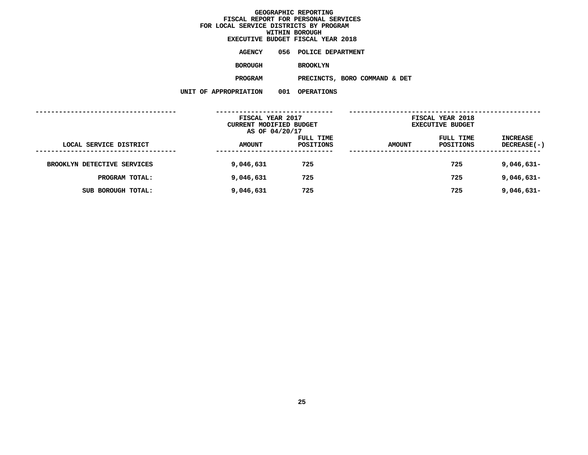|                     |     | EXECUTIVE BUDGET FISCAL YEAR 2018 |  |
|---------------------|-----|-----------------------------------|--|
| <b>AGENCY</b>       |     | 056 POLICE DEPARTMENT             |  |
| <b>BOROUGH</b>      |     | <b>BROOKLYN</b>                   |  |
| PROGRAM             |     | PRECINCTS, BORO COMMAND & DET     |  |
| <b>PPROPRIATION</b> | 001 | <b>OPERATIONS</b>                 |  |

| . | ◡◡∸ | שווטבנשיב זש |  |
|---|-----|--------------|--|
|   |     |              |  |
|   |     |              |  |

|                             | FISCAL YEAR 2017                          |           |               | FISCAL YEAR 2018        |                    |
|-----------------------------|-------------------------------------------|-----------|---------------|-------------------------|--------------------|
|                             | CURRENT MODIFIED BUDGET<br>AS OF 04/20/17 |           |               | <b>EXECUTIVE BUDGET</b> |                    |
|                             |                                           | FULL TIME |               | FULL TIME               | INCREASE           |
| LOCAL SERVICE DISTRICT      | <b>AMOUNT</b>                             | POSITIONS | <b>AMOUNT</b> | POSITIONS               | <b>DECREASE(-)</b> |
|                             |                                           |           |               |                         |                    |
| BROOKLYN DETECTIVE SERVICES | 9,046,631                                 | 725       |               | 725                     | $9,046,631-$       |
| PROGRAM TOTAL:              | 9,046,631                                 | 725       |               | 725                     | 9,046,631-         |
| SUB BOROUGH TOTAL:          | 9,046,631                                 | 725       |               | 725                     | $9,046,631-$       |
|                             |                                           |           |               |                         |                    |
|                             |                                           |           |               |                         |                    |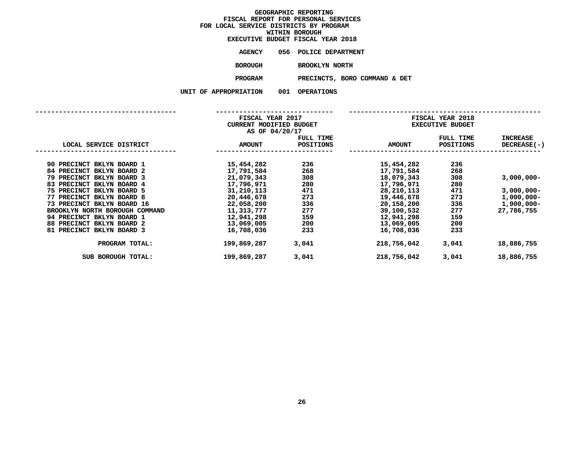|                | <b>EXECUTIVE BUDGET FISCAL YEAR 2018</b> |
|----------------|------------------------------------------|
| AGENCY         | 056 POLICE DEPARTMENT                    |
| <b>BOROUGH</b> | <b>BROOKLYN NORTH</b>                    |
| <b>PROGRAM</b> | PRECINCTS, BORO COMM                     |

**PROGRAMPRECINCTS, BORO COMMAND & DET**

| UF AFFROFRIAIION |  |
|------------------|--|
|                  |  |

|                                                             | FISCAL YEAR 2017<br>CURRENT MODIFIED BUDGET<br>AS OF 04/20/17 |                               | FISCAL YEAR 2018<br><b>EXECUTIVE BUDGET</b> |                               |                                       |  |
|-------------------------------------------------------------|---------------------------------------------------------------|-------------------------------|---------------------------------------------|-------------------------------|---------------------------------------|--|
| LOCAL SERVICE DISTRICT                                      | <b>AMOUNT</b>                                                 | FULL TIME<br><b>POSITIONS</b> | <b>AMOUNT</b>                               | FULL TIME<br><b>POSITIONS</b> | <b>INCREASE</b><br><b>DECREASE(-)</b> |  |
| 90 PRECINCT BKLYN BOARD 1<br>84 PRECINCT BKLYN BOARD 2      | 15,454,282<br>17,791,584                                      | 236<br>268                    | 15,454,282<br>17,791,584                    | 236<br>268                    |                                       |  |
| 79 PRECINCT BKLYN BOARD 3<br>83 PRECINCT BKLYN BOARD 4      | 21,079,343<br>17,796,971                                      | 308<br>280                    | 18,079,343<br>17,796,971                    | 308<br>280                    | $3,000,000 -$                         |  |
| 75 PRECINCT BKLYN BOARD 5<br>77 PRECINCT BKLYN BOARD 8      | 31,210,113<br>20,446,678                                      | 471<br>273                    | 28,210,113<br>19,446,678                    | 471<br>273                    | $3,000,000 -$<br>$1,000,000 -$        |  |
| 73 PRECINCT BKLYN BOARD 16                                  | 22,058,200                                                    | 336                           | 20,158,200                                  | 336                           | $1,900,000 -$                         |  |
| BROOKLYN NORTH BOROUGH COMMAND<br>94 PRECINCT BKLYN BOARD 1 | 11,313,777<br>12,941,298                                      | 277<br>159                    | 39,100,532<br>12,941,298                    | 277<br>159                    | 27,786,755                            |  |
| 88 PRECINCT BKLYN BOARD 2<br>81 PRECINCT BKLYN BOARD 3      | 13,069,005<br>16,708,036                                      | 200<br>233                    | 13,069,005<br>16,708,036                    | 200<br>233                    |                                       |  |
| PROGRAM TOTAL:                                              | 199,869,287                                                   | 3,041                         | 218,756,042                                 | 3,041                         | 18,886,755                            |  |
| SUB BOROUGH TOTAL:                                          | 199,869,287                                                   | 3,041                         | 218,756,042                                 | 3,041                         | 18,886,755                            |  |
|                                                             |                                                               |                               |                                             |                               |                                       |  |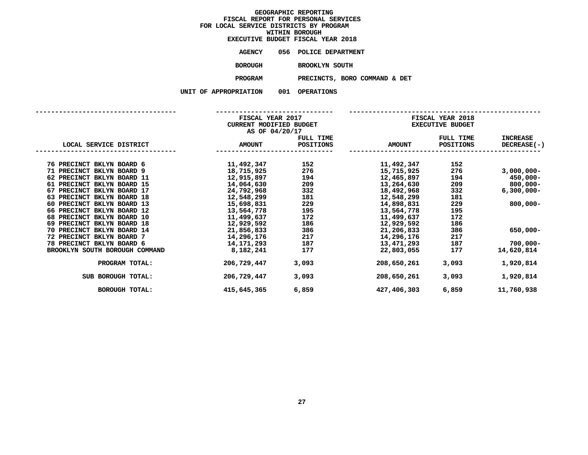|                   |     | EXECUTIVE BUDGET FISCAL YEAR 2018 |
|-------------------|-----|-----------------------------------|
| AGENCY            |     | 056 POLICE DEPARTMENT             |
| BOROUGH           |     | <b>BROOKLYN SOUTH</b>             |
| PROGRAM           |     | PRECINCTS, BORO COMMAND & DET     |
| <b>ROPRIATION</b> | 001 | <b>OPERATIONS</b>                 |

|  |  | ייט בבת המדחדים של ה |  |  |
|--|--|----------------------|--|--|
|  |  |                      |  |  |

|--|

|                                | FISCAL YEAR 2017<br>CURRENT MODIFIED BUDGET<br>AS OF 04/20/17 |           | FISCAL YEAR 2018<br><b>EXECUTIVE BUDGET</b> |           |                 |  |
|--------------------------------|---------------------------------------------------------------|-----------|---------------------------------------------|-----------|-----------------|--|
|                                |                                                               | FULL TIME |                                             | FULL TIME | <b>INCREASE</b> |  |
| LOCAL SERVICE DISTRICT         | <b>AMOUNT</b>                                                 | POSITIONS | <b>AMOUNT</b>                               | POSITIONS | DECREASE(-)     |  |
| 76 PRECINCT BKLYN BOARD 6      | 11,492,347                                                    | 152       | 11,492,347                                  | 152       |                 |  |
| 71 PRECINCT BKLYN BOARD 9      | 18,715,925                                                    | 276       | 15,715,925                                  | 276       | $3,000,000 -$   |  |
| 62 PRECINCT BKLYN BOARD 11     | 12,915,897                                                    | 194       | 12,465,897                                  | 194       | $450,000 -$     |  |
| 61 PRECINCT BKLYN BOARD 15     | 14,064,630                                                    | 209       | 13,264,630                                  | 209       | 800,000-        |  |
| 67 PRECINCT BKLYN BOARD 17     | 24,792,968                                                    | 332       | 18,492,968                                  | 332       | $6,300,000 -$   |  |
| 63 PRECINCT BKLYN BOARD 18     | 12,548,299                                                    | 181       | 12,548,299                                  | 181       |                 |  |
| 60 PRECINCT BKLYN BOARD 13     | 15,698,831                                                    | 229       | 14,898,831                                  | 229       | $800,000 -$     |  |
| 66 PRECINCT BKLYN BOARD 12     | 13,564,778                                                    | 195       | 13,564,778                                  | 195       |                 |  |
| 68 PRECINCT BKLYN BOARD 10     | 11,499,637                                                    | 172       | 11,499,637                                  | 172       |                 |  |
| 69 PRECINCT BKLYN BOARD 18     | 12,929,592                                                    | 186       | 12,929,592                                  | 186       |                 |  |
| 70 PRECINCT BKLYN BOARD 14     | 21,856,833                                                    | 386       | 21,206,833                                  | 386       | 650,000-        |  |
| 72 PRECINCT BKLYN BOARD 7      | 14,296,176                                                    | 217       | 14,296,176                                  | 217       |                 |  |
| 78 PRECINCT BKLYN BOARD 6      | 14,171,293                                                    | 187       | 13,471,293                                  | 187       | $700,000 -$     |  |
| BROOKLYN SOUTH BOROUGH COMMAND | 8,182,241                                                     | 177       | 22,803,055                                  | 177       | 14,620,814      |  |
| PROGRAM TOTAL:                 | 206,729,447                                                   | 3,093     | 208,650,261                                 | 3,093     | 1,920,814       |  |
| SUB BOROUGH TOTAL:             | 206,729,447                                                   | 3,093     | 208,650,261                                 | 3,093     | 1,920,814       |  |
| <b>BOROUGH TOTAL:</b>          | 415,645,365                                                   | 6,859     | 427,406,303                                 | 6,859     | 11,760,938      |  |
|                                |                                                               |           |                                             |           |                 |  |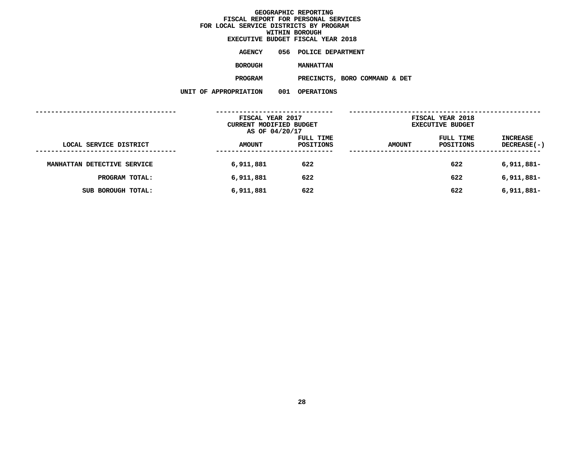|                    |     | EXECUTIVE BUDGET FISCAL YEAR 2018 |  |
|--------------------|-----|-----------------------------------|--|
| <b>AGENCY</b>      |     | 056 POLICE DEPARTMENT             |  |
| <b>BOROUGH</b>     |     | <b>MANHATTAN</b>                  |  |
| <b>PROGRAM</b>     |     | PRECINCTS, BORO COMMAND & DET     |  |
| <b>PROPRIATION</b> | 001 | <b>OPERATIONS</b>                 |  |

|                             | FISCAL YEAR 2017<br>CURRENT MODIFIED BUDGET |           | FISCAL YEAR 2018<br><b>EXECUTIVE BUDGET</b> |           |                    |
|-----------------------------|---------------------------------------------|-----------|---------------------------------------------|-----------|--------------------|
|                             |                                             |           |                                             |           |                    |
|                             | AS OF 04/20/17                              |           |                                             |           |                    |
|                             |                                             | FULL TIME |                                             | FULL TIME | INCREASE           |
| LOCAL SERVICE DISTRICT      | <b>AMOUNT</b>                               | POSITIONS | <b>AMOUNT</b>                               | POSITIONS | <b>DECREASE(-)</b> |
| ---------------             |                                             |           |                                             |           |                    |
| MANHATTAN DETECTIVE SERVICE | 6,911,881                                   | 622       |                                             | 622       | 6,911,881-         |
| PROGRAM TOTAL:              | 6,911,881                                   | 622       |                                             | 622       | 6,911,881-         |
| SUB BOROUGH TOTAL:          | 6,911,881                                   | 622       |                                             | 622       | $6,911,881-$       |
|                             |                                             |           |                                             |           |                    |
|                             |                                             |           |                                             |           |                    |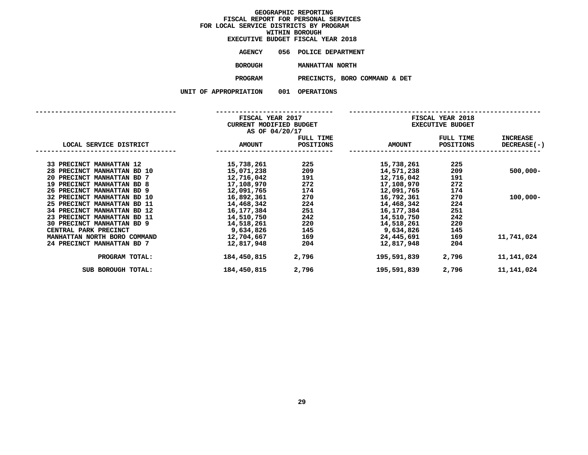|                | EXECUTIVE BUDGET FISCAL YEAR 2018 |
|----------------|-----------------------------------|
| AGENCY         | 056 POLICE DEPARTMENT             |
| <b>BOROUGH</b> | MANHATTAN NORTH                   |
| PROGRAM        | PRECINCTS, BORO COMMA             |

**PROGRAMPRECINCTS, BORO COMMAND & DET**

|                              |                | FISCAL YEAR 2017<br><b>CURRENT MODIFIED BUDGET</b> |               | <b>FISCAL YEAR 2018</b><br><b>EXECUTIVE BUDGET</b> |                    |  |
|------------------------------|----------------|----------------------------------------------------|---------------|----------------------------------------------------|--------------------|--|
|                              | AS OF 04/20/17 | FULL TIME                                          |               | FULL TIME                                          | <b>INCREASE</b>    |  |
| LOCAL SERVICE DISTRICT       | <b>AMOUNT</b>  | <b>POSITIONS</b>                                   | <b>AMOUNT</b> | POSITIONS                                          | <b>DECREASE(-)</b> |  |
| 33 PRECINCT MANHATTAN 12     | 15,738,261     | 225                                                | 15,738,261    | 225                                                |                    |  |
| 28 PRECINCT MANHATTAN BD 10  | 15,071,238     | 209                                                | 14,571,238    | 209                                                | $500,000 -$        |  |
| 20 PRECINCT MANHATTAN BD 7   | 12,716,042     | 191                                                | 12,716,042    | 191                                                |                    |  |
| 19 PRECINCT MANHATTAN BD 8   | 17,108,970     | 272                                                | 17,108,970    | 272                                                |                    |  |
| 26 PRECINCT MANHATTAN BD 9   | 12,091,765     | 174                                                | 12,091,765    | 174                                                |                    |  |
| 32 PRECINCT MANHATTAN BD 10  | 16,892,361     | 270                                                | 16,792,361    | 270                                                | $100,000 -$        |  |
| 25 PRECINCT MANHATTAN BD 11  | 14,468,342     | 224                                                | 14,468,342    | 224                                                |                    |  |
| 34 PRECINCT MANHATTAN BD 12  | 16,177,384     | 251                                                | 16,177,384    | 251                                                |                    |  |
| 23 PRECINCT MANHATTAN BD 11  | 14,510,750     | 242                                                | 14,510,750    | 242                                                |                    |  |
| 30 PRECINCT MANHATTAN BD 9   | 14,518,261     | 220                                                | 14,518,261    | 220                                                |                    |  |
| CENTRAL PARK PRECINCT        | 9,634,826      | 145                                                | 9,634,826     | 145                                                |                    |  |
| MANHATTAN NORTH BORO COMMAND | 12,704,667     | 169                                                | 24,445,691    | 169                                                | 11,741,024         |  |
| 24 PRECINCT MANHATTAN BD 7   | 12,817,948     | 204                                                | 12,817,948    | 204                                                |                    |  |
| PROGRAM TOTAL:               | 184,450,815    | 2,796                                              | 195,591,839   | 2,796                                              | 11,141,024         |  |
| SUB BOROUGH TOTAL:           | 184,450,815    | 2,796                                              | 195,591,839   | 2,796                                              | 11,141,024         |  |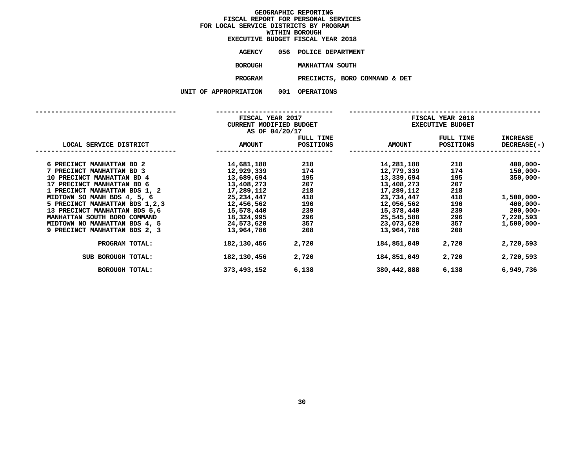|                   |     | EXECUTIVE BUDGET FISCAL YEAR 2018 |
|-------------------|-----|-----------------------------------|
| AGENCY            |     | 056 POLICE DEPARTMENT             |
| <b>BOROUGH</b>    |     | MANHATTAN SOUTH                   |
| <b>PROGRAM</b>    |     | PRECINCTS, BORO COMMAND & DET     |
| <b>ROPRIATION</b> | 001 | OPERATIONS                        |

| APPROPRIAI ION |  |
|----------------|--|
|----------------|--|

|                                  | FISCAL YEAR 2017<br>CURRENT MODIFIED BUDGET<br>AS OF 04/20/17 |                               | FISCAL YEAR 2018<br><b>EXECUTIVE BUDGET</b> |                        |                                |
|----------------------------------|---------------------------------------------------------------|-------------------------------|---------------------------------------------|------------------------|--------------------------------|
| LOCAL SERVICE DISTRICT           | <b>AMOUNT</b>                                                 | FULL TIME<br><b>POSITIONS</b> | <b>AMOUNT</b>                               | FULL TIME<br>POSITIONS | <b>INCREASE</b><br>DECREASE(-) |
| 6 PRECINCT MANHATTAN BD 2        | 14,681,188                                                    | 218                           | 14,281,188                                  | 218 — 10               | $400,000 -$                    |
| 7 PRECINCT MANHATTAN BD 3        | 12,929,339                                                    | 174                           | 12,779,339                                  | 174                    | $150,000 -$                    |
| 10 PRECINCT MANHATTAN BD 4       | 13,689,694                                                    | 195                           | 13,339,694                                  | 195                    | $350,000 -$                    |
| 17 PRECINCT MANHATTAN BD 6       | 13,408,273                                                    | 207                           | 13,408,273                                  | 207                    |                                |
| 1 PRECINCT MANHATTAN BDS 1, 2    | 17,289,112                                                    | 218                           | 17,289,112                                  | 218                    |                                |
| MIDTOWN SO MANH BDS 4, 5, 6      | 25,234,447                                                    | 418                           | 23,734,447                                  | 418                    | 1,500,000-                     |
| 5 PRECINCT MANHATTAN BDS 1, 2, 3 | 12,456,562                                                    | 190                           | 12,056,562                                  | 190                    | 400,000-                       |
| 13 PRECINCT MANHATTAN BDS 5,6    | 15,578,440                                                    | 239                           | 15,378,440                                  | 239 7                  | 200,000-                       |
| MANHATTAN SOUTH BORO COMMAND     | 18,324,995                                                    | 296                           | 25,545,588                                  | 296 — 10               | 7,220,593                      |
| MIDTOWN NO MANHATTAN BDS 4, 5    | 24,573,620                                                    | 357                           | 23,073,620                                  | 357                    | $1,500,000 -$                  |
| 9 PRECINCT MANHATTAN BDS 2, 3    | 13,964,786                                                    | 208                           | 13,964,786                                  | 208                    |                                |
| PROGRAM TOTAL:                   | 182,130,456                                                   | 2,720                         | 184,851,049                                 | 2,720                  | 2,720,593                      |
| SUB BOROUGH TOTAL:               | 182,130,456                                                   | 2,720                         | 184,851,049                                 | 2,720                  | 2,720,593                      |
| <b>BOROUGH TOTAL:</b>            | 373,493,152                                                   | 6,138                         | 380,442,888                                 | 6,138                  | 6,949,736                      |
|                                  |                                                               |                               |                                             |                        |                                |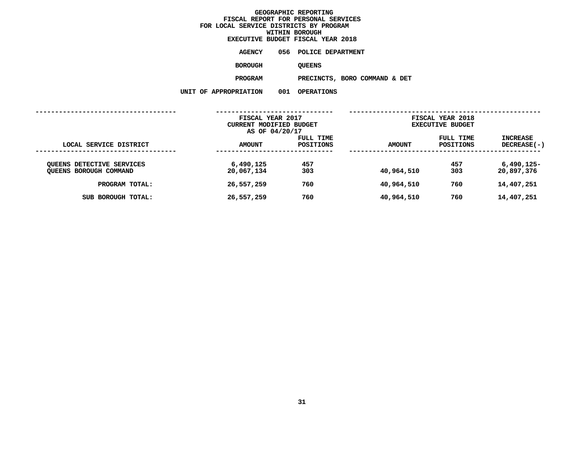|                | <b>EXECUTIVE BUDGET FISCAL YEAR 2018</b> |
|----------------|------------------------------------------|
| AGENCY         | 056 POLICE DEPARTMENT                    |
| <b>BOROUGH</b> | <b>OUEENS</b>                            |
| <b>PROGRAM</b> | PRECINCTS, BORO COMMANI                  |

**PROGRAMPRECINCTS, BORO COMMAND & DET**

| TTON | UUT | UPERATIO |
|------|-----|----------|
|      |     |          |

|                                                                                                           | FISCAL YEAR 2017                                    |                          | FISCAL YEAR 2018                       |                          |                                                        |
|-----------------------------------------------------------------------------------------------------------|-----------------------------------------------------|--------------------------|----------------------------------------|--------------------------|--------------------------------------------------------|
|                                                                                                           | CURRENT MODIFIED BUDGET                             |                          | <b>EXECUTIVE BUDGET</b>                |                          |                                                        |
|                                                                                                           | AS OF 04/20/17                                      |                          |                                        |                          |                                                        |
|                                                                                                           |                                                     | FULL TIME                |                                        | FULL TIME                | <b>INCREASE</b>                                        |
| LOCAL SERVICE DISTRICT                                                                                    | <b>AMOUNT</b>                                       | <b>POSITIONS</b>         | <b>AMOUNT</b>                          | POSITIONS                | $DECREASE(-)$                                          |
| <b>QUEENS DETECTIVE SERVICES</b><br><b>QUEENS BOROUGH COMMAND</b><br>PROGRAM TOTAL:<br>SUB BOROUGH TOTAL: | 6,490,125<br>20,067,134<br>26,557,259<br>26,557,259 | 457<br>303<br>760<br>760 | 40,964,510<br>40,964,510<br>40,964,510 | 457<br>303<br>760<br>760 | $6,490,125-$<br>20,897,376<br>14,407,251<br>14,407,251 |
|                                                                                                           |                                                     |                          |                                        |                          |                                                        |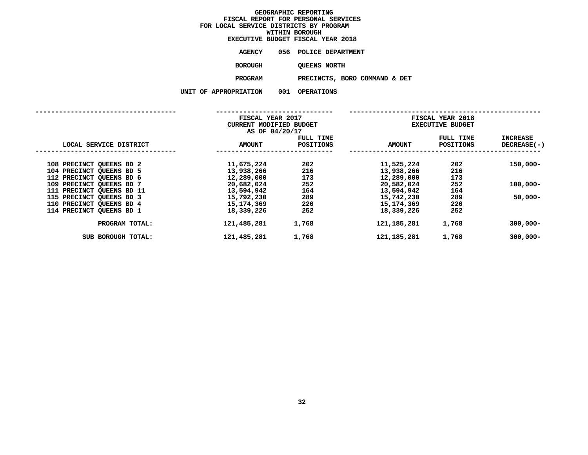|                    |     | EXECUTIVE BUDGET FISCAL YEAR 2018 |
|--------------------|-----|-----------------------------------|
| AGENCY             |     | 056 POLICE DEPARTMENT             |
| <b>BOROUGH</b>     |     | OUEENS NORTH                      |
| <b>PROGRAM</b>     |     | PRECINCTS, BORO COMMAND & DET     |
| <b>PROPRIATION</b> | 001 | <b>OPERATIONS</b>                 |

|                           | FISCAL YEAR 2017<br>CURRENT MODIFIED BUDGET<br>AS OF 04/20/17 |                        | FISCAL YEAR 2018<br><b>EXECUTIVE BUDGET</b> |                        |                                |
|---------------------------|---------------------------------------------------------------|------------------------|---------------------------------------------|------------------------|--------------------------------|
| LOCAL SERVICE DISTRICT    | <b>AMOUNT</b>                                                 | FULL TIME<br>POSITIONS | <b>AMOUNT</b>                               | FULL TIME<br>POSITIONS | <b>INCREASE</b><br>DECREASE(-) |
| 108 PRECINCT QUEENS BD 2  | 11,675,224                                                    | 202                    | 11,525,224                                  | 202                    | $150,000 -$                    |
| 104 PRECINCT QUEENS BD 5  | 13,938,266                                                    | 216                    | 13,938,266                                  | 216                    |                                |
| 112 PRECINCT QUEENS BD 6  | 12,289,000                                                    | 173                    | 12,289,000                                  | 173                    |                                |
| 109 PRECINCT QUEENS BD 7  | 20,682,024                                                    | 252                    | 20,582,024                                  | 252                    | $100,000 -$                    |
| 111 PRECINCT QUEENS BD 11 | 13,594,942                                                    | 164                    | 13,594,942                                  | 164                    |                                |
| 115 PRECINCT QUEENS BD 3  | 15,792,230                                                    | 289                    | 15,742,230                                  | 289                    | $50,000 -$                     |
| 110 PRECINCT QUEENS BD 4  | 15,174,369                                                    | 220                    | 15,174,369                                  | 220                    |                                |
| 114 PRECINCT QUEENS BD 1  | 18,339,226                                                    | 252                    | 18,339,226                                  | 252                    |                                |
| PROGRAM TOTAL:            | 121,485,281                                                   | 1,768                  | 121,185,281                                 | 1,768                  | $300,000 -$                    |
| SUB BOROUGH TOTAL:        | 121,485,281                                                   | 1,768                  | 121,185,281                                 | 1,768                  | $300,000 -$                    |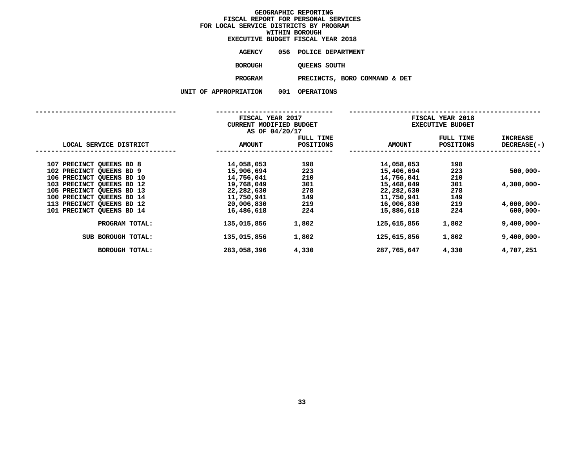|                    | EXECUTIVE BUDGET FISCAL YEAR 2018 |  |
|--------------------|-----------------------------------|--|
| AGENCY             | 056 POLICE DEPARTMENT             |  |
| <b>BOROUGH</b>     | OUEENS SOUTH                      |  |
| <b>PROGRAM</b>     | PRECINCTS, BORO COMMAND & DET     |  |
| <b>PROPRIATION</b> | 001 OPERATIONS                    |  |

**UNIT OF APPROPRIATION <sup>001</sup> OPERATIONS**

| AIIUN | UUL | UFERAI LUN |
|-------|-----|------------|
|       |     |            |

|                           | FISCAL YEAR 2017               |           |               | FISCAL YEAR 2018        |                    |
|---------------------------|--------------------------------|-----------|---------------|-------------------------|--------------------|
|                           | <b>CURRENT MODIFIED BUDGET</b> |           |               | <b>EXECUTIVE BUDGET</b> |                    |
|                           | AS OF 04/20/17                 |           |               |                         |                    |
|                           |                                | FULL TIME |               | FULL TIME               | <b>INCREASE</b>    |
| LOCAL SERVICE DISTRICT    | <b>AMOUNT</b>                  | POSITIONS | <b>AMOUNT</b> | <b>POSITIONS</b>        | <b>DECREASE(-)</b> |
|                           |                                |           |               |                         |                    |
| 107 PRECINCT QUEENS BD 8  | 14,058,053                     | 198       | 14,058,053    | 198                     |                    |
| 102 PRECINCT QUEENS BD 9  | 15,906,694                     | 223       | 15,406,694    | 223                     | $500,000 -$        |
| 106 PRECINCT QUEENS BD 10 | 14,756,041                     | 210       | 14,756,041    | 210                     |                    |
| 103 PRECINCT QUEENS BD 12 | 19,768,049                     | 301       | 15,468,049    | 301                     | 4,300,000-         |
| 105 PRECINCT QUEENS BD 13 | 22,282,630                     | 278       | 22,282,630    | 278                     |                    |
| 100 PRECINCT QUEENS BD 14 | 11,750,941                     | 149       | 11,750,941    | 149                     |                    |
| 113 PRECINCT QUEENS BD 12 | 20,006,830                     | 219       | 16,006,830    | 219                     | 4,000,000-         |
| 101 PRECINCT QUEENS BD 14 | 16,486,618                     | 224       | 15,886,618    | 224                     | $600,000 -$        |
| PROGRAM TOTAL:            | 135,015,856                    | 1,802     | 125,615,856   | 1,802                   | $9,400,000 -$      |
| SUB BOROUGH TOTAL:        | 135,015,856                    | 1,802     | 125,615,856   | 1,802                   | $9,400,000 -$      |
| <b>BOROUGH TOTAL:</b>     | 283,058,396                    | 4,330     | 287,765,647   | 4,330                   | 4,707,251          |
|                           |                                |           |               |                         |                    |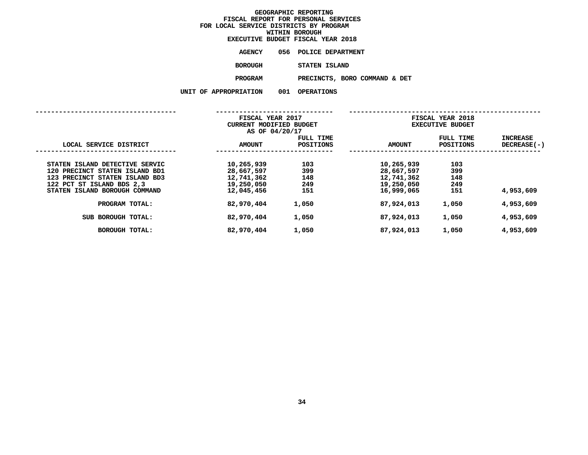|                    |     | EXECUTIVE BUDGET FISCAL YEAR 2018 |
|--------------------|-----|-----------------------------------|
| <b>AGENCY</b>      |     | 056 POLICE DEPARTMENT             |
| <b>BOROUGH</b>     |     | STATEN ISLAND                     |
| <b>PROGRAM</b>     |     | PRECINCTS, BORO COMMAND & DET     |
| <b>PROPRIATION</b> | 001 | <b>OPERATIONS</b>                 |

**UNIT OF APPROPRIATION <sup>001</sup> OPERATIONS**

|                                                                                                                                                                  | FISCAL YEAR 2017<br>CURRENT MODIFIED BUDGET<br>AS OF 04/20/17      |                                 |                                                                    | FISCAL YEAR 2018<br><b>EXECUTIVE BUDGET</b> |                                |
|------------------------------------------------------------------------------------------------------------------------------------------------------------------|--------------------------------------------------------------------|---------------------------------|--------------------------------------------------------------------|---------------------------------------------|--------------------------------|
| LOCAL SERVICE DISTRICT                                                                                                                                           | <b>AMOUNT</b>                                                      | FULL TIME<br><b>POSITIONS</b>   | <b>AMOUNT</b>                                                      | FULL TIME<br><b>POSITIONS</b>               | <b>INCREASE</b><br>DECREASE(-) |
| STATEN ISLAND DETECTIVE SERVIC<br>120 PRECINCT STATEN ISLAND BD1<br>123 PRECINCT STATEN ISLAND BD3<br>122 PCT ST ISLAND BDS 2,3<br>STATEN ISLAND BOROUGH COMMAND | 10,265,939<br>28,667,597<br>12,741,362<br>19,250,050<br>12,045,456 | 103<br>399<br>148<br>249<br>151 | 10,265,939<br>28,667,597<br>12,741,362<br>19,250,050<br>16,999,065 | 103<br>399<br>148<br>249<br>151             | 4,953,609                      |
| PROGRAM TOTAL:                                                                                                                                                   | 82,970,404                                                         | 1,050                           | 87,924,013                                                         | 1,050                                       | 4,953,609                      |
| BOROUGH TOTAL:<br><b>SUB</b>                                                                                                                                     | 82,970,404                                                         | 1,050                           | 87,924,013                                                         | 1,050                                       | 4,953,609                      |
| <b>BOROUGH TOTAL:</b>                                                                                                                                            | 82,970,404                                                         | 1,050                           | 87,924,013                                                         | 1,050                                       | 4,953,609                      |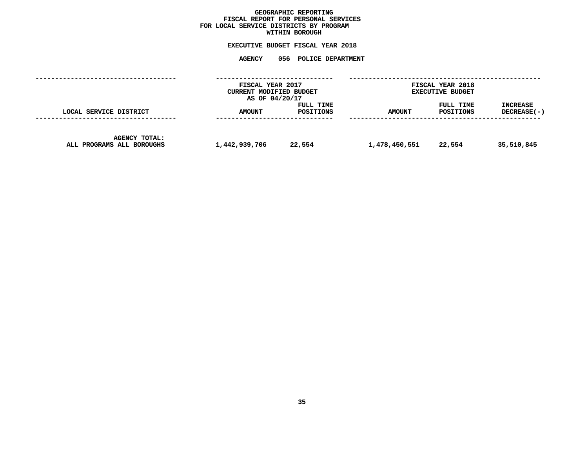# GEOGRAPHIC REPORTING<br>FISCAL REPORT FOR PERSONAL SERVICES<br>OCAL SERVICE DISTRICTS BY PROGRAM<br>WITHIN BOROUGH **FISCAL REPORT FOR PERSONAL SERVICES FOR LOCAL SERVICE DISTRICTS BY PROGRAM**

# **WITHIN BOROUGH EXECUTIVE BUDGET FISCAL YEAR <sup>2018</sup>**

# **AGENCY <sup>056</sup> POLICE DEPARTMENT**

|                                                   | FISCAL YEAR 2017<br>CURRENT MODIFIED BUDGET<br>AS OF 04/20/17 |                        |               | FISCAL YEAR 2018<br><b>EXECUTIVE BUDGET</b> |                                  |
|---------------------------------------------------|---------------------------------------------------------------|------------------------|---------------|---------------------------------------------|----------------------------------|
| LOCAL SERVICE DISTRICT                            | <b>AMOUNT</b>                                                 | FULL TIME<br>POSITIONS | <b>AMOUNT</b> | FULL TIME<br>POSITIONS                      | <b>INCREASE</b><br>$DECREASE(-)$ |
| <b>AGENCY TOTAL:</b><br>ALL PROGRAMS ALL BOROUGHS | 1,442,939,706                                                 | 22,554                 | 1,478,450,551 | 22,554                                      | 35,510,845                       |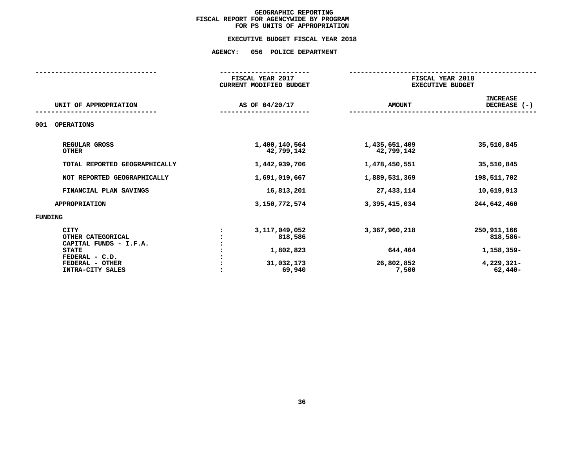# **EXECUTIVE BUDGET FISCAL YEAR 2018 EXECUTIVE BUDGET FISCAL YEAR <sup>2018</sup>**

# **AGENCY: <sup>056</sup> POLICE DEPARTMENT**

|                                                                                                                                     | FISCAL YEAR 2017<br>CURRENT MODIFIED BUDGET                      |                                                 | FISCAL YEAR 2018<br><b>EXECUTIVE BUDGET</b>                        |
|-------------------------------------------------------------------------------------------------------------------------------------|------------------------------------------------------------------|-------------------------------------------------|--------------------------------------------------------------------|
| UNIT OF APPROPRIATION                                                                                                               | AS OF 04/20/17                                                   | <b>AMOUNT</b>                                   | <b>INCREASE</b><br>DECREASE (-)                                    |
| <b>OPERATIONS</b><br>001                                                                                                            |                                                                  |                                                 |                                                                    |
| REGULAR GROSS<br><b>OTHER</b>                                                                                                       | 1,400,140,564<br>42,799,142                                      | 1,435,651,409<br>42,799,142                     | 35,510,845                                                         |
| TOTAL REPORTED GEOGRAPHICALLY                                                                                                       | 1,442,939,706                                                    | 1,478,450,551                                   | 35,510,845                                                         |
| NOT REPORTED GEOGRAPHICALLY                                                                                                         | 1,691,019,667                                                    | 1,889,531,369                                   | 198,511,702                                                        |
| FINANCIAL PLAN SAVINGS                                                                                                              | 16,813,201                                                       | 27, 433, 114                                    | 10,619,913                                                         |
| <b>APPROPRIATION</b>                                                                                                                | 3,150,772,574                                                    | 3,395,415,034                                   | 244,642,460                                                        |
| <b>FUNDING</b>                                                                                                                      |                                                                  |                                                 |                                                                    |
| <b>CITY</b><br>OTHER CATEGORICAL<br>CAPITAL FUNDS - I.F.A.<br><b>STATE</b><br>FEDERAL - C.D.<br>FEDERAL - OTHER<br>INTRA-CITY SALES | 3, 117, 049, 052<br>818,586<br>1,802,823<br>31,032,173<br>69,940 | 3,367,960,218<br>644,464<br>26,802,852<br>7,500 | 250, 911, 166<br>818,586-<br>1,158,359-<br>4,229,321-<br>$62,440-$ |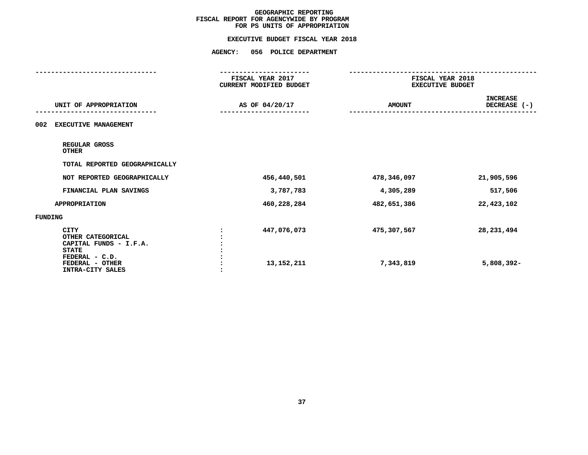| FISCAL YEAR 2017<br>CURRENT MODIFIED BUDGET<br>AS OF 04/20/17 | FISCAL YEAR 2018<br><b>EXECUTIVE BUDGET</b><br><b>AMOUNT</b> | <b>INCREASE</b><br>DECREASE (-) |
|---------------------------------------------------------------|--------------------------------------------------------------|---------------------------------|
|                                                               |                                                              |                                 |
|                                                               |                                                              |                                 |
|                                                               |                                                              |                                 |
|                                                               |                                                              |                                 |
|                                                               |                                                              |                                 |
| 456,440,501                                                   | 478,346,097                                                  | 21,905,596                      |
| 3,787,783                                                     | 4,305,289                                                    | 517,506                         |
| 460,228,284                                                   | 482,651,386                                                  | 22,423,102                      |
|                                                               |                                                              |                                 |
| 447,076,073<br>13, 152, 211                                   | 475,307,567<br>7,343,819                                     | 28, 231, 494<br>5,808,392-      |
|                                                               |                                                              |                                 |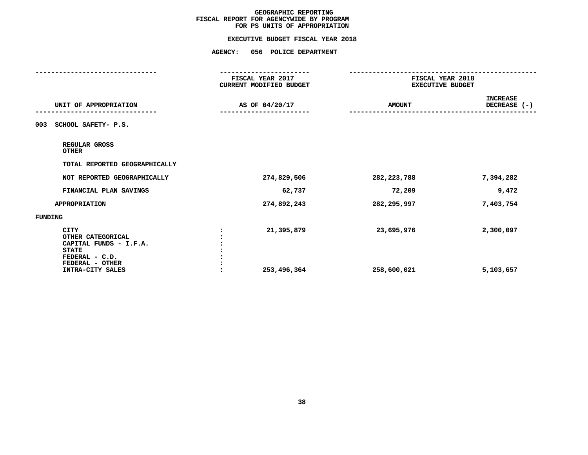|                                                                                                                 | <b>AGENCY:</b><br>056 POLICE DEPARTMENT     |                                             |                                 |
|-----------------------------------------------------------------------------------------------------------------|---------------------------------------------|---------------------------------------------|---------------------------------|
|                                                                                                                 | FISCAL YEAR 2017<br>CURRENT MODIFIED BUDGET | FISCAL YEAR 2018<br><b>EXECUTIVE BUDGET</b> |                                 |
| UNIT OF APPROPRIATION                                                                                           | AS OF 04/20/17                              | <b>AMOUNT</b>                               | <b>INCREASE</b><br>DECREASE (-) |
| SCHOOL SAFETY- P.S.<br>003                                                                                      |                                             |                                             |                                 |
| REGULAR GROSS<br><b>OTHER</b>                                                                                   |                                             |                                             |                                 |
| TOTAL REPORTED GEOGRAPHICALLY                                                                                   |                                             |                                             |                                 |
| NOT REPORTED GEOGRAPHICALLY                                                                                     | 274,829,506                                 | 282, 223, 788                               | 7,394,282                       |
| FINANCIAL PLAN SAVINGS                                                                                          | 62,737                                      | 72,209                                      | 9,472                           |
| <b>APPROPRIATION</b>                                                                                            | 274,892,243                                 | 282,295,997                                 | 7,403,754                       |
| FUNDING                                                                                                         |                                             |                                             |                                 |
| <b>CITY</b><br>OTHER CATEGORICAL<br>CAPITAL FUNDS - I.F.A.<br><b>STATE</b><br>FEDERAL - C.D.<br>FEDERAL - OTHER | 21,395,879                                  | 23,695,976                                  | 2,300,097                       |
| INTRA-CITY SALES                                                                                                | 253,496,364                                 | 258,600,021                                 | 5,103,657                       |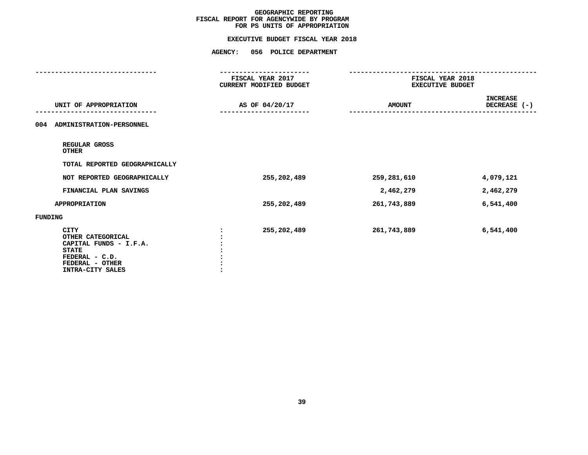|                                                                                                                                     | <b>AGENCY:</b><br>056 POLICE DEPARTMENT     |                                             |                          |  |
|-------------------------------------------------------------------------------------------------------------------------------------|---------------------------------------------|---------------------------------------------|--------------------------|--|
|                                                                                                                                     | FISCAL YEAR 2017<br>CURRENT MODIFIED BUDGET | FISCAL YEAR 2018<br><b>EXECUTIVE BUDGET</b> |                          |  |
| UNIT OF APPROPRIATION                                                                                                               | AS OF 04/20/17                              | <b>AMOUNT</b>                               | INCREASE<br>DECREASE (-) |  |
| 004 ADMINISTRATION-PERSONNEL                                                                                                        |                                             |                                             |                          |  |
| REGULAR GROSS<br><b>OTHER</b>                                                                                                       |                                             |                                             |                          |  |
| TOTAL REPORTED GEOGRAPHICALLY                                                                                                       |                                             |                                             |                          |  |
| NOT REPORTED GEOGRAPHICALLY                                                                                                         | 255,202,489                                 | 259,281,610                                 | 4,079,121                |  |
| FINANCIAL PLAN SAVINGS                                                                                                              |                                             | 2,462,279                                   | 2,462,279                |  |
| <b>APPROPRIATION</b>                                                                                                                | 255,202,489                                 | 261,743,889                                 | 6,541,400                |  |
| FUNDING                                                                                                                             |                                             |                                             |                          |  |
| <b>CITY</b><br>OTHER CATEGORICAL<br>CAPITAL FUNDS - I.F.A.<br><b>STATE</b><br>FEDERAL - C.D.<br>FEDERAL - OTHER<br>INTRA-CITY SALES | 255,202,489                                 | 261,743,889                                 | 6,541,400                |  |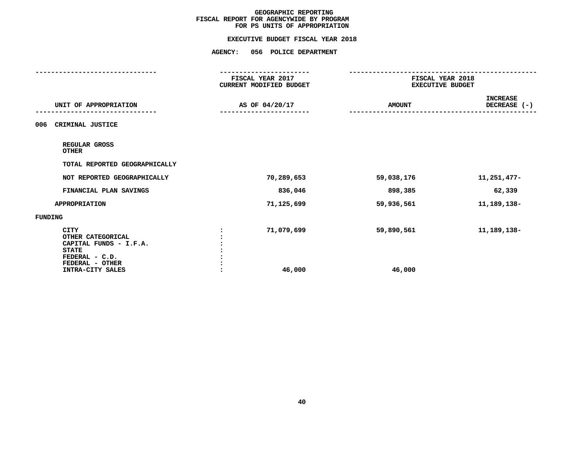| <b>AGENCY:</b><br>056 POLICE DEPARTMENT     |                      |                                             |  |
|---------------------------------------------|----------------------|---------------------------------------------|--|
| FISCAL YEAR 2017<br>CURRENT MODIFIED BUDGET |                      | FISCAL YEAR 2018<br><b>EXECUTIVE BUDGET</b> |  |
| AS OF 04/20/17                              | <b>AMOUNT</b>        | INCREASE<br>DECREASE (-)                    |  |
|                                             |                      |                                             |  |
|                                             |                      |                                             |  |
|                                             |                      |                                             |  |
| 70,289,653                                  | 59,038,176           | 11,251,477-                                 |  |
| 836,046                                     | 898,385              | 62,339                                      |  |
| 71,125,699                                  | 59,936,561           | 11, 189, 138-                               |  |
|                                             |                      |                                             |  |
| 71,079,699<br>46,000                        | 59,890,561<br>46,000 | 11, 189, 138-                               |  |
|                                             |                      |                                             |  |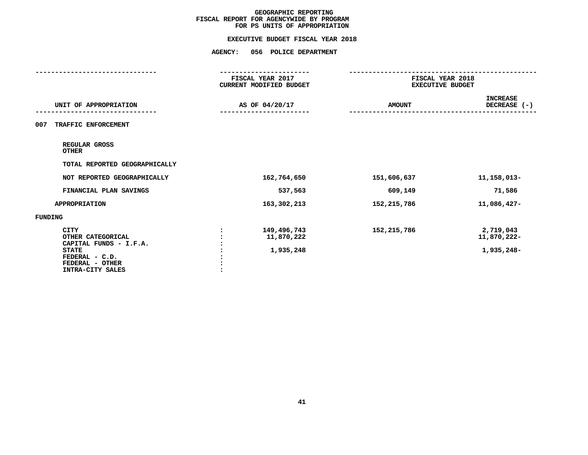| <b>AGENCY:</b><br>056 POLICE DEPARTMENT     |               |                                             |  |
|---------------------------------------------|---------------|---------------------------------------------|--|
| FISCAL YEAR 2017<br>CURRENT MODIFIED BUDGET |               | FISCAL YEAR 2018<br><b>EXECUTIVE BUDGET</b> |  |
| AS OF 04/20/17                              | <b>AMOUNT</b> | <b>INCREASE</b><br>DECREASE (-)             |  |
|                                             |               |                                             |  |
|                                             |               |                                             |  |
|                                             |               |                                             |  |
| 162,764,650                                 | 151,606,637   | 11, 158, 013-                               |  |
| 537,563                                     | 609,149       | 71,586                                      |  |
| 163,302,213                                 | 152,215,786   | 11,086,427-                                 |  |
|                                             |               |                                             |  |
| 149,496,743<br>11,870,222<br>1,935,248      | 152,215,786   | 2,719,043<br>11,870,222-<br>1,935,248-      |  |
|                                             |               |                                             |  |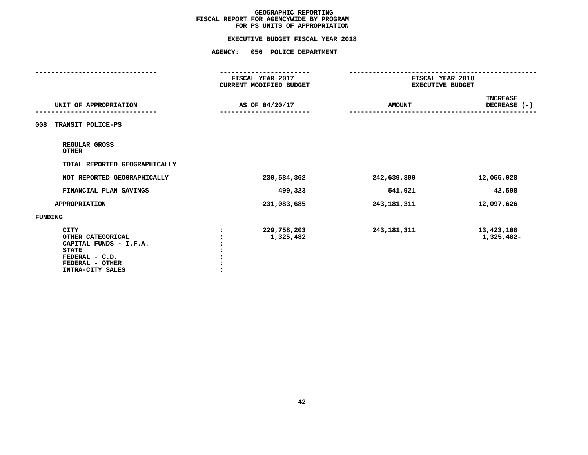|                                                                                                                              | <b>AGENCY:</b><br>056 POLICE DEPARTMENT     |                                             |                                 |
|------------------------------------------------------------------------------------------------------------------------------|---------------------------------------------|---------------------------------------------|---------------------------------|
|                                                                                                                              | FISCAL YEAR 2017<br>CURRENT MODIFIED BUDGET | FISCAL YEAR 2018<br><b>EXECUTIVE BUDGET</b> |                                 |
| UNIT OF APPROPRIATION                                                                                                        | AS OF 04/20/17                              | <b>AMOUNT</b>                               | <b>INCREASE</b><br>DECREASE (-) |
| TRANSIT POLICE-PS<br>008                                                                                                     |                                             |                                             |                                 |
| REGULAR GROSS<br><b>OTHER</b>                                                                                                |                                             |                                             |                                 |
| TOTAL REPORTED GEOGRAPHICALLY                                                                                                |                                             |                                             |                                 |
| NOT REPORTED GEOGRAPHICALLY                                                                                                  | 230,584,362                                 | 242,639,390                                 | 12,055,028                      |
| FINANCIAL PLAN SAVINGS                                                                                                       | 499,323                                     | 541,921                                     | 42,598                          |
| <b>APPROPRIATION</b>                                                                                                         | 231,083,685                                 | 243, 181, 311                               | 12,097,626                      |
| <b>FUNDING</b>                                                                                                               |                                             |                                             |                                 |
| CITY<br>OTHER CATEGORICAL<br>CAPITAL FUNDS - I.F.A.<br><b>STATE</b><br>FEDERAL - C.D.<br>FEDERAL - OTHER<br>INTRA-CITY SALES | 229,758,203<br>1,325,482                    | 243, 181, 311                               | 13,423,108<br>1,325,482-        |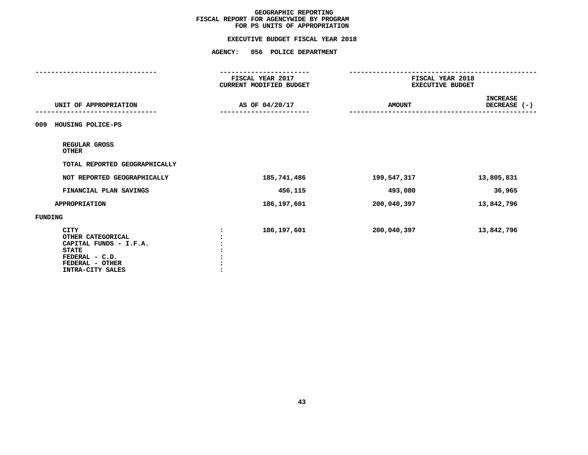|                                                                                                                                     | <b>AGENCY:</b><br>056 POLICE DEPARTMENT     |               |                                             |  |  |
|-------------------------------------------------------------------------------------------------------------------------------------|---------------------------------------------|---------------|---------------------------------------------|--|--|
|                                                                                                                                     | FISCAL YEAR 2017<br>CURRENT MODIFIED BUDGET |               | FISCAL YEAR 2018<br><b>EXECUTIVE BUDGET</b> |  |  |
| UNIT OF APPROPRIATION                                                                                                               | AS OF 04/20/17                              | <b>AMOUNT</b> | <b>INCREASE</b><br>DECREASE (-)             |  |  |
| HOUSING POLICE-PS<br>009                                                                                                            |                                             |               |                                             |  |  |
| REGULAR GROSS<br><b>OTHER</b>                                                                                                       |                                             |               |                                             |  |  |
| TOTAL REPORTED GEOGRAPHICALLY                                                                                                       |                                             |               |                                             |  |  |
| NOT REPORTED GEOGRAPHICALLY                                                                                                         | 185,741,486                                 | 199,547,317   | 13,805,831                                  |  |  |
| FINANCIAL PLAN SAVINGS                                                                                                              | 456,115                                     | 493,080       | 36,965                                      |  |  |
| <b>APPROPRIATION</b>                                                                                                                | 186,197,601                                 | 200,040,397   | 13,842,796                                  |  |  |
| <b>FUNDING</b>                                                                                                                      |                                             |               |                                             |  |  |
| <b>CITY</b><br>OTHER CATEGORICAL<br>CAPITAL FUNDS - I.F.A.<br><b>STATE</b><br>FEDERAL - C.D.<br>FEDERAL - OTHER<br>INTRA-CITY SALES | 186,197,601                                 | 200,040,397   | 13,842,796                                  |  |  |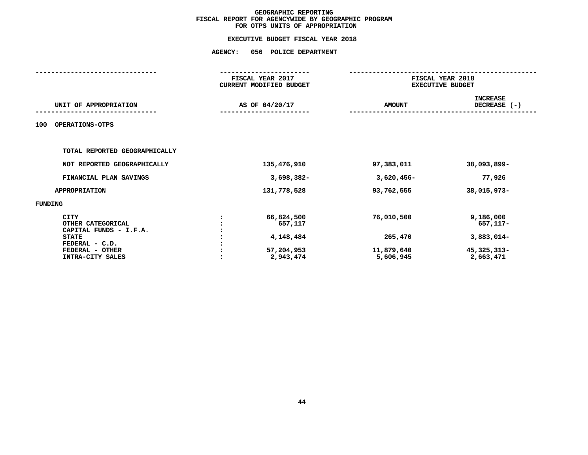|                                                                                                                                     | FISCAL YEAR 2017<br>CURRENT MODIFIED BUDGET                   |                                                  | FISCAL YEAR 2018<br><b>EXECUTIVE BUDGET</b>                       |  |  |
|-------------------------------------------------------------------------------------------------------------------------------------|---------------------------------------------------------------|--------------------------------------------------|-------------------------------------------------------------------|--|--|
| UNIT OF APPROPRIATION                                                                                                               | AS OF 04/20/17                                                | <b>AMOUNT</b>                                    | <b>INCREASE</b><br>DECREASE (-)                                   |  |  |
| OPERATIONS-OTPS<br>100                                                                                                              |                                                               |                                                  |                                                                   |  |  |
| TOTAL REPORTED GEOGRAPHICALLY                                                                                                       |                                                               |                                                  |                                                                   |  |  |
| NOT REPORTED GEOGRAPHICALLY                                                                                                         | 135,476,910                                                   | 97,383,011                                       | 38,093,899-                                                       |  |  |
| FINANCIAL PLAN SAVINGS                                                                                                              | $3,698,382-$                                                  | $3,620,456 -$                                    | 77,926                                                            |  |  |
| <b>APPROPRIATION</b>                                                                                                                | 131,778,528                                                   | 93,762,555                                       | 38,015,973-                                                       |  |  |
| FUNDING                                                                                                                             |                                                               |                                                  |                                                                   |  |  |
| <b>CITY</b><br>OTHER CATEGORICAL<br>CAPITAL FUNDS - I.F.A.<br><b>STATE</b><br>FEDERAL - C.D.<br>FEDERAL - OTHER<br>INTRA-CITY SALES | 66,824,500<br>657,117<br>4,148,484<br>57,204,953<br>2,943,474 | 76,010,500<br>265,470<br>11,879,640<br>5,606,945 | 9,186,000<br>657,117-<br>3,883,014-<br>45, 325, 313-<br>2,663,471 |  |  |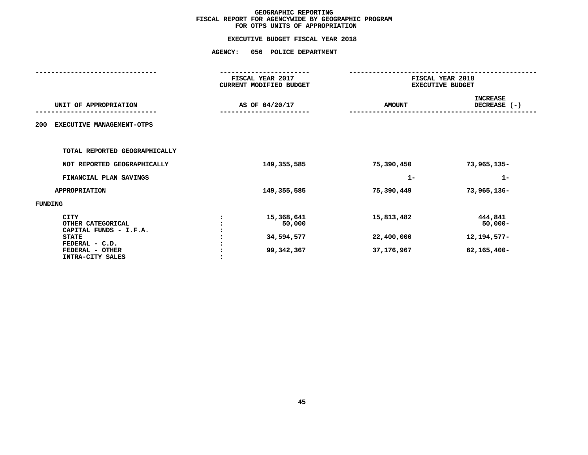|                                                                                              | <b>AGENCY:</b> | 056 POLICE DEPARTMENT                       |                          |                                             |  |  |
|----------------------------------------------------------------------------------------------|----------------|---------------------------------------------|--------------------------|---------------------------------------------|--|--|
|                                                                                              |                | FISCAL YEAR 2017<br>CURRENT MODIFIED BUDGET |                          | FISCAL YEAR 2018<br><b>EXECUTIVE BUDGET</b> |  |  |
| UNIT OF APPROPRIATION                                                                        |                | AS OF 04/20/17                              | <b>AMOUNT</b>            | <b>INCREASE</b><br>DECREASE (-)             |  |  |
| 200<br>EXECUTIVE MANAGEMENT-OTPS                                                             |                |                                             |                          |                                             |  |  |
| TOTAL REPORTED GEOGRAPHICALLY                                                                |                |                                             |                          |                                             |  |  |
| NOT REPORTED GEOGRAPHICALLY                                                                  |                | 149,355,585                                 | 75,390,450               | 73,965,135-                                 |  |  |
| FINANCIAL PLAN SAVINGS                                                                       |                |                                             | $1 -$                    | $1 -$                                       |  |  |
| <b>APPROPRIATION</b>                                                                         |                | 149, 355, 585                               | 75,390,449               | 73,965,136-                                 |  |  |
| FUNDING                                                                                      |                |                                             |                          |                                             |  |  |
| <b>CITY</b><br>OTHER CATEGORICAL<br>CAPITAL FUNDS - I.F.A.<br><b>STATE</b><br>FEDERAL - C.D. |                | 15,368,641<br>50,000<br>34,594,577          | 15,813,482<br>22,400,000 | 444,841<br>$50,000 -$<br>12, 194, 577-      |  |  |
| FEDERAL - OTHER<br>INTRA-CITY SALES                                                          |                | 99, 342, 367                                | 37, 176, 967             | $62, 165, 400 -$                            |  |  |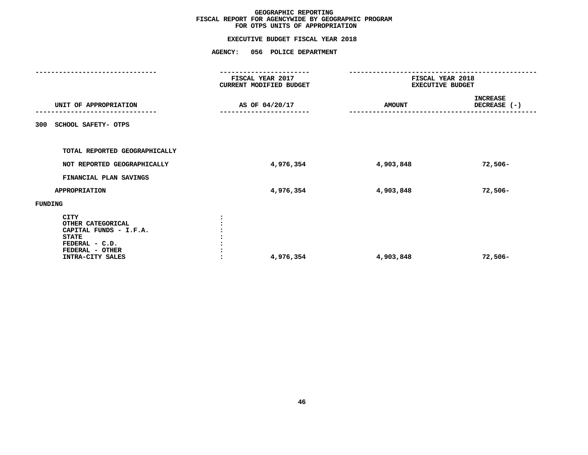|                                                                                                                                     | <b>AGENCY:</b><br>056 POLICE DEPARTMENT     |               |                                             |  |  |
|-------------------------------------------------------------------------------------------------------------------------------------|---------------------------------------------|---------------|---------------------------------------------|--|--|
|                                                                                                                                     | FISCAL YEAR 2017<br>CURRENT MODIFIED BUDGET |               | FISCAL YEAR 2018<br><b>EXECUTIVE BUDGET</b> |  |  |
| UNIT OF APPROPRIATION                                                                                                               | AS OF 04/20/17                              | <b>AMOUNT</b> | <b>INCREASE</b><br>DECREASE (-)             |  |  |
| SCHOOL SAFETY- OTPS<br>300                                                                                                          |                                             |               |                                             |  |  |
| TOTAL REPORTED GEOGRAPHICALLY                                                                                                       |                                             |               |                                             |  |  |
| NOT REPORTED GEOGRAPHICALLY                                                                                                         | 4,976,354                                   | 4,903,848     | $72,506 -$                                  |  |  |
| FINANCIAL PLAN SAVINGS                                                                                                              |                                             |               |                                             |  |  |
| <b>APPROPRIATION</b>                                                                                                                | 4,976,354                                   | 4,903,848     | $72,506-$                                   |  |  |
| FUNDING                                                                                                                             |                                             |               |                                             |  |  |
| <b>CITY</b><br>OTHER CATEGORICAL<br>CAPITAL FUNDS - I.F.A.<br><b>STATE</b><br>FEDERAL - C.D.<br>FEDERAL - OTHER<br>INTRA-CITY SALES | 4,976,354                                   | 4,903,848     | $72,506-$                                   |  |  |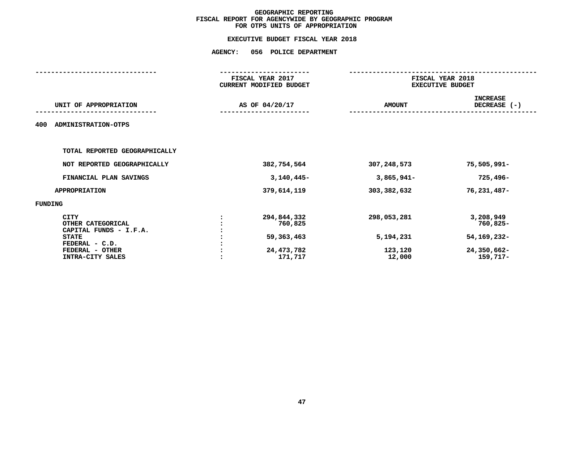|                          |                                                               | FISCAL YEAR 2018<br><b>EXECUTIVE BUDGET</b> |  |  |
|--------------------------|---------------------------------------------------------------|---------------------------------------------|--|--|
|                          | <b>AMOUNT</b>                                                 | <b>INCREASE</b><br>DECREASE (-)             |  |  |
|                          |                                                               |                                             |  |  |
|                          |                                                               |                                             |  |  |
| 382,754,564              | 307,248,573                                                   | 75,505,991-                                 |  |  |
| $3,140,445-$             | $3,865,941-$                                                  | $725,496-$                                  |  |  |
| 379,614,119              | 303, 382, 632                                                 | 76,231,487-                                 |  |  |
|                          |                                                               |                                             |  |  |
| 294,844,332<br>760,825   | 298,053,281                                                   | 3,208,949<br>760,825-                       |  |  |
| 59,363,463<br>24,473,782 | 5,194,231<br>123,120<br>12,000                                | 54, 169, 232-<br>24,350,662-<br>159,717-    |  |  |
|                          | FISCAL YEAR 2017<br>CURRENT MODIFIED BUDGET<br>AS OF 04/20/17 |                                             |  |  |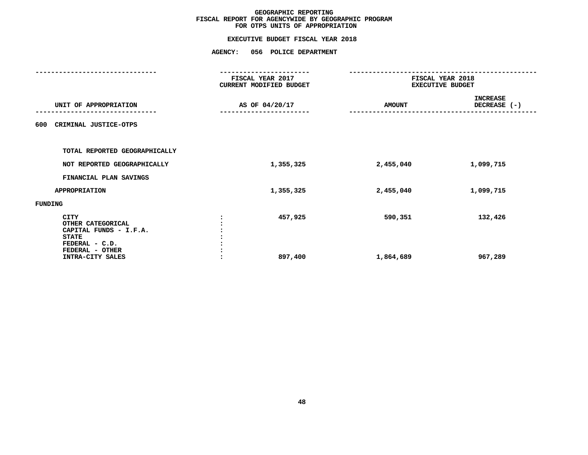|                                                                                              | <b>AGENCY:</b><br>056 POLICE DEPARTMENT     |               |                                             |  |  |
|----------------------------------------------------------------------------------------------|---------------------------------------------|---------------|---------------------------------------------|--|--|
|                                                                                              | FISCAL YEAR 2017<br>CURRENT MODIFIED BUDGET |               | FISCAL YEAR 2018<br><b>EXECUTIVE BUDGET</b> |  |  |
| UNIT OF APPROPRIATION                                                                        | AS OF 04/20/17                              | <b>AMOUNT</b> | <b>INCREASE</b><br>DECREASE (-)             |  |  |
| CRIMINAL JUSTICE-OTPS<br>600                                                                 |                                             |               |                                             |  |  |
| TOTAL REPORTED GEOGRAPHICALLY                                                                |                                             |               |                                             |  |  |
| NOT REPORTED GEOGRAPHICALLY                                                                  | 1,355,325                                   | 2,455,040     | 1,099,715                                   |  |  |
| FINANCIAL PLAN SAVINGS                                                                       |                                             |               |                                             |  |  |
| <b>APPROPRIATION</b>                                                                         | 1,355,325                                   | 2,455,040     | 1,099,715                                   |  |  |
| FUNDING                                                                                      |                                             |               |                                             |  |  |
| <b>CITY</b><br>OTHER CATEGORICAL<br>CAPITAL FUNDS - I.F.A.<br><b>STATE</b><br>FEDERAL - C.D. | 457,925                                     | 590,351       | 132,426                                     |  |  |
| FEDERAL - OTHER<br>INTRA-CITY SALES                                                          | 897,400                                     | 1,864,689     | 967,289                                     |  |  |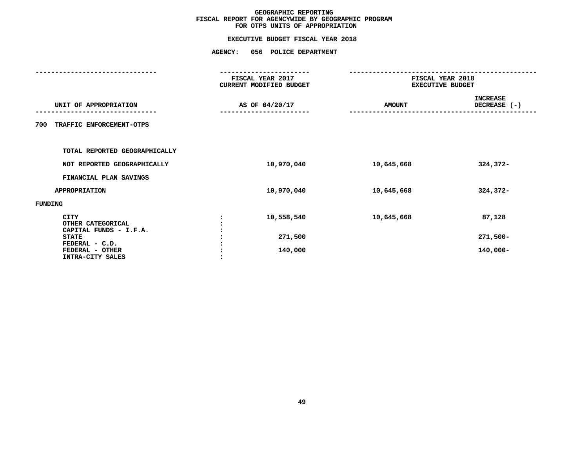|                                                            | <b>AGENCY:</b> | 056 POLICE DEPARTMENT                       |               |                                             |  |  |
|------------------------------------------------------------|----------------|---------------------------------------------|---------------|---------------------------------------------|--|--|
|                                                            |                | FISCAL YEAR 2017<br>CURRENT MODIFIED BUDGET |               | FISCAL YEAR 2018<br><b>EXECUTIVE BUDGET</b> |  |  |
| UNIT OF APPROPRIATION                                      |                | AS OF 04/20/17                              | <b>AMOUNT</b> | <b>INCREASE</b><br>DECREASE (-)             |  |  |
| TRAFFIC ENFORCEMENT-OTPS<br>700                            |                |                                             |               |                                             |  |  |
| TOTAL REPORTED GEOGRAPHICALLY                              |                |                                             |               |                                             |  |  |
| NOT REPORTED GEOGRAPHICALLY                                |                | 10,970,040                                  | 10,645,668    | 324,372-                                    |  |  |
| FINANCIAL PLAN SAVINGS                                     |                |                                             |               |                                             |  |  |
| <b>APPROPRIATION</b>                                       |                | 10,970,040                                  | 10,645,668    | 324,372-                                    |  |  |
| FUNDING                                                    |                |                                             |               |                                             |  |  |
| <b>CITY</b><br>OTHER CATEGORICAL<br>CAPITAL FUNDS - I.F.A. |                | 10,558,540                                  | 10,645,668    | 87,128                                      |  |  |
| <b>STATE</b>                                               |                | 271,500                                     |               | $271,500-$                                  |  |  |
| FEDERAL - C.D.<br>FEDERAL - OTHER<br>INTRA-CITY SALES      |                | 140,000                                     |               | $140,000 -$                                 |  |  |
|                                                            |                |                                             |               |                                             |  |  |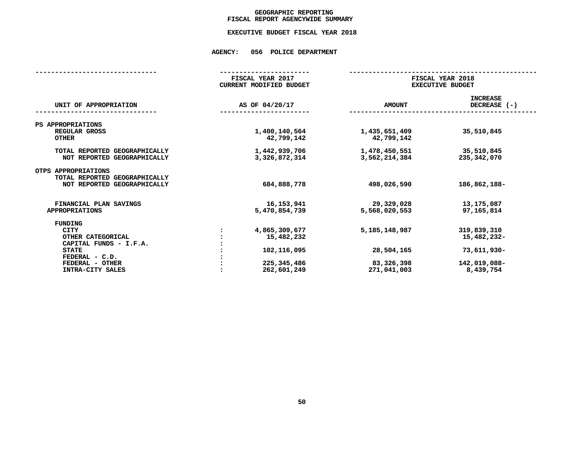# GEOGRAPHIC REPORTING<br>FISCAL REPORT AGENCYWIDE SUMMARY

# **FISCAL REPORT AGENCYWIDE SUMMARY EXECUTIVE BUDGET FISCAL YEAR <sup>2018</sup>**

### **AGENCY: <sup>056</sup> POLICE DEPARTMENT**

|                                                      | FISCAL YEAR 2017<br><b>CURRENT MODIFIED BUDGET</b> |                             | FISCAL YEAR 2018<br><b>EXECUTIVE BUDGET</b> |  |  |  |
|------------------------------------------------------|----------------------------------------------------|-----------------------------|---------------------------------------------|--|--|--|
| UNIT OF APPROPRIATION                                | AS OF 04/20/17                                     | <b>AMOUNT</b>               | <b>INCREASE</b><br>DECREASE (-)             |  |  |  |
| PS APPROPRIATIONS                                    |                                                    |                             |                                             |  |  |  |
| REGULAR GROSS<br><b>OTHER</b>                        | 1,400,140,564<br>42,799,142                        | 1,435,651,409<br>42,799,142 | 35,510,845                                  |  |  |  |
| TOTAL REPORTED GEOGRAPHICALLY                        | 1,442,939,706                                      | 1,478,450,551               | 35,510,845                                  |  |  |  |
| NOT REPORTED GEOGRAPHICALLY                          | 3,326,872,314                                      | 3,562,214,384               | 235,342,070                                 |  |  |  |
| OTPS APPROPRIATIONS<br>TOTAL REPORTED GEOGRAPHICALLY |                                                    |                             |                                             |  |  |  |
| NOT REPORTED GEOGRAPHICALLY                          | 684,888,778                                        | 498,026,590                 | 186,862,188-                                |  |  |  |
| FINANCIAL PLAN SAVINGS                               | 16,153,941                                         | 29,329,028                  | 13,175,087                                  |  |  |  |
| <b>APPROPRIATIONS</b>                                | 5,470,854,739                                      | 5,568,020,553               | 97,165,814                                  |  |  |  |
| <b>FUNDING</b>                                       |                                                    |                             |                                             |  |  |  |
| <b>CITY</b>                                          | 4,865,309,677                                      | 5,185,148,987               | 319,839,310                                 |  |  |  |
| OTHER CATEGORICAL                                    | 15,482,232                                         |                             | 15,482,232-                                 |  |  |  |
| CAPITAL FUNDS - I.F.A.                               |                                                    |                             |                                             |  |  |  |
| <b>STATE</b>                                         | 102, 116, 095                                      | 28,504,165                  | 73,611,930-                                 |  |  |  |
| FEDERAL - C.D.                                       |                                                    |                             |                                             |  |  |  |
| FEDERAL - OTHER                                      | 225, 345, 486                                      | 83,326,398                  | 142,019,088-                                |  |  |  |
| INTRA-CITY SALES                                     | 262,601,249                                        | 271,041,003                 | 8,439,754                                   |  |  |  |
|                                                      |                                                    |                             |                                             |  |  |  |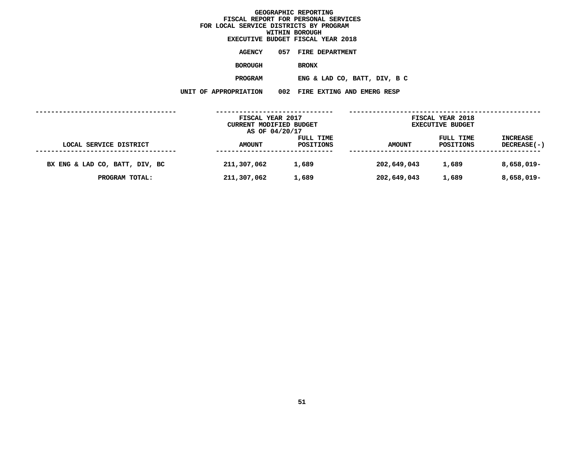### GEOGRAPHIC REPORTING<br>FISCAL REPORT FOR PERSONAL SERVICES<br>OCAL SERVICE DISTRICTS BY PROGRAM<br>WITHIN BOROUGH  $FOR$  LOCAL SERVICE DISTRICTS BY PROGRAM **FOR LOCAL SERVICE DISTRICTS BY PROGRAMWITHIN BOROUGH EXECUTIVE BUDGET FISCAL YEAR <sup>2018</sup>AGENCY <sup>057</sup> FIRE DEPARTMENT BOROUGH**BRONX<br>**ENG & LAD CO, BATT, DIV, B C PROGRAM**

**ENG** & LAD CO, BATT, DIV, B C<br>N 002 FIRE EXTING AND EMERG RESP **UNIT OF APPROPRIATION <sup>002</sup> FIRE EXTING AND EMERG RESP**

|                                | FISCAL YEAR 2017<br>CURRENT MODIFIED BUDGET<br>AS OF 04/20/17 |                        |               | FISCAL YEAR 2018<br><b>EXECUTIVE BUDGET</b> |                                       |
|--------------------------------|---------------------------------------------------------------|------------------------|---------------|---------------------------------------------|---------------------------------------|
| LOCAL SERVICE DISTRICT         | <b>AMOUNT</b>                                                 | FULL TIME<br>POSITIONS | <b>AMOUNT</b> | FULL TIME<br>POSITIONS                      | <b>INCREASE</b><br><b>DECREASE(-)</b> |
| BX ENG & LAD CO, BATT, DIV, BC | 211,307,062                                                   | 1,689                  | 202,649,043   | 1,689                                       | 8,658,019-                            |
| PROGRAM TOTAL:                 | 211,307,062                                                   | 1,689                  | 202,649,043   | 1,689                                       | 8,658,019-                            |
|                                |                                                               |                        |               |                                             |                                       |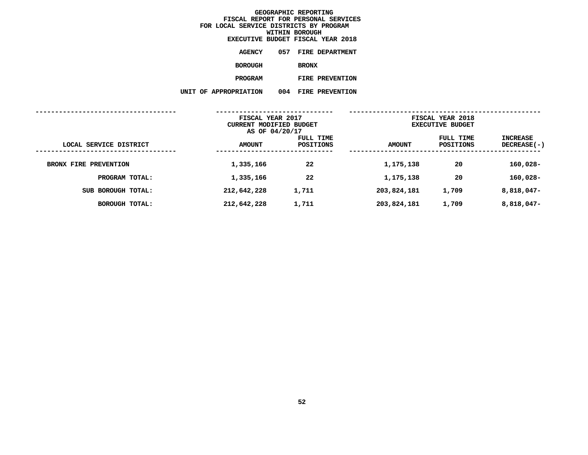|                       |     | EXECUTIVE BUDGET FISCAL YEAR 2018 |  |
|-----------------------|-----|-----------------------------------|--|
| <b>AGENCY</b>         | 057 | <b>FIRE DEPARTMENT</b>            |  |
| BOROUGH               |     | <b>BRONX</b>                      |  |
| <b>PROGRAM</b>        |     | FIRE PREVENTION                   |  |
| UNIT OF APPROPRIATION | 004 | FIRE PREVENTION                   |  |
|                       |     |                                   |  |

|                                      | FISCAL YEAR 2017<br>CURRENT MODIFIED BUDGET<br>AS OF 04/20/17 |                        | FISCAL YEAR 2018<br><b>EXECUTIVE BUDGET</b> |                        |                           |
|--------------------------------------|---------------------------------------------------------------|------------------------|---------------------------------------------|------------------------|---------------------------|
| LOCAL SERVICE DISTRICT<br>---------- | <b>AMOUNT</b>                                                 | FULL TIME<br>POSITIONS | <b>AMOUNT</b>                               | FULL TIME<br>POSITIONS | INCREASE<br>$DECREASE(-)$ |
| BRONX FIRE PREVENTION                | 1,335,166                                                     | 22                     | 1,175,138                                   | 20                     | $160,028-$                |
| PROGRAM TOTAL:                       | 1,335,166                                                     | 22                     | 1,175,138                                   | 20                     | $160,028-$                |
| SUB BOROUGH TOTAL:                   | 212,642,228                                                   | 1,711                  | 203,824,181                                 | 1,709                  | 8,818,047-                |
| <b>BOROUGH TOTAL:</b>                | 212,642,228                                                   | 1,711                  | 203,824,181                                 | 1,709                  | 8,818,047-                |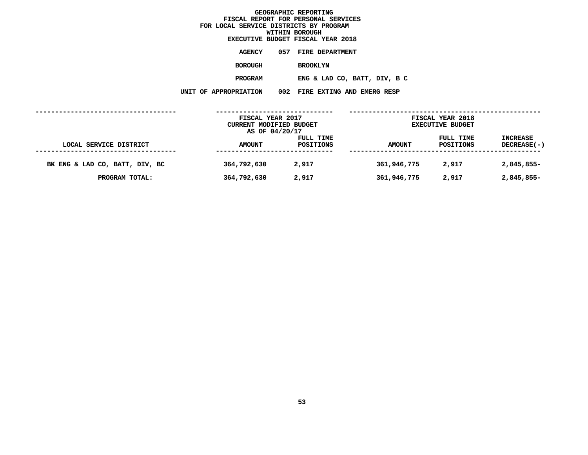### GEOGRAPHIC REPORTING<br>FISCAL REPORT FOR PERSONAL SERVICES<br>OCAL SERVICE DISTRICTS BY PROGRAM<br>WITHIN BOROUGH  $FOR$  LOCAL SERVICE DISTRICTS BY PROGRAM **FOR LOCAL SERVICE DISTRICTS BY PROGRAMWITHIN BOROUGH EXECUTIVE BUDGET FISCAL YEAR <sup>2018</sup>AGENCY <sup>057</sup> FIRE DEPARTMENT BOROUGH**BROOKLYN<br>ENG & LAD CO, BATT, DIV, B C **PROGRAMENG** & LAD CO, BATT, DIV, B C<br>N 002 FIRE EXTING AND EMERG RESP **UNIT OF APPROPRIATION <sup>002</sup> FIRE EXTING AND EMERG RESP ------------------------------------**

|                                | FISCAL YEAR 2017        |           |                         | FISCAL YEAR 2018 |                    |
|--------------------------------|-------------------------|-----------|-------------------------|------------------|--------------------|
|                                | CURRENT MODIFIED BUDGET |           | <b>EXECUTIVE BUDGET</b> |                  |                    |
|                                | AS OF 04/20/17          |           |                         |                  |                    |
|                                |                         | FULL TIME |                         | FULL TIME        | <b>INCREASE</b>    |
| LOCAL SERVICE DISTRICT         | <b>AMOUNT</b>           | POSITIONS | <b>AMOUNT</b>           | POSITIONS        | <b>DECREASE(-)</b> |
|                                |                         |           |                         |                  |                    |
| BK ENG & LAD CO, BATT, DIV, BC | 364,792,630             | 2,917     | 361,946,775             | 2,917            | 2,845,855-         |
| PROGRAM TOTAL:                 | 364,792,630             | 2,917     | 361,946,775             | 2,917            | 2,845,855-         |
|                                |                         |           |                         |                  |                    |
|                                |                         |           |                         |                  |                    |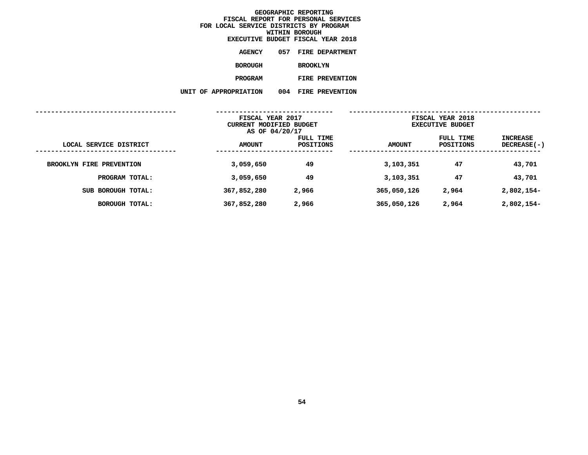|                      |     | EXECUTIVE BUDGET FISCAL YEAR 2018 |  |
|----------------------|-----|-----------------------------------|--|
| <b>AGENCY</b>        | 057 | <b>FIRE DEPARTMENT</b>            |  |
| <b>BOROUGH</b>       |     | <b>BROOKLYN</b>                   |  |
| <b>PROGRAM</b>       |     | FIRE PREVENTION                   |  |
| <b>APPROPRIATION</b> | 004 | <b>FIRE PREVENTION</b>            |  |

|                          | UNIT OF APPROPRIATION                                         | 004<br><b>FIRE PREVENTION</b> |               |                                             |                                       |
|--------------------------|---------------------------------------------------------------|-------------------------------|---------------|---------------------------------------------|---------------------------------------|
|                          | FISCAL YEAR 2017<br>CURRENT MODIFIED BUDGET<br>AS OF 04/20/17 |                               |               | FISCAL YEAR 2018<br><b>EXECUTIVE BUDGET</b> |                                       |
| LOCAL SERVICE DISTRICT   | <b>AMOUNT</b>                                                 | FULL TIME<br><b>POSITIONS</b> | <b>AMOUNT</b> | FULL TIME<br>POSITIONS                      | <b>INCREASE</b><br><b>DECREASE(-)</b> |
| BROOKLYN FIRE PREVENTION | 3,059,650                                                     | 49                            | 3,103,351     | 47                                          | 43,701                                |
| PROGRAM TOTAL:           | 3,059,650                                                     | 49                            | 3,103,351     | 47                                          | 43,701                                |
| SUB BOROUGH TOTAL:       | 367,852,280                                                   | 2,966                         | 365,050,126   | 2,964                                       | $2,802,154-$                          |
| <b>BOROUGH TOTAL:</b>    | 367,852,280                                                   | 2,966                         | 365,050,126   | 2,964                                       | 2,802,154-                            |
|                          |                                                               |                               |               |                                             |                                       |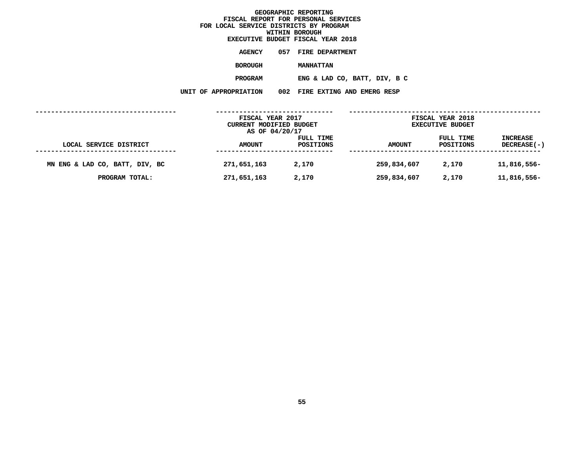|                     | EXECUTIVE BUDGET FISCAL YEAR 2018 |
|---------------------|-----------------------------------|
| <b>AGENCY</b>       | 057 FIRE DEPARTMENT               |
| <b>BOROUGH</b>      | <b>MANHATTAN</b>                  |
| <b>PROGRAM</b>      | ENG & LAD CO, BATT, DIV, B C      |
| <b>PPROPRIATION</b> | 002 FIRE EXTING AND EMERG RESP    |

**UNIT OF APPROPRIATION <sup>002</sup> FIRE EXTING AND EMERG RESP**

|                                | FISCAL YEAR 2017<br>CURRENT MODIFIED BUDGET |                        | FISCAL YEAR 2018<br><b>EXECUTIVE BUDGET</b> |                        |                                       |
|--------------------------------|---------------------------------------------|------------------------|---------------------------------------------|------------------------|---------------------------------------|
| LOCAL SERVICE DISTRICT         | AS OF 04/20/17<br><b>AMOUNT</b>             | FULL TIME<br>POSITIONS | <b>AMOUNT</b>                               | FULL TIME<br>POSITIONS | <b>INCREASE</b><br><b>DECREASE(-)</b> |
| MN ENG & LAD CO, BATT, DIV, BC | 271,651,163                                 | 2,170                  | 259,834,607                                 | 2,170                  | 11,816,556-                           |
| PROGRAM TOTAL:                 | 271,651,163                                 | 2,170                  | 259,834,607                                 | 2,170                  | 11,816,556-                           |
|                                |                                             |                        |                                             |                        |                                       |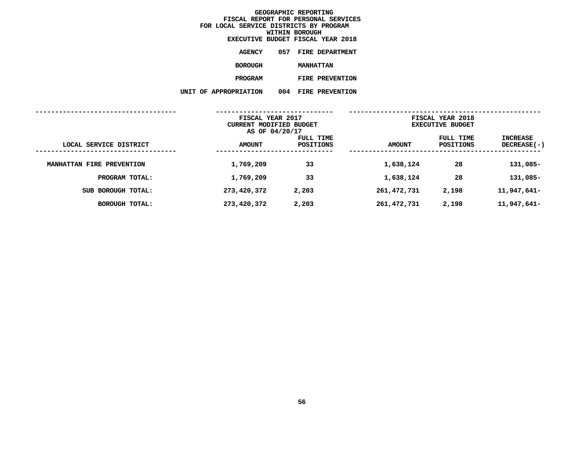|                      |       | EXECUTIVE BUDGET FISCAL YEAR 2018 |
|----------------------|-------|-----------------------------------|
| <b>AGENCY</b>        | 057 - | <b>FIRE DEPARTMENT</b>            |
| <b>BOROUGH</b>       |       | <b>MANHATTAN</b>                  |
| <b>PROGRAM</b>       |       | FIRE PREVENTION                   |
| <b>\PPROPRIATION</b> | 004   | <b>FIRE PREVENTION</b>            |

|                           | UNIT OF APPROPRIATION                                         | 004<br><b>FIRE PREVENTION</b> |               |                                             |                                       |
|---------------------------|---------------------------------------------------------------|-------------------------------|---------------|---------------------------------------------|---------------------------------------|
|                           | FISCAL YEAR 2017<br>CURRENT MODIFIED BUDGET<br>AS OF 04/20/17 |                               |               | FISCAL YEAR 2018<br><b>EXECUTIVE BUDGET</b> |                                       |
| LOCAL SERVICE DISTRICT    | <b>AMOUNT</b>                                                 | FULL TIME<br>POSITIONS        | <b>AMOUNT</b> | FULL TIME<br>POSITIONS                      | <b>INCREASE</b><br><b>DECREASE(-)</b> |
| MANHATTAN FIRE PREVENTION | 1,769,209                                                     | 33                            | 1,638,124     | 28                                          | 131,085-                              |
| PROGRAM TOTAL:            | 1,769,209                                                     | 33                            | 1,638,124     | 28                                          | 131,085-                              |
| SUB BOROUGH TOTAL:        | 273,420,372                                                   | 2,203                         | 261, 472, 731 | 2,198                                       | 11,947,641-                           |
| <b>BOROUGH TOTAL:</b>     | 273,420,372                                                   | 2,203                         | 261, 472, 731 | 2,198                                       | 11,947,641-                           |
|                           |                                                               |                               |               |                                             |                                       |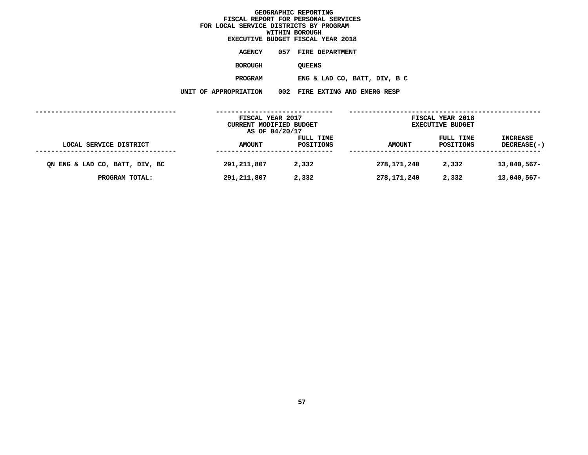### GEOGRAPHIC REPORTING<br>FISCAL REPORT FOR PERSONAL SERVICES<br>CAL SERVICE DISTRICTS BY PROGRAM<br>WITHIN BOROUGH  $FOR$  LOCAL SERVICE DISTRICTS BY PROGRAM **FOR LOCAL SERVICE DISTRICTS BY PROGRAMWITHIN BOROUGH EXECUTIVE BUDGET FISCAL YEAR <sup>2018</sup>AGENCY <sup>057</sup> FIRE DEPARTMENT BOROUGH**QUEENS<br>ENG & LAD CO, BATT, DIV, B C **PROGRAMENG** & LAD CO, BATT, DIV, B C<br>N 002 FIRE EXTING AND EMERG RESP **UNIT OF APPROPRIATION <sup>002</sup> FIRE EXTING AND EMERG RESP ------------------------------------ ------------------------------ ------------------------------------------------- FISCAL YEAR <sup>2017</sup> FISCAL YEAR <sup>2018</sup> CURRENT MODIFIED BUDGET**<br> **AS OF 04/20/17**<br> **FULL TIME**<br> **FULL TIME**<br> **EXECUTIVE**<br> **FULL TIME AS OF 04/20/17**

**FULL TIME FULL TIME INCREASE LOCAL SERVICE DISTRICT AMOUNT POSITIONS AMOUNT POSITIONS DECREASE(-) ------------------------------------ ------------------------------ ------------------------------------------------- QN ENG & LAD CO, BATT, DIV, BC 291,211,807 2,332 278,171,240 2,332 13,040,567- PROGRAM TOTAL: 291,211,807 2,332 278,171,240 2,332 13,040,567-**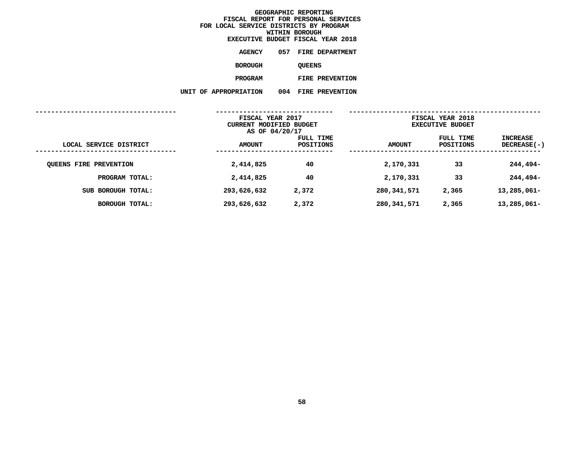|                      |     | EXECUTIVE BUDGET FISCAL YEAR 2018 |
|----------------------|-----|-----------------------------------|
| AGENCY               | 057 | <b>FIRE DEPARTMENT</b>            |
| <b>BOROUGH</b>       |     | <b>OUEENS</b>                     |
| <b>PROGRAM</b>       |     | FIRE PREVENTION                   |
| <b>APPROPRIATION</b> | 004 | <b>FIRE PREVENTION</b>            |

|                               | UNIT OF APPROPRIATION                                         | 004<br><b>FIRE PREVENTION</b> |               |                                             |                                       |
|-------------------------------|---------------------------------------------------------------|-------------------------------|---------------|---------------------------------------------|---------------------------------------|
|                               | FISCAL YEAR 2017<br>CURRENT MODIFIED BUDGET<br>AS OF 04/20/17 |                               |               | FISCAL YEAR 2018<br><b>EXECUTIVE BUDGET</b> |                                       |
| LOCAL SERVICE DISTRICT        | <b>AMOUNT</b>                                                 | FULL TIME<br>POSITIONS        | <b>AMOUNT</b> | FULL TIME<br><b>POSITIONS</b>               | <b>INCREASE</b><br><b>DECREASE(-)</b> |
| <b>QUEENS FIRE PREVENTION</b> | 2,414,825                                                     | 40                            | 2,170,331     | 33                                          | 244,494-                              |
| PROGRAM TOTAL:                | 2,414,825                                                     | 40                            | 2,170,331     | 33                                          | 244,494-                              |
| SUB BOROUGH TOTAL:            | 293,626,632                                                   | 2,372                         | 280,341,571   | 2,365                                       | 13,285,061-                           |
| <b>BOROUGH TOTAL:</b>         | 293,626,632                                                   | 2,372                         | 280,341,571   | 2,365                                       | 13,285,061-                           |
|                               |                                                               |                               |               |                                             |                                       |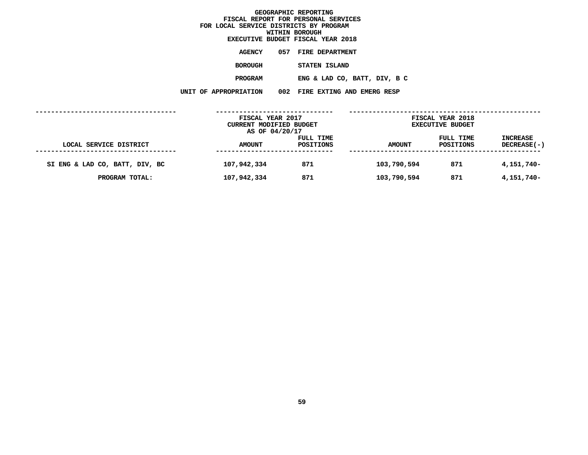## GEOGRAPHIC REPORTING<br>FISCAL REPORT FOR PERSONAL SERVICES<br>CAL SERVICE DISTRICTS BY PROGRAM<br>WITHIN BOROUGH  $FOR$  LOCAL SERVICE DISTRICTS BY PROGRAM **FOR LOCAL SERVICE DISTRICTS BY PROGRAMWITHIN BOROUGH EXECUTIVE BUDGET FISCAL YEAR <sup>2018</sup>AGENCY <sup>057</sup> FIRE DEPARTMENT BOROUGH**STATEN ISLAND<br>ENG & LAD CO, BATT, DIV, B C **PROGRAMENG** & LAD CO, BATT, DIV, B C<br>N 002 FIRE EXTING AND EMERG RESP **UNIT OF APPROPRIATION <sup>002</sup> FIRE EXTING AND EMERG RESP ------------------------------------ ------------------------------ ------------------------------------------------- FISCAL YEAR <sup>2017</sup> FISCAL YEAR <sup>2018</sup> CURRENT MODIFIED BUDGET**<br> **AS OF 04/20/17**<br> **FULL TIME**<br> **FULL TIME**<br> **EXECUTIVE**<br> **FULL TIME AS OF 04/20/17 FULL TIME FULL TIME INCREASE LOCAL SERVICE DISTRICT AMOUNT POSITIONS AMOUNT POSITIONS DECREASE(-) ------------------------------------**

**------------------------------ ------------------------------------------------- SI ENG & LAD CO, BATT, DIV, BC 107,942,334 <sup>871</sup> 103,790,594 <sup>871</sup> 4,151,740-**

**PROGRAM TOTAL: 107,942,334 <sup>871</sup> 103,790,594 <sup>871</sup> 4,151,740-**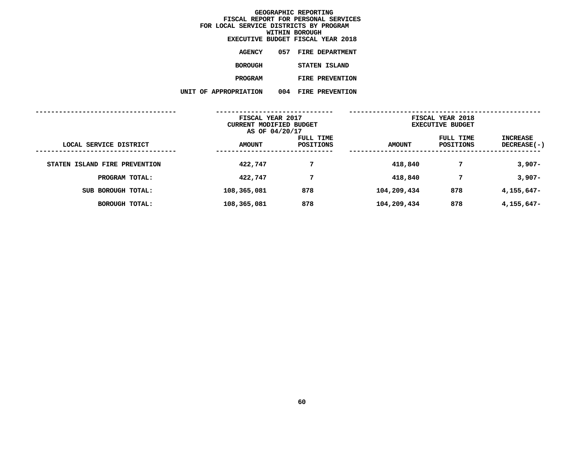|                     |     | EXECUTIVE BUDGET FISCAL YEAR 2018 |  |
|---------------------|-----|-----------------------------------|--|
| <b>AGENCY</b>       |     | 057 FIRE DEPARTMENT               |  |
| BOROUGH             |     | STATEN ISLAND                     |  |
| <b>PROGRAM</b>      |     | <b>FIRE PREVENTION</b>            |  |
| <b>PROPRIATION:</b> | 004 | <b>FIRE PREVENTION</b>            |  |

**UNIT OF APPROPRIATION <sup>004</sup> FIRE PREVENTION**

|                               | FISCAL YEAR 2017<br>CURRENT MODIFIED BUDGET<br>AS OF 04/20/17 |                        | FISCAL YEAR 2018<br><b>EXECUTIVE BUDGET</b> |                        |                         |
|-------------------------------|---------------------------------------------------------------|------------------------|---------------------------------------------|------------------------|-------------------------|
| LOCAL SERVICE DISTRICT        | <b>AMOUNT</b>                                                 | FULL TIME<br>POSITIONS | <b>AMOUNT</b>                               | FULL TIME<br>POSITIONS | INCREASE<br>DECREASE(-) |
| STATEN ISLAND FIRE PREVENTION | 422,747                                                       | 7                      | 418,840                                     | 7                      | $3,907-$                |
| PROGRAM TOTAL:                | 422,747                                                       | 7                      | 418,840                                     | 7                      | $3,907-$                |
| SUB BOROUGH TOTAL:            | 108,365,081                                                   | 878                    | 104,209,434                                 | 878                    | 4,155,647-              |
| BOROUGH TOTAL:                | 108,365,081                                                   | 878                    | 104,209,434                                 | 878                    | 4,155,647-              |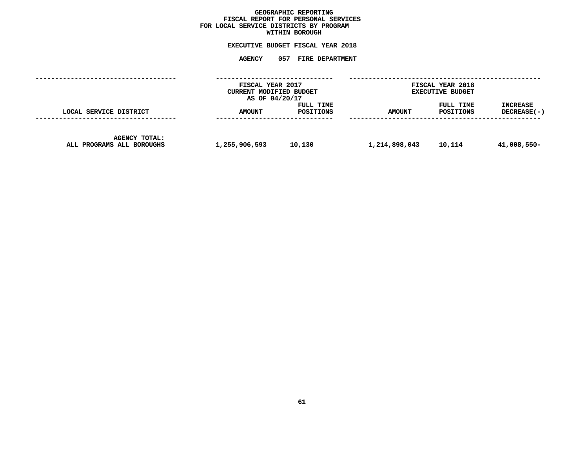# GEOGRAPHIC REPORTING<br>FISCAL REPORT FOR PERSONAL SERVICES<br>OCAL SERVICE DISTRICTS BY PROGRAM<br>WITHIN BOROUGH **FISCAL REPORT FOR PERSONAL SERVICES FOR LOCAL SERVICE DISTRICTS BY PROGRAM**

# **WITHIN BOROUGH EXECUTIVE BUDGET FISCAL YEAR <sup>2018</sup>**

|                                                   | FISCAL YEAR 2017<br>CURRENT MODIFIED BUDGET<br>AS OF 04/20/17 |                        | FISCAL YEAR 2018<br><b>EXECUTIVE BUDGET</b> |                        |                                |
|---------------------------------------------------|---------------------------------------------------------------|------------------------|---------------------------------------------|------------------------|--------------------------------|
| LOCAL SERVICE DISTRICT                            | <b>AMOUNT</b>                                                 | FULL TIME<br>POSITIONS | <b>AMOUNT</b>                               | FULL TIME<br>POSITIONS | <b>INCREASE</b><br>DECREASE(-) |
| <b>AGENCY TOTAL:</b><br>ALL PROGRAMS ALL BOROUGHS | 1,255,906,593                                                 | 10,130                 | 1,214,898,043                               | 10,114                 | 41,008,550-                    |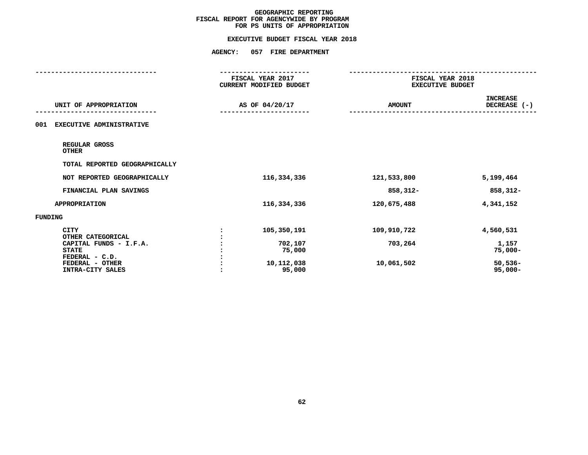# **FOR PS UNITS OF APPROPRIATIONEXECUTIVE BUDGET FISCAL YEAR <sup>2018</sup>**

|                                                          | FISCAL YEAR 2017<br>CURRENT MODIFIED BUDGET | FISCAL YEAR 2018<br><b>EXECUTIVE BUDGET</b> |                                 |  |
|----------------------------------------------------------|---------------------------------------------|---------------------------------------------|---------------------------------|--|
| UNIT OF APPROPRIATION                                    | AS OF 04/20/17                              | <b>AMOUNT</b>                               | <b>INCREASE</b><br>DECREASE (-) |  |
| <b>EXECUTIVE ADMINISTRATIVE</b><br>001                   |                                             |                                             |                                 |  |
| REGULAR GROSS<br><b>OTHER</b>                            |                                             |                                             |                                 |  |
| TOTAL REPORTED GEOGRAPHICALLY                            |                                             |                                             |                                 |  |
| NOT REPORTED GEOGRAPHICALLY                              | 116,334,336                                 | 121,533,800                                 | 5,199,464                       |  |
| FINANCIAL PLAN SAVINGS                                   |                                             | 858,312-                                    | 858,312-                        |  |
| <b>APPROPRIATION</b>                                     | 116,334,336                                 | 120,675,488                                 | 4,341,152                       |  |
| FUNDING                                                  |                                             |                                             |                                 |  |
| <b>CITY</b><br>OTHER CATEGORICAL                         | 105,350,191                                 | 109,910,722                                 | 4,560,531                       |  |
| CAPITAL FUNDS - I.F.A.<br><b>STATE</b><br>FEDERAL - C.D. | 702,107<br>75,000                           | 703,264                                     | 1,157<br>$75,000 -$             |  |
| FEDERAL - OTHER<br>INTRA-CITY SALES                      | 10,112,038<br>95,000                        | 10,061,502                                  | $50,536-$<br>$95,000 -$         |  |
|                                                          |                                             |                                             |                                 |  |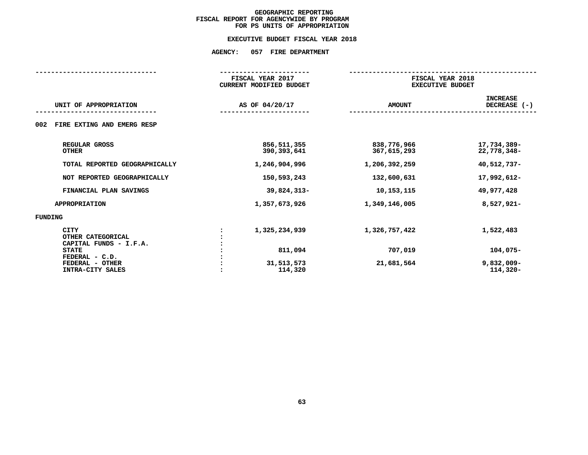# **FOR PS UNITS OF APPROPRIATIONEXECUTIVE BUDGET FISCAL YEAR <sup>2018</sup>**

|                                        | FISCAL YEAR 2017 |                                | FISCAL YEAR 2018        |                 |  |
|----------------------------------------|------------------|--------------------------------|-------------------------|-----------------|--|
|                                        |                  | <b>CURRENT MODIFIED BUDGET</b> | <b>EXECUTIVE BUDGET</b> |                 |  |
|                                        |                  |                                |                         | <b>INCREASE</b> |  |
| UNIT OF APPROPRIATION                  |                  | AS OF 04/20/17                 | <b>AMOUNT</b>           | DECREASE $(-)$  |  |
|                                        |                  |                                |                         |                 |  |
| FIRE EXTING AND EMERG RESP<br>002      |                  |                                |                         |                 |  |
| REGULAR GROSS                          |                  | 856, 511, 355                  | 838,776,966             | 17,734,389-     |  |
| <b>OTHER</b>                           |                  | 390,393,641                    | 367,615,293             | 22,778,348-     |  |
| TOTAL REPORTED GEOGRAPHICALLY          |                  | 1,246,904,996                  | 1,206,392,259           | 40,512,737-     |  |
| NOT REPORTED GEOGRAPHICALLY            |                  | 150,593,243                    | 132,600,631             | 17,992,612-     |  |
| FINANCIAL PLAN SAVINGS                 |                  | 39,824,313-                    | 10, 153, 115            | 49,977,428      |  |
| <b>APPROPRIATION</b>                   |                  | 1,357,673,926                  | 1,349,146,005           | 8,527,921-      |  |
| FUNDING                                |                  |                                |                         |                 |  |
| <b>CITY</b>                            |                  | 1,325,234,939                  | 1,326,757,422           | 1,522,483       |  |
| OTHER CATEGORICAL                      |                  |                                |                         |                 |  |
| CAPITAL FUNDS - I.F.A.<br><b>STATE</b> |                  | 811,094                        | 707,019                 | $104,075-$      |  |
| FEDERAL - C.D.                         |                  |                                |                         |                 |  |
| FEDERAL - OTHER                        |                  | 31,513,573                     | 21,681,564              | $9,832,009 -$   |  |
| INTRA-CITY SALES                       |                  | 114,320                        |                         | $114,320-$      |  |
|                                        |                  |                                |                         |                 |  |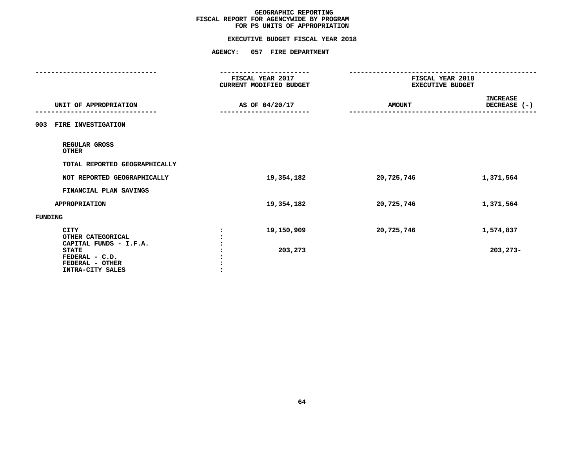# **FOR PS UNITS OF APPROPRIATIONEXECUTIVE BUDGET FISCAL YEAR <sup>2018</sup>**

|                                                                       | FISCAL YEAR 2017<br><b>CURRENT MODIFIED BUDGET</b> | FISCAL YEAR 2018<br><b>EXECUTIVE BUDGET</b> |                                 |  |
|-----------------------------------------------------------------------|----------------------------------------------------|---------------------------------------------|---------------------------------|--|
|                                                                       |                                                    |                                             |                                 |  |
| UNIT OF APPROPRIATION                                                 | AS OF 04/20/17                                     | <b>AMOUNT</b>                               | <b>INCREASE</b><br>DECREASE (-) |  |
| FIRE INVESTIGATION<br>003                                             |                                                    |                                             |                                 |  |
| REGULAR GROSS<br><b>OTHER</b>                                         |                                                    |                                             |                                 |  |
| TOTAL REPORTED GEOGRAPHICALLY                                         |                                                    |                                             |                                 |  |
| NOT REPORTED GEOGRAPHICALLY                                           | 19,354,182                                         | 20,725,746                                  | 1,371,564                       |  |
| FINANCIAL PLAN SAVINGS                                                |                                                    |                                             |                                 |  |
| <b>APPROPRIATION</b>                                                  | 19,354,182                                         | 20,725,746                                  | 1,371,564                       |  |
| FUNDING                                                               |                                                    |                                             |                                 |  |
| <b>CITY</b><br>OTHER CATEGORICAL<br>CAPITAL FUNDS - I.F.A.            | 19,150,909                                         | 20,725,746                                  | 1,574,837                       |  |
| <b>STATE</b><br>FEDERAL - C.D.<br>FEDERAL - OTHER<br>INTRA-CITY SALES | 203,273                                            |                                             | $203, 273 -$                    |  |
|                                                                       |                                                    |                                             |                                 |  |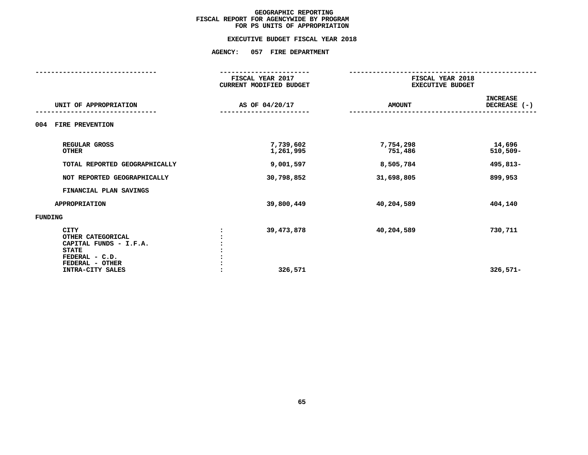# **FOR PS UNITS OF APPROPRIATIONEXECUTIVE BUDGET FISCAL YEAR <sup>2018</sup>**

|                                                                                                                                     | FISCAL YEAR 2017<br><b>CURRENT MODIFIED BUDGET</b> | FISCAL YEAR 2018<br><b>EXECUTIVE BUDGET</b> |                                 |  |
|-------------------------------------------------------------------------------------------------------------------------------------|----------------------------------------------------|---------------------------------------------|---------------------------------|--|
| UNIT OF APPROPRIATION                                                                                                               | AS OF 04/20/17                                     | <b>AMOUNT</b>                               | <b>INCREASE</b><br>DECREASE (-) |  |
| 004<br>FIRE PREVENTION                                                                                                              |                                                    |                                             |                                 |  |
| REGULAR GROSS<br><b>OTHER</b>                                                                                                       | 7,739,602<br>1,261,995                             | 7,754,298<br>751,486                        | 14,696<br>$510,509-$            |  |
| TOTAL REPORTED GEOGRAPHICALLY                                                                                                       | 9,001,597                                          | 8,505,784                                   | 495,813-                        |  |
| NOT REPORTED GEOGRAPHICALLY                                                                                                         | 30,798,852                                         | 31,698,805                                  | 899,953                         |  |
| FINANCIAL PLAN SAVINGS                                                                                                              |                                                    |                                             |                                 |  |
| <b>APPROPRIATION</b>                                                                                                                | 39,800,449                                         | 40,204,589                                  | 404,140                         |  |
| FUNDING                                                                                                                             |                                                    |                                             |                                 |  |
| <b>CITY</b><br>OTHER CATEGORICAL<br>CAPITAL FUNDS - I.F.A.<br><b>STATE</b><br>FEDERAL - C.D.<br>FEDERAL - OTHER<br>INTRA-CITY SALES | 39, 473, 878<br>$\ddot{\phantom{a}}$<br>326,571    | 40,204,589                                  | 730,711<br>$326,571-$           |  |
|                                                                                                                                     |                                                    |                                             |                                 |  |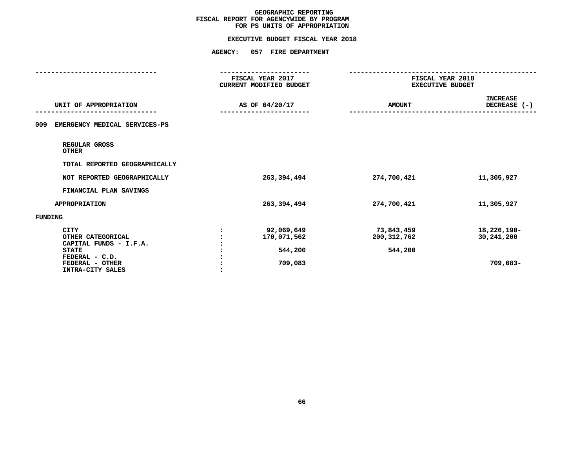# **FOR PS UNITS OF APPROPRIATIONEXECUTIVE BUDGET FISCAL YEAR <sup>2018</sup>**

|                                                                                                                                     | -------------------<br>FISCAL YEAR 2017<br>CURRENT MODIFIED BUDGET | FISCAL YEAR 2018<br><b>EXECUTIVE BUDGET</b> |                                       |  |
|-------------------------------------------------------------------------------------------------------------------------------------|--------------------------------------------------------------------|---------------------------------------------|---------------------------------------|--|
| UNIT OF APPROPRIATION                                                                                                               | AS OF 04/20/17                                                     | <b>AMOUNT</b>                               | <b>INCREASE</b><br>DECREASE $(-)$     |  |
| EMERGENCY MEDICAL SERVICES-PS<br>009                                                                                                |                                                                    |                                             |                                       |  |
| REGULAR GROSS<br><b>OTHER</b>                                                                                                       |                                                                    |                                             |                                       |  |
| TOTAL REPORTED GEOGRAPHICALLY                                                                                                       |                                                                    |                                             |                                       |  |
| NOT REPORTED GEOGRAPHICALLY                                                                                                         | 263,394,494                                                        | 274,700,421                                 | 11,305,927                            |  |
| FINANCIAL PLAN SAVINGS                                                                                                              |                                                                    |                                             |                                       |  |
| <b>APPROPRIATION</b>                                                                                                                | 263,394,494                                                        | 274,700,421                                 | 11,305,927                            |  |
| FUNDING                                                                                                                             |                                                                    |                                             |                                       |  |
| <b>CITY</b><br>OTHER CATEGORICAL<br>CAPITAL FUNDS - I.F.A.<br><b>STATE</b><br>FEDERAL - C.D.<br>FEDERAL - OTHER<br>INTRA-CITY SALES | 92,069,649<br>170,071,562<br>544,200<br>709,083                    | 73,843,459<br>200, 312, 762<br>544,200      | 18,226,190-<br>30,241,200<br>709,083- |  |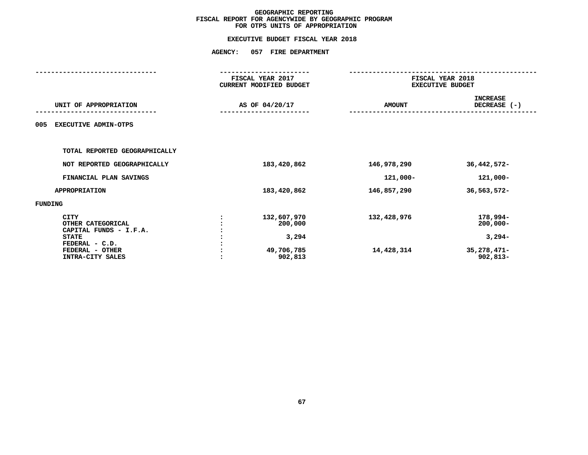|                                                                       | <b>AGENCY:</b>                                                | 057 FIRE DEPARTMENT            |                                             |                                       |
|-----------------------------------------------------------------------|---------------------------------------------------------------|--------------------------------|---------------------------------------------|---------------------------------------|
|                                                                       | FISCAL YEAR 2017<br>CURRENT MODIFIED BUDGET<br>AS OF 04/20/17 |                                | FISCAL YEAR 2018<br><b>EXECUTIVE BUDGET</b> |                                       |
| UNIT OF APPROPRIATION                                                 |                                                               |                                | <b>AMOUNT</b>                               | <b>INCREASE</b><br>DECREASE (-)       |
| <b>EXECUTIVE ADMIN-OTPS</b><br>005                                    |                                                               |                                |                                             |                                       |
| TOTAL REPORTED GEOGRAPHICALLY                                         |                                                               |                                |                                             |                                       |
| NOT REPORTED GEOGRAPHICALLY                                           |                                                               | 183,420,862                    | 146,978,290                                 | 36, 442, 572-                         |
| FINANCIAL PLAN SAVINGS                                                |                                                               |                                | 121,000-                                    | 121,000-                              |
| <b>APPROPRIATION</b>                                                  |                                                               | 183,420,862                    | 146,857,290                                 | 36,563,572-                           |
| FUNDING                                                               |                                                               |                                |                                             |                                       |
| <b>CITY</b><br>OTHER CATEGORICAL<br>CAPITAL FUNDS - I.F.A.            |                                                               | 132,607,970<br>200,000         | 132,428,976                                 | 178,994-<br>$200,000 -$               |
| <b>STATE</b><br>FEDERAL - C.D.<br>FEDERAL - OTHER<br>INTRA-CITY SALES |                                                               | 3,294<br>49,706,785<br>902,813 | 14,428,314                                  | $3,294-$<br>35,278,471-<br>$902,813-$ |
|                                                                       |                                                               |                                |                                             |                                       |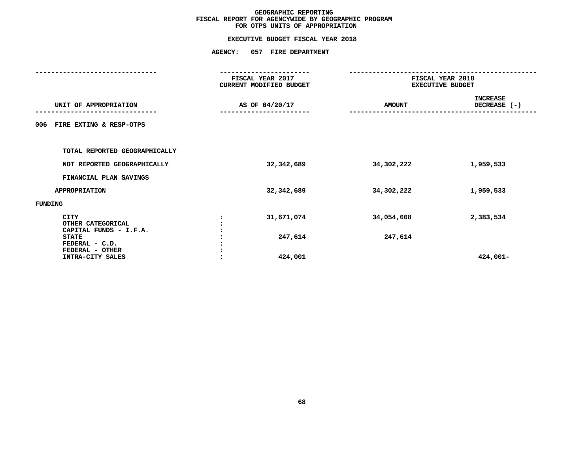|                                                            | <b>AGENCY:</b> | 057 FIRE DEPARTMENT                         |                                             |                                 |
|------------------------------------------------------------|----------------|---------------------------------------------|---------------------------------------------|---------------------------------|
|                                                            |                | FISCAL YEAR 2017<br>CURRENT MODIFIED BUDGET | FISCAL YEAR 2018<br><b>EXECUTIVE BUDGET</b> |                                 |
| UNIT OF APPROPRIATION                                      |                | AS OF 04/20/17                              | <b>AMOUNT</b>                               | <b>INCREASE</b><br>DECREASE (-) |
| FIRE EXTING & RESP-OTPS<br>006                             |                |                                             |                                             |                                 |
| TOTAL REPORTED GEOGRAPHICALLY                              |                |                                             |                                             |                                 |
| NOT REPORTED GEOGRAPHICALLY                                |                | 32,342,689                                  | 34,302,222                                  | 1,959,533                       |
| FINANCIAL PLAN SAVINGS                                     |                |                                             |                                             |                                 |
| <b>APPROPRIATION</b>                                       |                | 32, 342, 689                                | 34,302,222                                  | 1,959,533                       |
| FUNDING                                                    |                |                                             |                                             |                                 |
| <b>CITY</b><br>OTHER CATEGORICAL<br>CAPITAL FUNDS - I.F.A. |                | 31,671,074                                  | 34,054,608                                  | 2,383,534                       |
| <b>STATE</b><br>FEDERAL - C.D.                             |                | 247,614                                     | 247,614                                     |                                 |
| FEDERAL - OTHER<br>INTRA-CITY SALES                        |                | 424,001                                     |                                             | 424,001-                        |
|                                                            |                |                                             |                                             |                                 |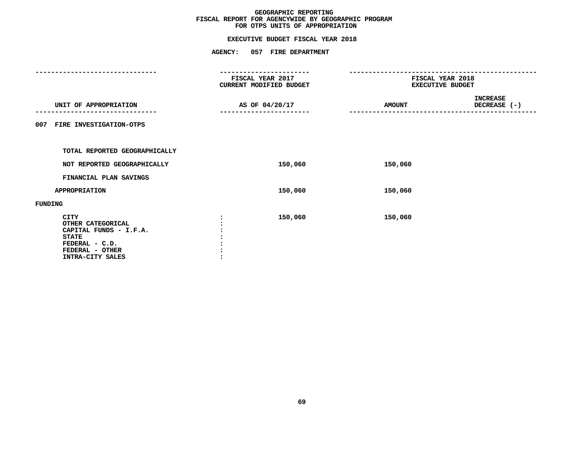# **EXECUTIVE BUDGET FISCAL YEAR <sup>2018</sup>**

|                                                                                                                                     | <b>AGENCY:</b>                                                                    | 057 FIRE DEPARTMENT |               |                                             |  |  |
|-------------------------------------------------------------------------------------------------------------------------------------|-----------------------------------------------------------------------------------|---------------------|---------------|---------------------------------------------|--|--|
|                                                                                                                                     | . _ _ _ _ _ _ _ _ _ _ _ _ _<br><b>FISCAL YEAR 2017</b><br>CURRENT MODIFIED BUDGET |                     |               | FISCAL YEAR 2018<br><b>EXECUTIVE BUDGET</b> |  |  |
| UNIT OF APPROPRIATION                                                                                                               |                                                                                   | AS OF 04/20/17      | <b>AMOUNT</b> | <b>INCREASE</b><br>DECREASE (-)             |  |  |
| 007 FIRE INVESTIGATION-OTPS                                                                                                         |                                                                                   |                     |               |                                             |  |  |
| TOTAL REPORTED GEOGRAPHICALLY                                                                                                       |                                                                                   |                     |               |                                             |  |  |
| NOT REPORTED GEOGRAPHICALLY                                                                                                         |                                                                                   | 150,060             | 150,060       |                                             |  |  |
| FINANCIAL PLAN SAVINGS                                                                                                              |                                                                                   |                     |               |                                             |  |  |
| <b>APPROPRIATION</b>                                                                                                                |                                                                                   | 150,060             | 150,060       |                                             |  |  |
| FUNDING                                                                                                                             |                                                                                   |                     |               |                                             |  |  |
| <b>CITY</b><br>OTHER CATEGORICAL<br>CAPITAL FUNDS - I.F.A.<br><b>STATE</b><br>FEDERAL - C.D.<br>FEDERAL - OTHER<br>INTRA-CITY SALES |                                                                                   | 150,060             | 150,060       |                                             |  |  |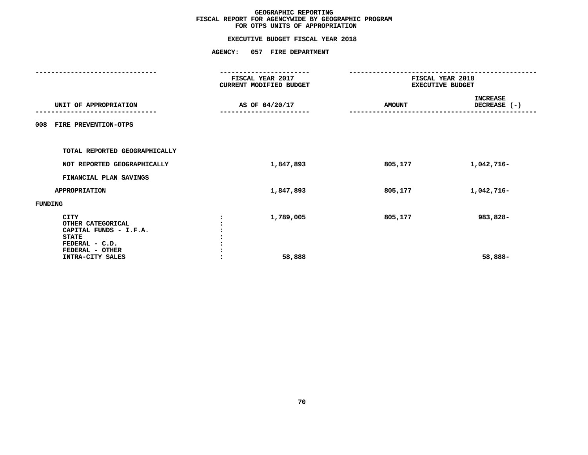# **EXECUTIVE BUDGET FISCAL YEAR <sup>2018</sup>**

|                                                                            | <b>AGENCY:</b>                              | 057 FIRE DEPARTMENT |               |                                             |  |  |
|----------------------------------------------------------------------------|---------------------------------------------|---------------------|---------------|---------------------------------------------|--|--|
|                                                                            | FISCAL YEAR 2017<br>CURRENT MODIFIED BUDGET |                     |               | FISCAL YEAR 2018<br><b>EXECUTIVE BUDGET</b> |  |  |
| UNIT OF APPROPRIATION                                                      |                                             | AS OF 04/20/17      | <b>AMOUNT</b> | <b>INCREASE</b><br>DECREASE (-)             |  |  |
| FIRE PREVENTION-OTPS<br>008                                                |                                             |                     |               |                                             |  |  |
| TOTAL REPORTED GEOGRAPHICALLY                                              |                                             |                     |               |                                             |  |  |
| NOT REPORTED GEOGRAPHICALLY                                                |                                             | 1,847,893           | 805,177       | 1,042,716-                                  |  |  |
| FINANCIAL PLAN SAVINGS                                                     |                                             |                     |               |                                             |  |  |
| <b>APPROPRIATION</b>                                                       |                                             | 1,847,893           | 805,177       | 1,042,716-                                  |  |  |
| FUNDING                                                                    |                                             |                     |               |                                             |  |  |
| <b>CITY</b><br>OTHER CATEGORICAL<br>CAPITAL FUNDS - I.F.A.<br><b>STATE</b> |                                             | 1,789,005           | 805,177       | 983,828-                                    |  |  |
| FEDERAL - C.D.<br>FEDERAL - OTHER<br>INTRA-CITY SALES                      |                                             | 58,888              |               | 58,888-                                     |  |  |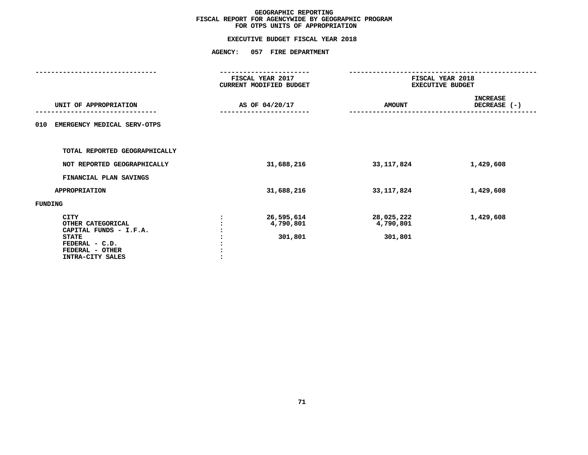## **GEOGRAPHIC REPORTINGFISCAL REPORT FOR AGENCYWIDE BY GEOGRAPHIC PROGRAM**

## **FOR OTPS UNITS OF APPROPRIATIONEXECUTIVE BUDGET FISCAL YEAR <sup>2018</sup>**

### **AGENCY: <sup>057</sup> FIRE DEPARTMENT**

|                                                                                                                              | FISCAL YEAR 2017<br>CURRENT MODIFIED BUDGET | FISCAL YEAR 2018<br><b>EXECUTIVE BUDGET</b> |                                 |  |
|------------------------------------------------------------------------------------------------------------------------------|---------------------------------------------|---------------------------------------------|---------------------------------|--|
| UNIT OF APPROPRIATION                                                                                                        | AS OF 04/20/17                              | <b>AMOUNT</b>                               | <b>INCREASE</b><br>DECREASE (-) |  |
| 010<br>EMERGENCY MEDICAL SERV-OTPS                                                                                           |                                             |                                             |                                 |  |
| TOTAL REPORTED GEOGRAPHICALLY                                                                                                |                                             |                                             |                                 |  |
| NOT REPORTED GEOGRAPHICALLY                                                                                                  | 31,688,216                                  | 33, 117, 824                                | 1,429,608                       |  |
| FINANCIAL PLAN SAVINGS                                                                                                       |                                             |                                             |                                 |  |
| <b>APPROPRIATION</b>                                                                                                         | 31,688,216                                  | 33, 117, 824                                | 1,429,608                       |  |
| FUNDING                                                                                                                      |                                             |                                             |                                 |  |
| CITY<br>OTHER CATEGORICAL<br>CAPITAL FUNDS - I.F.A.<br><b>STATE</b><br>FEDERAL - C.D.<br>FEDERAL - OTHER<br>INTRA-CITY SALES | 26,595,614<br>4,790,801<br>301,801          | 28,025,222<br>4,790,801<br>301,801          | 1,429,608                       |  |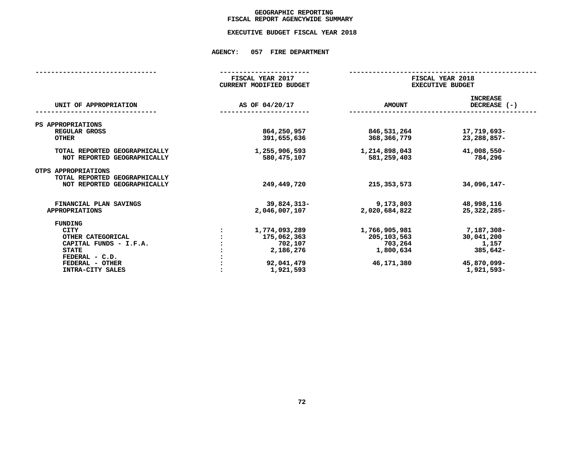## GEOGRAPHIC REPORTING<br>FISCAL REPORT AGENCYWIDE SUMMARY

## **FISCAL REPORT AGENCYWIDE SUMMARY EXECUTIVE BUDGET FISCAL YEAR <sup>2018</sup>**

### **AGENCY: <sup>057</sup> FIRE DEPARTMENT**

| FISCAL YEAR 2017               |                                             |                                 |  |
|--------------------------------|---------------------------------------------|---------------------------------|--|
| <b>CURRENT MODIFIED BUDGET</b> | FISCAL YEAR 2018<br><b>EXECUTIVE BUDGET</b> |                                 |  |
| AS OF 04/20/17                 | <b>AMOUNT</b>                               | <b>INCREASE</b><br>DECREASE (-) |  |
|                                |                                             |                                 |  |
| 864,250,957<br>391,655,636     | 846,531,264<br>368,366,779                  | 17,719,693-<br>23,288,857-      |  |
| 1,255,906,593<br>580, 475, 107 | 1,214,898,043<br>581,259,403                | 41,008,550-<br>784,296          |  |
| 249,449,720                    | 215, 353, 573                               | 34,096,147-                     |  |
| 39,824,313-<br>2,046,007,107   | 9,173,803<br>2,020,684,822                  | 48,998,116<br>25, 322, 285-     |  |
|                                |                                             |                                 |  |
| 1,774,093,289<br>175,062,363   | 1,766,905,981<br>205,103,563                | 7,187,308-<br>30,041,200        |  |
| 702,107<br>2,186,276           | 703,264<br>1,800,634                        | 1,157<br>385,642-               |  |
| 92,041,479<br>1,921,593        | 46,171,380                                  | 45,870,099-<br>1,921,593-       |  |
|                                |                                             |                                 |  |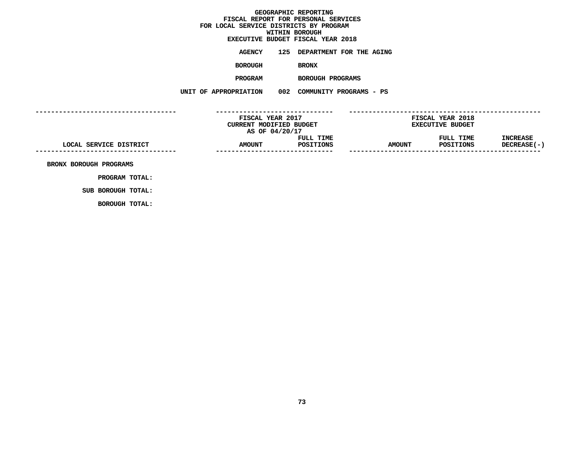# **EXECUTIVE BUDGET FISCAL YEAR <sup>2018</sup>**

**AGENCY <sup>125</sup> DEPARTMENT FOR THE AGING**

**BOROUGH**

BRONX<br>BOROUGH PROGRAMS **PROGRAM**

 **BOROUGH PROGRAMS UNIT OF APPROPRIATION <sup>002</sup> COMMUNITY PROGRAMS - PS**

**------------------------------------ ------------------------------ ------------------------------------------------- FISCAL YEAR <sup>2017</sup> FISCAL YEAR <sup>2018</sup> CURRENT MODIFIED BUDGET**<br> **AS OF 04/20/17**<br> **FULL TIME**<br> **FULL TIME**<br> **EXECUTIVE**<br> **FULL TIME AS** OF 04/20/17<br>**FULL TIME**<br>**AMOUNT** POSITIONS<br>------------------------------**FULL TIME FULL TIME INCREASE LOCAL SERVICE DISTRICT AMOUNT POSITIONS AMOUNT POSITIONS DECREASE(-) ------------------------------------------------------------------ ------------------------------------------------- BRONX BOROUGH PROGRAMS**

**PROGRAM TOTAL: SUB BOROUGH TOTAL:**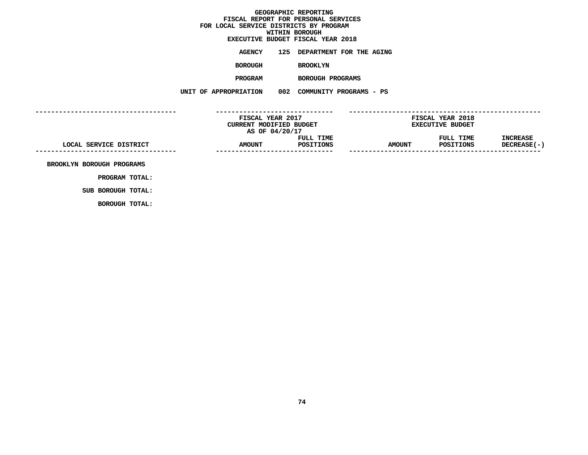# **EXECUTIVE BUDGET FISCAL YEAR <sup>2018</sup>**

**AGENCY <sup>125</sup> DEPARTMENT FOR THE AGING**

**BOROUGH**

 **BROOKLYN PROGRAM**

 **BOROUGH PROGRAMS UNIT OF APPROPRIATION <sup>002</sup> COMMUNITY PROGRAMS - PS**

**------------------------------------ ------------------------------ ------------------------------------------------- FISCAL YEAR <sup>2017</sup> FISCAL YEAR <sup>2018</sup> CURRENT MODIFIED BUDGET**<br> **AS OF 04/20/17**<br> **FULL TIME**<br> **FULL TIME**<br> **EXECUTIVE**<br> **FULL TIME AS** OF 04/20/17<br>**FULL TIME**<br>**AMOUNT** POSITIONS<br>------------------------------**FULL TIME FULL TIME INCREASE LOCAL SERVICE DISTRICT AMOUNT POSITIONS AMOUNT POSITIONS DECREASE(-) ------------------------------------------------------------------ ------------------------------------------------- BROOKLYN BOROUGH PROGRAMS**

**PROGRAM TOTAL: SUB BOROUGH TOTAL:**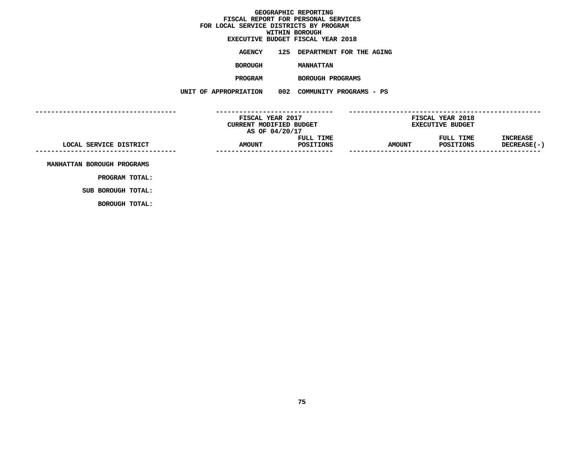# **EXECUTIVE BUDGET FISCAL YEAR <sup>2018</sup>**

**AGENCY <sup>125</sup> DEPARTMENT FOR THE AGING**

**BOROUGH**

**MANHATTAN**

**PROGRAM**

 **BOROUGH PROGRAMS UNIT OF APPROPRIATION <sup>002</sup> COMMUNITY PROGRAMS - PS**

**------------------------------------ ------------------------------ ------------------------------------------------- FISCAL YEAR <sup>2017</sup> FISCAL YEAR <sup>2018</sup> CURRENT MODIFIED BUDGET**<br> **AS OF 04/20/17**<br> **FULL TIME**<br> **FULL TIME**<br> **EXECUTIVE**<br> **FULL TIME AS** OF 04/20/17<br>**FULL TIME**<br>**AMOUNT** POSITIONS<br>------------------------------**FULL TIME FULL TIME INCREASE LOCAL SERVICE DISTRICT AMOUNT POSITIONS AMOUNT POSITIONS DECREASE(-) ------------------------------------------------------------------ ------------------------------------------------- MANHATTAN BOROUGH PROGRAMS**

**PROGRAM TOTAL: SUB BOROUGH TOTAL:**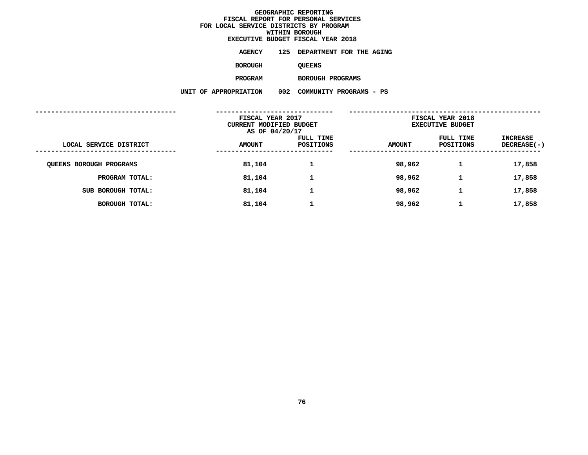**WITHIN BOROUGH EXECUTIVE BUDGET FISCAL YEAR <sup>2018</sup>**

**AGENCY <sup>125</sup> DEPARTMENT FOR THE AGING**

**BOROUGH**

QUEENS<br>BOROUGH PROGRAMS

**PROGRAM**

 **BOROUGH PROGRAMS UNIT OF APPROPRIATION <sup>002</sup> COMMUNITY PROGRAMS - PS**

|                                | FISCAL YEAR 2017<br>CURRENT MODIFIED BUDGET<br>AS OF 04/20/17 |                        | FISCAL YEAR 2018<br><b>EXECUTIVE BUDGET</b> |                               |                                |
|--------------------------------|---------------------------------------------------------------|------------------------|---------------------------------------------|-------------------------------|--------------------------------|
| LOCAL SERVICE DISTRICT         | <b>AMOUNT</b>                                                 | FULL TIME<br>POSITIONS | <b>AMOUNT</b>                               | FULL TIME<br><b>POSITIONS</b> | INCREASE<br><b>DECREASE(-)</b> |
| <b>QUEENS BOROUGH PROGRAMS</b> | 81,104                                                        |                        | 98,962                                      |                               | 17,858                         |
| PROGRAM TOTAL:                 | 81,104                                                        | 1                      | 98,962                                      | 1                             | 17,858                         |
| SUB BOROUGH TOTAL:             | 81,104                                                        | 1                      | 98,962                                      | J.                            | 17,858                         |
| BOROUGH TOTAL:                 | 81,104                                                        |                        | 98,962                                      |                               | 17,858                         |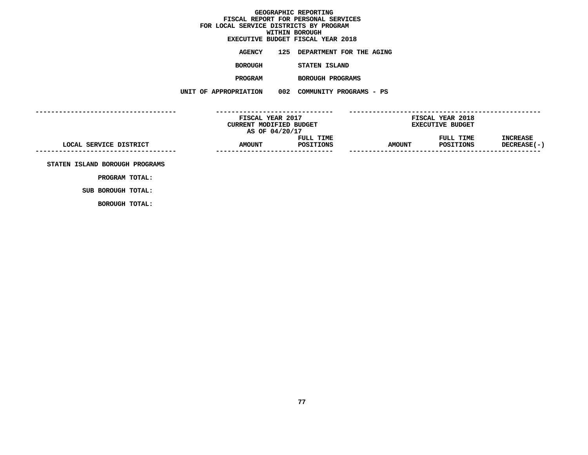# **EXECUTIVE BUDGET FISCAL YEAR <sup>2018</sup>**

**AGENCY <sup>125</sup> DEPARTMENT FOR THE AGING**

**BOROUGH**

 **STATEN ISLAND PROGRAM**

 **BOROUGH PROGRAMS UNIT OF APPROPRIATION <sup>002</sup> COMMUNITY PROGRAMS - PS**

**------------------------------------ ------------------------------ ------------------------------------------------- FISCAL YEAR <sup>2017</sup> FISCAL YEAR <sup>2018</sup> CURRENT MODIFIED BUDGET**<br> **AS OF 04/20/17**<br> **FULL TIME**<br> **FULL TIME**<br> **EXECUTIVE**<br> **FULL TIME AS** OF 04/20/17<br>**FULL TIME**<br>**AMOUNT** POSITIONS<br>------------------------------**FULL TIME FULL TIME INCREASE LOCAL SERVICE DISTRICT AMOUNT POSITIONS AMOUNT POSITIONS DECREASE(-) ------------------------------------------------------------------ ------------------------------------------------- STATEN ISLAND BOROUGH PROGRAMS**

**PROGRAM TOTAL: SUB BOROUGH TOTAL:**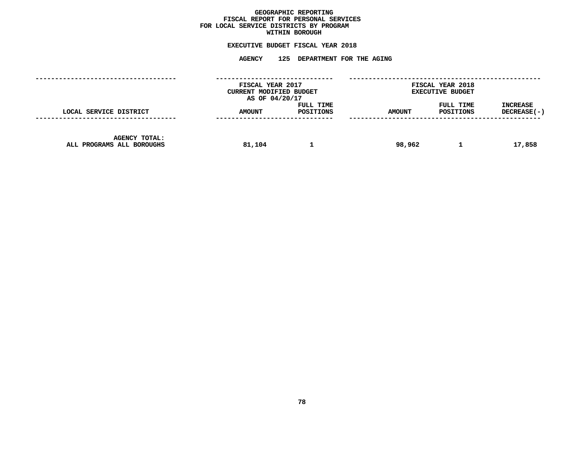## GEOGRAPHIC REPORTING<br>FISCAL REPORT FOR PERSONAL SERVICES<br>OCAL SERVICE DISTRICTS BY PROGRAM<br>WITHIN BOROUGH **FISCAL REPORT FOR PERSONAL SERVICES FOR LOCAL SERVICE DISTRICTS BY PROGRAM**

## **WITHIN BOROUGH EXECUTIVE BUDGET FISCAL YEAR <sup>2018</sup>**

# **AGENCY <sup>125</sup> DEPARTMENT FOR THE AGING**

|                                                   | FISCAL YEAR 2017<br>CURRENT MODIFIED BUDGET<br>AS OF 04/20/17 |                        |               | <b>FISCAL YEAR 2018</b><br><b>EXECUTIVE BUDGET</b> |                                |
|---------------------------------------------------|---------------------------------------------------------------|------------------------|---------------|----------------------------------------------------|--------------------------------|
| LOCAL SERVICE DISTRICT                            | <b>AMOUNT</b>                                                 | FULL TIME<br>POSITIONS | <b>AMOUNT</b> | FULL TIME<br>POSITIONS                             | <b>INCREASE</b><br>DECREASE(-) |
| <b>AGENCY TOTAL:</b><br>ALL PROGRAMS ALL BOROUGHS | 81,104                                                        |                        | 98,962        |                                                    | 17,858                         |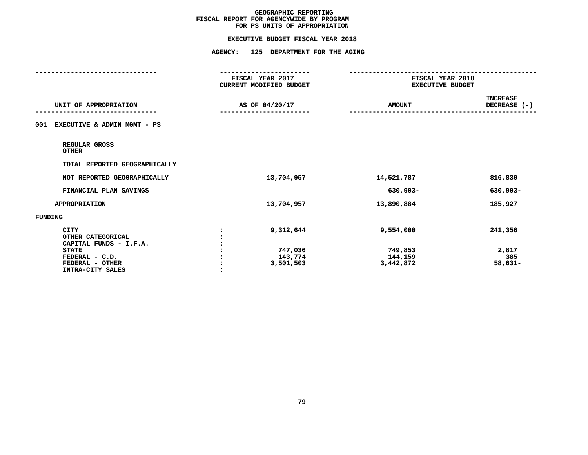# **EXECUTIVE BUDGET FISCAL YEAR <sup>2018</sup>**

|                                                                                                                                     | ----------------<br>FISCAL YEAR 2017<br>CURRENT MODIFIED BUDGET | --------------<br>FISCAL YEAR 2018<br><b>EXECUTIVE BUDGET</b> |                                      |
|-------------------------------------------------------------------------------------------------------------------------------------|-----------------------------------------------------------------|---------------------------------------------------------------|--------------------------------------|
| UNIT OF APPROPRIATION                                                                                                               | AS OF 04/20/17                                                  | <b>AMOUNT</b>                                                 | <b>INCREASE</b><br>DECREASE (-)      |
| EXECUTIVE & ADMIN MGMT - PS<br>001                                                                                                  |                                                                 |                                                               |                                      |
| REGULAR GROSS<br><b>OTHER</b>                                                                                                       |                                                                 |                                                               |                                      |
| TOTAL REPORTED GEOGRAPHICALLY                                                                                                       |                                                                 |                                                               |                                      |
| NOT REPORTED GEOGRAPHICALLY                                                                                                         | 13,704,957                                                      | 14,521,787                                                    | 816,830                              |
| FINANCIAL PLAN SAVINGS                                                                                                              |                                                                 | 630,903-                                                      | 630,903-                             |
| <b>APPROPRIATION</b>                                                                                                                | 13,704,957                                                      | 13,890,884                                                    | 185,927                              |
| <b>FUNDING</b>                                                                                                                      |                                                                 |                                                               |                                      |
| <b>CITY</b><br>OTHER CATEGORICAL<br>CAPITAL FUNDS - I.F.A.<br><b>STATE</b><br>FEDERAL - C.D.<br>FEDERAL - OTHER<br>INTRA-CITY SALES | 9,312,644<br>747,036<br>143,774<br>3,501,503                    | 9,554,000<br>749,853<br>144,159<br>3,442,872                  | 241,356<br>2,817<br>385<br>$58,631-$ |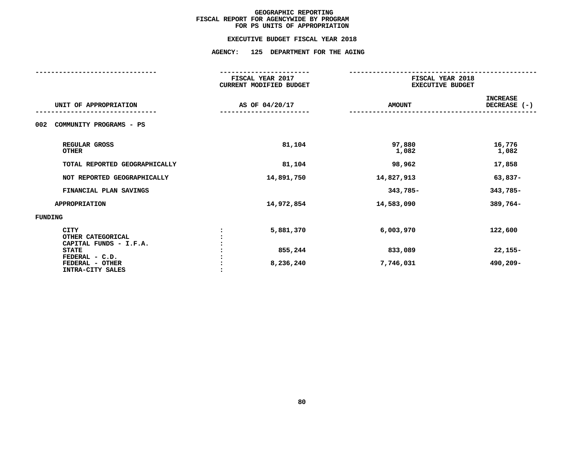### **EXECUTIVE BUDGET FISCAL YEAR 2018**

## **EXECUTIVE BUDGET FISCAL YEAR <sup>2018</sup>AGENCY: <sup>125</sup> DEPARTMENT FOR THE AGING**

|                                                            | FISCAL YEAR 2017<br><b>CURRENT MODIFIED BUDGET</b> | FISCAL YEAR 2018<br><b>EXECUTIVE BUDGET</b> |                                 |  |
|------------------------------------------------------------|----------------------------------------------------|---------------------------------------------|---------------------------------|--|
| UNIT OF APPROPRIATION                                      | AS OF 04/20/17                                     | <b>AMOUNT</b>                               | <b>INCREASE</b><br>DECREASE (-) |  |
| COMMUNITY PROGRAMS - PS<br>002                             |                                                    |                                             |                                 |  |
| REGULAR GROSS<br><b>OTHER</b>                              | 81,104                                             | 97,880<br>1,082                             | 16,776<br>1,082                 |  |
| TOTAL REPORTED GEOGRAPHICALLY                              | 81,104                                             | 98,962                                      | 17,858                          |  |
| NOT REPORTED GEOGRAPHICALLY                                | 14,891,750                                         | 14,827,913                                  | 63,837-                         |  |
| FINANCIAL PLAN SAVINGS                                     |                                                    | 343,785-                                    | 343,785-                        |  |
| <b>APPROPRIATION</b>                                       | 14,972,854                                         | 14,583,090                                  | 389,764-                        |  |
| <b>FUNDING</b>                                             |                                                    |                                             |                                 |  |
| <b>CITY</b><br>OTHER CATEGORICAL<br>CAPITAL FUNDS - I.F.A. | 5,881,370                                          | 6,003,970                                   | 122,600                         |  |
| <b>STATE</b><br>FEDERAL - C.D.                             | 855,244                                            | 833,089                                     | $22,155-$                       |  |
| FEDERAL - OTHER<br>INTRA-CITY SALES                        | 8,236,240                                          | 7,746,031                                   | 490,209-                        |  |
|                                                            |                                                    |                                             |                                 |  |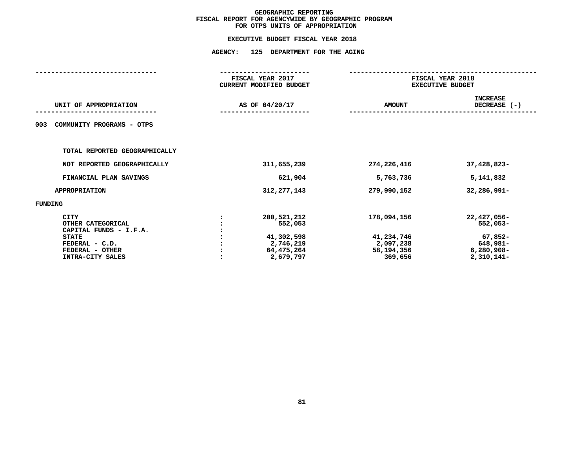## **EXECUTIVE BUDGET FISCAL YEAR <sup>2018</sup>AGENCY: <sup>125</sup> DEPARTMENT FOR THE AGING**

| FISCAL YEAR 2017<br>CURRENT MODIFIED BUDGET |                                                                              | FISCAL YEAR 2018<br><b>EXECUTIVE BUDGET</b>                     |                                                                                  |  |
|---------------------------------------------|------------------------------------------------------------------------------|-----------------------------------------------------------------|----------------------------------------------------------------------------------|--|
|                                             |                                                                              | <b>AMOUNT</b>                                                   | <b>INCREASE</b><br>DECREASE (-)                                                  |  |
|                                             |                                                                              |                                                                 |                                                                                  |  |
|                                             |                                                                              |                                                                 |                                                                                  |  |
|                                             | 311,655,239                                                                  | 274,226,416                                                     | 37,428,823-                                                                      |  |
|                                             | 621,904                                                                      | 5,763,736                                                       | 5,141,832                                                                        |  |
|                                             | 312, 277, 143                                                                | 279,990,152                                                     | 32,286,991-                                                                      |  |
|                                             |                                                                              |                                                                 |                                                                                  |  |
|                                             | 200,521,212<br>552,053<br>41,302,598<br>2,746,219<br>64,475,264<br>2,679,797 | 178,094,156<br>41,234,746<br>2,097,238<br>58,194,356<br>369,656 | 22,427,056-<br>$552,053-$<br>$67,852-$<br>648,981-<br>$6,280,908-$<br>2,310,141- |  |
|                                             |                                                                              | AS OF 04/20/17                                                  |                                                                                  |  |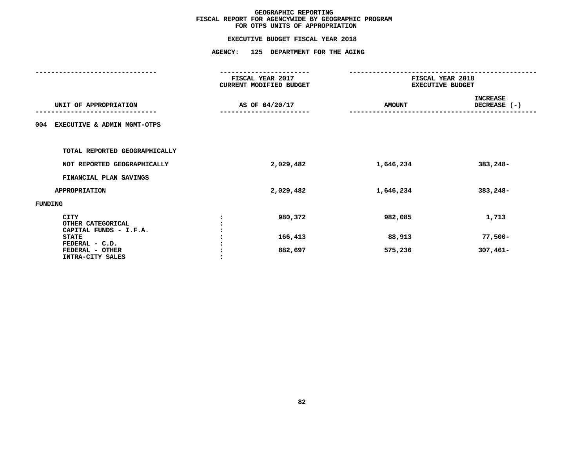## **EXECUTIVE BUDGET FISCAL YEAR <sup>2018</sup>AGENCY: <sup>125</sup> DEPARTMENT FOR THE AGING**

|                                                       | FISCAL YEAR 2017<br>CURRENT MODIFIED BUDGET |               | FISCAL YEAR 2018<br><b>EXECUTIVE BUDGET</b> |  |  |
|-------------------------------------------------------|---------------------------------------------|---------------|---------------------------------------------|--|--|
| UNIT OF APPROPRIATION                                 | AS OF 04/20/17                              | <b>AMOUNT</b> | <b>INCREASE</b><br>DECREASE (-)             |  |  |
| EXECUTIVE & ADMIN MGMT-OTPS<br>004                    |                                             |               |                                             |  |  |
| TOTAL REPORTED GEOGRAPHICALLY                         |                                             |               |                                             |  |  |
| NOT REPORTED GEOGRAPHICALLY                           | 2,029,482                                   | 1,646,234     | 383,248-                                    |  |  |
| FINANCIAL PLAN SAVINGS                                |                                             |               |                                             |  |  |
| APPROPRIATION                                         | 2,029,482                                   | 1,646,234     | 383,248-                                    |  |  |
| FUNDING                                               |                                             |               |                                             |  |  |
| CITY<br>OTHER CATEGORICAL<br>CAPITAL FUNDS - I.F.A.   | 980,372                                     | 982,085       | 1,713                                       |  |  |
| <b>STATE</b>                                          | 166,413                                     | 88,913        | $77,500-$                                   |  |  |
| FEDERAL - C.D.<br>FEDERAL - OTHER<br>INTRA-CITY SALES | 882,697                                     | 575,236       | $307,461-$                                  |  |  |
|                                                       |                                             |               |                                             |  |  |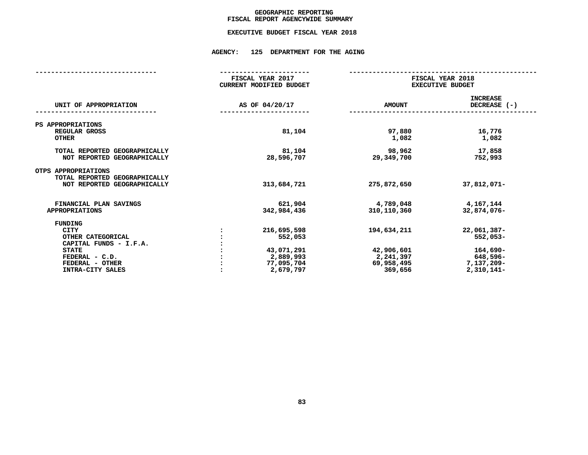## GEOGRAPHIC REPORTING<br>FISCAL REPORT AGENCYWIDE SUMMARY

## **FISCAL REPORT AGENCYWIDE SUMMARY EXECUTIVE BUDGET FISCAL YEAR <sup>2018</sup>**

### **AGENCY: <sup>125</sup> DEPARTMENT FOR THE AGING**

|                                                                                                                                                | FISCAL YEAR 2017<br><b>CURRENT MODIFIED BUDGET</b>                           | FISCAL YEAR 2018<br><b>EXECUTIVE BUDGET</b>                     |                                                                                 |  |
|------------------------------------------------------------------------------------------------------------------------------------------------|------------------------------------------------------------------------------|-----------------------------------------------------------------|---------------------------------------------------------------------------------|--|
| UNIT OF APPROPRIATION                                                                                                                          | AS OF 04/20/17                                                               | <b>AMOUNT</b>                                                   | <b>INCREASE</b><br>DECREASE (-)                                                 |  |
| PS APPROPRIATIONS<br>REGULAR GROSS<br><b>OTHER</b>                                                                                             | 81,104                                                                       | 97,880<br>1,082                                                 | 16,776<br>1,082                                                                 |  |
| TOTAL REPORTED GEOGRAPHICALLY<br>NOT REPORTED GEOGRAPHICALLY                                                                                   | 81,104<br>28,596,707                                                         | 98,962<br>29,349,700                                            | 17,858<br>752,993                                                               |  |
| OTPS APPROPRIATIONS<br>TOTAL REPORTED GEOGRAPHICALLY<br>NOT REPORTED GEOGRAPHICALLY                                                            | 313,684,721                                                                  | 275,872,650                                                     | 37,812,071-                                                                     |  |
| FINANCIAL PLAN SAVINGS<br><b>APPROPRIATIONS</b>                                                                                                | 621,904<br>342,984,436                                                       | 4,789,048<br>310,110,360                                        | 4,167,144<br>32,874,076-                                                        |  |
| FUNDING<br><b>CITY</b><br>OTHER CATEGORICAL<br>CAPITAL FUNDS - I.F.A.<br><b>STATE</b><br>FEDERAL - C.D.<br>FEDERAL - OTHER<br>INTRA-CITY SALES | 216,695,598<br>552,053<br>43,071,291<br>2,889,993<br>77,095,704<br>2,679,797 | 194,634,211<br>42,906,601<br>2,241,397<br>69,958,495<br>369,656 | 22,061,387-<br>$552,053-$<br>$164,690-$<br>648,596-<br>7,137,209-<br>2,310,141- |  |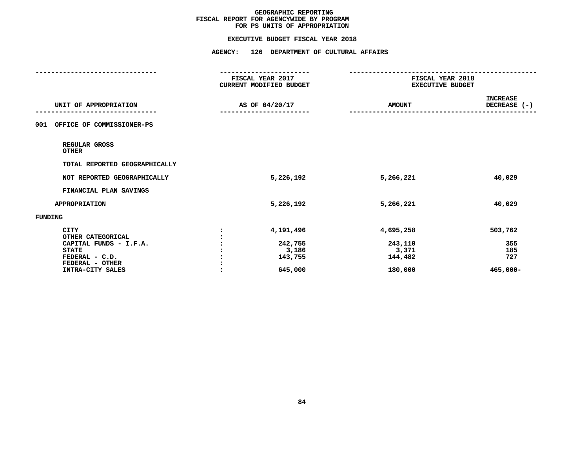### **EXECUTIVE BUDGET FISCAL YEAR 2018**

# **EXECUTIVE BUDGET FISCAL YEAR <sup>2018</sup>**

|                                     | -----------------<br>FISCAL YEAR 2017<br>CURRENT MODIFIED BUDGET |               | FISCAL YEAR 2018<br><b>EXECUTIVE BUDGET</b> |  |
|-------------------------------------|------------------------------------------------------------------|---------------|---------------------------------------------|--|
| UNIT OF APPROPRIATION               | AS OF 04/20/17                                                   | <b>AMOUNT</b> | INCREASE<br>DECREASE (-)                    |  |
| OFFICE OF COMMISSIONER-PS<br>001    |                                                                  |               |                                             |  |
| REGULAR GROSS<br><b>OTHER</b>       |                                                                  |               |                                             |  |
| TOTAL REPORTED GEOGRAPHICALLY       |                                                                  |               |                                             |  |
| NOT REPORTED GEOGRAPHICALLY         | 5,226,192                                                        | 5,266,221     | 40,029                                      |  |
| FINANCIAL PLAN SAVINGS              |                                                                  |               |                                             |  |
| <b>APPROPRIATION</b>                | 5,226,192                                                        | 5,266,221     | 40,029                                      |  |
| <b>FUNDING</b>                      |                                                                  |               |                                             |  |
| <b>CITY</b><br>OTHER CATEGORICAL    | 4,191,496                                                        | 4,695,258     | 503,762                                     |  |
| CAPITAL FUNDS - I.F.A.              | 242,755                                                          | 243,110       | 355                                         |  |
| <b>STATE</b>                        | 3,186                                                            | 3,371         | 185                                         |  |
| FEDERAL - C.D.                      | 143,755                                                          | 144,482       | 727                                         |  |
| FEDERAL - OTHER<br>INTRA-CITY SALES | 645,000                                                          | 180,000       | $465,000 -$                                 |  |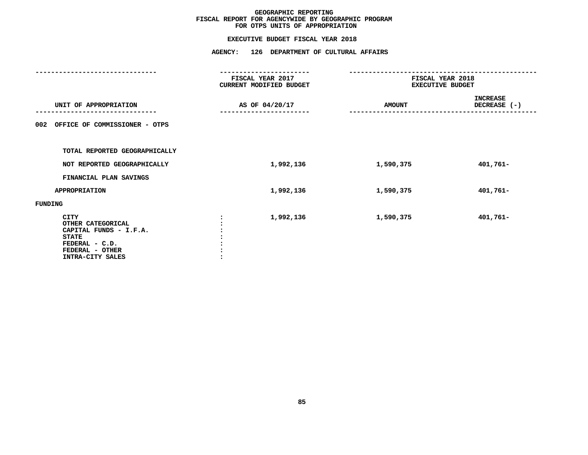|                                                                                                                              | FISCAL YEAR 2017<br>CURRENT MODIFIED BUDGET | FISCAL YEAR 2018<br><b>EXECUTIVE BUDGET</b>      |          |
|------------------------------------------------------------------------------------------------------------------------------|---------------------------------------------|--------------------------------------------------|----------|
| UNIT OF APPROPRIATION                                                                                                        | AS OF 04/20/17<br>-------------             | <b>INCREASE</b><br>DECREASE (-)<br><b>AMOUNT</b> |          |
| OFFICE OF COMMISSIONER - OTPS<br>002                                                                                         |                                             |                                                  |          |
| TOTAL REPORTED GEOGRAPHICALLY                                                                                                |                                             |                                                  |          |
| NOT REPORTED GEOGRAPHICALLY                                                                                                  | 1,992,136                                   | 1,590,375                                        | 401,761- |
| FINANCIAL PLAN SAVINGS                                                                                                       |                                             |                                                  |          |
| <b>APPROPRIATION</b>                                                                                                         | 1,992,136                                   | 1,590,375                                        | 401,761- |
| FUNDING                                                                                                                      |                                             |                                                  |          |
| CITY<br>OTHER CATEGORICAL<br>CAPITAL FUNDS - I.F.A.<br><b>STATE</b><br>FEDERAL - C.D.<br>FEDERAL - OTHER<br>INTRA-CITY SALES | 1,992,136                                   | 1,590,375                                        | 401,761- |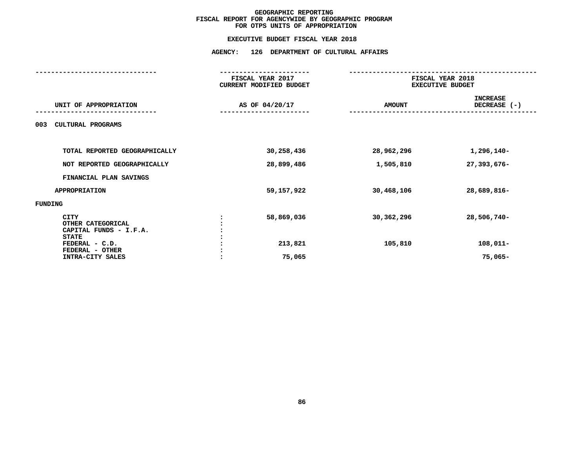|                                                                     |  | FISCAL YEAR 2017<br>CURRENT MODIFIED BUDGET | FISCAL YEAR 2018<br><b>EXECUTIVE BUDGET</b> |                                 |  |
|---------------------------------------------------------------------|--|---------------------------------------------|---------------------------------------------|---------------------------------|--|
| UNIT OF APPROPRIATION                                               |  | AS OF 04/20/17<br><b>AMOUNT</b>             |                                             | <b>INCREASE</b><br>DECREASE (-) |  |
| CULTURAL PROGRAMS<br>003                                            |  |                                             |                                             |                                 |  |
| TOTAL REPORTED GEOGRAPHICALLY                                       |  | 30,258,436                                  | 28,962,296                                  | 1,296,140-                      |  |
| NOT REPORTED GEOGRAPHICALLY                                         |  | 28,899,486                                  | 1,505,810                                   | 27,393,676-                     |  |
| FINANCIAL PLAN SAVINGS                                              |  |                                             |                                             |                                 |  |
| <b>APPROPRIATION</b>                                                |  | 59,157,922                                  | 30,468,106                                  | 28,689,816-                     |  |
| FUNDING                                                             |  |                                             |                                             |                                 |  |
| CITY<br>OTHER CATEGORICAL<br>CAPITAL FUNDS - I.F.A.<br><b>STATE</b> |  | 58,869,036                                  | 30,362,296                                  | 28,506,740-                     |  |
| FEDERAL - C.D.<br>FEDERAL - OTHER                                   |  | 213,821                                     | 105,810                                     | $108,011-$                      |  |
| INTRA-CITY SALES                                                    |  | 75,065                                      |                                             | $75,065 -$                      |  |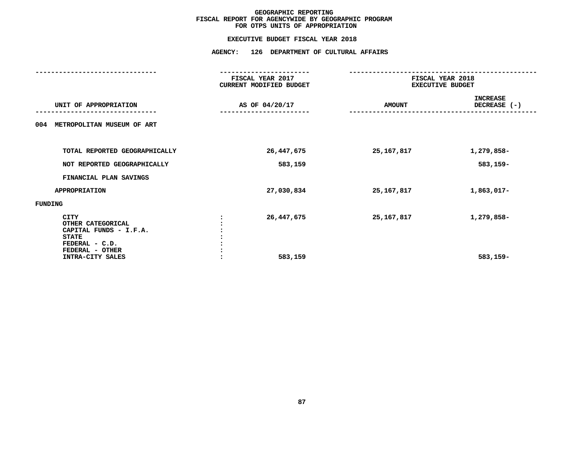|                                                                                                                              | FISCAL YEAR 2017<br>CURRENT MODIFIED BUDGET | FISCAL YEAR 2018<br><b>EXECUTIVE BUDGET</b>        |                        |
|------------------------------------------------------------------------------------------------------------------------------|---------------------------------------------|----------------------------------------------------|------------------------|
| UNIT OF APPROPRIATION                                                                                                        | AS OF 04/20/17                              | <b>INCREASE</b><br>DECREASE $(-)$<br><b>AMOUNT</b> |                        |
| METROPOLITAN MUSEUM OF ART<br>004                                                                                            |                                             |                                                    |                        |
| TOTAL REPORTED GEOGRAPHICALLY                                                                                                | 26, 447, 675                                | 25, 167, 817                                       | 1,279,858-             |
| NOT REPORTED GEOGRAPHICALLY                                                                                                  | 583,159                                     |                                                    | 583,159-               |
| FINANCIAL PLAN SAVINGS                                                                                                       |                                             |                                                    |                        |
| <b>APPROPRIATION</b>                                                                                                         | 27,030,834                                  | 25, 167, 817                                       | 1,863,017-             |
| FUNDING                                                                                                                      |                                             |                                                    |                        |
| CITY<br>OTHER CATEGORICAL<br>CAPITAL FUNDS - I.F.A.<br><b>STATE</b><br>FEDERAL - C.D.<br>FEDERAL - OTHER<br>INTRA-CITY SALES | 26, 447, 675<br>583,159                     | 25,167,817                                         | 1,279,858-<br>583,159- |
|                                                                                                                              |                                             |                                                    |                        |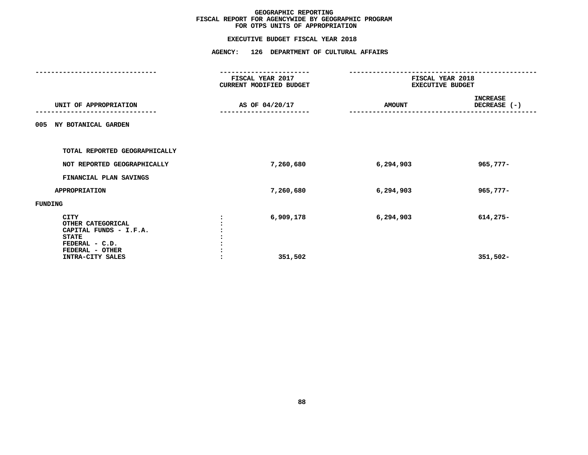|                                                                                                          | FISCAL YEAR 2017<br>CURRENT MODIFIED BUDGET | FISCAL YEAR 2018<br><b>EXECUTIVE BUDGET</b> |                                 |
|----------------------------------------------------------------------------------------------------------|---------------------------------------------|---------------------------------------------|---------------------------------|
| UNIT OF APPROPRIATION                                                                                    | AS OF 04/20/17                              | <b>AMOUNT</b>                               | <b>INCREASE</b><br>DECREASE (-) |
| NY BOTANICAL GARDEN<br>005                                                                               |                                             |                                             |                                 |
| TOTAL REPORTED GEOGRAPHICALLY                                                                            |                                             |                                             |                                 |
| NOT REPORTED GEOGRAPHICALLY                                                                              | 7,260,680                                   | 6,294,903                                   | 965,777-                        |
| FINANCIAL PLAN SAVINGS                                                                                   |                                             |                                             |                                 |
| <b>APPROPRIATION</b>                                                                                     | 7,260,680                                   | 6,294,903                                   | $965,777-$                      |
| FUNDING                                                                                                  |                                             |                                             |                                 |
| CITY<br>OTHER CATEGORICAL<br>CAPITAL FUNDS - I.F.A.<br><b>STATE</b><br>FEDERAL - C.D.<br>FEDERAL - OTHER | 6,909,178                                   | 6,294,903                                   | 614,275-                        |
| INTRA-CITY SALES                                                                                         | 351,502                                     |                                             | $351,502 -$                     |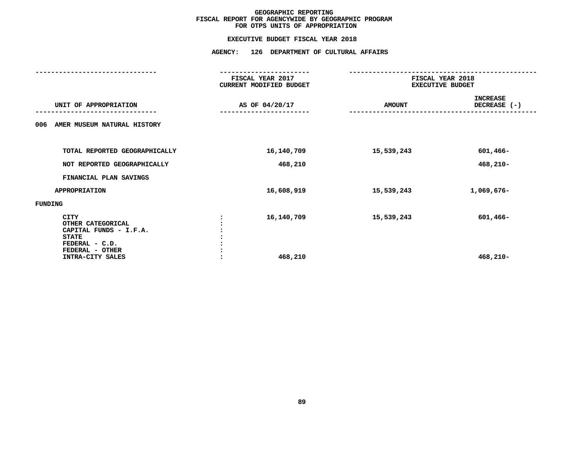|                                                                                                                              | FISCAL YEAR 2017<br>CURRENT MODIFIED BUDGET | FISCAL YEAR 2018<br><b>EXECUTIVE BUDGET</b> |                                 |
|------------------------------------------------------------------------------------------------------------------------------|---------------------------------------------|---------------------------------------------|---------------------------------|
| UNIT OF APPROPRIATION                                                                                                        | AS OF 04/20/17                              | <b>AMOUNT</b>                               | <b>INCREASE</b><br>DECREASE (-) |
| AMER MUSEUM NATURAL HISTORY<br>006                                                                                           |                                             |                                             |                                 |
| TOTAL REPORTED GEOGRAPHICALLY                                                                                                | 16,140,709                                  | 15,539,243                                  | 601,466-                        |
| NOT REPORTED GEOGRAPHICALLY                                                                                                  | 468,210                                     |                                             | $468,210-$                      |
| FINANCIAL PLAN SAVINGS                                                                                                       |                                             |                                             |                                 |
| <b>APPROPRIATION</b>                                                                                                         | 16,608,919                                  | 15,539,243                                  | 1,069,676-                      |
| FUNDING                                                                                                                      |                                             |                                             |                                 |
| CITY<br>OTHER CATEGORICAL<br>CAPITAL FUNDS - I.F.A.<br><b>STATE</b><br>FEDERAL - C.D.<br>FEDERAL - OTHER<br>INTRA-CITY SALES | 16,140,709<br>468,210                       | 15,539,243                                  | 601,466-<br>468,210-            |
|                                                                                                                              |                                             |                                             |                                 |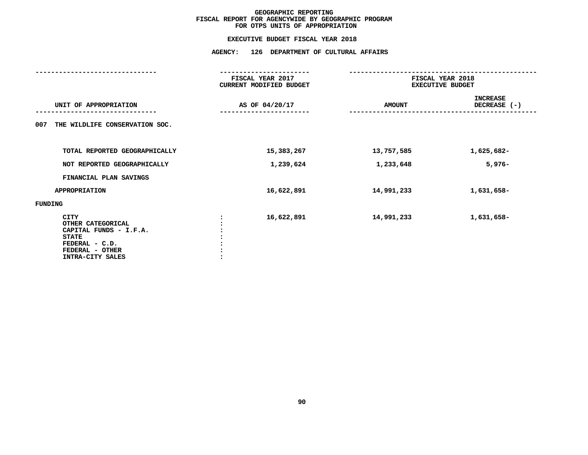|                                                                                                                              | FISCAL YEAR 2017<br><b>CURRENT MODIFIED BUDGET</b> | FISCAL YEAR 2018<br><b>EXECUTIVE BUDGET</b> |                                 |  |
|------------------------------------------------------------------------------------------------------------------------------|----------------------------------------------------|---------------------------------------------|---------------------------------|--|
| UNIT OF APPROPRIATION                                                                                                        | AS OF 04/20/17                                     | <b>AMOUNT</b>                               | <b>INCREASE</b><br>DECREASE (-) |  |
| THE WILDLIFE CONSERVATION SOC.<br>007                                                                                        |                                                    |                                             |                                 |  |
| TOTAL REPORTED GEOGRAPHICALLY                                                                                                | 15,383,267                                         | 13,757,585                                  | 1,625,682-                      |  |
| NOT REPORTED GEOGRAPHICALLY                                                                                                  | 1,239,624                                          | 1,233,648                                   | $5,976-$                        |  |
| FINANCIAL PLAN SAVINGS                                                                                                       |                                                    |                                             |                                 |  |
| <b>APPROPRIATION</b>                                                                                                         | 16,622,891                                         | 14,991,233                                  | 1,631,658-                      |  |
| FUNDING                                                                                                                      |                                                    |                                             |                                 |  |
| CITY<br>OTHER CATEGORICAL<br>CAPITAL FUNDS - I.F.A.<br><b>STATE</b><br>FEDERAL - C.D.<br>FEDERAL - OTHER<br>INTRA-CITY SALES | 16,622,891                                         | 14,991,233                                  | 1,631,658-                      |  |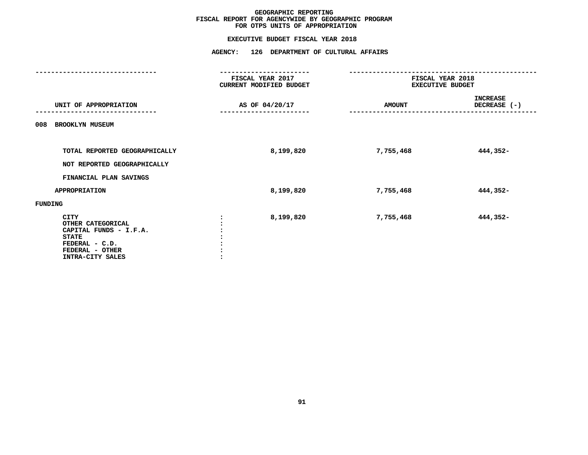|                                                                                                                              | FISCAL YEAR 2017<br><b>CURRENT MODIFIED BUDGET</b> | FISCAL YEAR 2018<br><b>EXECUTIVE BUDGET</b> |                                 |
|------------------------------------------------------------------------------------------------------------------------------|----------------------------------------------------|---------------------------------------------|---------------------------------|
| UNIT OF APPROPRIATION                                                                                                        | AS OF 04/20/17                                     | <b>AMOUNT</b>                               | <b>INCREASE</b><br>DECREASE (-) |
| <b>BROOKLYN MUSEUM</b><br>008                                                                                                |                                                    |                                             |                                 |
| TOTAL REPORTED GEOGRAPHICALLY<br>NOT REPORTED GEOGRAPHICALLY                                                                 | 8,199,820                                          | 7,755,468                                   | 444,352-                        |
| FINANCIAL PLAN SAVINGS                                                                                                       |                                                    |                                             |                                 |
| <b>APPROPRIATION</b>                                                                                                         | 8,199,820                                          | 7,755,468                                   | 444,352-                        |
| FUNDING                                                                                                                      |                                                    |                                             |                                 |
| CITY<br>OTHER CATEGORICAL<br>CAPITAL FUNDS - I.F.A.<br><b>STATE</b><br>FEDERAL - C.D.<br>FEDERAL - OTHER<br>INTRA-CITY SALES | 8,199,820                                          | 7,755,468                                   | 444,352-                        |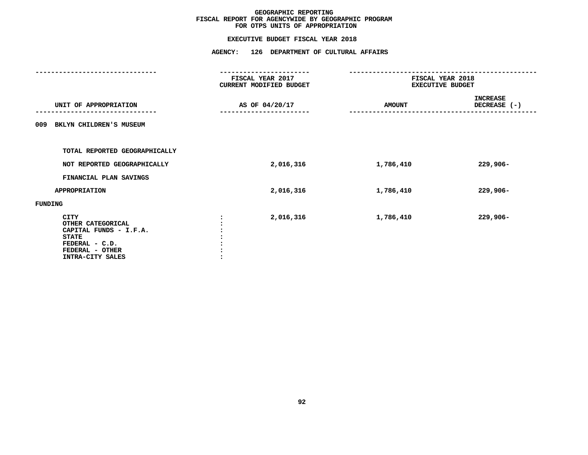# **EXECUTIVE BUDGET FISCAL YEAR <sup>2018</sup>**

|                                                                                                                                     | <b>AGENCY:</b><br>126 DEPARTMENT OF CULTURAL AFFAIRS |               |                                             |  |
|-------------------------------------------------------------------------------------------------------------------------------------|------------------------------------------------------|---------------|---------------------------------------------|--|
|                                                                                                                                     | FISCAL YEAR 2017<br>CURRENT MODIFIED BUDGET          |               | FISCAL YEAR 2018<br><b>EXECUTIVE BUDGET</b> |  |
| UNIT OF APPROPRIATION                                                                                                               | AS OF 04/20/17                                       | <b>AMOUNT</b> | <b>INCREASE</b><br>DECREASE (-)             |  |
| BKLYN CHILDREN'S MUSEUM<br>009                                                                                                      |                                                      |               |                                             |  |
| TOTAL REPORTED GEOGRAPHICALLY                                                                                                       |                                                      |               |                                             |  |
| NOT REPORTED GEOGRAPHICALLY                                                                                                         | 2,016,316                                            | 1,786,410     | 229,906-                                    |  |
| FINANCIAL PLAN SAVINGS                                                                                                              |                                                      |               |                                             |  |
| <b>APPROPRIATION</b>                                                                                                                | 2,016,316                                            | 1,786,410     | $229,906 -$                                 |  |
| FUNDING                                                                                                                             |                                                      |               |                                             |  |
| <b>CITY</b><br>OTHER CATEGORICAL<br>CAPITAL FUNDS - I.F.A.<br><b>STATE</b><br>FEDERAL - C.D.<br>FEDERAL - OTHER<br>INTRA-CITY SALES | 2,016,316                                            | 1,786,410     | $229,906 -$                                 |  |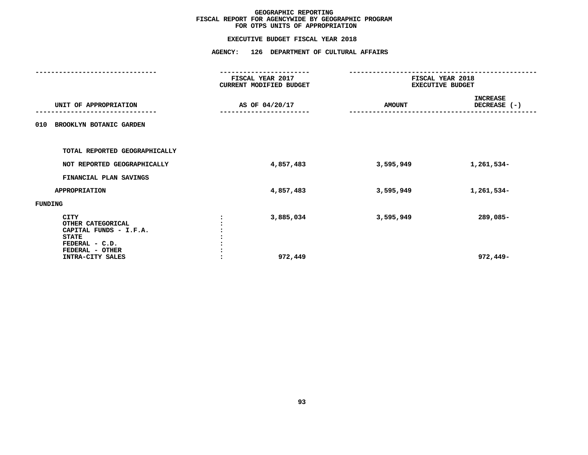|                                                                                       | FISCAL YEAR 2017<br>CURRENT MODIFIED BUDGET |           | FISCAL YEAR 2018<br><b>EXECUTIVE BUDGET</b> |
|---------------------------------------------------------------------------------------|---------------------------------------------|-----------|---------------------------------------------|
| UNIT OF APPROPRIATION                                                                 | AS OF 04/20/17<br><b>AMOUNT</b>             |           | <b>INCREASE</b><br>DECREASE (-)             |
| BROOKLYN BOTANIC GARDEN<br>010                                                        |                                             |           |                                             |
| TOTAL REPORTED GEOGRAPHICALLY                                                         |                                             |           |                                             |
| NOT REPORTED GEOGRAPHICALLY                                                           | 4,857,483                                   | 3,595,949 | 1,261,534-                                  |
| FINANCIAL PLAN SAVINGS                                                                |                                             |           |                                             |
| <b>APPROPRIATION</b>                                                                  | 4,857,483                                   | 3,595,949 | 1,261,534-                                  |
| FUNDING                                                                               |                                             |           |                                             |
| CITY<br>OTHER CATEGORICAL<br>CAPITAL FUNDS - I.F.A.<br><b>STATE</b><br>FEDERAL - C.D. | 3,885,034                                   | 3,595,949 | 289,085-                                    |
| FEDERAL - OTHER<br>INTRA-CITY SALES                                                   | 972,449                                     |           | 972,449-                                    |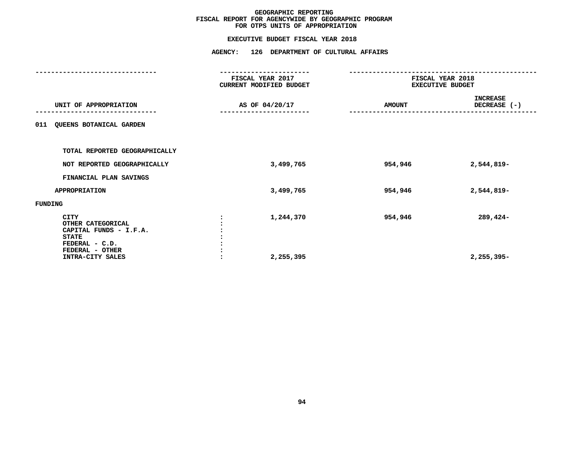|                                                                                                          | FISCAL YEAR 2017<br>CURRENT MODIFIED BUDGET | FISCAL YEAR 2018<br><b>EXECUTIVE BUDGET</b>      |            |
|----------------------------------------------------------------------------------------------------------|---------------------------------------------|--------------------------------------------------|------------|
| UNIT OF APPROPRIATION                                                                                    | AS OF 04/20/17                              | <b>INCREASE</b><br>DECREASE (-)<br><b>AMOUNT</b> |            |
| <b>QUEENS BOTANICAL GARDEN</b><br>011                                                                    |                                             |                                                  |            |
| TOTAL REPORTED GEOGRAPHICALLY                                                                            |                                             |                                                  |            |
| NOT REPORTED GEOGRAPHICALLY                                                                              | 3,499,765                                   | 954,946                                          | 2,544,819- |
| FINANCIAL PLAN SAVINGS                                                                                   |                                             |                                                  |            |
| <b>APPROPRIATION</b>                                                                                     | 3,499,765                                   | 954,946                                          | 2,544,819- |
| FUNDING                                                                                                  |                                             |                                                  |            |
| CITY<br>OTHER CATEGORICAL<br>CAPITAL FUNDS - I.F.A.<br><b>STATE</b><br>FEDERAL - C.D.<br>FEDERAL - OTHER | 1,244,370                                   | 954,946                                          | 289,424-   |
| INTRA-CITY SALES                                                                                         | 2,255,395                                   |                                                  | 2,255,395- |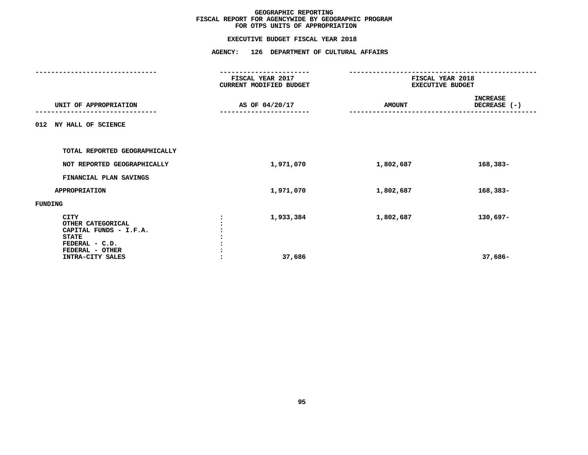|                                                                                              | FISCAL YEAR 2017<br>CURRENT MODIFIED BUDGET | FISCAL YEAR 2018<br><b>EXECUTIVE BUDGET</b>      |          |  |
|----------------------------------------------------------------------------------------------|---------------------------------------------|--------------------------------------------------|----------|--|
| UNIT OF APPROPRIATION                                                                        | AS OF 04/20/17                              | <b>INCREASE</b><br>DECREASE (-)<br><b>AMOUNT</b> |          |  |
| 012 NY HALL OF SCIENCE                                                                       |                                             |                                                  |          |  |
| TOTAL REPORTED GEOGRAPHICALLY                                                                |                                             |                                                  |          |  |
| NOT REPORTED GEOGRAPHICALLY                                                                  | 1,971,070                                   | 1,802,687                                        | 168,383- |  |
| FINANCIAL PLAN SAVINGS                                                                       |                                             |                                                  |          |  |
| <b>APPROPRIATION</b>                                                                         | 1,971,070                                   | 1,802,687                                        | 168,383- |  |
| FUNDING                                                                                      |                                             |                                                  |          |  |
| <b>CITY</b><br>OTHER CATEGORICAL<br>CAPITAL FUNDS - I.F.A.<br><b>STATE</b><br>FEDERAL - C.D. | 1,933,384                                   | 1,802,687                                        | 130,697- |  |
| FEDERAL - OTHER<br>INTRA-CITY SALES                                                          | 37,686                                      |                                                  | 37,686-  |  |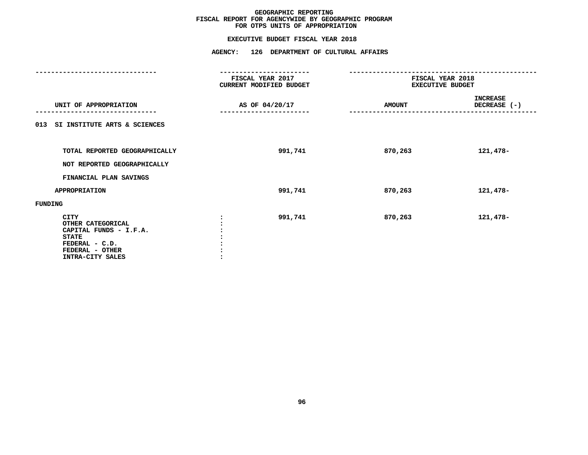|                                                                                                                              | FISCAL YEAR 2017<br>CURRENT MODIFIED BUDGET | FISCAL YEAR 2018<br><b>EXECUTIVE BUDGET</b> |                                 |
|------------------------------------------------------------------------------------------------------------------------------|---------------------------------------------|---------------------------------------------|---------------------------------|
| UNIT OF APPROPRIATION                                                                                                        | AS OF 04/20/17                              | <b>AMOUNT</b>                               | <b>INCREASE</b><br>DECREASE (-) |
| 013 SI INSTITUTE ARTS & SCIENCES                                                                                             |                                             |                                             |                                 |
| TOTAL REPORTED GEOGRAPHICALLY<br>NOT REPORTED GEOGRAPHICALLY                                                                 | 991,741                                     | 870,263                                     | 121,478-                        |
| FINANCIAL PLAN SAVINGS                                                                                                       |                                             |                                             |                                 |
| <b>APPROPRIATION</b>                                                                                                         | 991,741                                     | 870,263                                     | 121,478-                        |
| FUNDING                                                                                                                      |                                             |                                             |                                 |
| CITY<br>OTHER CATEGORICAL<br>CAPITAL FUNDS - I.F.A.<br><b>STATE</b><br>FEDERAL - C.D.<br>FEDERAL - OTHER<br>INTRA-CITY SALES | 991,741                                     | 870,263                                     | 121,478-                        |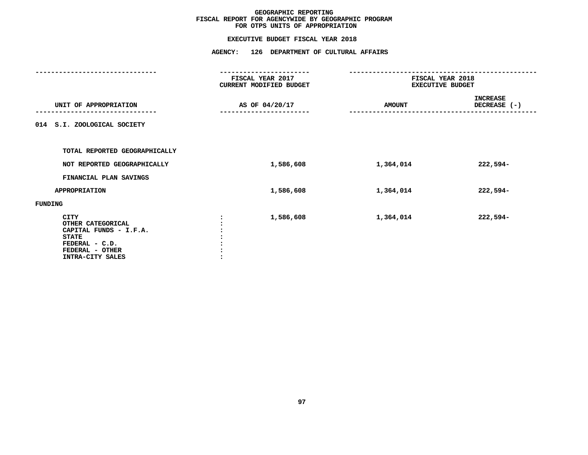|                                                                                                                                     | FISCAL YEAR 2017<br>CURRENT MODIFIED BUDGET | FISCAL YEAR 2018<br><b>EXECUTIVE BUDGET</b> |                                 |
|-------------------------------------------------------------------------------------------------------------------------------------|---------------------------------------------|---------------------------------------------|---------------------------------|
| UNIT OF APPROPRIATION                                                                                                               | AS OF 04/20/17                              | <b>AMOUNT</b>                               | <b>INCREASE</b><br>DECREASE (-) |
| 014 S.I. ZOOLOGICAL SOCIETY                                                                                                         |                                             |                                             |                                 |
| TOTAL REPORTED GEOGRAPHICALLY                                                                                                       |                                             |                                             |                                 |
| NOT REPORTED GEOGRAPHICALLY                                                                                                         | 1,586,608                                   | 1,364,014                                   | 222,594-                        |
| FINANCIAL PLAN SAVINGS                                                                                                              |                                             |                                             |                                 |
| <b>APPROPRIATION</b>                                                                                                                | 1,586,608                                   | 1,364,014                                   | 222,594-                        |
| FUNDING                                                                                                                             |                                             |                                             |                                 |
| <b>CITY</b><br>OTHER CATEGORICAL<br>CAPITAL FUNDS - I.F.A.<br><b>STATE</b><br>FEDERAL - C.D.<br>FEDERAL - OTHER<br>INTRA-CITY SALES | 1,586,608                                   | 1,364,014                                   | 222,594-                        |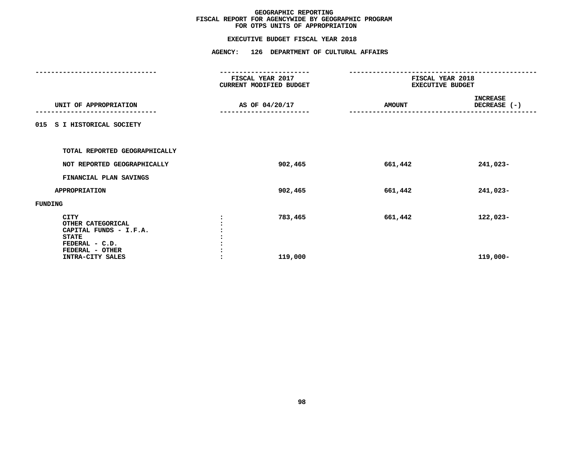|                      |                                                       | -------------------                         |                                             |                                 |
|----------------------|-------------------------------------------------------|---------------------------------------------|---------------------------------------------|---------------------------------|
|                      |                                                       | FISCAL YEAR 2017<br>CURRENT MODIFIED BUDGET | FISCAL YEAR 2018<br><b>EXECUTIVE BUDGET</b> |                                 |
|                      | UNIT OF APPROPRIATION                                 | AS OF 04/20/17                              | <b>AMOUNT</b>                               | <b>INCREASE</b><br>DECREASE (-) |
|                      | 015 S I HISTORICAL SOCIETY                            |                                             |                                             |                                 |
|                      | TOTAL REPORTED GEOGRAPHICALLY                         |                                             |                                             |                                 |
|                      | NOT REPORTED GEOGRAPHICALLY                           | 902,465                                     | 661,442                                     | 241,023-                        |
|                      | FINANCIAL PLAN SAVINGS                                |                                             |                                             |                                 |
| <b>APPROPRIATION</b> |                                                       | 902,465                                     | 661,442                                     | 241,023-                        |
| FUNDING              |                                                       |                                             |                                             |                                 |
| CITY<br><b>STATE</b> | OTHER CATEGORICAL<br>CAPITAL FUNDS - I.F.A.           | 783,465                                     | 661,442                                     | 122,023-                        |
|                      | FEDERAL - C.D.<br>FEDERAL - OTHER<br>INTRA-CITY SALES | 119,000                                     |                                             | 119,000-                        |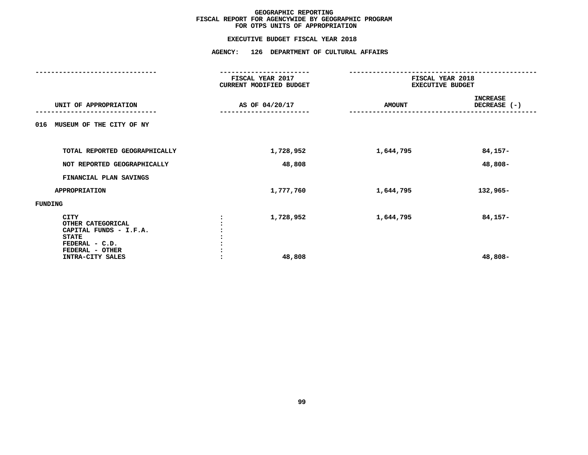|                                                                                       | FISCAL YEAR 2017<br>CURRENT MODIFIED BUDGET | FISCAL YEAR 2018<br><b>EXECUTIVE BUDGET</b> |                                 |
|---------------------------------------------------------------------------------------|---------------------------------------------|---------------------------------------------|---------------------------------|
| UNIT OF APPROPRIATION                                                                 | AS OF 04/20/17                              | <b>AMOUNT</b>                               | <b>INCREASE</b><br>DECREASE (-) |
| MUSEUM OF THE CITY OF NY<br>016                                                       |                                             |                                             |                                 |
| TOTAL REPORTED GEOGRAPHICALLY                                                         | 1,728,952                                   | 1,644,795                                   | 84,157-                         |
| NOT REPORTED GEOGRAPHICALLY                                                           | 48,808                                      |                                             | 48,808-                         |
| FINANCIAL PLAN SAVINGS                                                                |                                             |                                             |                                 |
| <b>APPROPRIATION</b>                                                                  | 1,777,760                                   | 1,644,795                                   | 132,965-                        |
| FUNDING                                                                               |                                             |                                             |                                 |
| CITY<br>OTHER CATEGORICAL<br>CAPITAL FUNDS - I.F.A.<br><b>STATE</b><br>FEDERAL - C.D. | 1,728,952                                   | 1,644,795                                   | 84,157-                         |
| FEDERAL - OTHER<br>INTRA-CITY SALES                                                   | 48,808                                      |                                             | 48,808-                         |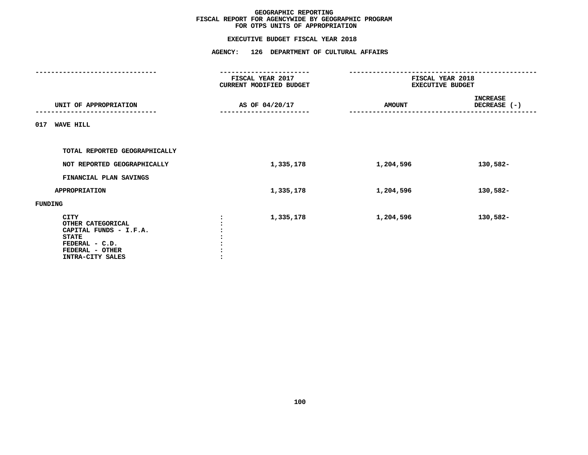|                                                                                                                              | FISCAL YEAR 2017<br>CURRENT MODIFIED BUDGET   | FISCAL YEAR 2018<br><b>EXECUTIVE BUDGET</b> |                                 |  |
|------------------------------------------------------------------------------------------------------------------------------|-----------------------------------------------|---------------------------------------------|---------------------------------|--|
| UNIT OF APPROPRIATION                                                                                                        | AS OF 04/20/17<br>. _ _ _ _ _ _ _ _ _ _ _ _ _ | <b>AMOUNT</b>                               | <b>INCREASE</b><br>DECREASE (-) |  |
| 017<br><b>WAVE HILL</b>                                                                                                      |                                               |                                             |                                 |  |
| TOTAL REPORTED GEOGRAPHICALLY                                                                                                |                                               |                                             |                                 |  |
| NOT REPORTED GEOGRAPHICALLY                                                                                                  | 1,335,178                                     | 1,204,596                                   | 130,582-                        |  |
| FINANCIAL PLAN SAVINGS                                                                                                       |                                               |                                             |                                 |  |
| <b>APPROPRIATION</b>                                                                                                         | 1,335,178                                     | 1,204,596                                   | 130,582-                        |  |
| FUNDING                                                                                                                      |                                               |                                             |                                 |  |
| CITY<br>OTHER CATEGORICAL<br>CAPITAL FUNDS - I.F.A.<br><b>STATE</b><br>FEDERAL - C.D.<br>FEDERAL - OTHER<br>INTRA-CITY SALES | 1,335,178                                     | 1,204,596                                   | 130,582-                        |  |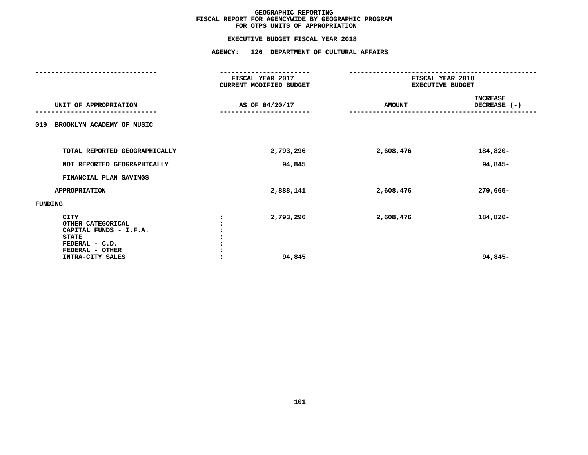|                                                                                                          | FISCAL YEAR 2017<br>CURRENT MODIFIED BUDGET | FISCAL YEAR 2018<br><b>EXECUTIVE BUDGET</b> |                                 |
|----------------------------------------------------------------------------------------------------------|---------------------------------------------|---------------------------------------------|---------------------------------|
| UNIT OF APPROPRIATION                                                                                    | AS OF 04/20/17                              | <b>AMOUNT</b>                               | <b>INCREASE</b><br>DECREASE (-) |
| BROOKLYN ACADEMY OF MUSIC<br>019                                                                         |                                             |                                             |                                 |
| TOTAL REPORTED GEOGRAPHICALLY                                                                            | 2,793,296                                   | 2,608,476                                   | 184,820-                        |
| NOT REPORTED GEOGRAPHICALLY                                                                              | 94,845                                      |                                             | 94,845-                         |
| FINANCIAL PLAN SAVINGS                                                                                   |                                             |                                             |                                 |
| <b>APPROPRIATION</b>                                                                                     | 2,888,141                                   | 2,608,476                                   | 279,665-                        |
| FUNDING                                                                                                  |                                             |                                             |                                 |
| CITY<br>OTHER CATEGORICAL<br>CAPITAL FUNDS - I.F.A.<br><b>STATE</b><br>FEDERAL - C.D.<br>FEDERAL - OTHER | 2,793,296                                   | 2,608,476                                   | 184,820-                        |
| INTRA-CITY SALES                                                                                         | 94,845                                      |                                             | 94,845-                         |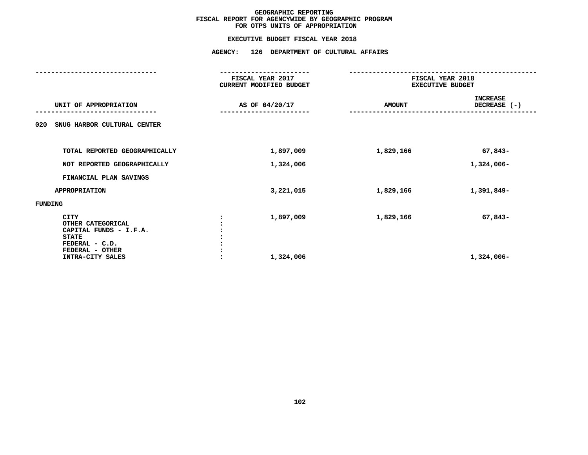|                                                                                       | FISCAL YEAR 2017<br>CURRENT MODIFIED BUDGET | FISCAL YEAR 2018<br><b>EXECUTIVE BUDGET</b> |                                 |
|---------------------------------------------------------------------------------------|---------------------------------------------|---------------------------------------------|---------------------------------|
| UNIT OF APPROPRIATION                                                                 | AS OF 04/20/17                              | <b>AMOUNT</b>                               | <b>INCREASE</b><br>DECREASE (-) |
| SNUG HARBOR CULTURAL CENTER<br>020                                                    |                                             |                                             |                                 |
| TOTAL REPORTED GEOGRAPHICALLY                                                         | 1,897,009                                   | 1,829,166                                   | 67,843-                         |
| NOT REPORTED GEOGRAPHICALLY                                                           | 1,324,006                                   |                                             | 1,324,006-                      |
| FINANCIAL PLAN SAVINGS                                                                |                                             |                                             |                                 |
| <b>APPROPRIATION</b>                                                                  | 3,221,015                                   | 1,829,166                                   | 1,391,849-                      |
| FUNDING                                                                               |                                             |                                             |                                 |
| CITY<br>OTHER CATEGORICAL<br>CAPITAL FUNDS - I.F.A.<br><b>STATE</b><br>FEDERAL - C.D. | 1,897,009                                   | 1,829,166                                   | 67,843-                         |
| FEDERAL - OTHER<br>INTRA-CITY SALES                                                   | 1,324,006                                   |                                             | 1,324,006-                      |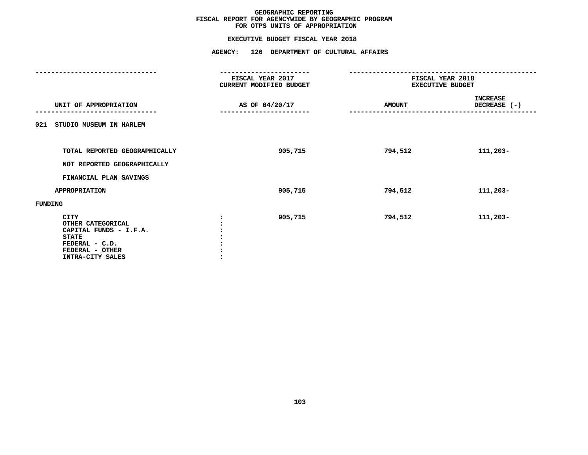|                                                                                                                              | FISCAL YEAR 2017<br>CURRENT MODIFIED BUDGET | FISCAL YEAR 2018<br><b>EXECUTIVE BUDGET</b> |                                 |
|------------------------------------------------------------------------------------------------------------------------------|---------------------------------------------|---------------------------------------------|---------------------------------|
| UNIT OF APPROPRIATION                                                                                                        | AS OF 04/20/17                              | <b>AMOUNT</b>                               | <b>INCREASE</b><br>DECREASE (-) |
| 021 STUDIO MUSEUM IN HARLEM                                                                                                  |                                             |                                             |                                 |
| TOTAL REPORTED GEOGRAPHICALLY<br>NOT REPORTED GEOGRAPHICALLY                                                                 | 905,715                                     | 794,512                                     | 111,203-                        |
| FINANCIAL PLAN SAVINGS                                                                                                       |                                             |                                             |                                 |
| <b>APPROPRIATION</b>                                                                                                         | 905,715                                     | 794,512                                     | 111,203-                        |
| FUNDING                                                                                                                      |                                             |                                             |                                 |
| CITY<br>OTHER CATEGORICAL<br>CAPITAL FUNDS - I.F.A.<br><b>STATE</b><br>FEDERAL - C.D.<br>FEDERAL - OTHER<br>INTRA-CITY SALES | 905,715                                     | 794,512                                     | 111,203-                        |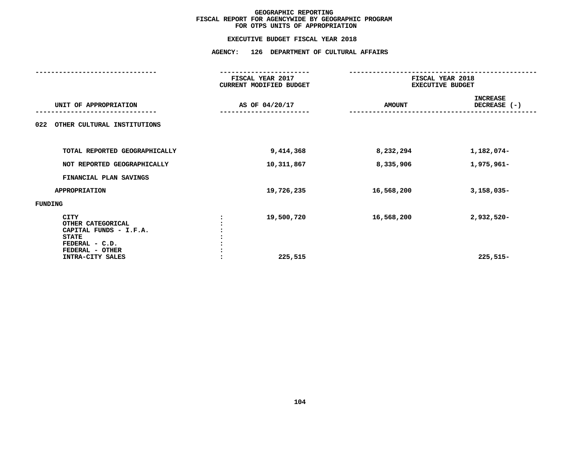|                                                                                                          | FISCAL YEAR 2017<br>CURRENT MODIFIED BUDGET | FISCAL YEAR 2018<br><b>EXECUTIVE BUDGET</b> |                                   |
|----------------------------------------------------------------------------------------------------------|---------------------------------------------|---------------------------------------------|-----------------------------------|
| UNIT OF APPROPRIATION                                                                                    | AS OF 04/20/17                              | <b>AMOUNT</b>                               | <b>INCREASE</b><br>DECREASE $(-)$ |
| 022<br>OTHER CULTURAL INSTITUTIONS                                                                       |                                             |                                             |                                   |
| TOTAL REPORTED GEOGRAPHICALLY                                                                            | 9,414,368                                   | 8,232,294                                   | 1,182,074-                        |
| NOT REPORTED GEOGRAPHICALLY                                                                              | 10,311,867                                  | 8,335,906                                   | 1,975,961-                        |
| FINANCIAL PLAN SAVINGS                                                                                   |                                             |                                             |                                   |
| <b>APPROPRIATION</b>                                                                                     | 19,726,235                                  | 16,568,200                                  | $3,158,035-$                      |
| FUNDING                                                                                                  |                                             |                                             |                                   |
| CITY<br>OTHER CATEGORICAL<br>CAPITAL FUNDS - I.F.A.<br><b>STATE</b><br>FEDERAL - C.D.<br>FEDERAL - OTHER | 19,500,720                                  | 16,568,200                                  | $2,932,520 -$                     |
| INTRA-CITY SALES                                                                                         | 225,515                                     |                                             | $225,515-$                        |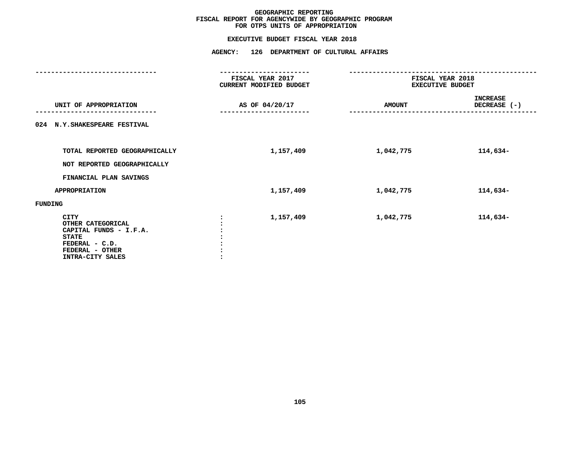# **EXECUTIVE BUDGET FISCAL YEAR <sup>2018</sup>AGENCY: <sup>126</sup> DEPARTMENT OF CULTURAL AFFAIRS**

|                                                                                                                                     | FISCAL YEAR 2017<br>CURRENT MODIFIED BUDGET | FISCAL YEAR 2018<br><b>EXECUTIVE BUDGET</b> |                                 |  |
|-------------------------------------------------------------------------------------------------------------------------------------|---------------------------------------------|---------------------------------------------|---------------------------------|--|
| UNIT OF APPROPRIATION                                                                                                               | AS OF 04/20/17                              | <b>AMOUNT</b>                               | <b>INCREASE</b><br>DECREASE (-) |  |
| 024 N.Y. SHAKESPEARE FESTIVAL                                                                                                       |                                             |                                             |                                 |  |
| TOTAL REPORTED GEOGRAPHICALLY<br>NOT REPORTED GEOGRAPHICALLY                                                                        | 1,157,409                                   | 1,042,775                                   | 114,634-                        |  |
| FINANCIAL PLAN SAVINGS                                                                                                              |                                             |                                             |                                 |  |
| <b>APPROPRIATION</b>                                                                                                                | 1,157,409                                   | 1,042,775                                   | 114,634-                        |  |
| <b>FUNDING</b>                                                                                                                      |                                             |                                             |                                 |  |
| <b>CITY</b><br>OTHER CATEGORICAL<br>CAPITAL FUNDS - I.F.A.<br><b>STATE</b><br>FEDERAL - C.D.<br>FEDERAL - OTHER<br>INTRA-CITY SALES | 1,157,409                                   | 1,042,775                                   | 114,634-                        |  |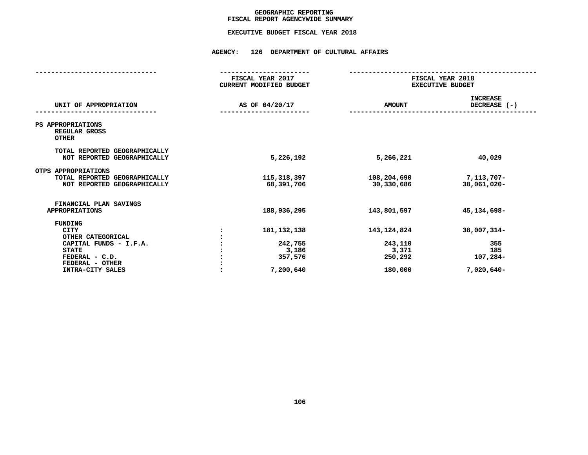## GEOGRAPHIC REPORTING<br>FISCAL REPORT AGENCYWIDE SUMMARY

# **FISCAL REPORT AGENCYWIDE SUMMARY EXECUTIVE BUDGET FISCAL YEAR <sup>2018</sup>**

#### **AGENCY: <sup>126</sup> DEPARTMENT OF CULTURAL AFFAIRS**

| FISCAL YEAR 2017<br><b>CURRENT MODIFIED BUDGET</b>        | FISCAL YEAR 2018<br><b>EXECUTIVE BUDGET</b>             |                                                       |  |
|-----------------------------------------------------------|---------------------------------------------------------|-------------------------------------------------------|--|
| AS OF 04/20/17                                            | <b>AMOUNT</b>                                           | <b>INCREASE</b><br>DECREASE (-)                       |  |
|                                                           |                                                         |                                                       |  |
| 5,226,192                                                 | 5,266,221                                               | 40,029                                                |  |
| 115,318,397<br>68,391,706                                 | 108,204,690<br>30,330,686                               | 7,113,707-<br>38,061,020-                             |  |
| 188,936,295                                               | 143,801,597                                             | 45, 134, 698-                                         |  |
| 181, 132, 138<br>242,755<br>3,186<br>357,576<br>7,200,640 | 143, 124, 824<br>243,110<br>3,371<br>250,292<br>180,000 | 38,007,314-<br>355<br>185<br>107,284-<br>$7,020,640-$ |  |
|                                                           |                                                         |                                                       |  |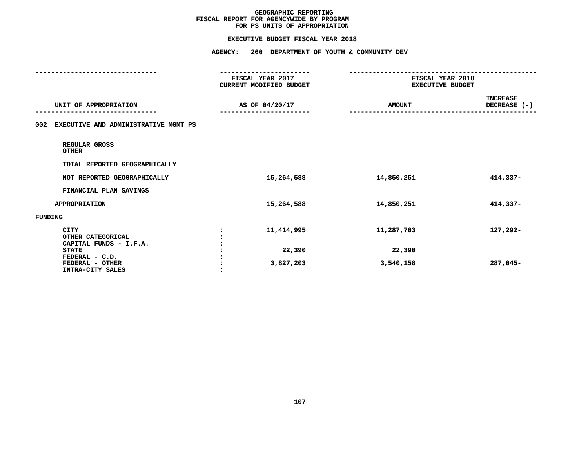#### **EXECUTIVE BUDGET FISCAL YEAR 2018**

|                                                            | <b>AGENCY:</b><br>260 DEPARTMENT OF YOUTH & COMMUNITY DEV        |               |                                             |  |
|------------------------------------------------------------|------------------------------------------------------------------|---------------|---------------------------------------------|--|
|                                                            | -----------------<br>FISCAL YEAR 2017<br>CURRENT MODIFIED BUDGET |               | FISCAL YEAR 2018<br><b>EXECUTIVE BUDGET</b> |  |
| UNIT OF APPROPRIATION                                      | AS OF 04/20/17                                                   | <b>AMOUNT</b> | <b>INCREASE</b><br>DECREASE (-)             |  |
| EXECUTIVE AND ADMINISTRATIVE MGMT PS<br>002                |                                                                  |               |                                             |  |
| REGULAR GROSS<br><b>OTHER</b>                              |                                                                  |               |                                             |  |
| TOTAL REPORTED GEOGRAPHICALLY                              |                                                                  |               |                                             |  |
| NOT REPORTED GEOGRAPHICALLY                                | 15,264,588                                                       | 14,850,251    | 414,337-                                    |  |
| FINANCIAL PLAN SAVINGS                                     |                                                                  |               |                                             |  |
| <b>APPROPRIATION</b>                                       | 15,264,588                                                       | 14,850,251    | 414,337-                                    |  |
| <b>FUNDING</b>                                             |                                                                  |               |                                             |  |
| <b>CITY</b><br>OTHER CATEGORICAL<br>CAPITAL FUNDS - I.F.A. | 11,414,995                                                       | 11,287,703    | 127,292-                                    |  |
| <b>STATE</b>                                               | 22,390                                                           | 22,390        |                                             |  |
| FEDERAL - C.D.<br>FEDERAL - OTHER<br>INTRA-CITY SALES      | 3,827,203                                                        | 3,540,158     | 287,045-                                    |  |
|                                                            |                                                                  |               |                                             |  |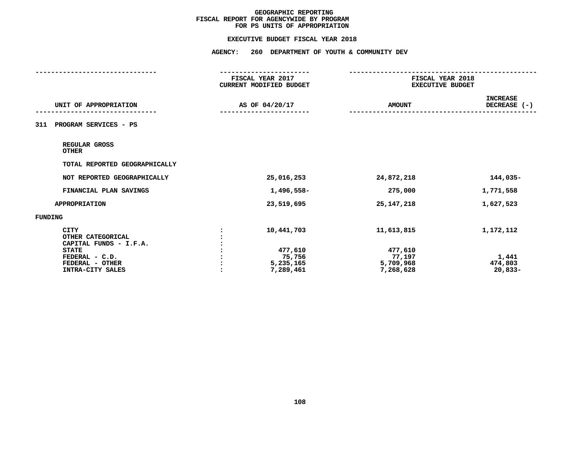#### **EXECUTIVE BUDGET FISCAL YEAR 2018**

| <b>AGENCY:</b>                                            |                                                           |                                             |  |  |
|-----------------------------------------------------------|-----------------------------------------------------------|---------------------------------------------|--|--|
| FISCAL YEAR 2017<br>CURRENT MODIFIED BUDGET               |                                                           | FISCAL YEAR 2018<br><b>EXECUTIVE BUDGET</b> |  |  |
| AS OF 04/20/17                                            | <b>AMOUNT</b>                                             | <b>INCREASE</b><br>DECREASE (-)             |  |  |
|                                                           |                                                           |                                             |  |  |
|                                                           |                                                           |                                             |  |  |
|                                                           |                                                           |                                             |  |  |
| 25,016,253                                                | 24,872,218                                                | 144,035-                                    |  |  |
| 1,496,558-                                                | 275,000                                                   | 1,771,558                                   |  |  |
| 23,519,695                                                | 25, 147, 218                                              | 1,627,523                                   |  |  |
|                                                           |                                                           |                                             |  |  |
| 10,441,703<br>477,610<br>75,756<br>5,235,165<br>7,289,461 | 11,613,815<br>477,610<br>77,197<br>5,709,968<br>7,268,628 | 1,172,112<br>1,441<br>474,803<br>$20,833-$  |  |  |
|                                                           |                                                           | 260 DEPARTMENT OF YOUTH & COMMUNITY DEV     |  |  |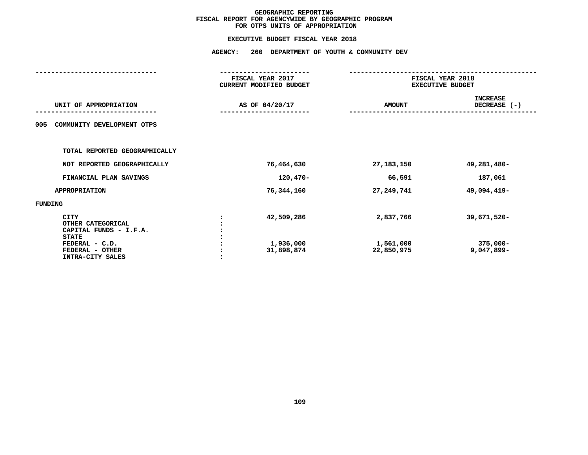| <b>AGENCY:</b><br>260<br>DEPARTMENT OF YOUTH & COMMUNITY DEV               |                                             |                                      |                                 |  |
|----------------------------------------------------------------------------|---------------------------------------------|--------------------------------------|---------------------------------|--|
|                                                                            |                                             |                                      |                                 |  |
|                                                                            | FISCAL YEAR 2017<br>CURRENT MODIFIED BUDGET | FISCAL YEAR 2018<br>EXECUTIVE BUDGET |                                 |  |
| UNIT OF APPROPRIATION                                                      | AS OF 04/20/17                              | <b>AMOUNT</b>                        | <b>INCREASE</b><br>DECREASE (-) |  |
| COMMUNITY DEVELOPMENT OTPS<br>005                                          |                                             |                                      |                                 |  |
| TOTAL REPORTED GEOGRAPHICALLY                                              |                                             |                                      |                                 |  |
| NOT REPORTED GEOGRAPHICALLY                                                | 76,464,630                                  | 27, 183, 150                         | 49,281,480-                     |  |
| FINANCIAL PLAN SAVINGS                                                     | $120,470-$                                  | 66,591                               | 187,061                         |  |
| <b>APPROPRIATION</b>                                                       | 76,344,160                                  | 27, 249, 741                         | 49,094,419-                     |  |
| <b>FUNDING</b>                                                             |                                             |                                      |                                 |  |
| <b>CITY</b><br>OTHER CATEGORICAL<br>CAPITAL FUNDS - I.F.A.<br><b>STATE</b> | 42,509,286                                  | 2,837,766                            | 39,671,520-                     |  |
| FEDERAL - C.D.<br>FEDERAL - OTHER<br>INTRA-CITY SALES                      | 1,936,000<br>31,898,874                     | 1,561,000<br>22,850,975              | $375,000 -$<br>$9,047,899-$     |  |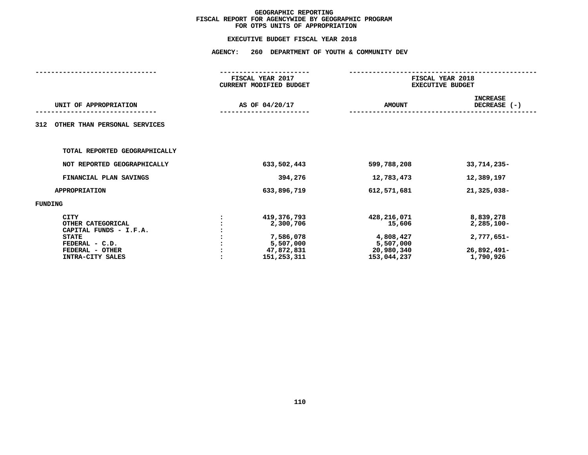| <b>AGENCY:</b> |                                                                                   |                                                                              |                                                                      |  |
|----------------|-----------------------------------------------------------------------------------|------------------------------------------------------------------------------|----------------------------------------------------------------------|--|
|                |                                                                                   |                                                                              | FISCAL YEAR 2018<br><b>EXECUTIVE BUDGET</b>                          |  |
|                |                                                                                   | <b>AMOUNT</b>                                                                | <b>INCREASE</b><br>DECREASE (-)                                      |  |
|                |                                                                                   |                                                                              |                                                                      |  |
|                |                                                                                   |                                                                              |                                                                      |  |
|                | 633,502,443                                                                       | 599,788,208                                                                  | 33,714,235-                                                          |  |
|                | 394,276                                                                           | 12,783,473                                                                   | 12,389,197                                                           |  |
|                | 633,896,719                                                                       | 612,571,681                                                                  | 21,325,038-                                                          |  |
|                |                                                                                   |                                                                              |                                                                      |  |
|                | 419,376,793<br>2,300,706<br>7,586,078<br>5,507,000<br>47,872,831<br>151, 253, 311 | 428,216,071<br>15,606<br>4,808,427<br>5,507,000<br>20,980,340<br>153,044,237 | 8,839,278<br>$2,285,100 -$<br>2,777,651-<br>26,892,491-<br>1,790,926 |  |
|                |                                                                                   | FISCAL YEAR 2017<br><b>CURRENT MODIFIED BUDGET</b><br>AS OF 04/20/17         | 260 DEPARTMENT OF YOUTH & COMMUNITY DEV                              |  |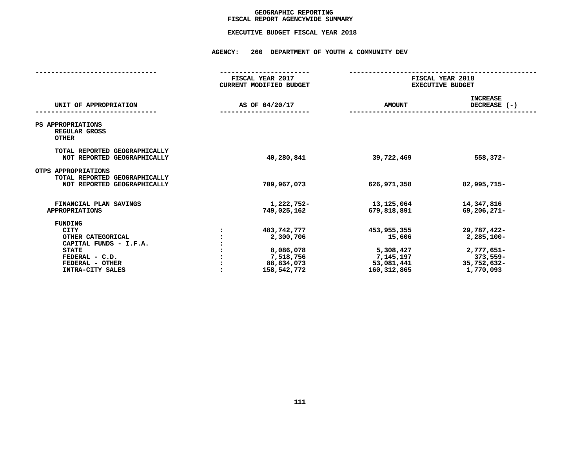## GEOGRAPHIC REPORTING<br>FISCAL REPORT AGENCYWIDE SUMMARY

# **FISCAL REPORT AGENCYWIDE SUMMARY EXECUTIVE BUDGET FISCAL YEAR <sup>2018</sup>**

#### **AGENCY: <sup>260</sup> DEPARTMENT OF YOUTH & COMMUNITY DEV**

|                                                                                                                                                       | FISCAL YEAR 2017<br><b>CURRENT MODIFIED BUDGET</b> |                                                                                 | FISCAL YEAR 2018<br><b>EXECUTIVE BUDGET</b>                                  |                                                                                 |
|-------------------------------------------------------------------------------------------------------------------------------------------------------|----------------------------------------------------|---------------------------------------------------------------------------------|------------------------------------------------------------------------------|---------------------------------------------------------------------------------|
| UNIT OF APPROPRIATION                                                                                                                                 |                                                    | AS OF 04/20/17                                                                  | <b>AMOUNT</b>                                                                | <b>INCREASE</b><br>DECREASE (-)                                                 |
| PS APPROPRIATIONS<br>REGULAR GROSS<br><b>OTHER</b>                                                                                                    |                                                    |                                                                                 |                                                                              |                                                                                 |
| TOTAL REPORTED GEOGRAPHICALLY<br>NOT REPORTED GEOGRAPHICALLY                                                                                          |                                                    | 40,280,841                                                                      | 39,722,469                                                                   | 558,372-                                                                        |
| OTPS APPROPRIATIONS<br>TOTAL REPORTED GEOGRAPHICALLY<br>NOT REPORTED GEOGRAPHICALLY                                                                   |                                                    | 709,967,073                                                                     | 626,971,358                                                                  | 82,995,715-                                                                     |
| FINANCIAL PLAN SAVINGS<br><b>APPROPRIATIONS</b>                                                                                                       |                                                    | 1,222,752-<br>749,025,162                                                       | 13,125,064<br>679,818,891                                                    | 14,347,816<br>69,206,271-                                                       |
| <b>FUNDING</b><br><b>CITY</b><br>OTHER CATEGORICAL<br>CAPITAL FUNDS - I.F.A.<br><b>STATE</b><br>FEDERAL - C.D.<br>FEDERAL - OTHER<br>INTRA-CITY SALES |                                                    | 483,742,777<br>2,300,706<br>8,086,078<br>7,518,756<br>88,834,073<br>158,542,772 | 453,955,355<br>15,606<br>5,308,427<br>7,145,197<br>53,081,441<br>160,312,865 | 29,787,422-<br>2,285,100-<br>2,777,651-<br>373,559-<br>35,752,632-<br>1,770,093 |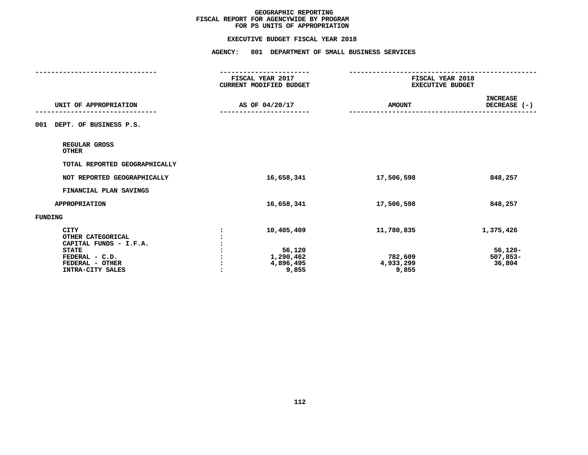#### **EXECUTIVE BUDGET FISCAL YEAR 2018**

|                                                                            | <b>AGENCY:</b><br>801 DEPARTMENT OF SMALL BUSINESS SERVICES |                                             |                                 |  |
|----------------------------------------------------------------------------|-------------------------------------------------------------|---------------------------------------------|---------------------------------|--|
|                                                                            | FISCAL YEAR 2017<br>CURRENT MODIFIED BUDGET                 | FISCAL YEAR 2018<br><b>EXECUTIVE BUDGET</b> |                                 |  |
| UNIT OF APPROPRIATION                                                      | AS OF 04/20/17                                              | <b>AMOUNT</b>                               | <b>INCREASE</b><br>DECREASE (-) |  |
| DEPT. OF BUSINESS P.S.<br>001                                              |                                                             |                                             |                                 |  |
| REGULAR GROSS<br><b>OTHER</b>                                              |                                                             |                                             |                                 |  |
| TOTAL REPORTED GEOGRAPHICALLY                                              |                                                             |                                             |                                 |  |
| NOT REPORTED GEOGRAPHICALLY                                                | 16,658,341                                                  | 17,506,598                                  | 848,257                         |  |
| FINANCIAL PLAN SAVINGS                                                     |                                                             |                                             |                                 |  |
| <b>APPROPRIATION</b>                                                       | 16,658,341                                                  | 17,506,598                                  | 848,257                         |  |
| FUNDING                                                                    |                                                             |                                             |                                 |  |
| <b>CITY</b><br>OTHER CATEGORICAL<br>CAPITAL FUNDS - I.F.A.<br><b>STATE</b> | 10,405,409<br>56,120                                        | 11,780,835                                  | 1,375,426<br>$56,120-$          |  |
| FEDERAL - C.D.<br>FEDERAL - OTHER<br>INTRA-CITY SALES                      | 1,290,462<br>4,896,495<br>9,855                             | 782,609<br>4,933,299<br>9,855               | $507,853-$<br>36,804            |  |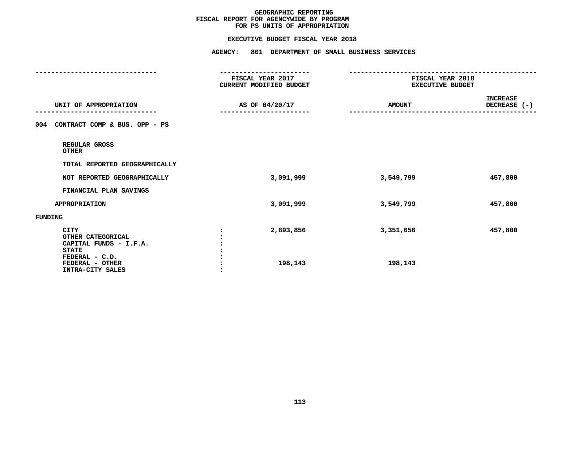#### **EXECUTIVE BUDGET FISCAL YEAR 2018**

| <b>AGENCY:</b><br>801 DEPARTMENT OF SMALL BUSINESS SERVICES      |                                             |                          |  |
|------------------------------------------------------------------|---------------------------------------------|--------------------------|--|
| -----------------<br>FISCAL YEAR 2017<br>CURRENT MODIFIED BUDGET | FISCAL YEAR 2018<br><b>EXECUTIVE BUDGET</b> |                          |  |
| AS OF 04/20/17                                                   | <b>AMOUNT</b>                               | INCREASE<br>DECREASE (-) |  |
|                                                                  |                                             |                          |  |
|                                                                  |                                             |                          |  |
|                                                                  |                                             |                          |  |
| 3,091,999                                                        | 3,549,799                                   | 457,800                  |  |
|                                                                  |                                             |                          |  |
| 3,091,999                                                        | 3,549,799                                   | 457,800                  |  |
|                                                                  |                                             |                          |  |
| 2,893,856<br>198,143                                             | 3,351,656<br>198,143                        | 457,800                  |  |
|                                                                  |                                             |                          |  |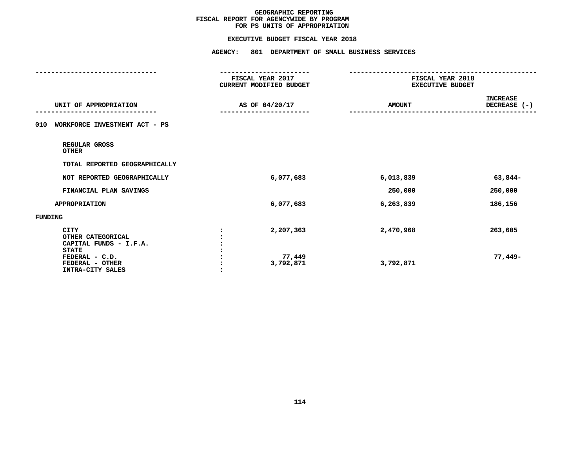#### **EXECUTIVE BUDGET FISCAL YEAR 2018**

|                                                                                                                              | <b>AGENCY:</b><br>801 DEPARTMENT OF SMALL BUSINESS SERVICES      |                                             |                                 |  |
|------------------------------------------------------------------------------------------------------------------------------|------------------------------------------------------------------|---------------------------------------------|---------------------------------|--|
|                                                                                                                              | -----------------<br>FISCAL YEAR 2017<br>CURRENT MODIFIED BUDGET | FISCAL YEAR 2018<br><b>EXECUTIVE BUDGET</b> |                                 |  |
| UNIT OF APPROPRIATION                                                                                                        | AS OF 04/20/17                                                   | <b>AMOUNT</b>                               | <b>INCREASE</b><br>DECREASE (-) |  |
| WORKFORCE INVESTMENT ACT - PS<br>010                                                                                         |                                                                  |                                             |                                 |  |
| REGULAR GROSS<br><b>OTHER</b>                                                                                                |                                                                  |                                             |                                 |  |
| TOTAL REPORTED GEOGRAPHICALLY                                                                                                |                                                                  |                                             |                                 |  |
| NOT REPORTED GEOGRAPHICALLY                                                                                                  | 6,077,683                                                        | 6,013,839                                   | 63,844-                         |  |
| FINANCIAL PLAN SAVINGS                                                                                                       |                                                                  | 250,000                                     | 250,000                         |  |
| <b>APPROPRIATION</b>                                                                                                         | 6,077,683                                                        | 6,263,839                                   | 186,156                         |  |
| <b>FUNDING</b>                                                                                                               |                                                                  |                                             |                                 |  |
| CITY<br>OTHER CATEGORICAL<br>CAPITAL FUNDS - I.F.A.<br><b>STATE</b><br>FEDERAL - C.D.<br>FEDERAL - OTHER<br>INTRA-CITY SALES | 2,207,363<br>77,449<br>3,792,871                                 | 2,470,968<br>3,792,871                      | 263,605<br>77,449-              |  |
|                                                                                                                              |                                                                  |                                             |                                 |  |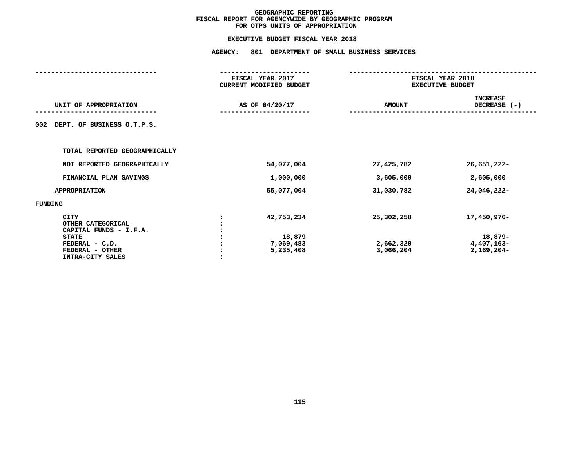|                                                                                                                              |                | FISCAL YEAR 2017<br><b>CURRENT MODIFIED BUDGET</b> | FISCAL YEAR 2018<br><b>EXECUTIVE BUDGET</b> |                                                        |  |
|------------------------------------------------------------------------------------------------------------------------------|----------------|----------------------------------------------------|---------------------------------------------|--------------------------------------------------------|--|
| UNIT OF APPROPRIATION                                                                                                        | AS OF 04/20/17 |                                                    | <b>AMOUNT</b>                               | <b>INCREASE</b><br>DECREASE (-)                        |  |
| DEPT. OF BUSINESS O.T.P.S.<br>002                                                                                            |                |                                                    |                                             |                                                        |  |
| TOTAL REPORTED GEOGRAPHICALLY                                                                                                |                |                                                    |                                             |                                                        |  |
| NOT REPORTED GEOGRAPHICALLY                                                                                                  |                | 54,077,004                                         | 27,425,782                                  | 26,651,222-                                            |  |
| FINANCIAL PLAN SAVINGS                                                                                                       |                | 1,000,000                                          | 3,605,000                                   | 2,605,000                                              |  |
| <b>APPROPRIATION</b>                                                                                                         |                | 55,077,004                                         | 31,030,782                                  | 24,046,222-                                            |  |
| FUNDING                                                                                                                      |                |                                                    |                                             |                                                        |  |
| CITY<br>OTHER CATEGORICAL<br>CAPITAL FUNDS - I.F.A.<br><b>STATE</b><br>FEDERAL - C.D.<br>FEDERAL - OTHER<br>INTRA-CITY SALES |                | 42,753,234<br>18,879<br>7,069,483<br>5,235,408     | 25,302,258<br>2,662,320<br>3,066,204        | 17,450,976-<br>18,879-<br>$4,407,163-$<br>$2,169,204-$ |  |
|                                                                                                                              |                |                                                    |                                             |                                                        |  |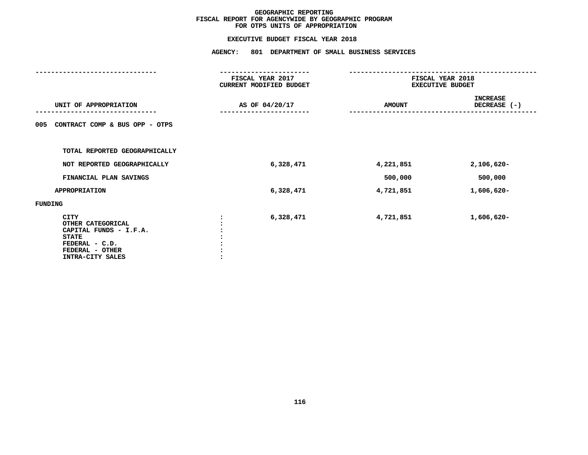#### **EXECUTIVE BUDGET FISCAL YEAR 2018**

|                                                                                                                                     | <b>AGENCY:</b><br>801 DEPARTMENT OF SMALL BUSINESS SERVICES |           |                                             |                                 |  |
|-------------------------------------------------------------------------------------------------------------------------------------|-------------------------------------------------------------|-----------|---------------------------------------------|---------------------------------|--|
|                                                                                                                                     | FISCAL YEAR 2017<br>CURRENT MODIFIED BUDGET                 |           | FISCAL YEAR 2018<br><b>EXECUTIVE BUDGET</b> |                                 |  |
| UNIT OF APPROPRIATION                                                                                                               | AS OF 04/20/17                                              |           | <b>AMOUNT</b>                               | <b>INCREASE</b><br>DECREASE (-) |  |
| CONTRACT COMP & BUS OPP - OTPS<br>005                                                                                               |                                                             |           |                                             |                                 |  |
| TOTAL REPORTED GEOGRAPHICALLY                                                                                                       |                                                             |           |                                             |                                 |  |
| NOT REPORTED GEOGRAPHICALLY                                                                                                         |                                                             | 6,328,471 | 4,221,851                                   | $2,106,620 -$                   |  |
| FINANCIAL PLAN SAVINGS                                                                                                              |                                                             |           | 500,000                                     | 500,000                         |  |
| <b>APPROPRIATION</b>                                                                                                                |                                                             | 6,328,471 | 4,721,851                                   | 1,606,620-                      |  |
| FUNDING                                                                                                                             |                                                             |           |                                             |                                 |  |
| <b>CITY</b><br>OTHER CATEGORICAL<br>CAPITAL FUNDS - I.F.A.<br><b>STATE</b><br>FEDERAL - C.D.<br>FEDERAL - OTHER<br>INTRA-CITY SALES |                                                             | 6,328,471 | 4,721,851                                   | 1,606,620-                      |  |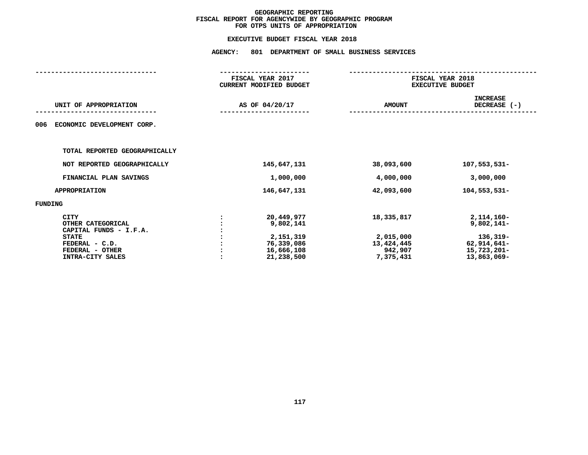| FISCAL YEAR 2017<br><b>CURRENT MODIFIED BUDGET</b>                             | FISCAL YEAR 2018<br><b>EXECUTIVE BUDGET</b>                   |                                                                                       |  |
|--------------------------------------------------------------------------------|---------------------------------------------------------------|---------------------------------------------------------------------------------------|--|
| AS OF 04/20/17                                                                 | <b>AMOUNT</b>                                                 | <b>INCREASE</b><br>DECREASE (-)                                                       |  |
|                                                                                |                                                               |                                                                                       |  |
|                                                                                |                                                               |                                                                                       |  |
| 145,647,131                                                                    | 38,093,600                                                    | 107,553,531-                                                                          |  |
| 1,000,000                                                                      | 4,000,000                                                     | 3,000,000                                                                             |  |
| 146,647,131                                                                    | 42,093,600                                                    | 104,553,531-                                                                          |  |
|                                                                                |                                                               |                                                                                       |  |
| 20,449,977<br>9,802,141<br>2,151,319<br>76,339,086<br>16,666,108<br>21,238,500 | 18,335,817<br>2,015,000<br>13,424,445<br>942,907<br>7,375,431 | 2, 114, 160-<br>$9,802,141-$<br>136,319-<br>62,914,641-<br>15,723,201-<br>13,863,069- |  |
|                                                                                |                                                               |                                                                                       |  |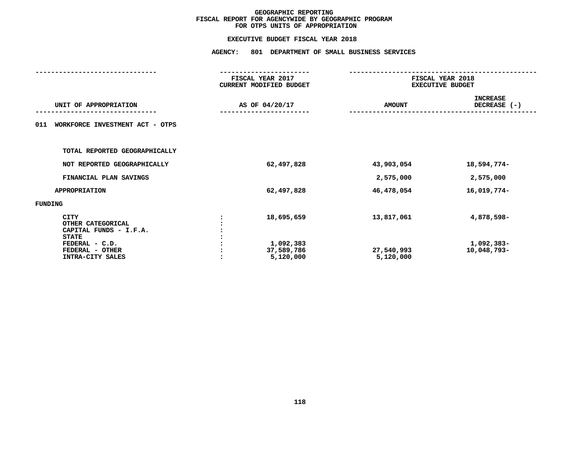|                                                                            | FISCAL YEAR 2017<br>CURRENT MODIFIED BUDGET     | FISCAL YEAR 2018<br><b>EXECUTIVE BUDGET</b> |                                 |  |
|----------------------------------------------------------------------------|-------------------------------------------------|---------------------------------------------|---------------------------------|--|
| UNIT OF APPROPRIATION                                                      | AS OF 04/20/17                                  | <b>AMOUNT</b>                               | <b>INCREASE</b><br>DECREASE (-) |  |
| WORKFORCE INVESTMENT ACT - OTPS<br>011                                     |                                                 |                                             |                                 |  |
| TOTAL REPORTED GEOGRAPHICALLY                                              |                                                 |                                             |                                 |  |
| NOT REPORTED GEOGRAPHICALLY                                                | 62,497,828                                      | 43,903,054                                  | 18,594,774-                     |  |
| FINANCIAL PLAN SAVINGS                                                     |                                                 | 2,575,000                                   | 2,575,000                       |  |
| <b>APPROPRIATION</b>                                                       | 62,497,828                                      | 46,478,054                                  | 16,019,774-                     |  |
| FUNDING                                                                    |                                                 |                                             |                                 |  |
| <b>CITY</b><br>OTHER CATEGORICAL<br>CAPITAL FUNDS - I.F.A.<br><b>STATE</b> | 18,695,659                                      | 13,817,061                                  | 4,878,598-                      |  |
| FEDERAL - C.D.<br>FEDERAL - OTHER<br>INTRA-CITY SALES                      | 1,092,383<br>37,589,786<br>5,120,000<br>$\cdot$ | 27,540,993<br>5,120,000                     | 1,092,383-<br>10,048,793-       |  |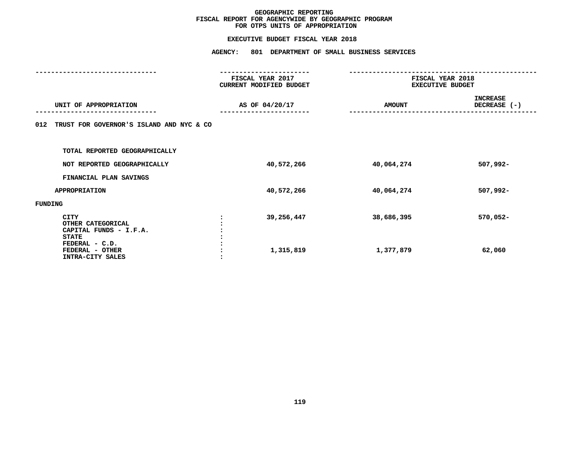|                                                                                              | FISCAL YEAR 2017<br><b>CURRENT MODIFIED BUDGET</b> |               | FISCAL YEAR 2018<br><b>EXECUTIVE BUDGET</b> |  |  |
|----------------------------------------------------------------------------------------------|----------------------------------------------------|---------------|---------------------------------------------|--|--|
| UNIT OF APPROPRIATION                                                                        | AS OF 04/20/17                                     | <b>AMOUNT</b> | <b>INCREASE</b><br>DECREASE (-)             |  |  |
| TRUST FOR GOVERNOR'S ISLAND AND NYC & CO<br>012                                              |                                                    |               |                                             |  |  |
| TOTAL REPORTED GEOGRAPHICALLY                                                                |                                                    |               |                                             |  |  |
| NOT REPORTED GEOGRAPHICALLY                                                                  | 40,572,266                                         | 40,064,274    | 507,992-                                    |  |  |
| FINANCIAL PLAN SAVINGS                                                                       |                                                    |               |                                             |  |  |
| <b>APPROPRIATION</b>                                                                         | 40,572,266                                         | 40,064,274    | 507,992-                                    |  |  |
| FUNDING                                                                                      |                                                    |               |                                             |  |  |
| <b>CITY</b><br>OTHER CATEGORICAL<br>CAPITAL FUNDS - I.F.A.<br><b>STATE</b><br>FEDERAL - C.D. | 39,256,447                                         | 38,686,395    | $570,052 -$                                 |  |  |
| FEDERAL - OTHER<br>INTRA-CITY SALES                                                          | 1,315,819                                          | 1,377,879     | 62,060                                      |  |  |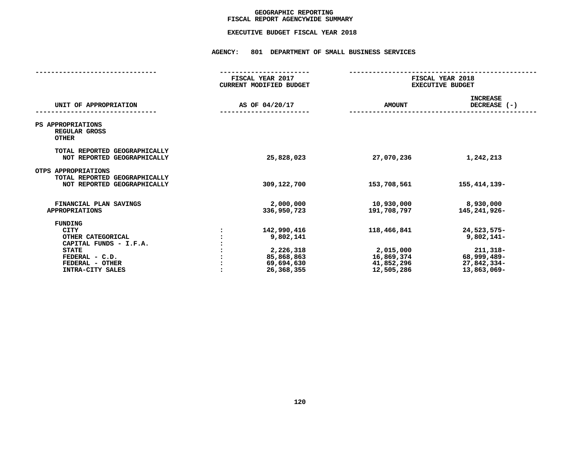## GEOGRAPHIC REPORTING<br>FISCAL REPORT AGENCYWIDE SUMMARY

# **FISCAL REPORT AGENCYWIDE SUMMARY EXECUTIVE BUDGET FISCAL YEAR <sup>2018</sup>**

**AGENCY: <sup>801</sup> DEPARTMENT OF SMALL BUSINESS SERVICES**

|                                                                                                                                                | FISCAL YEAR 2017<br>CURRENT MODIFIED BUDGET                                     | FISCAL YEAR 2018<br><b>EXECUTIVE BUDGET</b>                        |                                                                                      |  |
|------------------------------------------------------------------------------------------------------------------------------------------------|---------------------------------------------------------------------------------|--------------------------------------------------------------------|--------------------------------------------------------------------------------------|--|
| UNIT OF APPROPRIATION                                                                                                                          | AS OF 04/20/17                                                                  | <b>AMOUNT</b>                                                      | <b>INCREASE</b><br>DECREASE $(-)$                                                    |  |
| PS APPROPRIATIONS<br>REGULAR GROSS<br><b>OTHER</b>                                                                                             |                                                                                 |                                                                    |                                                                                      |  |
| TOTAL REPORTED GEOGRAPHICALLY<br>NOT REPORTED GEOGRAPHICALLY                                                                                   | 25,828,023                                                                      | 27,070,236                                                         | 1,242,213                                                                            |  |
| OTPS APPROPRIATIONS<br>TOTAL REPORTED GEOGRAPHICALLY<br>NOT REPORTED GEOGRAPHICALLY                                                            | 309,122,700                                                                     | 153,708,561                                                        | 155, 414, 139-                                                                       |  |
| FINANCIAL PLAN SAVINGS<br><b>APPROPRIATIONS</b>                                                                                                | 2,000,000<br>336,950,723                                                        | 10,930,000<br>191,708,797                                          | 8,930,000<br>145,241,926-                                                            |  |
| FUNDING<br><b>CITY</b><br>OTHER CATEGORICAL<br>CAPITAL FUNDS - I.F.A.<br><b>STATE</b><br>FEDERAL - C.D.<br>FEDERAL - OTHER<br>INTRA-CITY SALES | 142,990,416<br>9,802,141<br>2,226,318<br>85,868,863<br>69,694,630<br>26,368,355 | 118,466,841<br>2,015,000<br>16,869,374<br>41,852,296<br>12,505,286 | 24,523,575-<br>$9,802,141-$<br>211,318-<br>68,999,489-<br>27,842,334-<br>13,863,069- |  |
|                                                                                                                                                |                                                                                 |                                                                    |                                                                                      |  |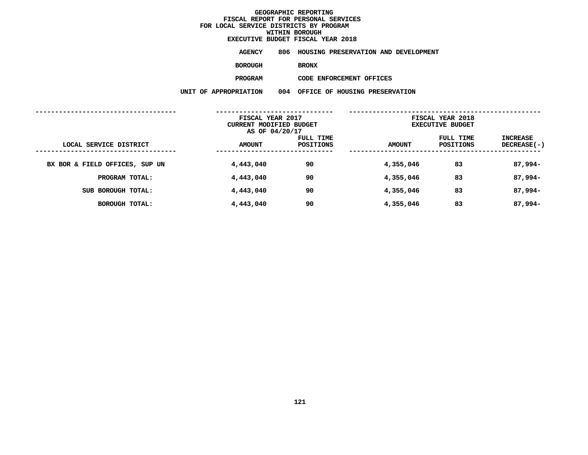# **EXECUTIVE BUDGET FISCAL YEAR <sup>2018</sup>**

**AGENCY <sup>806</sup> HOUSING PRESERVATION AND DEVELOPMENT**

**BOROUGH**

BRONX<br>CODE ENFORCEMENT OFFICES **PROGRAM**

|                                | FISCAL YEAR 2017<br>CURRENT MODIFIED BUDGET<br>AS OF 04/20/17 |                        | FISCAL YEAR 2018<br><b>EXECUTIVE BUDGET</b> |                        |                                |  |
|--------------------------------|---------------------------------------------------------------|------------------------|---------------------------------------------|------------------------|--------------------------------|--|
| LOCAL SERVICE DISTRICT         | <b>AMOUNT</b>                                                 | FULL TIME<br>POSITIONS | <b>AMOUNT</b>                               | FULL TIME<br>POSITIONS | INCREASE<br><b>DECREASE(-)</b> |  |
| BX BOR & FIELD OFFICES, SUP UN | 4,443,040                                                     | 90                     | 4,355,046                                   | 83                     | $87,994-$                      |  |
| PROGRAM TOTAL:                 | 4,443,040                                                     | 90                     | 4,355,046                                   | 83                     | $87,994-$                      |  |
| SUB BOROUGH TOTAL:             | 4,443,040                                                     | 90                     | 4,355,046                                   | 83                     | $87,994-$                      |  |
| BOROUGH TOTAL:                 | 4,443,040                                                     | 90                     | 4,355,046                                   | 83                     | $87,994-$                      |  |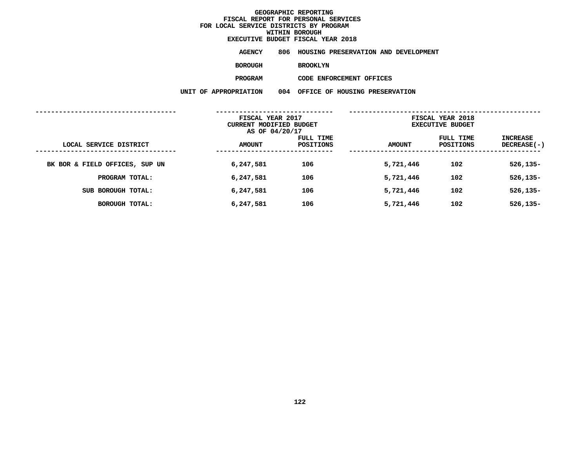# **EXECUTIVE BUDGET FISCAL YEAR <sup>2018</sup>**

**AGENCY <sup>806</sup> HOUSING PRESERVATION AND DEVELOPMENT**

**BOROUGH**

BROOKLYN<br>CODE ENFORCEMENT OFFICES **PROGRAM**

|                                | FISCAL YEAR 2017<br>CURRENT MODIFIED BUDGET<br>AS OF 04/20/17 |                        | FISCAL YEAR 2018<br><b>EXECUTIVE BUDGET</b> |                        |                                |  |
|--------------------------------|---------------------------------------------------------------|------------------------|---------------------------------------------|------------------------|--------------------------------|--|
| LOCAL SERVICE DISTRICT         | <b>AMOUNT</b>                                                 | FULL TIME<br>POSITIONS | <b>AMOUNT</b>                               | FULL TIME<br>POSITIONS | INCREASE<br><b>DECREASE(-)</b> |  |
| BK BOR & FIELD OFFICES, SUP UN | 6,247,581                                                     | 106                    | 5,721,446                                   | 102                    | $526, 135 -$                   |  |
| PROGRAM TOTAL:                 | 6,247,581                                                     | 106                    | 5,721,446                                   | 102                    | $526, 135 -$                   |  |
| SUB BOROUGH TOTAL:             | 6,247,581                                                     | 106                    | 5,721,446                                   | 102                    | $526, 135 -$                   |  |
| BOROUGH TOTAL:                 | 6,247,581                                                     | 106                    | 5,721,446                                   | 102                    | $526, 135 -$                   |  |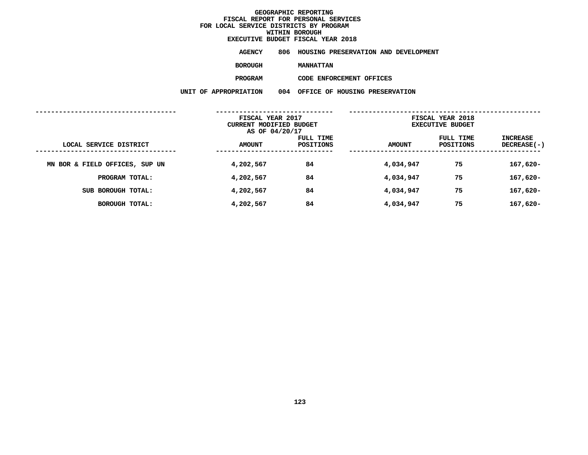# **EXECUTIVE BUDGET FISCAL YEAR <sup>2018</sup>**

**AGENCY <sup>806</sup> HOUSING PRESERVATION AND DEVELOPMENT**

**BOROUGH**

**MANHATTAN<br>CODE ENFORCEMENT OFFICES PROGRAM**

|                                | FISCAL YEAR 2017<br>CURRENT MODIFIED BUDGET<br>AS OF 04/20/17 |                        | FISCAL YEAR 2018<br><b>EXECUTIVE BUDGET</b> |                        |                                |  |
|--------------------------------|---------------------------------------------------------------|------------------------|---------------------------------------------|------------------------|--------------------------------|--|
| LOCAL SERVICE DISTRICT         | <b>AMOUNT</b>                                                 | FULL TIME<br>POSITIONS | <b>AMOUNT</b>                               | FULL TIME<br>POSITIONS | INCREASE<br><b>DECREASE(-)</b> |  |
| MN BOR & FIELD OFFICES, SUP UN | 4,202,567                                                     | 84                     | 4,034,947                                   | 75                     | $167,620-$                     |  |
| PROGRAM TOTAL:                 | 4,202,567                                                     | 84                     | 4,034,947                                   | 75                     | $167,620-$                     |  |
| SUB BOROUGH TOTAL:             | 4,202,567                                                     | 84                     | 4,034,947                                   | 75                     | $167,620-$                     |  |
| BOROUGH TOTAL:                 | 4,202,567                                                     | 84                     | 4,034,947                                   | 75                     | $167,620-$                     |  |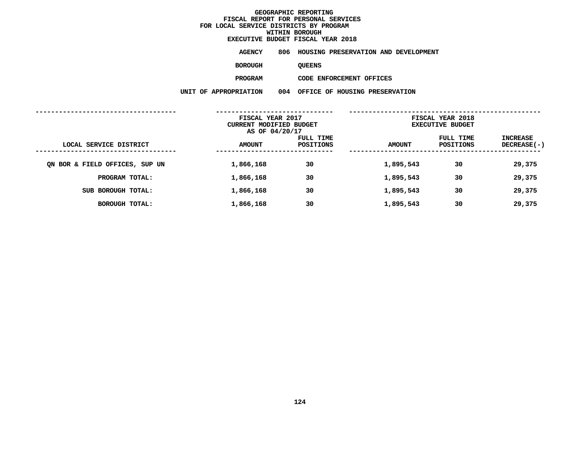# **EXECUTIVE BUDGET FISCAL YEAR <sup>2018</sup>**

**AGENCY <sup>806</sup> HOUSING PRESERVATION AND DEVELOPMENT**

**BOROUGH**

QUEENS<br>CODE ENFORCEMENT OFFICES **PROGRAM**

|                                | FISCAL YEAR 2017<br>CURRENT MODIFIED BUDGET<br>AS OF 04/20/17 |                        | FISCAL YEAR 2018<br><b>EXECUTIVE BUDGET</b> |                               |                                |
|--------------------------------|---------------------------------------------------------------|------------------------|---------------------------------------------|-------------------------------|--------------------------------|
| LOCAL SERVICE DISTRICT         | <b>AMOUNT</b>                                                 | FULL TIME<br>POSITIONS | <b>AMOUNT</b>                               | FULL TIME<br><b>POSITIONS</b> | INCREASE<br><b>DECREASE(-)</b> |
| ON BOR & FIELD OFFICES, SUP UN | 1,866,168                                                     | 30                     | 1,895,543                                   | 30                            | 29,375                         |
| PROGRAM TOTAL:                 | 1,866,168                                                     | 30                     | 1,895,543                                   | 30                            | 29,375                         |
| SUB BOROUGH TOTAL:             | 1,866,168                                                     | 30                     | 1,895,543                                   | 30                            | 29,375                         |
| BOROUGH TOTAL:                 | 1,866,168                                                     | 30                     | 1,895,543                                   | 30                            | 29,375                         |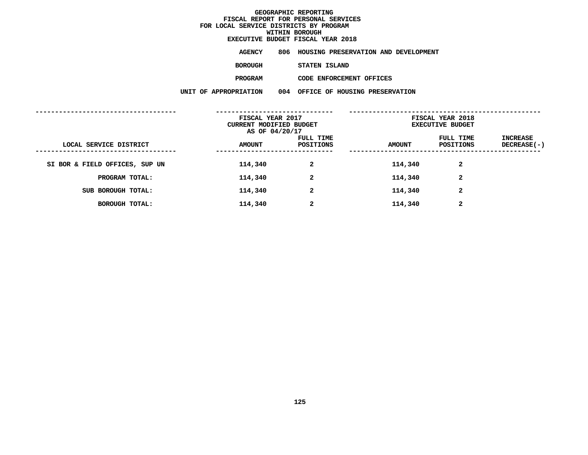## **WITHIN BOROUGH EXECUTIVE BUDGET FISCAL YEAR <sup>2018</sup>**

**AGENCY <sup>806</sup> HOUSING PRESERVATION AND DEVELOPMENT**

**BOROUGH**

STATEN ISLAND<br>CODE ENFORCEMENT OFFICES **PROGRAM**

|                                | FISCAL YEAR 2017<br>CURRENT MODIFIED BUDGET<br>AS OF 04/20/17 |                        | FISCAL YEAR 2018<br><b>EXECUTIVE BUDGET</b> |                        |                         |
|--------------------------------|---------------------------------------------------------------|------------------------|---------------------------------------------|------------------------|-------------------------|
| LOCAL SERVICE DISTRICT         | <b>AMOUNT</b>                                                 | FULL TIME<br>POSITIONS | <b>AMOUNT</b>                               | FULL TIME<br>POSITIONS | INCREASE<br>DECREASE(-) |
| SI BOR & FIELD OFFICES, SUP UN | 114,340                                                       | $\mathbf{2}$           | 114,340                                     | $\mathbf{2}$           |                         |
| PROGRAM TOTAL:                 | 114,340                                                       | $\overline{2}$         | 114,340                                     | $\mathbf{2}$           |                         |
| SUB BOROUGH TOTAL:             | 114,340                                                       | 2                      | 114,340                                     | $\mathbf{2}$           |                         |
| BOROUGH TOTAL:                 | 114,340                                                       | $\mathbf{2}$           | 114,340                                     | $\mathbf{2}$           |                         |
|                                |                                                               |                        |                                             |                        |                         |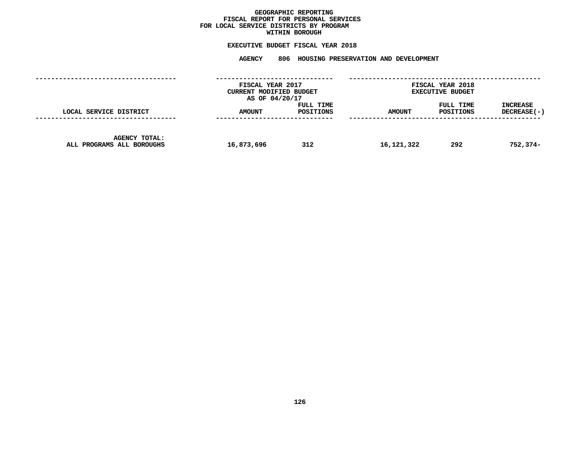## GEOGRAPHIC REPORTING<br>FISCAL REPORT FOR PERSONAL SERVICES<br>OCAL SERVICE DISTRICTS BY PROGRAM<br>WITHIN BOROUGH **FISCAL REPORT FOR PERSONAL SERVICES FOR LOCAL SERVICE DISTRICTS BY PROGRAM**

# **WITHIN BOROUGH EXECUTIVE BUDGET FISCAL YEAR <sup>2018</sup>**

**AGENCY <sup>806</sup> HOUSING PRESERVATION AND DEVELOPMENT**

|                                                   | FISCAL YEAR 2017<br>CURRENT MODIFIED BUDGET<br>AS OF 04/20/17 |                        | FISCAL YEAR 2018<br><b>EXECUTIVE BUDGET</b> |                        |                                  |  |
|---------------------------------------------------|---------------------------------------------------------------|------------------------|---------------------------------------------|------------------------|----------------------------------|--|
| LOCAL SERVICE DISTRICT                            | <b>AMOUNT</b>                                                 | FULL TIME<br>POSITIONS | <b>AMOUNT</b>                               | FULL TIME<br>POSITIONS | <b>INCREASE</b><br>$DECREASE(-)$ |  |
| <b>AGENCY TOTAL:</b><br>ALL PROGRAMS ALL BOROUGHS | 16,873,696                                                    | 312                    | 16,121,322                                  | 292                    | 752,374-                         |  |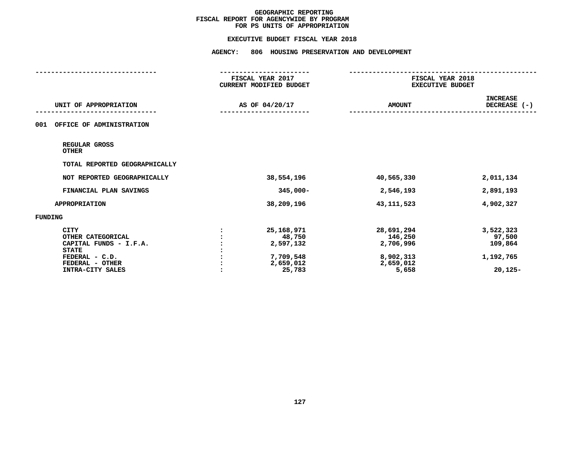#### **EXECUTIVE BUDGET FISCAL YEAR 2018**

|                                                                                                                                     | FISCAL YEAR 2017<br>CURRENT MODIFIED BUDGET                           | FISCAL YEAR 2018<br><b>EXECUTIVE BUDGET</b>                           |                                                          |
|-------------------------------------------------------------------------------------------------------------------------------------|-----------------------------------------------------------------------|-----------------------------------------------------------------------|----------------------------------------------------------|
| UNIT OF APPROPRIATION                                                                                                               | AS OF 04/20/17                                                        | <b>AMOUNT</b>                                                         | <b>INCREASE</b><br>DECREASE (-)                          |
| OFFICE OF ADMINISTRATION<br>001                                                                                                     |                                                                       |                                                                       |                                                          |
| REGULAR GROSS<br><b>OTHER</b>                                                                                                       |                                                                       |                                                                       |                                                          |
| TOTAL REPORTED GEOGRAPHICALLY                                                                                                       |                                                                       |                                                                       |                                                          |
| NOT REPORTED GEOGRAPHICALLY                                                                                                         | 38,554,196                                                            | 40,565,330                                                            | 2,011,134                                                |
| FINANCIAL PLAN SAVINGS                                                                                                              | $345,000 -$                                                           | 2,546,193                                                             | 2,891,193                                                |
| <b>APPROPRIATION</b>                                                                                                                | 38,209,196                                                            | 43, 111, 523                                                          | 4,902,327                                                |
| FUNDING                                                                                                                             |                                                                       |                                                                       |                                                          |
| <b>CITY</b><br>OTHER CATEGORICAL<br>CAPITAL FUNDS - I.F.A.<br><b>STATE</b><br>FEDERAL - C.D.<br>FEDERAL - OTHER<br>INTRA-CITY SALES | 25,168,971<br>48,750<br>2,597,132<br>7,709,548<br>2,659,012<br>25,783 | 28,691,294<br>146,250<br>2,706,996<br>8,902,313<br>2,659,012<br>5,658 | 3,522,323<br>97,500<br>109,864<br>1,192,765<br>$20,125-$ |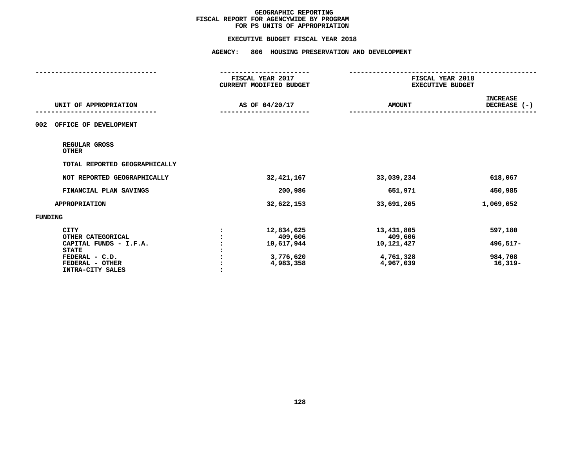#### **EXECUTIVE BUDGET FISCAL YEAR 2018**

|                                  | FISCAL YEAR 2017<br>CURRENT MODIFIED BUDGET | FISCAL YEAR 2018<br><b>EXECUTIVE BUDGET</b> |                                 |
|----------------------------------|---------------------------------------------|---------------------------------------------|---------------------------------|
| UNIT OF APPROPRIATION            | AS OF 04/20/17                              | <b>AMOUNT</b>                               | <b>INCREASE</b><br>DECREASE (-) |
| 002<br>OFFICE OF DEVELOPMENT     |                                             |                                             |                                 |
| REGULAR GROSS<br><b>OTHER</b>    |                                             |                                             |                                 |
| TOTAL REPORTED GEOGRAPHICALLY    |                                             |                                             |                                 |
| NOT REPORTED GEOGRAPHICALLY      | 32, 421, 167                                | 33,039,234                                  | 618,067                         |
| FINANCIAL PLAN SAVINGS           | 200,986                                     | 651,971                                     | 450,985                         |
| <b>APPROPRIATION</b>             | 32,622,153                                  | 33,691,205                                  | 1,069,052                       |
| FUNDING                          |                                             |                                             |                                 |
| <b>CITY</b><br>OTHER CATEGORICAL | 12,834,625<br>409,606                       | 13,431,805<br>409,606                       | 597,180                         |
| CAPITAL FUNDS - I.F.A.           | 10,617,944                                  | 10,121,427                                  | 496,517-                        |
| <b>STATE</b><br>FEDERAL - C.D.   | 3,776,620                                   | 4,761,328                                   | 984,708                         |
| FEDERAL - OTHER                  | 4,983,358                                   | 4,967,039                                   | $16,319-$                       |
| INTRA-CITY SALES                 |                                             |                                             |                                 |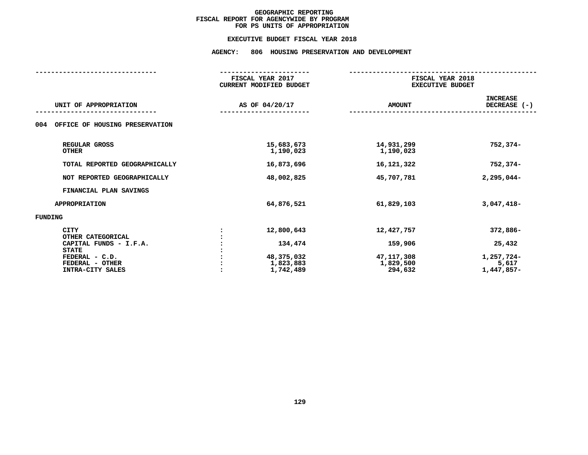#### **EXECUTIVE BUDGET FISCAL YEAR 2018**

# **EXECUTIVE BUDGET FISCAL YEAR <sup>2018</sup>AGENCY: <sup>806</sup> HOUSING PRESERVATION AND DEVELOPMENT**

|                                       | FISCAL YEAR 2017<br><b>CURRENT MODIFIED BUDGET</b> | FISCAL YEAR 2018<br><b>EXECUTIVE BUDGET</b> |                                 |  |  |  |
|---------------------------------------|----------------------------------------------------|---------------------------------------------|---------------------------------|--|--|--|
| UNIT OF APPROPRIATION                 | AS OF 04/20/17                                     | <b>AMOUNT</b>                               | <b>INCREASE</b><br>DECREASE (-) |  |  |  |
| OFFICE OF HOUSING PRESERVATION<br>004 |                                                    |                                             |                                 |  |  |  |
| REGULAR GROSS<br><b>OTHER</b>         | 15,683,673<br>1,190,023                            | 14,931,299<br>1,190,023                     | 752,374-                        |  |  |  |
| TOTAL REPORTED GEOGRAPHICALLY         | 16,873,696                                         | 16,121,322                                  | $752,374-$                      |  |  |  |
| NOT REPORTED GEOGRAPHICALLY           | 48,002,825                                         | 45,707,781                                  | $2,295,044-$                    |  |  |  |
| FINANCIAL PLAN SAVINGS                |                                                    |                                             |                                 |  |  |  |
| <b>APPROPRIATION</b>                  | 64,876,521                                         | 61,829,103                                  | $3,047,418-$                    |  |  |  |
| <b>FUNDING</b>                        |                                                    |                                             |                                 |  |  |  |
| <b>CITY</b><br>OTHER CATEGORICAL      | 12,800,643                                         | 12,427,757                                  | 372,886-                        |  |  |  |
| CAPITAL FUNDS - I.F.A.                | 134,474                                            | 159,906                                     | 25,432                          |  |  |  |
| <b>STATE</b>                          |                                                    |                                             |                                 |  |  |  |
| FEDERAL - C.D.                        | 48,375,032                                         | 47,117,308                                  | 1,257,724-                      |  |  |  |
| FEDERAL - OTHER                       | 1,823,883                                          | 1,829,500                                   | 5,617                           |  |  |  |
| INTRA-CITY SALES                      | 1,742,489                                          | 294,632                                     | 1,447,857-                      |  |  |  |
|                                       |                                                    |                                             |                                 |  |  |  |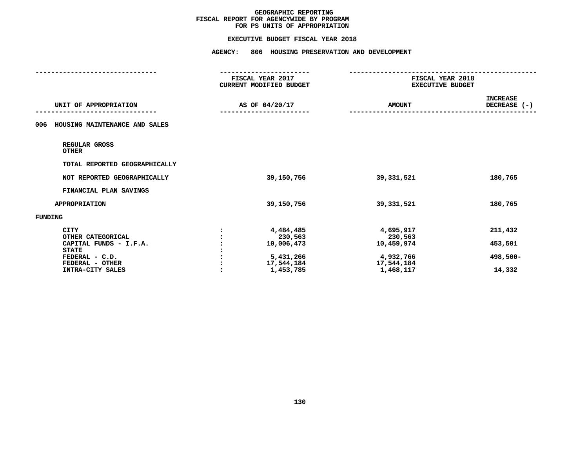#### **EXECUTIVE BUDGET FISCAL YEAR 2018**

|                                      | FISCAL YEAR 2017<br>CURRENT MODIFIED BUDGET | FISCAL YEAR 2018<br><b>EXECUTIVE BUDGET</b> |                                 |
|--------------------------------------|---------------------------------------------|---------------------------------------------|---------------------------------|
| UNIT OF APPROPRIATION                | AS OF 04/20/17                              | <b>AMOUNT</b>                               | <b>INCREASE</b><br>DECREASE (-) |
| HOUSING MAINTENANCE AND SALES<br>006 |                                             |                                             |                                 |
| REGULAR GROSS<br><b>OTHER</b>        |                                             |                                             |                                 |
| TOTAL REPORTED GEOGRAPHICALLY        |                                             |                                             |                                 |
| NOT REPORTED GEOGRAPHICALLY          | 39,150,756                                  | 39, 331, 521                                | 180,765                         |
| FINANCIAL PLAN SAVINGS               |                                             |                                             |                                 |
| <b>APPROPRIATION</b>                 | 39,150,756                                  | 39, 331, 521                                | 180,765                         |
| FUNDING                              |                                             |                                             |                                 |
| <b>CITY</b><br>OTHER CATEGORICAL     | 4,484,485<br>230,563                        | 4,695,917<br>230,563                        | 211,432                         |
| CAPITAL FUNDS - I.F.A.               | 10,006,473                                  | 10,459,974                                  | 453,501                         |
| <b>STATE</b><br>FEDERAL - C.D.       | 5,431,266                                   | 4,932,766                                   | 498,500-                        |
| FEDERAL - OTHER                      | 17,544,184                                  | 17,544,184                                  |                                 |
| INTRA-CITY SALES                     | 1,453,785                                   | 1,468,117                                   | 14,332                          |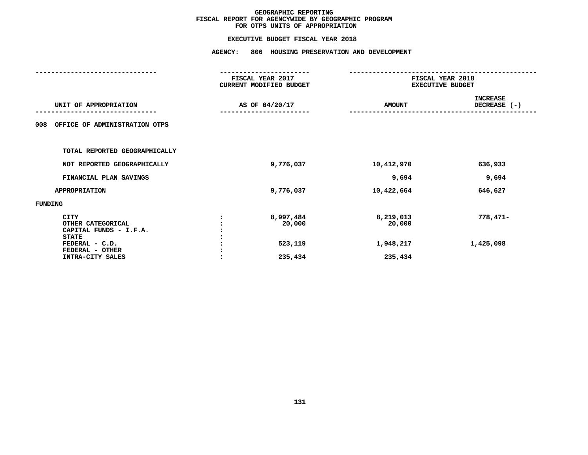|                                                                                              | <b>AGENCY:</b><br>806 HOUSING PRESERVATION AND DEVELOPMENT |                                  |                                             |  |  |  |
|----------------------------------------------------------------------------------------------|------------------------------------------------------------|----------------------------------|---------------------------------------------|--|--|--|
|                                                                                              | FISCAL YEAR 2017<br>CURRENT MODIFIED BUDGET                |                                  | FISCAL YEAR 2018<br><b>EXECUTIVE BUDGET</b> |  |  |  |
| UNIT OF APPROPRIATION                                                                        | AS OF 04/20/17                                             | <b>AMOUNT</b>                    | <b>INCREASE</b><br>DECREASE (-)             |  |  |  |
| OFFICE OF ADMINISTRATION OTPS<br>008                                                         |                                                            |                                  |                                             |  |  |  |
| TOTAL REPORTED GEOGRAPHICALLY                                                                |                                                            |                                  |                                             |  |  |  |
| NOT REPORTED GEOGRAPHICALLY                                                                  | 9,776,037                                                  | 10,412,970                       | 636,933                                     |  |  |  |
| FINANCIAL PLAN SAVINGS                                                                       |                                                            | 9,694                            | 9,694                                       |  |  |  |
| <b>APPROPRIATION</b>                                                                         | 9,776,037                                                  | 10,422,664                       | 646,627                                     |  |  |  |
| FUNDING                                                                                      |                                                            |                                  |                                             |  |  |  |
| <b>CITY</b><br>OTHER CATEGORICAL<br>CAPITAL FUNDS - I.F.A.<br><b>STATE</b><br>FEDERAL - C.D. | 8,997,484<br>20,000<br>523,119                             | 8,219,013<br>20,000<br>1,948,217 | $778,471-$<br>1,425,098                     |  |  |  |
| FEDERAL - OTHER<br>INTRA-CITY SALES                                                          | 235,434                                                    | 235,434                          |                                             |  |  |  |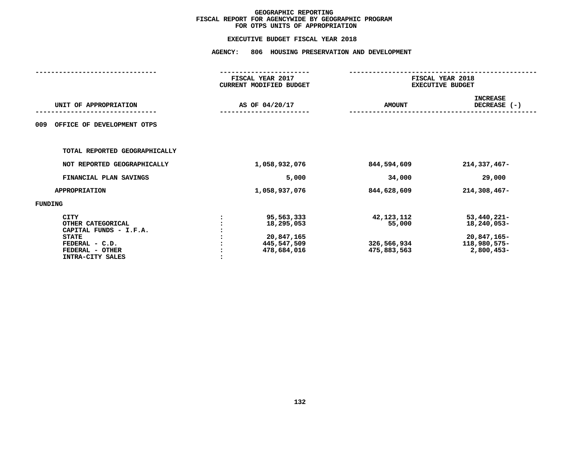| <b>AGENCY:</b><br>806 HOUSING PRESERVATION AND DEVELOPMENT                                                                   |                                                                      |                                                    |                                                                              |  |  |  |
|------------------------------------------------------------------------------------------------------------------------------|----------------------------------------------------------------------|----------------------------------------------------|------------------------------------------------------------------------------|--|--|--|
|                                                                                                                              |                                                                      |                                                    |                                                                              |  |  |  |
|                                                                                                                              | FISCAL YEAR 2017<br><b>CURRENT MODIFIED BUDGET</b>                   |                                                    | FISCAL YEAR 2018<br><b>EXECUTIVE BUDGET</b>                                  |  |  |  |
| UNIT OF APPROPRIATION                                                                                                        | AS OF 04/20/17                                                       | <b>AMOUNT</b>                                      | <b>INCREASE</b><br>DECREASE (-)                                              |  |  |  |
| OFFICE OF DEVELOPMENT OTPS<br>009                                                                                            |                                                                      |                                                    |                                                                              |  |  |  |
| TOTAL REPORTED GEOGRAPHICALLY                                                                                                |                                                                      |                                                    |                                                                              |  |  |  |
| NOT REPORTED GEOGRAPHICALLY                                                                                                  | 1,058,932,076                                                        | 844,594,609                                        | $214,337,467-$                                                               |  |  |  |
| FINANCIAL PLAN SAVINGS                                                                                                       | 5,000                                                                | 34,000                                             | 29,000                                                                       |  |  |  |
| <b>APPROPRIATION</b>                                                                                                         | 1,058,937,076                                                        | 844,628,609                                        | $214,308,467-$                                                               |  |  |  |
| <b>FUNDING</b>                                                                                                               |                                                                      |                                                    |                                                                              |  |  |  |
| CITY<br>OTHER CATEGORICAL<br>CAPITAL FUNDS - I.F.A.<br><b>STATE</b><br>FEDERAL - C.D.<br>FEDERAL - OTHER<br>INTRA-CITY SALES | 95,563,333<br>18,295,053<br>20,847,165<br>445,547,509<br>478,684,016 | 42,123,112<br>55,000<br>326,566,934<br>475,883,563 | $53,440,221 -$<br>18,240,053-<br>20,847,165-<br>118,980,575-<br>$2,800,453-$ |  |  |  |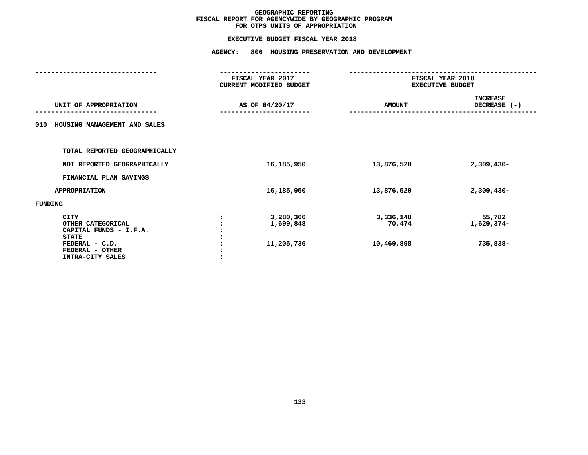|                                                                                                                                     | <b>AGENCY:</b><br>806 HOUSING PRESERVATION AND DEVELOPMENT |                                      |                                   |                                             |  |  |
|-------------------------------------------------------------------------------------------------------------------------------------|------------------------------------------------------------|--------------------------------------|-----------------------------------|---------------------------------------------|--|--|
|                                                                                                                                     | FISCAL YEAR 2017<br>CURRENT MODIFIED BUDGET                |                                      |                                   | FISCAL YEAR 2018<br><b>EXECUTIVE BUDGET</b> |  |  |
| UNIT OF APPROPRIATION                                                                                                               |                                                            | AS OF 04/20/17                       | <b>AMOUNT</b>                     | <b>INCREASE</b><br>DECREASE (-)             |  |  |
| HOUSING MANAGEMENT AND SALES<br>010                                                                                                 |                                                            |                                      |                                   |                                             |  |  |
| TOTAL REPORTED GEOGRAPHICALLY                                                                                                       |                                                            |                                      |                                   |                                             |  |  |
| NOT REPORTED GEOGRAPHICALLY                                                                                                         |                                                            | 16,185,950                           | 13,876,520                        | $2,309,430-$                                |  |  |
| FINANCIAL PLAN SAVINGS                                                                                                              |                                                            |                                      |                                   |                                             |  |  |
| <b>APPROPRIATION</b>                                                                                                                |                                                            | 16,185,950                           | 13,876,520                        | $2,309,430-$                                |  |  |
| <b>FUNDING</b>                                                                                                                      |                                                            |                                      |                                   |                                             |  |  |
| <b>CITY</b><br>OTHER CATEGORICAL<br>CAPITAL FUNDS - I.F.A.<br><b>STATE</b><br>FEDERAL - C.D.<br>FEDERAL - OTHER<br>INTRA-CITY SALES |                                                            | 3,280,366<br>1,699,848<br>11,205,736 | 3,336,148<br>70,474<br>10,469,898 | 55,782<br>1,629,374-<br>735,838-            |  |  |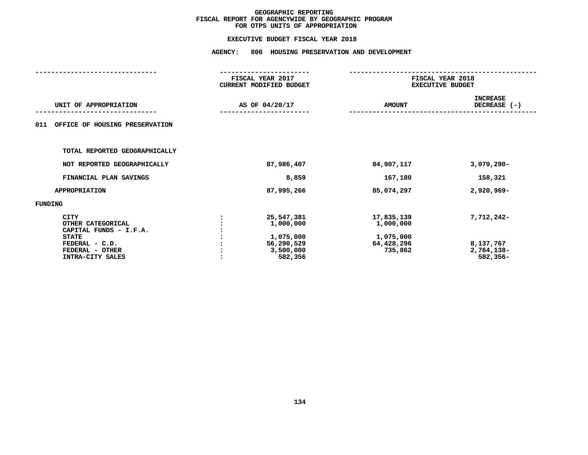| <b>AGENCY:</b> | 806 HOUSING PRESERVATION AND DEVELOPMENT                                   |                                                               |                                                   |  |
|----------------|----------------------------------------------------------------------------|---------------------------------------------------------------|---------------------------------------------------|--|
|                |                                                                            | FISCAL YEAR 2018<br><b>EXECUTIVE BUDGET</b>                   |                                                   |  |
| AS OF 04/20/17 |                                                                            | <b>AMOUNT</b>                                                 | <b>INCREASE</b><br>DECREASE (-)                   |  |
|                |                                                                            |                                                               |                                                   |  |
|                |                                                                            |                                                               |                                                   |  |
|                | 87,986,407                                                                 | 84,907,117                                                    | $3,079,290 -$                                     |  |
|                | 8,859                                                                      | 167,180                                                       | 158,321                                           |  |
|                | 87,995,266                                                                 | 85,074,297                                                    | 2,920,969-                                        |  |
|                |                                                                            |                                                               |                                                   |  |
|                | 25,547,381<br>1,000,000<br>1,075,000<br>56,290,529<br>3,500,000<br>582,356 | 17,835,139<br>1,000,000<br>1,075,000<br>64,428,296<br>735,862 | 7,712,242-<br>8,137,767<br>2,764,138-<br>582,356- |  |
|                |                                                                            | FISCAL YEAR 2017<br><b>CURRENT MODIFIED BUDGET</b>            |                                                   |  |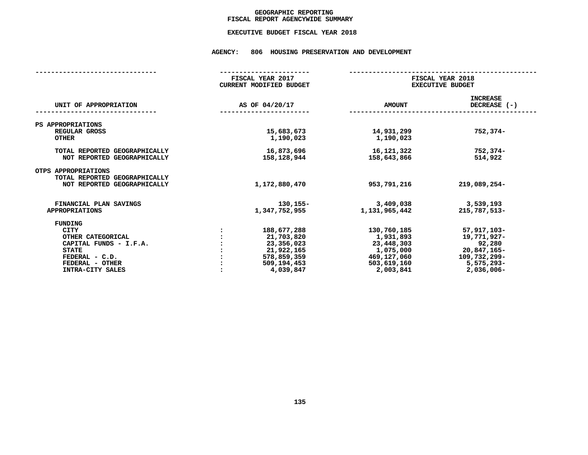## GEOGRAPHIC REPORTING<br>FISCAL REPORT AGENCYWIDE SUMMARY

# **FISCAL REPORT AGENCYWIDE SUMMARY EXECUTIVE BUDGET FISCAL YEAR <sup>2018</sup>**

#### **AGENCY: <sup>806</sup> HOUSING PRESERVATION AND DEVELOPMENT**

|                                                              | FISCAL YEAR 2017<br><b>CURRENT MODIFIED BUDGET</b> |                             | FISCAL YEAR 2018<br><b>EXECUTIVE BUDGET</b> |                                   |  |  |
|--------------------------------------------------------------|----------------------------------------------------|-----------------------------|---------------------------------------------|-----------------------------------|--|--|
| UNIT OF APPROPRIATION                                        |                                                    | AS OF 04/20/17              | <b>AMOUNT</b>                               | <b>INCREASE</b><br>DECREASE $(-)$ |  |  |
| PS APPROPRIATIONS<br>REGULAR GROSS                           |                                                    | 15,683,673                  | 14,931,299                                  | $752, 374 -$                      |  |  |
| <b>OTHER</b>                                                 |                                                    | 1,190,023                   | 1,190,023                                   |                                   |  |  |
| TOTAL REPORTED GEOGRAPHICALLY<br>NOT REPORTED GEOGRAPHICALLY |                                                    | 16,873,696<br>158, 128, 944 | 16, 121, 322<br>158,643,866                 | 752,374-<br>514,922               |  |  |
| OTPS APPROPRIATIONS<br>TOTAL REPORTED GEOGRAPHICALLY         |                                                    |                             |                                             |                                   |  |  |
| NOT REPORTED GEOGRAPHICALLY                                  |                                                    | 1,172,880,470               | 953,791,216                                 | $219,089,254-$                    |  |  |
| FINANCIAL PLAN SAVINGS<br><b>APPROPRIATIONS</b>              |                                                    | 130,155-<br>1,347,752,955   | 3,409,038<br>1, 131, 965, 442               | 3,539,193<br>215,787,513-         |  |  |
| FUNDING                                                      |                                                    |                             |                                             |                                   |  |  |
| CITY                                                         |                                                    | 188,677,288                 | 130,760,185                                 | 57,917,103-                       |  |  |
| OTHER CATEGORICAL                                            |                                                    | 21,703,820                  | 1,931,893                                   | 19,771,927-                       |  |  |
| CAPITAL FUNDS - I.F.A.<br><b>STATE</b>                       |                                                    | 23,356,023<br>21,922,165    | 23,448,303<br>1,075,000                     | 92,280<br>20,847,165-             |  |  |
| FEDERAL - C.D.                                               |                                                    | 578,859,359                 | 469,127,060                                 | 109,732,299-                      |  |  |
| FEDERAL - OTHER                                              |                                                    | 509,194,453                 | 503,619,160                                 | $5,575,293-$                      |  |  |
| INTRA-CITY SALES                                             |                                                    | 4,039,847                   | 2,003,841                                   | $2,036,006 -$                     |  |  |
|                                                              |                                                    |                             |                                             |                                   |  |  |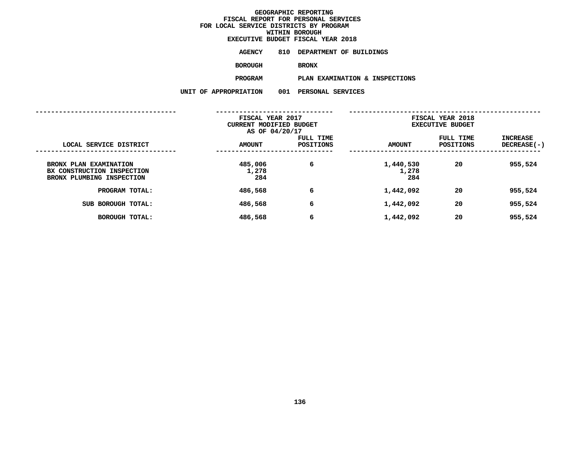| EXECUTIVE BUDGET FISCAL YEAR 2018 |                             |  |  |  |
|-----------------------------------|-----------------------------|--|--|--|
| AGENCY                            | 810 DEPARTMENT OF BUILDINGS |  |  |  |
| <b>BOROUGH</b>                    | <b>BRONX</b>                |  |  |  |
| PROGRAM                           | PLAN EXAMINATION & INSPI    |  |  |  |

**PROGRAMPLAN EXAMINATION & INSPECTIONS**

**UNIT OF APPROPRIATION <sup>001</sup> PERSONAL SERVICES**

|                                                                                   | FISCAL YEAR 2017<br>CURRENT MODIFIED BUDGET<br>AS OF 04/20/17 |                               | FISCAL YEAR 2018<br><b>EXECUTIVE BUDGET</b> |                        |                                |  |
|-----------------------------------------------------------------------------------|---------------------------------------------------------------|-------------------------------|---------------------------------------------|------------------------|--------------------------------|--|
| LOCAL SERVICE DISTRICT                                                            | <b>AMOUNT</b>                                                 | FULL TIME<br><b>POSITIONS</b> | <b>AMOUNT</b>                               | FULL TIME<br>POSITIONS | <b>INCREASE</b><br>DECREASE(-) |  |
| BRONX PLAN EXAMINATION<br>BX CONSTRUCTION INSPECTION<br>BRONX PLUMBING INSPECTION | 485,006<br>1,278<br>284                                       | 6                             | 1,440,530<br>1,278<br>284                   | 20                     | 955,524                        |  |
| PROGRAM TOTAL:                                                                    | 486,568                                                       | 6                             | 1,442,092                                   | 20                     | 955,524                        |  |
| SUB BOROUGH TOTAL:                                                                | 486,568                                                       | 6                             | 1,442,092                                   | 20                     | 955,524                        |  |
| <b>BOROUGH TOTAL:</b>                                                             | 486,568                                                       | 6                             | 1,442,092                                   | 20                     | 955,524                        |  |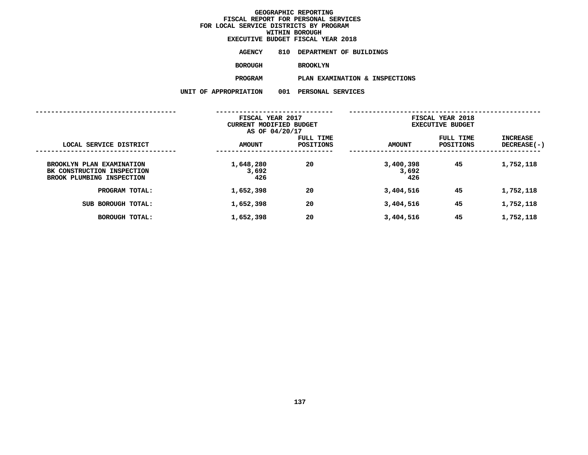| EXECUTIVE BUDGET FISCAL YEAR 2018 |                 |  |                             |
|-----------------------------------|-----------------|--|-----------------------------|
| AGENCY                            |                 |  | 810 DEPARTMENT OF BUILDINGS |
| <b>BOROUGH</b>                    | <b>BROOKLYN</b> |  |                             |

PLAN EXAMINATION & INSPECTIONS **PROGRAM**

 **PLAN EXAMINATION & INSPECTIONS UNIT OF APPROPRIATION <sup>001</sup> PERSONAL SERVICES**

|                                                                                      | FISCAL YEAR 2017<br>CURRENT MODIFIED BUDGET<br>AS OF 04/20/17 |                               | FISCAL YEAR 2018<br><b>EXECUTIVE BUDGET</b> |                        |                                |
|--------------------------------------------------------------------------------------|---------------------------------------------------------------|-------------------------------|---------------------------------------------|------------------------|--------------------------------|
| LOCAL SERVICE DISTRICT                                                               | <b>AMOUNT</b>                                                 | FULL TIME<br><b>POSITIONS</b> | <b>AMOUNT</b>                               | FULL TIME<br>POSITIONS | <b>INCREASE</b><br>DECREASE(-) |
| BROOKLYN PLAN EXAMINATION<br>BK CONSTRUCTION INSPECTION<br>BROOK PLUMBING INSPECTION | 1,648,280<br>3,692<br>426                                     | 20                            | 3,400,398<br>3,692<br>426                   | 45                     | 1,752,118                      |
| PROGRAM TOTAL:                                                                       | 1,652,398                                                     | 20                            | 3,404,516                                   | 45                     | 1,752,118                      |
| BOROUGH TOTAL:<br>SUB                                                                | 1,652,398                                                     | 20                            | 3,404,516                                   | 45                     | 1,752,118                      |
| <b>BOROUGH TOTAL:</b>                                                                | 1,652,398                                                     | 20                            | 3,404,516                                   | 45                     | 1,752,118                      |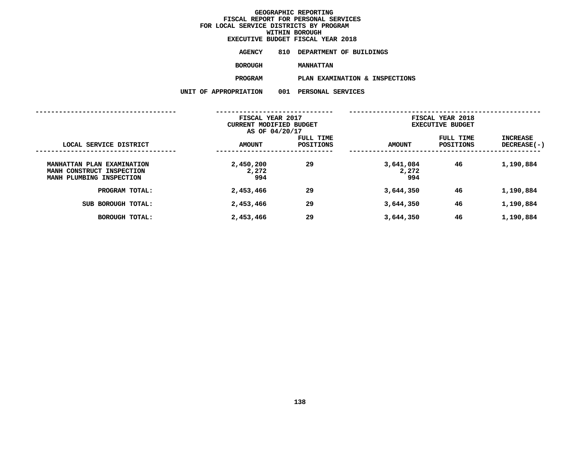| EXECUTIVE BUDGET FISCAL YEAR 2018 |                             |  |  |  |
|-----------------------------------|-----------------------------|--|--|--|
| AGENCY                            | 810 DEPARTMENT OF BUILDINGS |  |  |  |
| <b>BOROUGH</b>                    | <b>MANHATTAN</b>            |  |  |  |
| <b>PROGRAM</b>                    | PLAN EXAMINATION & INSPI    |  |  |  |

**PROGRAMPLAN EXAMINATION & INSPECTIONS**

**UNIT OF APPROPRIATION <sup>001</sup> PERSONAL SERVICES**

|                                                                                     | FISCAL YEAR 2017<br>CURRENT MODIFIED BUDGET<br>AS OF 04/20/17 |                        | FISCAL YEAR 2018<br><b>EXECUTIVE BUDGET</b> |                        |                                       |
|-------------------------------------------------------------------------------------|---------------------------------------------------------------|------------------------|---------------------------------------------|------------------------|---------------------------------------|
| LOCAL SERVICE DISTRICT                                                              | <b>AMOUNT</b>                                                 | FULL TIME<br>POSITIONS | <b>AMOUNT</b>                               | FULL TIME<br>POSITIONS | <b>INCREASE</b><br><b>DECREASE(-)</b> |
| MANHATTAN PLAN EXAMINATION<br>MANH CONSTRUCT INSPECTION<br>MANH PLUMBING INSPECTION | 2,450,200<br>2,272<br>994                                     | 29                     | 3,641,084<br>2,272<br>994                   | 46                     | 1,190,884                             |
| PROGRAM TOTAL:                                                                      | 2,453,466                                                     | 29                     | 3,644,350                                   | 46                     | 1,190,884                             |
| BOROUGH TOTAL:<br>SUB                                                               | 2,453,466                                                     | 29                     | 3,644,350                                   | 46                     | 1,190,884                             |
| <b>BOROUGH TOTAL:</b>                                                               | 2,453,466                                                     | 29                     | 3,644,350                                   | 46                     | 1,190,884                             |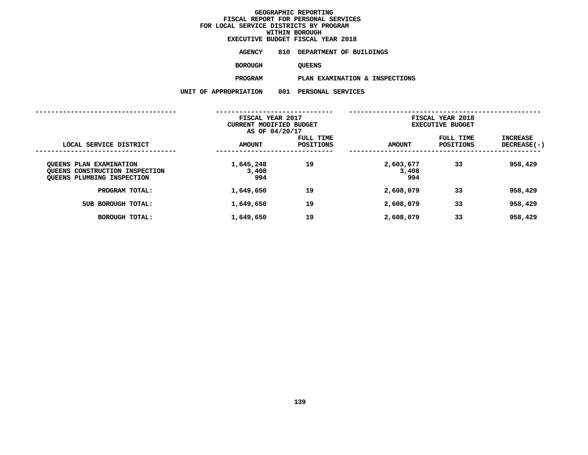| EXECUTIVE BUDGET FISCAL YEAR 2018 |               |  |                             |
|-----------------------------------|---------------|--|-----------------------------|
| AGENCY                            |               |  | 810 DEPARTMENT OF BUILDINGS |
| <b>BOROUGH</b>                    | <b>OUEENS</b> |  |                             |

QUEENS<br>PLAN EXAMINATION & INSPECTIONS **PROGRAMPLAN EXAMINATION & INSPECTIONS**

**UNIT OF APPROPRIATION <sup>001</sup> PERSONAL SERVICES**

|                                                                                         | FISCAL YEAR 2017<br>CURRENT MODIFIED BUDGET<br>AS OF 04/20/17 |                               | FISCAL YEAR 2018<br><b>EXECUTIVE BUDGET</b> |                               |                                       |
|-----------------------------------------------------------------------------------------|---------------------------------------------------------------|-------------------------------|---------------------------------------------|-------------------------------|---------------------------------------|
| LOCAL SERVICE DISTRICT                                                                  | <b>AMOUNT</b>                                                 | FULL TIME<br><b>POSITIONS</b> | <b>AMOUNT</b>                               | FULL TIME<br><b>POSITIONS</b> | <b>INCREASE</b><br><b>DECREASE(-)</b> |
| OUEENS PLAN EXAMINATION<br>QUEENS CONSTRUCTION INSPECTION<br>QUEENS PLUMBING INSPECTION | 1,645,248<br>3,408<br>994                                     | 19                            | 2,603,677<br>3,408<br>994                   | 33                            | 958,429                               |
| PROGRAM TOTAL:                                                                          | 1,649,650                                                     | 19                            | 2,608,079                                   | 33                            | 958,429                               |
| BOROUGH TOTAL:<br>SUB                                                                   | 1,649,650                                                     | 19                            | 2,608,079                                   | 33                            | 958,429                               |
| BOROUGH TOTAL:                                                                          | 1,649,650                                                     | 19                            | 2,608,079                                   | 33                            | 958,429                               |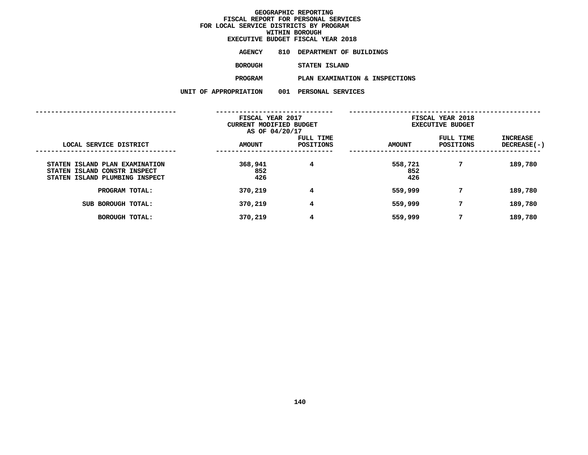## **GEOGRAPHIC REPORTINGFISCAL REPORT FOR PERSONAL SERVICES FOR LOCAL SERVICE DISTRICTS BY PROGRAM**

**WITHIN BOROUGH**

|                |     | EXECUTIVE BUDGET FISCAL YEAR 2018 |
|----------------|-----|-----------------------------------|
| AGENCY         | 810 | DEPARTMENT OF BUILDINGS           |
| BOROUGH        |     | STATEN ISLAND                     |
| <b>PROGRAM</b> |     | PLAN EXAMINATION & INSPECTIONS    |
| OPRIATION      |     | 001 PERSONAL SERVICES             |

|                                                                                                  | UNIT OF APPROPRIATION                                         | 001 | PERSONAL SERVICES      |                                             |                        |                                |
|--------------------------------------------------------------------------------------------------|---------------------------------------------------------------|-----|------------------------|---------------------------------------------|------------------------|--------------------------------|
|                                                                                                  |                                                               |     |                        |                                             |                        |                                |
|                                                                                                  | FISCAL YEAR 2017<br>CURRENT MODIFIED BUDGET<br>AS OF 04/20/17 |     |                        | FISCAL YEAR 2018<br><b>EXECUTIVE BUDGET</b> |                        |                                |
| LOCAL SERVICE DISTRICT                                                                           | <b>AMOUNT</b>                                                 |     | FULL TIME<br>POSITIONS | <b>AMOUNT</b>                               | FULL TIME<br>POSITIONS | <b>INCREASE</b><br>DECREASE(-) |
| STATEN ISLAND PLAN EXAMINATION<br>STATEN ISLAND CONSTR INSPECT<br>STATEN ISLAND PLUMBING INSPECT | 368,941<br>852<br>426                                         |     | $\overline{4}$         | 558,721<br>852<br>426                       | 7                      | 189,780                        |
| PROGRAM TOTAL:                                                                                   | 370,219                                                       |     | 4                      | 559,999                                     | 7                      | 189,780                        |
| SUB BOROUGH TOTAL:                                                                               | 370,219                                                       |     | $4\overline{ }$        | 559,999                                     | 7                      | 189,780                        |
| <b>BOROUGH TOTAL:</b>                                                                            | 370,219                                                       |     | 4                      | 559,999                                     | 7                      | 189,780                        |
|                                                                                                  |                                                               |     |                        |                                             |                        |                                |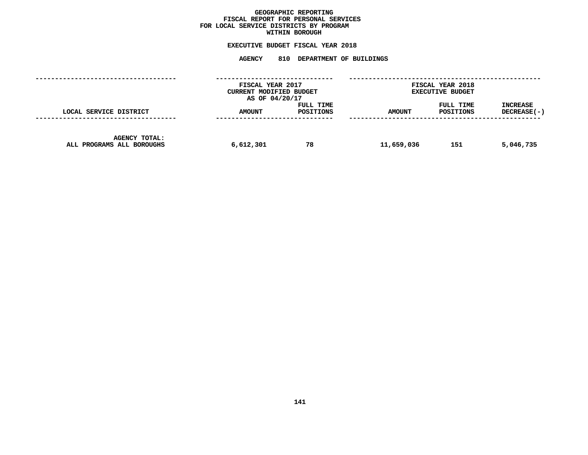## GEOGRAPHIC REPORTING<br>FISCAL REPORT FOR PERSONAL SERVICES<br>OCAL SERVICE DISTRICTS BY PROGRAM<br>WITHIN BOROUGH **FISCAL REPORT FOR PERSONAL SERVICES FOR LOCAL SERVICE DISTRICTS BY PROGRAM**

## **WITHIN BOROUGH EXECUTIVE BUDGET FISCAL YEAR <sup>2018</sup>**

# **AGENCY <sup>810</sup> DEPARTMENT OF BUILDINGS**

|                                                   | FISCAL YEAR 2017<br>CURRENT MODIFIED BUDGET<br>AS OF 04/20/17 |                        |               | <b>FISCAL YEAR 2018</b><br><b>EXECUTIVE BUDGET</b> |                         |
|---------------------------------------------------|---------------------------------------------------------------|------------------------|---------------|----------------------------------------------------|-------------------------|
| LOCAL SERVICE DISTRICT                            | <b>AMOUNT</b>                                                 | FULL TIME<br>POSITIONS | <b>AMOUNT</b> | FULL TIME<br>POSITIONS                             | INCREASE<br>DECREASE(-) |
| <b>AGENCY TOTAL:</b><br>ALL PROGRAMS ALL BOROUGHS | 6,612,301                                                     | 78                     | 11,659,036    | 151                                                | 5,046,735               |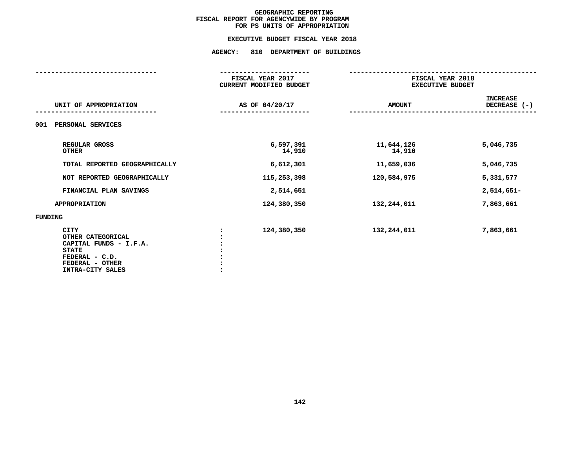### **EXECUTIVE BUDGET FISCAL YEAR 2018**

## **EXECUTIVE BUDGET FISCAL YEAR <sup>2018</sup>AGENCY: <sup>810</sup> DEPARTMENT OF BUILDINGS**

|                                                                                                                                     | FISCAL YEAR 2017<br><b>CURRENT MODIFIED BUDGET</b> | FISCAL YEAR 2018<br><b>EXECUTIVE BUDGET</b> |                                 |
|-------------------------------------------------------------------------------------------------------------------------------------|----------------------------------------------------|---------------------------------------------|---------------------------------|
| UNIT OF APPROPRIATION                                                                                                               | AS OF 04/20/17                                     | <b>AMOUNT</b>                               | <b>INCREASE</b><br>DECREASE (-) |
| PERSONAL SERVICES<br>001                                                                                                            |                                                    |                                             |                                 |
| REGULAR GROSS<br><b>OTHER</b>                                                                                                       | 6,597,391<br>14,910                                | 11,644,126<br>14,910                        | 5,046,735                       |
| TOTAL REPORTED GEOGRAPHICALLY                                                                                                       | 6,612,301                                          | 11,659,036                                  | 5,046,735                       |
| NOT REPORTED GEOGRAPHICALLY                                                                                                         | 115,253,398                                        | 120,584,975                                 | 5,331,577                       |
| FINANCIAL PLAN SAVINGS                                                                                                              | 2,514,651                                          |                                             | $2,514,651-$                    |
| <b>APPROPRIATION</b>                                                                                                                | 124,380,350                                        | 132,244,011                                 | 7,863,661                       |
| FUNDING                                                                                                                             |                                                    |                                             |                                 |
| <b>CITY</b><br>OTHER CATEGORICAL<br>CAPITAL FUNDS - I.F.A.<br><b>STATE</b><br>FEDERAL - C.D.<br>FEDERAL - OTHER<br>INTRA-CITY SALES | 124,380,350                                        | 132,244,011                                 | 7,863,661                       |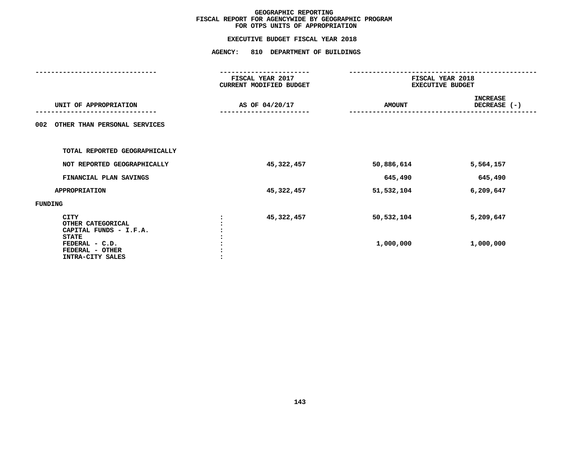## **EXECUTIVE BUDGET FISCAL YEAR <sup>2018</sup>AGENCY: <sup>810</sup> DEPARTMENT OF BUILDINGS**

|                                                                       | FISCAL YEAR 2017<br>CURRENT MODIFIED BUDGET | FISCAL YEAR 2018<br><b>EXECUTIVE BUDGET</b> |                                 |
|-----------------------------------------------------------------------|---------------------------------------------|---------------------------------------------|---------------------------------|
| UNIT OF APPROPRIATION                                                 | AS OF 04/20/17                              | <b>AMOUNT</b>                               | <b>INCREASE</b><br>DECREASE (-) |
| OTHER THAN PERSONAL SERVICES<br>002                                   |                                             |                                             |                                 |
| TOTAL REPORTED GEOGRAPHICALLY                                         |                                             |                                             |                                 |
| NOT REPORTED GEOGRAPHICALLY                                           | 45,322,457                                  | 50,886,614                                  | 5,564,157                       |
| FINANCIAL PLAN SAVINGS                                                |                                             | 645,490                                     | 645,490                         |
| <b>APPROPRIATION</b>                                                  | 45,322,457                                  | 51,532,104                                  | 6,209,647                       |
| FUNDING                                                               |                                             |                                             |                                 |
| CITY<br>OTHER CATEGORICAL<br>CAPITAL FUNDS - I.F.A.                   | 45,322,457                                  | 50,532,104                                  | 5,209,647                       |
| <b>STATE</b><br>FEDERAL - C.D.<br>FEDERAL - OTHER<br>INTRA-CITY SALES |                                             | 1,000,000                                   | 1,000,000                       |
|                                                                       |                                             |                                             |                                 |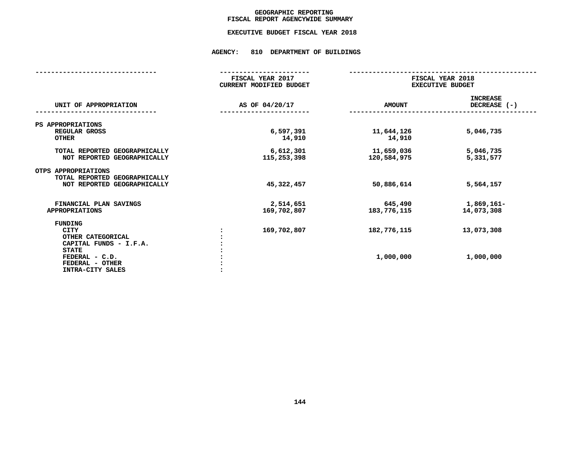## GEOGRAPHIC REPORTING<br>FISCAL REPORT AGENCYWIDE SUMMARY

## **FISCAL REPORT AGENCYWIDE SUMMARY EXECUTIVE BUDGET FISCAL YEAR <sup>2018</sup>**

### **AGENCY: <sup>810</sup> DEPARTMENT OF BUILDINGS**

|                                                                                                                                                | FISCAL YEAR 2017<br><b>CURRENT MODIFIED BUDGET</b> | FISCAL YEAR 2018<br><b>EXECUTIVE BUDGET</b> |                                 |
|------------------------------------------------------------------------------------------------------------------------------------------------|----------------------------------------------------|---------------------------------------------|---------------------------------|
| UNIT OF APPROPRIATION                                                                                                                          | AS OF 04/20/17                                     | <b>AMOUNT</b>                               | <b>INCREASE</b><br>DECREASE (-) |
| PS APPROPRIATIONS<br>REGULAR GROSS<br><b>OTHER</b>                                                                                             | 6,597,391<br>14,910                                | 11,644,126<br>14,910                        | 5,046,735                       |
| TOTAL REPORTED GEOGRAPHICALLY<br>NOT REPORTED GEOGRAPHICALLY                                                                                   | 6,612,301<br>115,253,398                           | 11,659,036<br>120,584,975                   | 5,046,735<br>5,331,577          |
| OTPS APPROPRIATIONS<br>TOTAL REPORTED GEOGRAPHICALLY<br>NOT REPORTED GEOGRAPHICALLY                                                            | 45, 322, 457                                       | 50,886,614                                  | 5,564,157                       |
| FINANCIAL PLAN SAVINGS<br><b>APPROPRIATIONS</b>                                                                                                | 2,514,651<br>169,702,807                           | 645,490<br>183,776,115                      | 1,869,161-<br>14,073,308        |
| FUNDING<br><b>CITY</b><br>OTHER CATEGORICAL<br>CAPITAL FUNDS - I.F.A.<br><b>STATE</b><br>FEDERAL - C.D.<br>FEDERAL - OTHER<br>INTRA-CITY SALES | 169,702,807                                        | 182,776,115<br>1,000,000                    | 13,073,308<br>1,000,000         |
|                                                                                                                                                |                                                    |                                             |                                 |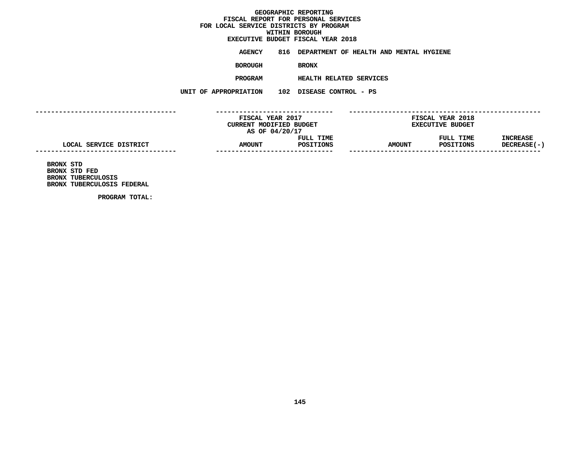## GEOGRAPHIC REPORTING<br>FISCAL REPORT FOR PERSONAL SERVICES<br>OCAL SERVICE DISTRICTS BY PROGRAM<br>WITHIN BOROUGH  $FOR$  LOCAL SERVICE DISTRICTS BY PROGRAM **FOR LOCAL SERVICE DISTRICTS BY PROGRAMWITHIN BOROUGH**

# **EXECUTIVE BUDGET FISCAL YEAR <sup>2018</sup>**

**AGENCY <sup>816</sup> DEPARTMENT OF HEALTH AND MENTAL HYGIENE**

**BOROUGH**

BRONX<br>HEALTH RELATED SERVICES **PROGRAM**

 **HEALTH RELATED SERVICES UNIT OF APPROPRIATION <sup>102</sup> DISEASE CONTROL - PS**

**------------------------------------ ------------------------------ ------------------------------------------------- FISCAL YEAR <sup>2017</sup> FISCAL YEAR <sup>2018</sup> CURRENT MODIFIED BUDGET**<br> **AS OF 04/20/17**<br> **FULL TIME**<br> **FULL TIME**<br> **EXECUTIVE**<br> **FULL TIME AS OF 04/20/17 FULL TIME FULL TIME INCREASE LOCAL SERVICE DISTRICT AMOUNT POSITIONS AMOUNT POSITIONS DECREASE(-) -----------------------------------------------------------------------**<br>BRONX STD<br>BRONX STD FED<br>BRONX TUBERCULOSIS \_\_\_\_\_\_\_\_

**BRONX STD FED BRONX TUBERCULOSIS BRONX TUBERCULOSIS FEDERAL**

**PROGRAM TOTAL:**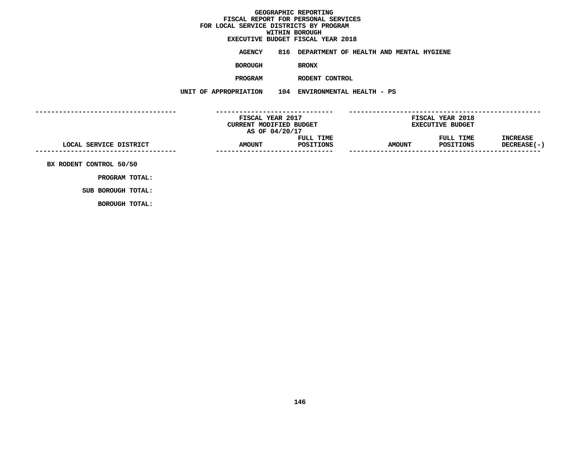## GEOGRAPHIC REPORTING<br>FISCAL REPORT FOR PERSONAL SERVICES<br>OCAL SERVICE DISTRICTS BY PROGRAM<br>WITHIN BOROUGH  $FOR$  LOCAL SERVICE DISTRICTS BY PROGRAM **FOR LOCAL SERVICE DISTRICTS BY PROGRAMWITHIN BOROUGH**

# **EXECUTIVE BUDGET FISCAL YEAR <sup>2018</sup>**

**AGENCY <sup>816</sup> DEPARTMENT OF HEALTH AND MENTAL HYGIENE**

**BOROUGH**

BRONX<br>RODENT CONTROL **PROGRAM**

 **RODENT CONTROL UNIT OF APPROPRIATION <sup>104</sup> ENVIRONMENTAL HEALTH - PS**

**------------------------------------ ------------------------------ ------------------------------------------------- FISCAL YEAR <sup>2017</sup> FISCAL YEAR <sup>2018</sup> CURRENT MODIFIED BUDGET**<br> **AS OF 04/20/17**<br> **FULL TIME**<br> **FULL TIME**<br> **EXECUTIVE**<br> **FULL TIME AS OF 04/20/17 FULL TIME FULL TIME INCREASE**  $\text{LOCAL} \text{ SERVICE DISTRICT} \text{DISTRICT} \text{AMOUNT} \text{POSTIONS} \text{MMOUNT} \text{POSTIONS} \text{DECTERASE(-1)} \text{SUTIONS} \text{DECTEREASE(-2)} \text{SUTIONS} \text{DECTERSASE(-3)} \text{SUTS} \text{DECTERSASE(-4)} \text{SUTSASE(-5)} \text{SUTSASE} \text{SUTSASE(-6)} \text{SUTSASE} \text{SUTSASE} \text{SUTSASE} \text{SUTSASE} \text{SUTSASE} \text{SUTSASE} \text{SUTSASE} \text{SUT$ **------------------------------ ------------------------------------------------- BX RODENT CONTROL 50/50**

**PROGRAM TOTAL:**

**SUB BOROUGH TOTAL: BOROUGH TOTAL:**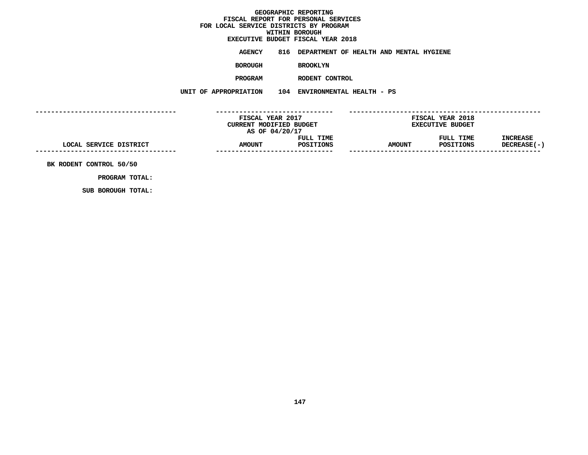## GEOGRAPHIC REPORTING<br>FISCAL REPORT FOR PERSONAL SERVICES<br>OCAL SERVICE DISTRICTS BY PROGRAM<br>WITHIN BOROUGH  $FOR$  LOCAL SERVICE DISTRICTS BY PROGRAM **FOR LOCAL SERVICE DISTRICTS BY PROGRAM**

## **WITHIN BOROUGH EXECUTIVE BUDGET FISCAL YEAR <sup>2018</sup>**

**AGENCY <sup>816</sup> DEPARTMENT OF HEALTH AND MENTAL HYGIENE**

**BOROUGH**

 **BROOKLYN PROGRAM**

**RODENT CONTROL**

**UNIT OF APPROPRIATION <sup>104</sup> ENVIRONMENTAL HEALTH - PS**

**------------------------------------ ------------------------------ ------------------------------------------------- FISCAL YEAR <sup>2017</sup> FISCAL YEAR <sup>2018</sup> CURRENT MODIFIED BUDGET**<br> **AS OF 04/20/17**<br> **FULL TIME**<br> **FULL TIME**<br> **EXECUTIVE**<br> **FULL TIME AS OF 04/20/17 FULL TIME FULL TIME INCREASE LOCAL SERVICE DISTRICT AMOUNT POSITIONS AMOUNT POSITIONS DECREASE(-) ------------------------------------------------------------------ ------------------------------------------------- BK RODENT CONTROL 50/50**

**PROGRAM TOTAL: SUB BOROUGH TOTAL:**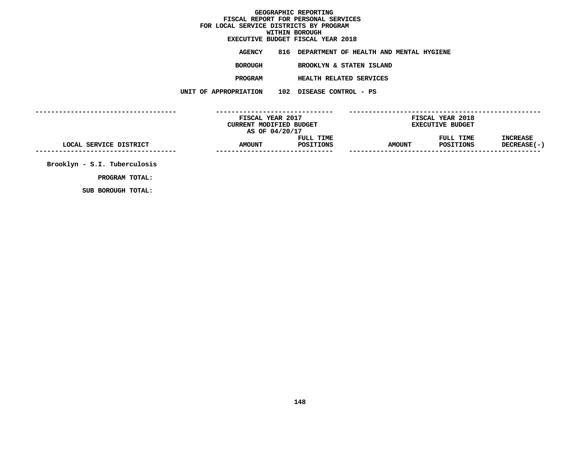GEOGRAPHIC REPORTING<br>FISCAL REPORT FOR PERSONAL SERVICES<br>CAL SERVICE DISTRICTS BY PROGRAM<br>WITHIN BOROUGH  $FOR$  LOCAL SERVICE DISTRICTS BY PROGRAM **FOR LOCAL SERVICE DISTRICTS BY PROGRAMWITHIN BOROUGH EXECUTIVE BUDGET FISCAL YEAR <sup>2018</sup>AGENCY <sup>816</sup> DEPARTMENT OF HEALTH AND MENTAL HYGIENE BOROUGH BROOKLYN & STATEN ISLAND PROGRAM HEALTH RELATED SERVICES UNIT OF APPROPRIATION <sup>102</sup> DISEASE CONTROL - PS ------------------------------------ ------------------------------ ------------------------------------------------- FISCAL YEAR <sup>2017</sup> FISCAL YEAR <sup>2018</sup> CURRENT MODIFIED BUDGET**<br> **AS OF 04/20/17**<br> **FULL TIME**<br> **FULL TIME**<br> **EXECUTIVE**<br> **FULL TIME AS OF 04/20/17 FULL TIME FULL TIME INCREASE LOCAL SERVICE DISTRICT AMOUNT POSITIONS AMOUNT POSITIONS DECREASE(-) ------------------------------------------------------------------ ------------------------------------------------- Brooklyn - S.I. Tuberculosis**

**PROGRAM TOTAL:**

**SUB BOROUGH TOTAL:**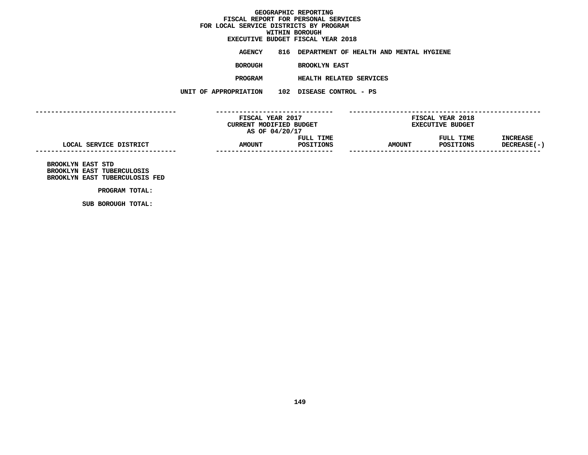## GEOGRAPHIC REPORTING<br>FISCAL REPORT FOR PERSONAL SERVICES<br>OCAL SERVICE DISTRICTS BY PROGRAM<br>WITHIN BOROUGH  $FOR$  LOCAL SERVICE DISTRICTS BY PROGRAM **FOR LOCAL SERVICE DISTRICTS BY PROGRAM**

## **WITHIN BOROUGH EXECUTIVE BUDGET FISCAL YEAR <sup>2018</sup>**

**AGENCY <sup>816</sup> DEPARTMENT OF HEALTH AND MENTAL HYGIENE**

**BOROUGH**

 **BROOKLYN EAST PROGRAM**

 **HEALTH RELATED SERVICES UNIT OF APPROPRIATION <sup>102</sup> DISEASE CONTROL - PS**

**------------------------------------ ------------------------------ ------------------------------------------------- FISCAL YEAR <sup>2017</sup> FISCAL YEAR <sup>2018</sup> CURRENT MODIFIED BUDGET**<br> **AS OF 04/20/17**<br> **FULL TIME**<br> **FULL TIME**<br> **EXECUTIVE**<br> **FULL TIME AS OF 04/20/17 FULL TIME FULL TIME INCREASE LOCAL SERVICE DISTRICT AMOUNT POSITIONS AMOUNT POSITIONS DECREASE(-) ------------------------------------------------------------------ ------------------------------------------------- BROOKLYN EAST STD**

**BROOKLYN EAST TUBERCULOSIS BROOKLYN EAST TUBERCULOSIS FED**

**PROGRAM TOTAL: SUB BOROUGH TOTAL:**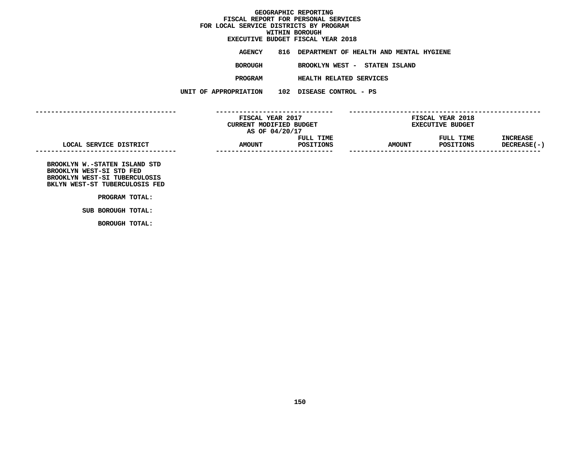## GEOGRAPHIC REPORTING<br>FISCAL REPORT FOR PERSONAL SERVICES<br>OCAL SERVICE DISTRICTS BY PROGRAM<br>WITHIN BOROUGH  $FOR$  LOCAL SERVICE DISTRICTS BY PROGRAM **FOR LOCAL SERVICE DISTRICTS BY PROGRAM**

## **WITHIN BOROUGH EXECUTIVE BUDGET FISCAL YEAR <sup>2018</sup>**

**AGENCY <sup>816</sup> DEPARTMENT OF HEALTH AND MENTAL HYGIENE**

**BOROUGHBROOKLYN WEST - STATEN ISLAND**

**PROGRAM**

 **HEALTH RELATED SERVICES UNIT OF APPROPRIATION <sup>102</sup> DISEASE CONTROL - PS**

**------------------------------------**

|                        | FISCAL YEAR 2017               |           |               | FISCAL YEAR 2018        |                 |
|------------------------|--------------------------------|-----------|---------------|-------------------------|-----------------|
|                        | <b>CURRENT MODIFIED BUDGET</b> |           |               | <b>EXECUTIVE BUDGET</b> |                 |
|                        | AS OF 04/20/17                 |           |               |                         |                 |
|                        |                                | FULL TIME |               | FULL TIME               | <b>INCREASE</b> |
| LOCAL SERVICE DISTRICT | <b>AMOUNT</b>                  | POSITIONS | <b>AMOUNT</b> | POSITIONS               | DECREASE(-)     |
|                        |                                |           |               |                         |                 |
|                        |                                |           |               |                         |                 |

 **------------------------------ ------------------------------------------------- BROOKLYN W.-STATEN ISLAND STD BROOKLYN WEST-SI STD FED BROOKLYN WEST-SI TUBERCULOSIS BKLYN WEST-ST TUBERCULOSIS FED**

**PROGRAM TOTAL: SUB BOROUGH TOTAL:**

**BOROUGH TOTAL:**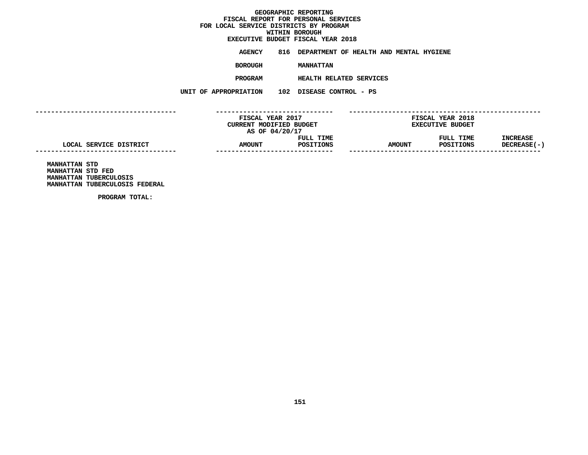## **GEOGRAPHIC REPORTINGFISCAL REPORT FOR PERSONAL SERVICES FOR LOCAL SERVICE DISTRICTS BY PROGRAM**

## **WITHIN BOROUGH**

**EXECUTIVE BUDGET FISCAL YEAR <sup>2018</sup>AGENCY <sup>816</sup> DEPARTMENT OF HEALTH AND MENTAL HYGIENE**

**BOROUGH**

MANHATTAN<br>HEALTH RELATED SERVICES **PROGRAM**

 **HEALTH RELATED SERVICES UNIT OF APPROPRIATION <sup>102</sup> DISEASE CONTROL - PS**

**------------------------------------ ------------------------------ ------------------------------------------------- FISCAL YEAR <sup>2017</sup> FISCAL YEAR <sup>2018</sup> CURRENT MODIFIED BUDGET**<br> **AS OF 04/20/17**<br> **FULL TIME**<br> **FULL TIME**<br> **EXECUTIVE**<br> **FULL TIME AS OF 04/20/17 FULL TIME FULL TIME INCREASE LOCAL SERVICE DISTRICT AMOUNT POSITIONS AMOUNT POSITIONS DECREASE(-) ------------------------------------------------------------------ ------------------------------------------------- MANHATTAN STD**

**MANHATTAN STD FED MANHATTAN TUBERCULOSIS MANHATTAN TUBERCULOSIS FEDERAL**

**PROGRAM TOTAL:**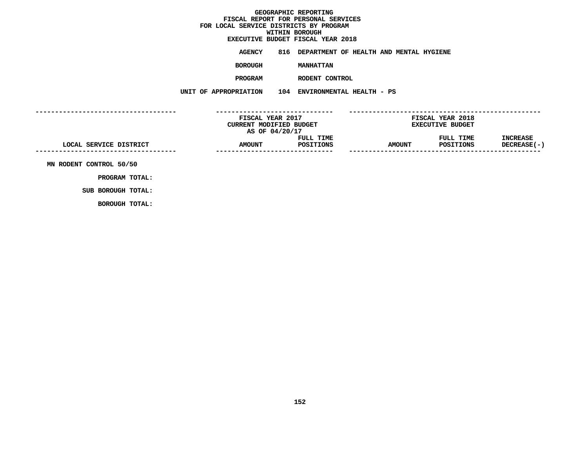## GEOGRAPHIC REPORTING<br>FISCAL REPORT FOR PERSONAL SERVICES<br>OCAL SERVICE DISTRICTS BY PROGRAM<br>WITHIN BOROUGH  $FOR$  LOCAL SERVICE DISTRICTS BY PROGRAM **FOR LOCAL SERVICE DISTRICTS BY PROGRAM**

## **WITHIN BOROUGH EXECUTIVE BUDGET FISCAL YEAR <sup>2018</sup>**

**AGENCY <sup>816</sup> DEPARTMENT OF HEALTH AND MENTAL HYGIENE**

**BOROUGH**

 **MANHATTAN PROGRAM**

 **RODENT CONTROL UNIT OF APPROPRIATION <sup>104</sup> ENVIRONMENTAL HEALTH - PS**

**------------------------------------ ------------------------------ ------------------------------------------------- FISCAL YEAR <sup>2017</sup> FISCAL YEAR <sup>2018</sup> CURRENT MODIFIED BUDGET**<br> **AS OF 04/20/17**<br> **FULL TIME**<br> **FULL TIME**<br> **EXECUTIVE**<br> **FULL TIME AS OF 04/20/17 FULL TIME FULL TIME INCREASE LOCAL SERVICE DISTRICT AMOUNT POSITIONS AMOUNT POSITIONS DECREASE(-) ------------------------------------------------------------------ ------------------------------------------------- MN RODENT CONTROL 50/50**

**PROGRAM TOTAL: SUB BOROUGH TOTAL:**

**BOROUGH TOTAL:**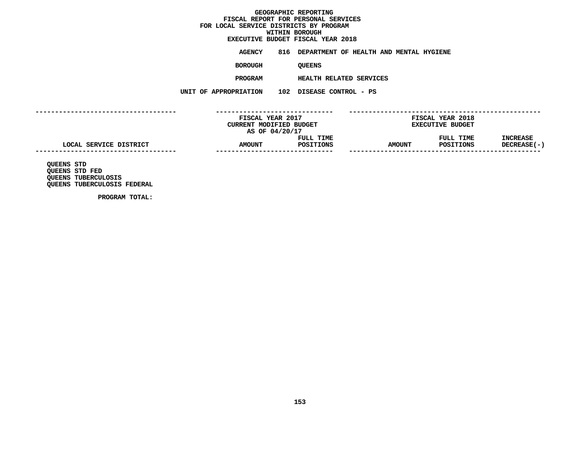## GEOGRAPHIC REPORTING<br>FISCAL REPORT FOR PERSONAL SERVICES<br>OCAL SERVICE DISTRICTS BY PROGRAM<br>WITHIN BOROUGH  $FOR$  LOCAL SERVICE DISTRICTS BY PROGRAM **FOR LOCAL SERVICE DISTRICTS BY PROGRAM**

## **WITHIN BOROUGH EXECUTIVE BUDGET FISCAL YEAR <sup>2018</sup>**

**AGENCY <sup>816</sup> DEPARTMENT OF HEALTH AND MENTAL HYGIENE**

**BOROUGH**

QUEENS<br>HEALTH RELATED SERVICES **PROGRAM**

 **HEALTH RELATED SERVICES UNIT OF APPROPRIATION <sup>102</sup> DISEASE CONTROL - PS**

**------------------------------------ ------------------------------ ------------------------------------------------- FISCAL YEAR <sup>2017</sup> FISCAL YEAR <sup>2018</sup> CURRENT MODIFIED BUDGET**<br> **AS OF 04/20/17**<br> **FULL TIME**<br> **FULL TIME**<br> **EXECUTIVE**<br> **FULL TIME AS OF 04/20/17 FULL TIME FULL TIME INCREASE LOCAL SERVICE DISTRICT AMOUNT POSITIONS AMOUNT POSITIONS DECREASE(-) ------------------------------------------------------------------ ------------------------------------------------- QUEENS STD**

**QUEENS STD FED QUEENS TUBERCULOSIS QUEENS TUBERCULOSIS FEDERAL**

**PROGRAM TOTAL:**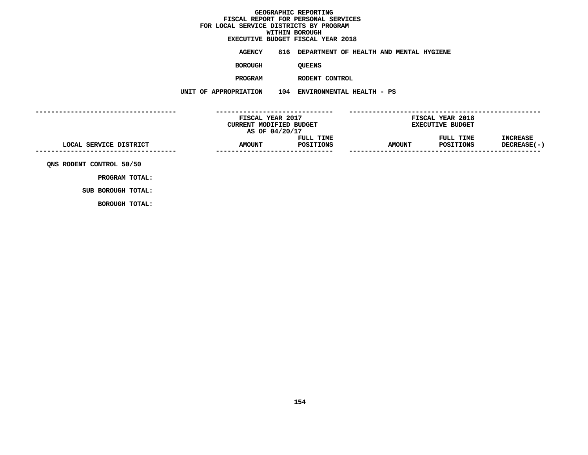## GEOGRAPHIC REPORTING<br>FISCAL REPORT FOR PERSONAL SERVICES<br>OCAL SERVICE DISTRICTS BY PROGRAM<br>WITHIN BOROUGH  $FOR$  LOCAL SERVICE DISTRICTS BY PROGRAM **FOR LOCAL SERVICE DISTRICTS BY PROGRAMWITHIN BOROUGH**

# **EXECUTIVE BUDGET FISCAL YEAR <sup>2018</sup>**

**AGENCY <sup>816</sup> DEPARTMENT OF HEALTH AND MENTAL HYGIENE**

**BOROUGH**

QUEENS<br>RODENT CONTROL **PROGRAM**

 **RODENT CONTROL UNIT OF APPROPRIATION <sup>104</sup> ENVIRONMENTAL HEALTH - PS**

**------------------------------------ ------------------------------ ------------------------------------------------- FISCAL YEAR <sup>2017</sup> FISCAL YEAR <sup>2018</sup> CURRENT MODIFIED BUDGET**<br> **AS OF 04/20/17**<br> **FULL TIME**<br> **FULL TIME**<br> **EXECUTIVE**<br> **FULL TIME AS OF 04/20/17 FULL TIME FULL TIME INCREASE**  $\text{LOCAL} \text{ SERVICE DISTRICT} \text{DISTRICT} \text{AMOUNT} \text{POSTIONS} \text{MMOUNT} \text{POSTIONS} \text{DECTERASE(-1)} \text{SOLCIREABE(-2)} \text{SOLCIREABE(-3)} \text{SOLCIREABE(-4)} \text{SOLCIREABE(-5)} \text{SOLCIREABE(-5)} \text{SOLCIREABE(-5)} \text{SOLCIREABE(-5)} \text{SOLCIREABE(-5)} \text{SOLCIREABE(-5)} \text{SOLCIREABE(-5)} \text{SOLCIREABE(-5)} \text{SOLCIREABE(-5)} \text{SOLCIREABE(-5)}$ **------------------------------ ------------------------------------------------- QNS RODENT CONTROL 50/50**

**PROGRAM TOTAL: SUB BOROUGH TOTAL:**

**BOROUGH TOTAL:**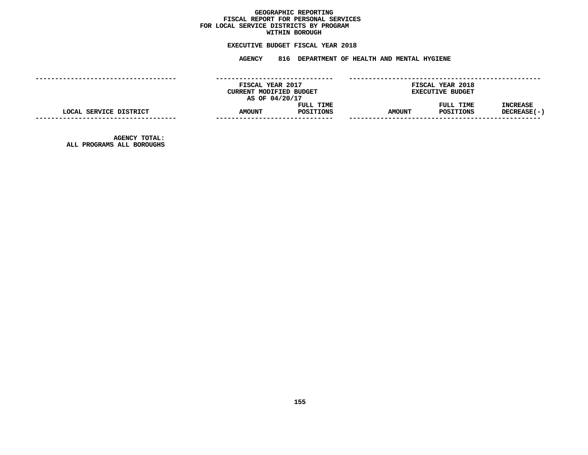## GEOGRAPHIC REPORTING<br>FISCAL REPORT FOR PERSONAL SERVICES<br>OCAL SERVICE DISTRICTS BY PROGRAM<br>WITHIN BOROUGH **FISCAL REPORT FOR PERSONAL SERVICES FOR LOCAL SERVICE DISTRICTS BY PROGRAM**

## **WITHIN BOROUGH**

**EXECUTIVE BUDGET FISCAL YEAR <sup>2018</sup> AGENCY <sup>816</sup> DEPARTMENT OF HEALTH AND MENTAL HYGIENE**

|                                                   | FISCAL YEAR 2017<br>CURRENT MODIFIED BUDGET<br>AS OF 04/20/17 |                        |               | FISCAL YEAR 2018<br><b>EXECUTIVE BUDGET</b> |                         |
|---------------------------------------------------|---------------------------------------------------------------|------------------------|---------------|---------------------------------------------|-------------------------|
| LOCAL SERVICE DISTRICT                            | <b>AMOUNT</b><br>-------------------                          | FULL TIME<br>POSITIONS | <b>AMOUNT</b> | FULL TIME<br>POSITIONS                      | INCREASE<br>DECREASE(-) |
| <b>AGENCY TOTAL:</b><br>ALL PROGRAMS ALL BOROUGHS |                                                               |                        |               |                                             |                         |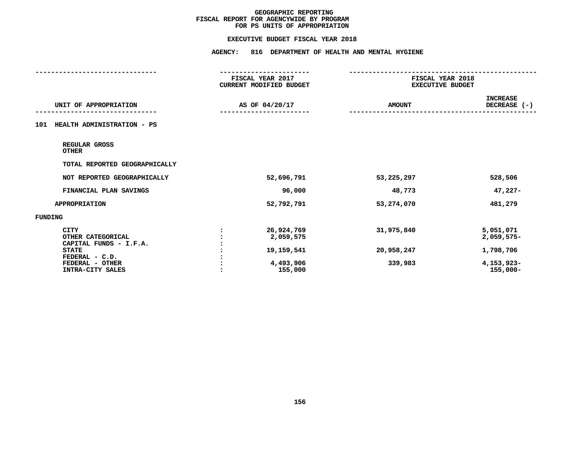### **EXECUTIVE BUDGET FISCAL YEAR 2018**

|                                                                                                                                     | <b>AGENCY:</b>                                                |                                             |                                                                   |
|-------------------------------------------------------------------------------------------------------------------------------------|---------------------------------------------------------------|---------------------------------------------|-------------------------------------------------------------------|
|                                                                                                                                     | FISCAL YEAR 2017<br>CURRENT MODIFIED BUDGET                   | FISCAL YEAR 2018<br><b>EXECUTIVE BUDGET</b> |                                                                   |
| UNIT OF APPROPRIATION                                                                                                               | AS OF 04/20/17                                                | <b>AMOUNT</b>                               | <b>INCREASE</b><br>DECREASE (-)                                   |
| HEALTH ADMINISTRATION - PS<br>101                                                                                                   |                                                               |                                             |                                                                   |
| REGULAR GROSS<br><b>OTHER</b>                                                                                                       |                                                               |                                             |                                                                   |
| TOTAL REPORTED GEOGRAPHICALLY                                                                                                       |                                                               |                                             |                                                                   |
| NOT REPORTED GEOGRAPHICALLY                                                                                                         | 52,696,791                                                    | 53,225,297                                  | 528,506                                                           |
| FINANCIAL PLAN SAVINGS                                                                                                              | 96,000                                                        | 48,773                                      | $47,227-$                                                         |
| <b>APPROPRIATION</b>                                                                                                                | 52,792,791                                                    | 53,274,070                                  | 481,279                                                           |
| FUNDING                                                                                                                             |                                                               |                                             |                                                                   |
| <b>CITY</b><br>OTHER CATEGORICAL<br>CAPITAL FUNDS - I.F.A.<br><b>STATE</b><br>FEDERAL - C.D.<br>FEDERAL - OTHER<br>INTRA-CITY SALES | 26,924,769<br>2,059,575<br>19,159,541<br>4,493,906<br>155,000 | 31,975,840<br>20,958,247<br>339,983         | 5,051,071<br>2,059,575-<br>1,798,706<br>4,153,923-<br>$155,000 -$ |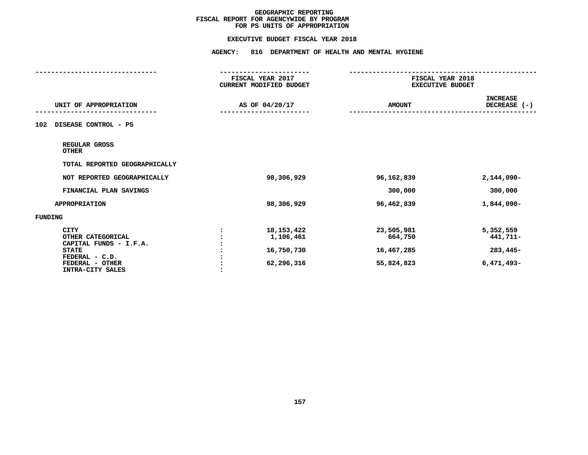### **EXECUTIVE BUDGET FISCAL YEAR 2018**

|                                                                                                                                     | -----------------<br>FISCAL YEAR 2017<br>CURRENT MODIFIED BUDGET | FISCAL YEAR 2018<br><b>EXECUTIVE BUDGET</b>       |                                                   |
|-------------------------------------------------------------------------------------------------------------------------------------|------------------------------------------------------------------|---------------------------------------------------|---------------------------------------------------|
| UNIT OF APPROPRIATION                                                                                                               | AS OF 04/20/17                                                   | <b>AMOUNT</b>                                     | <b>INCREASE</b><br>DECREASE (-)                   |
| DISEASE CONTROL - PS<br>102                                                                                                         |                                                                  |                                                   |                                                   |
| REGULAR GROSS<br><b>OTHER</b>                                                                                                       |                                                                  |                                                   |                                                   |
| TOTAL REPORTED GEOGRAPHICALLY                                                                                                       |                                                                  |                                                   |                                                   |
| NOT REPORTED GEOGRAPHICALLY                                                                                                         | 98,306,929                                                       | 96,162,839                                        | $2,144,090 -$                                     |
| FINANCIAL PLAN SAVINGS                                                                                                              |                                                                  | 300,000                                           | 300,000                                           |
| <b>APPROPRIATION</b>                                                                                                                | 98,306,929                                                       | 96,462,839                                        | 1,844,090-                                        |
| FUNDING                                                                                                                             |                                                                  |                                                   |                                                   |
| <b>CITY</b><br>OTHER CATEGORICAL<br>CAPITAL FUNDS - I.F.A.<br><b>STATE</b><br>FEDERAL - C.D.<br>FEDERAL - OTHER<br>INTRA-CITY SALES | 18, 153, 422<br>1,106,461<br>16,750,730<br>62,296,316            | 23,505,981<br>664,750<br>16,467,285<br>55,824,823 | 5,352,559<br>441,711-<br>283,445-<br>$6,471,493-$ |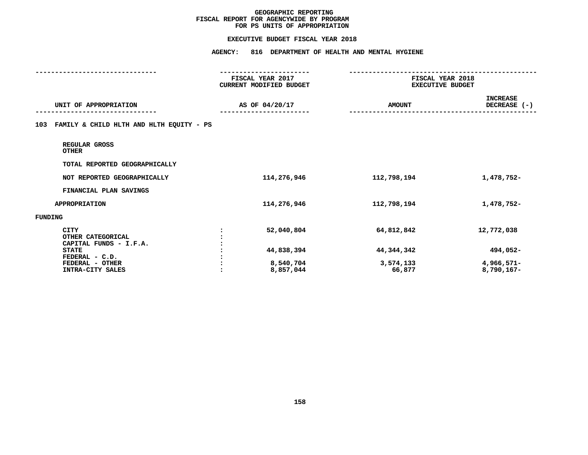### **EXECUTIVE BUDGET FISCAL YEAR 2018**

|                                                            | <b>AGENCY:</b><br>816 DEPARTMENT OF HEALTH AND MENTAL HYGIENE   |                                             |                                 |
|------------------------------------------------------------|-----------------------------------------------------------------|---------------------------------------------|---------------------------------|
|                                                            | ----------------<br>FISCAL YEAR 2017<br>CURRENT MODIFIED BUDGET | FISCAL YEAR 2018<br><b>EXECUTIVE BUDGET</b> |                                 |
| UNIT OF APPROPRIATION                                      | AS OF 04/20/17                                                  | <b>AMOUNT</b>                               | <b>INCREASE</b><br>DECREASE (-) |
| 103 FAMILY & CHILD HLTH AND HLTH EQUITY - PS               |                                                                 |                                             |                                 |
| REGULAR GROSS<br><b>OTHER</b>                              |                                                                 |                                             |                                 |
| TOTAL REPORTED GEOGRAPHICALLY                              |                                                                 |                                             |                                 |
| NOT REPORTED GEOGRAPHICALLY                                | 114,276,946                                                     | 112,798,194                                 | 1,478,752-                      |
| FINANCIAL PLAN SAVINGS                                     |                                                                 |                                             |                                 |
| <b>APPROPRIATION</b>                                       | 114,276,946                                                     | 112,798,194                                 | 1,478,752-                      |
| <b>FUNDING</b>                                             |                                                                 |                                             |                                 |
| <b>CITY</b><br>OTHER CATEGORICAL<br>CAPITAL FUNDS - I.F.A. | 52,040,804                                                      | 64,812,842                                  | 12,772,038                      |
| <b>STATE</b>                                               | 44,838,394                                                      | 44,344,342                                  | 494,052-                        |
| FEDERAL - C.D.<br>FEDERAL - OTHER<br>INTRA-CITY SALES      | 8,540,704<br>8,857,044                                          | 3,574,133<br>66,877                         | 4,966,571-<br>8,790,167-        |
|                                                            |                                                                 |                                             |                                 |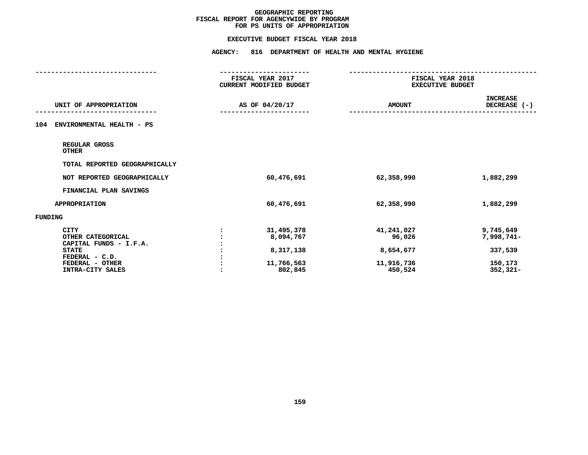### **EXECUTIVE BUDGET FISCAL YEAR 2018**

|                                                                                                                                     | FISCAL YEAR 2017<br>CURRENT MODIFIED BUDGET                   | FISCAL YEAR 2018<br><b>EXECUTIVE BUDGET</b>                |                                                              |
|-------------------------------------------------------------------------------------------------------------------------------------|---------------------------------------------------------------|------------------------------------------------------------|--------------------------------------------------------------|
| UNIT OF APPROPRIATION                                                                                                               | AS OF 04/20/17                                                | <b>AMOUNT</b>                                              | <b>INCREASE</b><br>DECREASE (-)                              |
| ENVIRONMENTAL HEALTH - PS<br>104                                                                                                    |                                                               |                                                            |                                                              |
| REGULAR GROSS<br><b>OTHER</b>                                                                                                       |                                                               |                                                            |                                                              |
| TOTAL REPORTED GEOGRAPHICALLY                                                                                                       |                                                               |                                                            |                                                              |
| NOT REPORTED GEOGRAPHICALLY                                                                                                         | 60,476,691                                                    | 62,358,990                                                 | 1,882,299                                                    |
| FINANCIAL PLAN SAVINGS                                                                                                              |                                                               |                                                            |                                                              |
| <b>APPROPRIATION</b>                                                                                                                | 60,476,691                                                    | 62,358,990                                                 | 1,882,299                                                    |
| FUNDING                                                                                                                             |                                                               |                                                            |                                                              |
| <b>CITY</b><br>OTHER CATEGORICAL<br>CAPITAL FUNDS - I.F.A.<br><b>STATE</b><br>FEDERAL - C.D.<br>FEDERAL - OTHER<br>INTRA-CITY SALES | 31,495,378<br>8,094,767<br>8,317,138<br>11,766,563<br>802,845 | 41,241,027<br>96,026<br>8,654,677<br>11,916,736<br>450,524 | 9,745,649<br>7,998,741-<br>337,539<br>150,173<br>$352,321 -$ |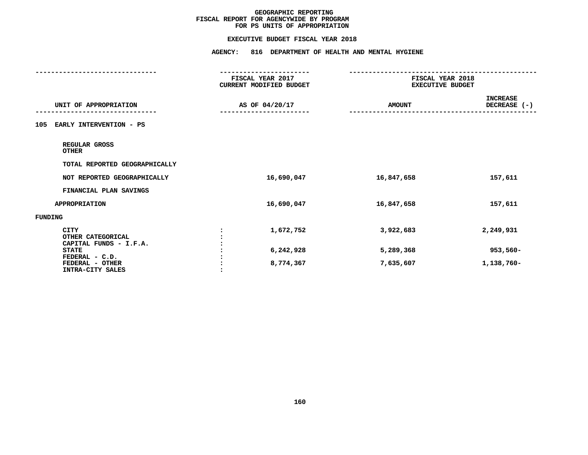### **EXECUTIVE BUDGET FISCAL YEAR 2018**

|                                                       | <b>AGENCY:</b><br>816 DEPARTMENT OF HEALTH AND MENTAL HYGIENE    |                                             |                                 |
|-------------------------------------------------------|------------------------------------------------------------------|---------------------------------------------|---------------------------------|
|                                                       | -----------------<br>FISCAL YEAR 2017<br>CURRENT MODIFIED BUDGET | FISCAL YEAR 2018<br><b>EXECUTIVE BUDGET</b> |                                 |
| UNIT OF APPROPRIATION                                 | AS OF 04/20/17                                                   | <b>AMOUNT</b>                               | <b>INCREASE</b><br>DECREASE (-) |
| EARLY INTERVENTION - PS<br>105                        |                                                                  |                                             |                                 |
| REGULAR GROSS<br><b>OTHER</b>                         |                                                                  |                                             |                                 |
| TOTAL REPORTED GEOGRAPHICALLY                         |                                                                  |                                             |                                 |
| NOT REPORTED GEOGRAPHICALLY                           | 16,690,047                                                       | 16,847,658                                  | 157,611                         |
| FINANCIAL PLAN SAVINGS                                |                                                                  |                                             |                                 |
| <b>APPROPRIATION</b>                                  | 16,690,047                                                       | 16,847,658                                  | 157,611                         |
| <b>FUNDING</b>                                        |                                                                  |                                             |                                 |
| <b>CITY</b><br>OTHER CATEGORICAL                      | 1,672,752                                                        | 3,922,683                                   | 2,249,931                       |
| CAPITAL FUNDS - I.F.A.<br><b>STATE</b>                | 6,242,928                                                        | 5,289,368                                   | $953,560 -$                     |
| FEDERAL - C.D.<br>FEDERAL - OTHER<br>INTRA-CITY SALES | 8,774,367                                                        | 7,635,607                                   | 1,138,760-                      |
|                                                       |                                                                  |                                             |                                 |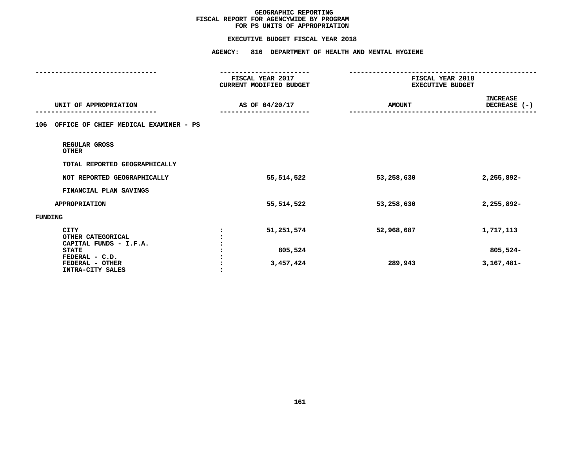### **EXECUTIVE BUDGET FISCAL YEAR 2018**

|                                                            | <b>AGENCY:</b><br>816 DEPARTMENT OF HEALTH AND MENTAL HYGIENE    |                                             |                                 |
|------------------------------------------------------------|------------------------------------------------------------------|---------------------------------------------|---------------------------------|
|                                                            | -----------------<br>FISCAL YEAR 2017<br>CURRENT MODIFIED BUDGET | FISCAL YEAR 2018<br><b>EXECUTIVE BUDGET</b> |                                 |
| UNIT OF APPROPRIATION                                      | AS OF 04/20/17                                                   | <b>AMOUNT</b>                               | <b>INCREASE</b><br>DECREASE (-) |
| OFFICE OF CHIEF MEDICAL EXAMINER - PS<br>106               |                                                                  |                                             |                                 |
| REGULAR GROSS<br><b>OTHER</b>                              |                                                                  |                                             |                                 |
| TOTAL REPORTED GEOGRAPHICALLY                              |                                                                  |                                             |                                 |
| NOT REPORTED GEOGRAPHICALLY                                | 55,514,522                                                       | 53,258,630                                  | 2,255,892-                      |
| FINANCIAL PLAN SAVINGS                                     |                                                                  |                                             |                                 |
| <b>APPROPRIATION</b>                                       | 55, 514, 522                                                     | 53,258,630                                  | 2,255,892-                      |
| <b>FUNDING</b>                                             |                                                                  |                                             |                                 |
| <b>CITY</b><br>OTHER CATEGORICAL<br>CAPITAL FUNDS - I.F.A. | 51,251,574                                                       | 52,968,687                                  | 1,717,113                       |
| <b>STATE</b><br>FEDERAL - C.D.                             | 805,524                                                          |                                             | 805,524-                        |
| FEDERAL - OTHER<br>INTRA-CITY SALES                        | 3,457,424                                                        | 289,943                                     | $3,167,481-$                    |
|                                                            |                                                                  |                                             |                                 |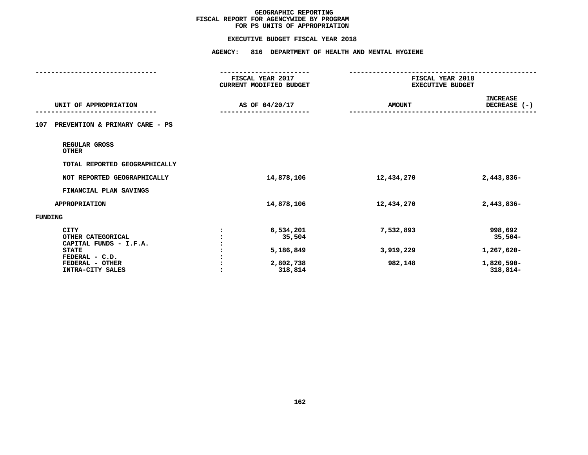### **EXECUTIVE BUDGET FISCAL YEAR 2018**

|                                                            | FISCAL YEAR 2017<br>CURRENT MODIFIED BUDGET |               | FISCAL YEAR 2018<br><b>EXECUTIVE BUDGET</b> |  |
|------------------------------------------------------------|---------------------------------------------|---------------|---------------------------------------------|--|
| UNIT OF APPROPRIATION                                      | AS OF 04/20/17                              | <b>AMOUNT</b> | <b>INCREASE</b><br>DECREASE (-)             |  |
| PREVENTION & PRIMARY CARE - PS<br>107                      |                                             |               |                                             |  |
| REGULAR GROSS<br><b>OTHER</b>                              |                                             |               |                                             |  |
| TOTAL REPORTED GEOGRAPHICALLY                              |                                             |               |                                             |  |
| NOT REPORTED GEOGRAPHICALLY                                | 14,878,106                                  | 12,434,270    | 2,443,836-                                  |  |
| FINANCIAL PLAN SAVINGS                                     |                                             |               |                                             |  |
| <b>APPROPRIATION</b>                                       | 14,878,106                                  | 12,434,270    | 2,443,836-                                  |  |
| <b>FUNDING</b>                                             |                                             |               |                                             |  |
| <b>CITY</b><br>OTHER CATEGORICAL<br>CAPITAL FUNDS - I.F.A. | 6,534,201<br>35,504                         | 7,532,893     | 998,692<br>$35,504-$                        |  |
| <b>STATE</b>                                               | 5,186,849                                   | 3,919,229     | 1,267,620-                                  |  |
| FEDERAL - C.D.<br>FEDERAL - OTHER<br>INTRA-CITY SALES      | 2,802,738<br>318,814                        | 982,148       | 1,820,590-<br>$318,814-$                    |  |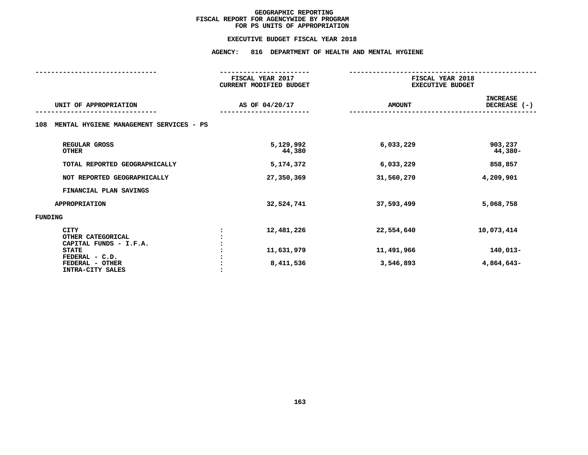### **EXECUTIVE BUDGET FISCAL YEAR 2018**

**EXECUTIVE BUDGET FISCAL YEAR <sup>2018</sup>AGENCY: <sup>816</sup> DEPARTMENT OF HEALTH AND MENTAL HYGIENE**

|                                                            | FISCAL YEAR 2017<br><b>CURRENT MODIFIED BUDGET</b> | FISCAL YEAR 2018<br><b>EXECUTIVE BUDGET</b> |                                 |  |
|------------------------------------------------------------|----------------------------------------------------|---------------------------------------------|---------------------------------|--|
| UNIT OF APPROPRIATION                                      | AS OF 04/20/17                                     | <b>AMOUNT</b>                               | <b>INCREASE</b><br>DECREASE (-) |  |
| MENTAL HYGIENE MANAGEMENT SERVICES - PS<br>108             |                                                    |                                             |                                 |  |
| REGULAR GROSS<br><b>OTHER</b>                              | 5,129,992<br>44,380                                | 6,033,229                                   | 903,237<br>44,380-              |  |
| TOTAL REPORTED GEOGRAPHICALLY                              | 5,174,372                                          | 6,033,229                                   | 858,857                         |  |
| NOT REPORTED GEOGRAPHICALLY                                | 27,350,369                                         | 31,560,270                                  | 4,209,901                       |  |
| FINANCIAL PLAN SAVINGS                                     |                                                    |                                             |                                 |  |
| <b>APPROPRIATION</b>                                       | 32,524,741                                         | 37,593,499                                  | 5,068,758                       |  |
| <b>FUNDING</b>                                             |                                                    |                                             |                                 |  |
| <b>CITY</b><br>OTHER CATEGORICAL<br>CAPITAL FUNDS - I.F.A. | 12,481,226                                         | 22,554,640                                  | 10,073,414                      |  |
| <b>STATE</b><br>FEDERAL - C.D.                             | 11,631,979                                         | 11,491,966                                  | 140,013-                        |  |
| FEDERAL - OTHER<br>INTRA-CITY SALES                        | 8,411,536                                          | 3,546,893                                   | 4,864,643-                      |  |
|                                                            |                                                    |                                             |                                 |  |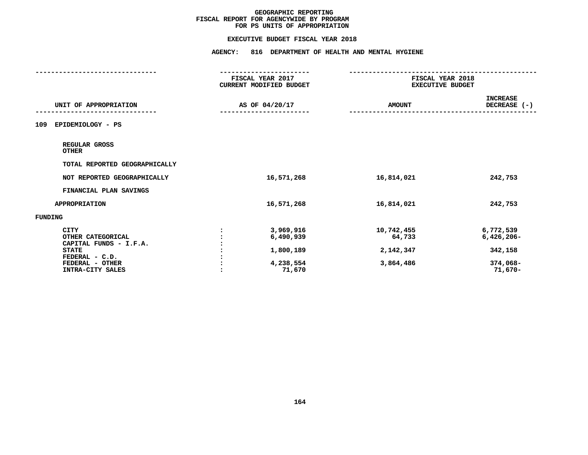### **EXECUTIVE BUDGET FISCAL YEAR 2018**

|                                                                                                                                     | -----------------                                          |                                                |                                                              |  |
|-------------------------------------------------------------------------------------------------------------------------------------|------------------------------------------------------------|------------------------------------------------|--------------------------------------------------------------|--|
|                                                                                                                                     | FISCAL YEAR 2017<br><b>CURRENT MODIFIED BUDGET</b>         |                                                | FISCAL YEAR 2018<br><b>EXECUTIVE BUDGET</b>                  |  |
| UNIT OF APPROPRIATION                                                                                                               | AS OF 04/20/17                                             | <b>AMOUNT</b>                                  | <b>INCREASE</b><br>DECREASE (-)                              |  |
| EPIDEMIOLOGY - PS<br>109                                                                                                            |                                                            |                                                |                                                              |  |
| REGULAR GROSS<br><b>OTHER</b>                                                                                                       |                                                            |                                                |                                                              |  |
| TOTAL REPORTED GEOGRAPHICALLY                                                                                                       |                                                            |                                                |                                                              |  |
| NOT REPORTED GEOGRAPHICALLY                                                                                                         | 16,571,268                                                 | 16,814,021                                     | 242,753                                                      |  |
| FINANCIAL PLAN SAVINGS                                                                                                              |                                                            |                                                |                                                              |  |
| <b>APPROPRIATION</b>                                                                                                                | 16,571,268                                                 | 16,814,021                                     | 242,753                                                      |  |
| FUNDING                                                                                                                             |                                                            |                                                |                                                              |  |
| <b>CITY</b><br>OTHER CATEGORICAL<br>CAPITAL FUNDS - I.F.A.<br><b>STATE</b><br>FEDERAL - C.D.<br>FEDERAL - OTHER<br>INTRA-CITY SALES | 3,969,916<br>6,490,939<br>1,800,189<br>4,238,554<br>71,670 | 10,742,455<br>64,733<br>2,142,347<br>3,864,486 | 6,772,539<br>$6,426,206 -$<br>342,158<br>374,068-<br>71,670- |  |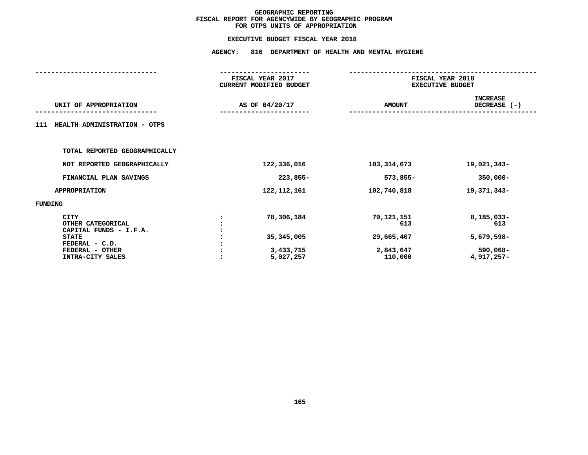| <b>AGENCY:</b><br>816 DEPARTMENT OF HEALTH AND MENTAL HYGIENE |                                                         |                                                           |  |  |  |
|---------------------------------------------------------------|---------------------------------------------------------|-----------------------------------------------------------|--|--|--|
| FISCAL YEAR 2017<br><b>CURRENT MODIFIED BUDGET</b>            |                                                         | FISCAL YEAR 2018<br><b>EXECUTIVE BUDGET</b>               |  |  |  |
| AS OF 04/20/17                                                | <b>AMOUNT</b>                                           | <b>INCREASE</b><br>DECREASE (-)                           |  |  |  |
|                                                               |                                                         |                                                           |  |  |  |
|                                                               |                                                         |                                                           |  |  |  |
| 122,336,016                                                   | 103, 314, 673                                           | 19,021,343-                                               |  |  |  |
| 223,855-                                                      | $573,855-$                                              | $350,000 -$                                               |  |  |  |
| 122, 112, 161                                                 | 102,740,818                                             | 19,371,343-                                               |  |  |  |
|                                                               |                                                         |                                                           |  |  |  |
| 78,306,184<br>35, 345, 005<br>3,433,715<br>5,027,257          | 70,121,151<br>613<br>29,665,407<br>2,843,647<br>110,000 | 8,185,033-<br>613<br>5,679,598-<br>590,068-<br>4,917,257- |  |  |  |
|                                                               |                                                         |                                                           |  |  |  |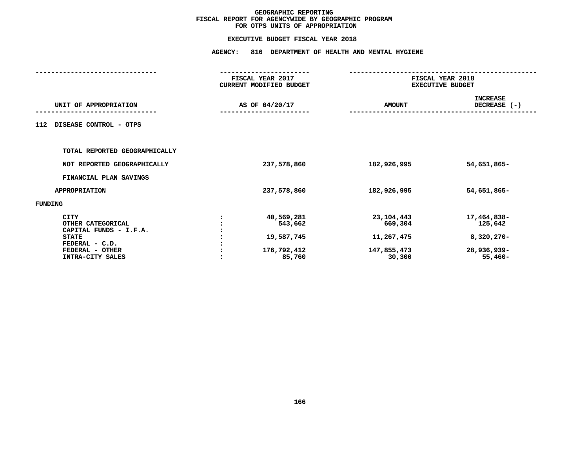|                               | <b>AGENCY:</b><br>816 DEPARTMENT OF HEALTH AND MENTAL HYGIENE |                                             |               |                                             |  |  |
|-------------------------------|---------------------------------------------------------------|---------------------------------------------|---------------|---------------------------------------------|--|--|
|                               |                                                               | FISCAL YEAR 2017<br>CURRENT MODIFIED BUDGET |               | FISCAL YEAR 2018<br><b>EXECUTIVE BUDGET</b> |  |  |
| UNIT OF APPROPRIATION         |                                                               | AS OF 04/20/17                              | <b>AMOUNT</b> | <b>INCREASE</b><br>DECREASE (-)             |  |  |
| DISEASE CONTROL - OTPS<br>112 |                                                               |                                             |               |                                             |  |  |
| TOTAL REPORTED GEOGRAPHICALLY |                                                               |                                             |               |                                             |  |  |
| NOT REPORTED GEOGRAPHICALLY   |                                                               | 237,578,860                                 | 182,926,995   | 54,651,865-                                 |  |  |
| FINANCIAL PLAN SAVINGS        |                                                               |                                             |               |                                             |  |  |
| <b>APPROPRIATION</b>          |                                                               | 237,578,860                                 | 182,926,995   | 54,651,865-                                 |  |  |
| <b>FUNDING</b>                |                                                               |                                             |               |                                             |  |  |
| <b>CITY</b>                   |                                                               | 40,569,281                                  | 23, 104, 443  | 17,464,838-                                 |  |  |
| OTHER CATEGORICAL             |                                                               | 543,662                                     | 669,304       | 125,642                                     |  |  |
| CAPITAL FUNDS - I.F.A.        |                                                               |                                             |               |                                             |  |  |
| <b>STATE</b>                  |                                                               | 19,587,745                                  | 11,267,475    | $8,320,270 -$                               |  |  |
| FEDERAL - C.D.                |                                                               |                                             |               |                                             |  |  |
| FEDERAL - OTHER               |                                                               | 176,792,412                                 | 147,855,473   | 28,936,939-                                 |  |  |
| INTRA-CITY SALES              |                                                               | 85,760                                      | 30,300        | $55,460-$                                   |  |  |
|                               |                                                               |                                             |               |                                             |  |  |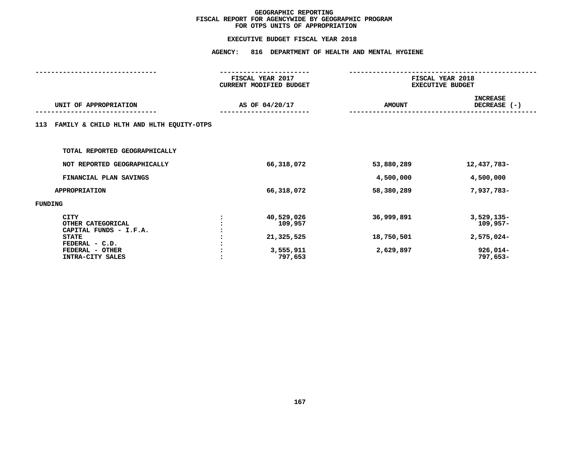**EXECUTIVE BUDGET FISCAL YEAR <sup>2018</sup>AGENCY: <sup>816</sup> DEPARTMENT OF HEALTH AND MENTAL HYGIENE**

|                                                                                                                                     | FISCAL YEAR 2017<br>CURRENT MODIFIED BUDGET |                                                             | FISCAL YEAR 2018<br><b>EXECUTIVE BUDGET</b> |                                                                  |  |  |
|-------------------------------------------------------------------------------------------------------------------------------------|---------------------------------------------|-------------------------------------------------------------|---------------------------------------------|------------------------------------------------------------------|--|--|
| UNIT OF APPROPRIATION                                                                                                               | AS OF 04/20/17                              |                                                             | <b>AMOUNT</b>                               | <b>INCREASE</b><br>DECREASE (-)                                  |  |  |
| FAMILY & CHILD HLTH AND HLTH EQUITY-OTPS<br>113                                                                                     |                                             |                                                             |                                             |                                                                  |  |  |
| TOTAL REPORTED GEOGRAPHICALLY                                                                                                       |                                             |                                                             |                                             |                                                                  |  |  |
| NOT REPORTED GEOGRAPHICALLY                                                                                                         |                                             | 66,318,072                                                  | 53,880,289                                  | 12,437,783-                                                      |  |  |
| FINANCIAL PLAN SAVINGS                                                                                                              |                                             |                                                             | 4,500,000                                   | 4,500,000                                                        |  |  |
| <b>APPROPRIATION</b>                                                                                                                |                                             | 66,318,072                                                  | 58,380,289                                  | 7,937,783-                                                       |  |  |
| FUNDING                                                                                                                             |                                             |                                                             |                                             |                                                                  |  |  |
| <b>CITY</b><br>OTHER CATEGORICAL<br>CAPITAL FUNDS - I.F.A.<br><b>STATE</b><br>FEDERAL - C.D.<br>FEDERAL - OTHER<br>INTRA-CITY SALES |                                             | 40,529,026<br>109,957<br>21,325,525<br>3,555,911<br>797,653 | 36,999,891<br>18,750,501<br>2,629,897       | $3,529,135-$<br>$109,957-$<br>2,575,024-<br>926,014-<br>797,653- |  |  |
|                                                                                                                                     |                                             |                                                             |                                             |                                                                  |  |  |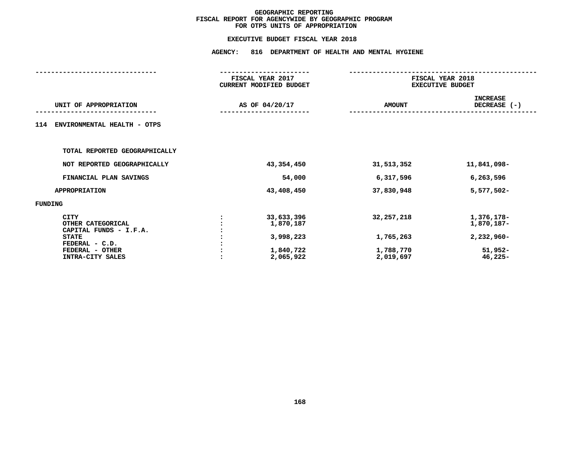| <b>AGENCY:</b><br>816 DEPARTMENT OF HEALTH AND MENTAL HYGIENE |                                                  |                                                                                                         |                                                                  |  |  |
|---------------------------------------------------------------|--------------------------------------------------|---------------------------------------------------------------------------------------------------------|------------------------------------------------------------------|--|--|
|                                                               |                                                  | FISCAL YEAR 2018<br><b>EXECUTIVE BUDGET</b>                                                             |                                                                  |  |  |
|                                                               |                                                  | <b>AMOUNT</b>                                                                                           | <b>INCREASE</b><br>DECREASE (-)                                  |  |  |
|                                                               |                                                  |                                                                                                         |                                                                  |  |  |
|                                                               |                                                  |                                                                                                         |                                                                  |  |  |
|                                                               |                                                  | 31,513,352                                                                                              | 11,841,098-                                                      |  |  |
|                                                               | 54,000                                           | 6,317,596                                                                                               | 6,263,596                                                        |  |  |
|                                                               |                                                  | 37,830,948                                                                                              | 5,577,502-                                                       |  |  |
|                                                               |                                                  |                                                                                                         |                                                                  |  |  |
|                                                               | 1,870,187<br>3,998,223<br>1,840,722<br>2,065,922 | 32, 257, 218<br>1,765,263<br>1,788,770<br>2,019,697                                                     | 1,376,178-<br>1,870,187-<br>2,232,960-<br>$51,952-$<br>$46,225-$ |  |  |
|                                                               |                                                  | FISCAL YEAR 2017<br>CURRENT MODIFIED BUDGET<br>AS OF 04/20/17<br>43,354,450<br>43,408,450<br>33,633,396 |                                                                  |  |  |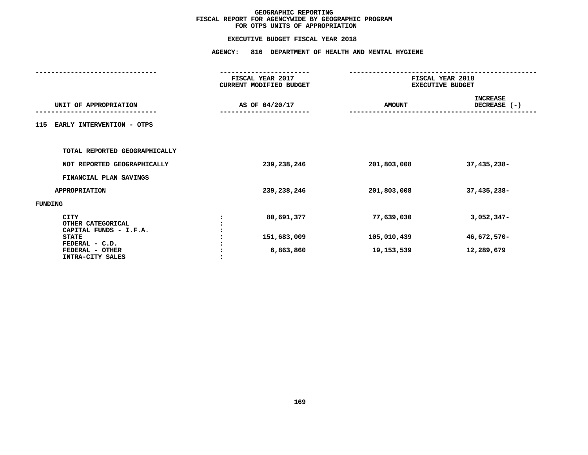|                                                            | <b>AGENCY:</b><br>816 DEPARTMENT OF HEALTH AND MENTAL HYGIENE |                                             |                                             |                                 |  |  |
|------------------------------------------------------------|---------------------------------------------------------------|---------------------------------------------|---------------------------------------------|---------------------------------|--|--|
|                                                            |                                                               | FISCAL YEAR 2017<br>CURRENT MODIFIED BUDGET | FISCAL YEAR 2018<br><b>EXECUTIVE BUDGET</b> |                                 |  |  |
| UNIT OF APPROPRIATION                                      |                                                               | AS OF 04/20/17                              | <b>AMOUNT</b>                               | <b>INCREASE</b><br>DECREASE (-) |  |  |
| 115<br>EARLY INTERVENTION - OTPS                           |                                                               |                                             |                                             |                                 |  |  |
| TOTAL REPORTED GEOGRAPHICALLY                              |                                                               |                                             |                                             |                                 |  |  |
| NOT REPORTED GEOGRAPHICALLY                                |                                                               | 239,238,246                                 | 201,803,008                                 | 37,435,238-                     |  |  |
| FINANCIAL PLAN SAVINGS                                     |                                                               |                                             |                                             |                                 |  |  |
| <b>APPROPRIATION</b>                                       |                                                               | 239,238,246                                 | 201,803,008                                 | 37,435,238-                     |  |  |
| FUNDING                                                    |                                                               |                                             |                                             |                                 |  |  |
| <b>CITY</b><br>OTHER CATEGORICAL<br>CAPITAL FUNDS - I.F.A. |                                                               | 80,691,377                                  | 77,639,030                                  | $3,052,347-$                    |  |  |
| <b>STATE</b>                                               |                                                               | 151,683,009                                 | 105,010,439                                 | 46,672,570-                     |  |  |
| FEDERAL - C.D.<br>FEDERAL - OTHER<br>INTRA-CITY SALES      |                                                               | 6,863,860                                   | 19,153,539                                  | 12,289,679                      |  |  |
|                                                            |                                                               |                                             |                                             |                                 |  |  |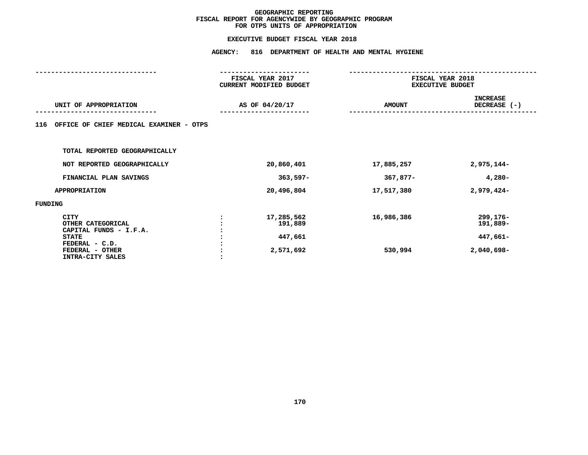|                                                                                                                                     | <b>AGENCY:</b> | 816 DEPARTMENT OF HEALTH AND MENTAL HYGIENE   |                         |                                                |  |
|-------------------------------------------------------------------------------------------------------------------------------------|----------------|-----------------------------------------------|-------------------------|------------------------------------------------|--|
|                                                                                                                                     |                | FISCAL YEAR 2017                              | FISCAL YEAR 2018        |                                                |  |
|                                                                                                                                     |                | CURRENT MODIFIED BUDGET                       | <b>EXECUTIVE BUDGET</b> |                                                |  |
| UNIT OF APPROPRIATION                                                                                                               |                | AS OF 04/20/17                                | <b>AMOUNT</b>           | <b>INCREASE</b><br>DECREASE (-)                |  |
| OFFICE OF CHIEF MEDICAL EXAMINER - OTPS<br>116                                                                                      |                |                                               |                         |                                                |  |
| TOTAL REPORTED GEOGRAPHICALLY                                                                                                       |                |                                               |                         |                                                |  |
| NOT REPORTED GEOGRAPHICALLY                                                                                                         |                | 20,860,401                                    | 17,885,257              | 2,975,144-                                     |  |
| FINANCIAL PLAN SAVINGS                                                                                                              |                | $363,597-$                                    | 367,877-                | $4,280-$                                       |  |
| <b>APPROPRIATION</b>                                                                                                                |                | 20,496,804                                    | 17,517,380              | $2,979,424-$                                   |  |
| <b>FUNDING</b>                                                                                                                      |                |                                               |                         |                                                |  |
| <b>CITY</b><br>OTHER CATEGORICAL<br>CAPITAL FUNDS - I.F.A.<br><b>STATE</b><br>FEDERAL - C.D.<br>FEDERAL - OTHER<br>INTRA-CITY SALES |                | 17,285,562<br>191,889<br>447,661<br>2,571,692 | 16,986,386<br>530,994   | 299,176-<br>191,889-<br>447,661-<br>2,040,698- |  |
|                                                                                                                                     |                |                                               |                         |                                                |  |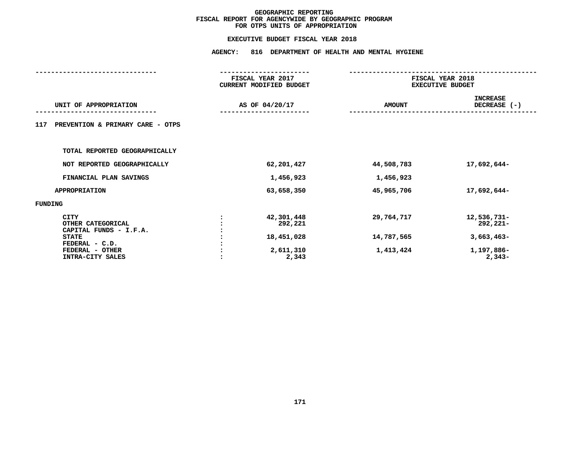### **EXECUTIVE BUDGET FISCAL YEAR 2018**

|                                                                                                                                     | <b>AGENCY:</b> | 816 DEPARTMENT OF HEALTH AND MENTAL HYGIENE               |                                       |                                                                   |  |  |
|-------------------------------------------------------------------------------------------------------------------------------------|----------------|-----------------------------------------------------------|---------------------------------------|-------------------------------------------------------------------|--|--|
|                                                                                                                                     |                | FISCAL YEAR 2017<br>CURRENT MODIFIED BUDGET               |                                       | FISCAL YEAR 2018<br><b>EXECUTIVE BUDGET</b>                       |  |  |
| UNIT OF APPROPRIATION                                                                                                               |                | AS OF 04/20/17                                            | <b>AMOUNT</b>                         | <b>INCREASE</b><br>DECREASE (-)                                   |  |  |
| PREVENTION & PRIMARY CARE - OTPS<br>117                                                                                             |                |                                                           |                                       |                                                                   |  |  |
| TOTAL REPORTED GEOGRAPHICALLY                                                                                                       |                |                                                           |                                       |                                                                   |  |  |
| NOT REPORTED GEOGRAPHICALLY                                                                                                         |                | 62,201,427                                                | 44,508,783                            | 17,692,644-                                                       |  |  |
| FINANCIAL PLAN SAVINGS                                                                                                              |                | 1,456,923                                                 | 1,456,923                             |                                                                   |  |  |
| <b>APPROPRIATION</b>                                                                                                                |                | 63,658,350                                                | 45,965,706                            | 17,692,644-                                                       |  |  |
| FUNDING                                                                                                                             |                |                                                           |                                       |                                                                   |  |  |
| <b>CITY</b><br>OTHER CATEGORICAL<br>CAPITAL FUNDS - I.F.A.<br><b>STATE</b><br>FEDERAL - C.D.<br>FEDERAL - OTHER<br>INTRA-CITY SALES |                | 42,301,448<br>292,221<br>18,451,028<br>2,611,310<br>2,343 | 29,764,717<br>14,787,565<br>1,413,424 | 12,536,731-<br>292,221-<br>$3,663,463-$<br>1,197,886-<br>$2,343-$ |  |  |
|                                                                                                                                     |                |                                                           |                                       |                                                                   |  |  |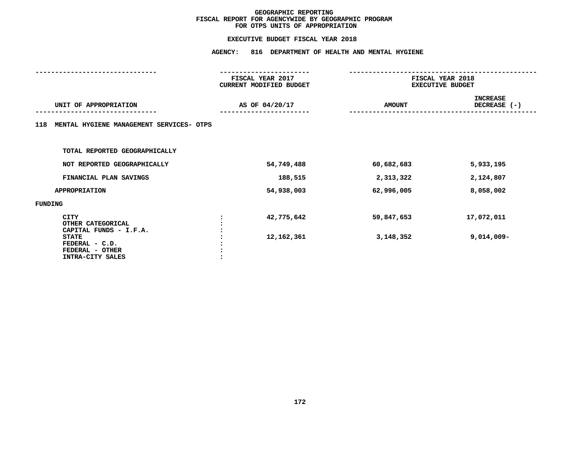|                                                                       | <b>AGENCY:</b><br>816 DEPARTMENT OF HEALTH AND MENTAL HYGIENE |                                             |               |                                             |  |  |
|-----------------------------------------------------------------------|---------------------------------------------------------------|---------------------------------------------|---------------|---------------------------------------------|--|--|
|                                                                       |                                                               | FISCAL YEAR 2017<br>CURRENT MODIFIED BUDGET |               | FISCAL YEAR 2018<br><b>EXECUTIVE BUDGET</b> |  |  |
| UNIT OF APPROPRIATION                                                 | AS OF 04/20/17                                                |                                             | <b>AMOUNT</b> | <b>INCREASE</b><br>DECREASE (-)             |  |  |
| MENTAL HYGIENE MANAGEMENT SERVICES- OTPS<br>118                       |                                                               |                                             |               |                                             |  |  |
| TOTAL REPORTED GEOGRAPHICALLY                                         |                                                               |                                             |               |                                             |  |  |
| NOT REPORTED GEOGRAPHICALLY                                           |                                                               | 54,749,488                                  | 60,682,683    | 5,933,195                                   |  |  |
| FINANCIAL PLAN SAVINGS                                                |                                                               | 188,515                                     | 2,313,322     | 2,124,807                                   |  |  |
| <b>APPROPRIATION</b>                                                  |                                                               | 54,938,003                                  | 62,996,005    | 8,058,002                                   |  |  |
| FUNDING                                                               |                                                               |                                             |               |                                             |  |  |
| <b>CITY</b><br>OTHER CATEGORICAL<br>CAPITAL FUNDS - I.F.A.            |                                                               | 42,775,642                                  | 59,847,653    | 17,072,011                                  |  |  |
| <b>STATE</b><br>FEDERAL - C.D.<br>FEDERAL - OTHER<br>INTRA-CITY SALES |                                                               | 12,162,361                                  | 3,148,352     | $9,014,009 -$                               |  |  |
|                                                                       |                                                               |                                             |               |                                             |  |  |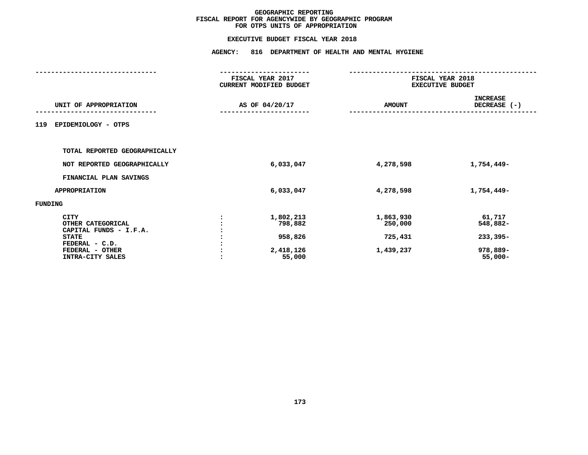### **EXECUTIVE BUDGET FISCAL YEAR 2018**

|                                                                                                                                     | <b>AGENCY:</b><br>816 DEPARTMENT OF HEALTH AND MENTAL HYGIENE |                                                        |                                              |                                                            |  |  |
|-------------------------------------------------------------------------------------------------------------------------------------|---------------------------------------------------------------|--------------------------------------------------------|----------------------------------------------|------------------------------------------------------------|--|--|
|                                                                                                                                     |                                                               | FISCAL YEAR 2017<br>CURRENT MODIFIED BUDGET            | FISCAL YEAR 2018<br><b>EXECUTIVE BUDGET</b>  |                                                            |  |  |
| UNIT OF APPROPRIATION                                                                                                               |                                                               | AS OF 04/20/17                                         | <b>AMOUNT</b>                                | <b>INCREASE</b><br>DECREASE (-)                            |  |  |
| EPIDEMIOLOGY - OTPS<br>119                                                                                                          |                                                               |                                                        |                                              |                                                            |  |  |
| TOTAL REPORTED GEOGRAPHICALLY                                                                                                       |                                                               |                                                        |                                              |                                                            |  |  |
| NOT REPORTED GEOGRAPHICALLY                                                                                                         |                                                               | 6,033,047                                              | 4,278,598                                    | 1,754,449-                                                 |  |  |
| FINANCIAL PLAN SAVINGS                                                                                                              |                                                               |                                                        |                                              |                                                            |  |  |
| <b>APPROPRIATION</b>                                                                                                                |                                                               | 6,033,047                                              | 4,278,598                                    | 1,754,449-                                                 |  |  |
| FUNDING                                                                                                                             |                                                               |                                                        |                                              |                                                            |  |  |
| <b>CITY</b><br>OTHER CATEGORICAL<br>CAPITAL FUNDS - I.F.A.<br><b>STATE</b><br>FEDERAL - C.D.<br>FEDERAL - OTHER<br>INTRA-CITY SALES |                                                               | 1,802,213<br>798,882<br>958,826<br>2,418,126<br>55,000 | 1,863,930<br>250,000<br>725,431<br>1,439,237 | 61,717<br>548,882-<br>$233,395-$<br>978,889-<br>$55,000 -$ |  |  |
|                                                                                                                                     |                                                               |                                                        |                                              |                                                            |  |  |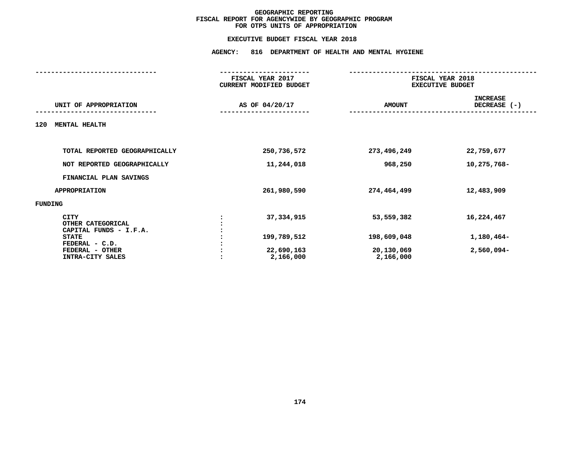## **EXECUTIVE BUDGET FISCAL YEAR <sup>2018</sup>AGENCY: <sup>816</sup> DEPARTMENT OF HEALTH AND MENTAL HYGIENE**

|                                                            | FISCAL YEAR 2017<br><b>CURRENT MODIFIED BUDGET</b> | FISCAL YEAR 2018<br><b>EXECUTIVE BUDGET</b> |                                 |
|------------------------------------------------------------|----------------------------------------------------|---------------------------------------------|---------------------------------|
| UNIT OF APPROPRIATION                                      | AS OF 04/20/17                                     | <b>AMOUNT</b>                               | <b>INCREASE</b><br>DECREASE (-) |
| <b>MENTAL HEALTH</b><br>120                                |                                                    |                                             |                                 |
| TOTAL REPORTED GEOGRAPHICALLY                              | 250,736,572                                        | 273,496,249                                 | 22,759,677                      |
|                                                            |                                                    |                                             |                                 |
| NOT REPORTED GEOGRAPHICALLY                                | 11,244,018                                         | 968,250                                     | 10,275,768-                     |
| FINANCIAL PLAN SAVINGS                                     |                                                    |                                             |                                 |
| <b>APPROPRIATION</b>                                       | 261,980,590                                        | 274,464,499                                 | 12,483,909                      |
| FUNDING                                                    |                                                    |                                             |                                 |
| <b>CITY</b><br>OTHER CATEGORICAL<br>CAPITAL FUNDS - I.F.A. | 37, 334, 915                                       | 53,559,382                                  | 16,224,467                      |
| <b>STATE</b><br>FEDERAL - C.D.                             | 199,789,512                                        | 198,609,048                                 | 1,180,464-                      |
| FEDERAL - OTHER<br>INTRA-CITY SALES                        | 22,690,163<br>2,166,000                            | 20,130,069<br>2,166,000                     | 2,560,094-                      |
|                                                            |                                                    |                                             |                                 |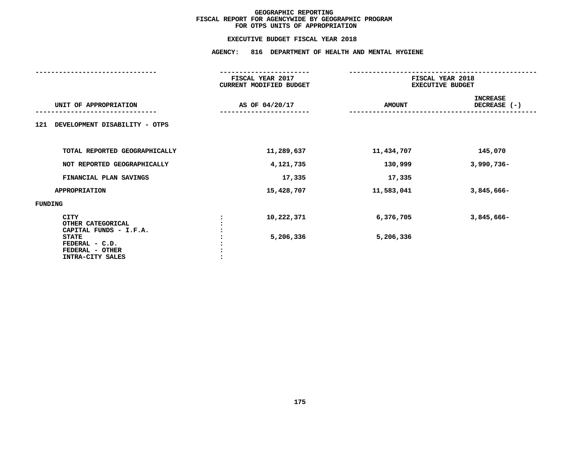### **EXECUTIVE BUDGET FISCAL YEAR 2018**

|                                                                       | <b>AGENCY:</b><br>816 DEPARTMENT OF HEALTH AND MENTAL HYGIENE |                |                                             |                                 |
|-----------------------------------------------------------------------|---------------------------------------------------------------|----------------|---------------------------------------------|---------------------------------|
|                                                                       | FISCAL YEAR 2017<br>CURRENT MODIFIED BUDGET                   |                | FISCAL YEAR 2018<br><b>EXECUTIVE BUDGET</b> |                                 |
| UNIT OF APPROPRIATION                                                 |                                                               | AS OF 04/20/17 | <b>AMOUNT</b>                               | <b>INCREASE</b><br>DECREASE (-) |
| DEVELOPMENT DISABILITY - OTPS<br>121                                  |                                                               |                |                                             |                                 |
| TOTAL REPORTED GEOGRAPHICALLY                                         |                                                               | 11,289,637     | 11,434,707                                  | 145,070                         |
| NOT REPORTED GEOGRAPHICALLY                                           |                                                               | 4,121,735      | 130,999                                     | 3,990,736-                      |
| FINANCIAL PLAN SAVINGS                                                |                                                               | 17,335         | 17,335                                      |                                 |
| <b>APPROPRIATION</b>                                                  |                                                               | 15,428,707     | 11,583,041                                  | 3,845,666-                      |
| FUNDING                                                               |                                                               |                |                                             |                                 |
| <b>CITY</b><br>OTHER CATEGORICAL<br>CAPITAL FUNDS - I.F.A.            |                                                               | 10,222,371     | 6,376,705                                   | 3,845,666-                      |
| <b>STATE</b><br>FEDERAL - C.D.<br>FEDERAL - OTHER<br>INTRA-CITY SALES |                                                               | 5,206,336      | 5,206,336                                   |                                 |
|                                                                       |                                                               |                |                                             |                                 |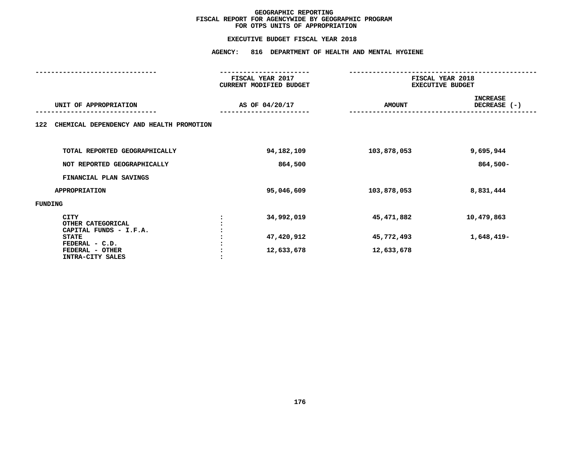## **EXECUTIVE BUDGET FISCAL YEAR <sup>2018</sup>AGENCY: <sup>816</sup> DEPARTMENT OF HEALTH AND MENTAL HYGIENE**

|                                                     | FISCAL YEAR 2017<br>CURRENT MODIFIED BUDGET | FISCAL YEAR 2018<br><b>EXECUTIVE BUDGET</b> |                                 |
|-----------------------------------------------------|---------------------------------------------|---------------------------------------------|---------------------------------|
| UNIT OF APPROPRIATION                               | AS OF 04/20/17                              | <b>AMOUNT</b>                               | <b>INCREASE</b><br>DECREASE (-) |
| CHEMICAL DEPENDENCY AND HEALTH PROMOTION<br>122     |                                             |                                             |                                 |
| TOTAL REPORTED GEOGRAPHICALLY                       | 94,182,109                                  | 103,878,053                                 | 9,695,944                       |
| NOT REPORTED GEOGRAPHICALLY                         | 864,500                                     |                                             | $864,500 -$                     |
| FINANCIAL PLAN SAVINGS                              |                                             |                                             |                                 |
| <b>APPROPRIATION</b>                                | 95,046,609                                  | 103,878,053                                 | 8,831,444                       |
| FUNDING                                             |                                             |                                             |                                 |
| CITY<br>OTHER CATEGORICAL<br>CAPITAL FUNDS - I.F.A. | 34,992,019                                  | 45,471,882                                  | 10,479,863                      |
| <b>STATE</b><br>FEDERAL - C.D.                      | 47,420,912                                  | 45,772,493                                  | 1,648,419-                      |
| FEDERAL - OTHER<br>INTRA-CITY SALES                 | 12,633,678                                  | 12,633,678                                  |                                 |
|                                                     |                                             |                                             |                                 |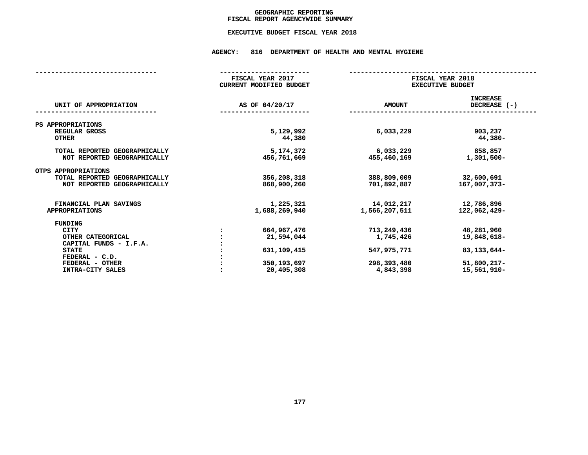## GEOGRAPHIC REPORTING<br>FISCAL REPORT AGENCYWIDE SUMMARY

## **FISCAL REPORT AGENCYWIDE SUMMARY EXECUTIVE BUDGET FISCAL YEAR <sup>2018</sup>**

#### **AGENCY: <sup>816</sup> DEPARTMENT OF HEALTH AND MENTAL HYGIENE**

|                                                              | FISCAL YEAR 2017<br>CURRENT MODIFIED BUDGET |                             | FISCAL YEAR 2018<br><b>EXECUTIVE BUDGET</b> |  |  |  |
|--------------------------------------------------------------|---------------------------------------------|-----------------------------|---------------------------------------------|--|--|--|
| UNIT OF APPROPRIATION                                        | AS OF 04/20/17                              | <b>AMOUNT</b>               | <b>INCREASE</b><br>DECREASE $(-)$           |  |  |  |
| PS APPROPRIATIONS                                            |                                             |                             |                                             |  |  |  |
| REGULAR GROSS<br><b>OTHER</b>                                | 5,129,992<br>44,380                         | 6,033,229                   | 903,237<br>44,380-                          |  |  |  |
| TOTAL REPORTED GEOGRAPHICALLY<br>NOT REPORTED GEOGRAPHICALLY | 5,174,372<br>456,761,669                    | 6,033,229<br>455,460,169    | 858,857<br>1,301,500-                       |  |  |  |
| OTPS APPROPRIATIONS                                          |                                             |                             |                                             |  |  |  |
| TOTAL REPORTED GEOGRAPHICALLY<br>NOT REPORTED GEOGRAPHICALLY | 356,208,318<br>868,900,260                  | 388,809,009<br>701,892,887  | 32,600,691<br>167,007,373-                  |  |  |  |
| FINANCIAL PLAN SAVINGS<br><b>APPROPRIATIONS</b>              | 1,225,321<br>1,688,269,940                  | 14,012,217<br>1,566,207,511 | 12,786,896<br>122,062,429-                  |  |  |  |
| FUNDING                                                      |                                             |                             |                                             |  |  |  |
| CITY                                                         | 664,967,476                                 | 713,249,436                 | 48,281,960                                  |  |  |  |
| OTHER CATEGORICAL                                            | 21,594,044                                  | 1,745,426                   | 19,848,618-                                 |  |  |  |
| CAPITAL FUNDS - I.F.A.                                       |                                             |                             |                                             |  |  |  |
| <b>STATE</b>                                                 | 631, 109, 415                               | 547,975,771                 | 83, 133, 644-                               |  |  |  |
| FEDERAL - C.D.                                               |                                             |                             |                                             |  |  |  |
| FEDERAL - OTHER                                              | 350, 193, 697                               | 298,393,480                 | $51,800,217-$                               |  |  |  |
| INTRA-CITY SALES                                             | 20,405,308                                  | 4,843,398                   | 15,561,910-                                 |  |  |  |
|                                                              |                                             |                             |                                             |  |  |  |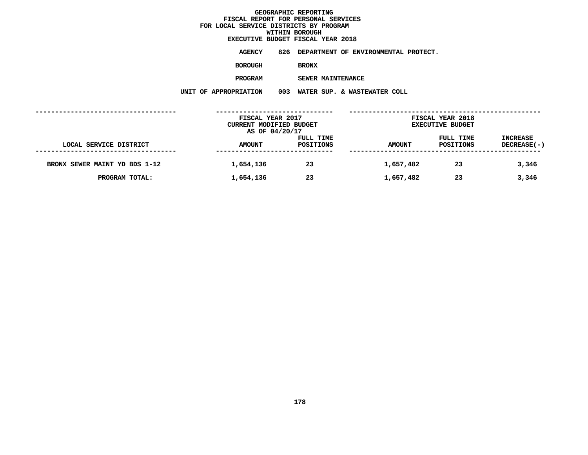# **EXECUTIVE BUDGET FISCAL YEAR <sup>2018</sup>**

**AGENCY <sup>826</sup> DEPARTMENT OF ENVIRONMENTAL PROTECT.**

**BOROUGH**

 **BRONX PROGRAM**

 **SEWER MAINTENANCE UNIT OF APPROPRIATION <sup>003</sup> WATER SUP. & WASTEWATER COLL**

|                               | FISCAL YEAR 2017<br>CURRENT MODIFIED BUDGET<br>AS OF 04/20/17 |                        | FISCAL YEAR 2018<br><b>EXECUTIVE BUDGET</b> |                        |                                |  |
|-------------------------------|---------------------------------------------------------------|------------------------|---------------------------------------------|------------------------|--------------------------------|--|
| LOCAL SERVICE DISTRICT        | <b>AMOUNT</b>                                                 | FULL TIME<br>POSITIONS | <b>AMOUNT</b>                               | FULL TIME<br>POSITIONS | <b>INCREASE</b><br>DECREASE(-) |  |
| BRONX SEWER MAINT YD BDS 1-12 | 1,654,136                                                     | 23                     | 1,657,482                                   | 23                     | 3,346                          |  |
| PROGRAM TOTAL:                | 1,654,136                                                     | 23                     | 1,657,482                                   | 23                     | 3,346                          |  |
|                               |                                                               |                        |                                             |                        |                                |  |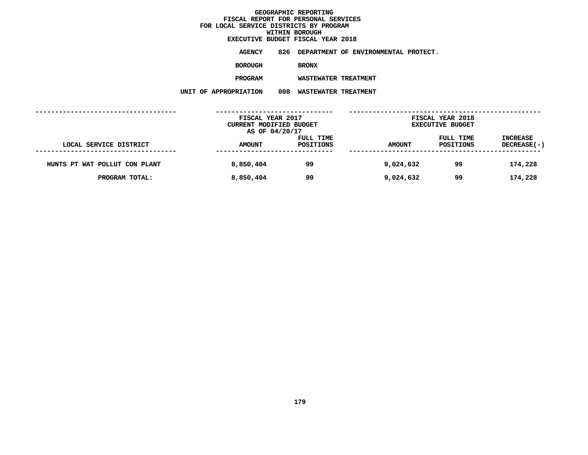**EXECUTIVE BUDGET FISCAL YEAR <sup>2018</sup>**

**AGENCY <sup>826</sup> DEPARTMENT OF ENVIRONMENTAL PROTECT.**

**BOROUGH**

BRONX<br>WASTEWATER TREATMENT **PROGRAM**

 **WASTEWATER TREATMENT UNIT OF APPROPRIATION <sup>008</sup> WASTEWATER TREATMENT**

|                               | FISCAL YEAR 2017<br>CURRENT MODIFIED BUDGET |                               | FISCAL YEAR 2018<br><b>EXECUTIVE BUDGET</b> |                        |                                |
|-------------------------------|---------------------------------------------|-------------------------------|---------------------------------------------|------------------------|--------------------------------|
| LOCAL SERVICE DISTRICT        | AS OF 04/20/17<br><b>AMOUNT</b>             | FULL TIME<br><b>POSITIONS</b> | <b>AMOUNT</b>                               | FULL TIME<br>POSITIONS | <b>INCREASE</b><br>DECREASE(-) |
| HUNTS PT WAT POLLUT CON PLANT | 8,850,404                                   | 99                            | 9,024,632                                   | 99                     | 174,228                        |
| PROGRAM TOTAL:                | 8,850,404                                   | 99                            | 9,024,632                                   | 99                     | 174,228                        |
|                               |                                             |                               |                                             |                        |                                |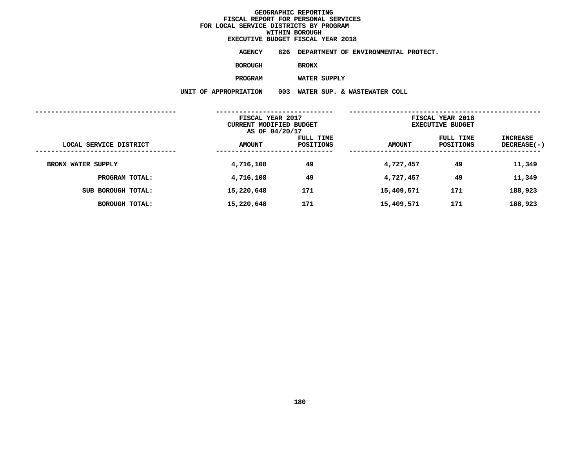# **EXECUTIVE BUDGET FISCAL YEAR <sup>2018</sup>**

**AGENCY <sup>826</sup> DEPARTMENT OF ENVIRONMENTAL PROTECT.**

**BOROUGH**

BRONX<br>WATER SUPPLY **PROGRAM**

 **WATER SUPPLY UNIT OF APPROPRIATION <sup>003</sup> WATER SUP. & WASTEWATER COLL**

|                           |               | FISCAL YEAR 2017<br>CURRENT MODIFIED BUDGET<br>AS OF 04/20/17 |               | FISCAL YEAR 2018<br><b>EXECUTIVE BUDGET</b> |                                |
|---------------------------|---------------|---------------------------------------------------------------|---------------|---------------------------------------------|--------------------------------|
| LOCAL SERVICE DISTRICT    | <b>AMOUNT</b> | FULL TIME<br>POSITIONS                                        | <b>AMOUNT</b> | FULL TIME<br>POSITIONS                      | INCREASE<br><b>DECREASE(-)</b> |
| <b>BRONX WATER SUPPLY</b> | 4,716,108     | 49                                                            | 4,727,457     | 49                                          | 11,349                         |
| PROGRAM TOTAL:            | 4,716,108     | 49                                                            | 4,727,457     | 49                                          | 11,349                         |
| SUB BOROUGH TOTAL:        | 15,220,648    | 171                                                           | 15,409,571    | 171                                         | 188,923                        |
| <b>BOROUGH TOTAL:</b>     | 15,220,648    | 171                                                           | 15,409,571    | 171                                         | 188,923                        |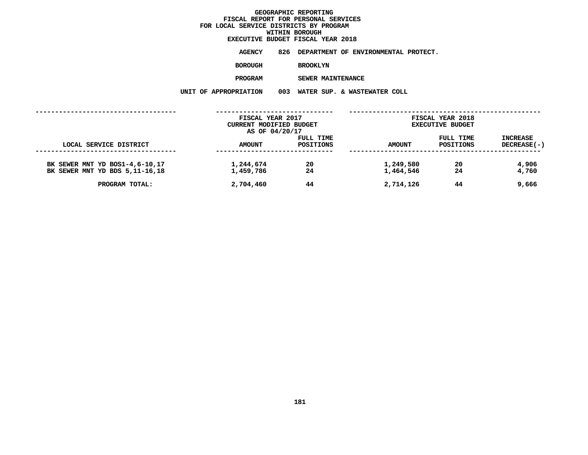## **WITHIN BOROUGH EXECUTIVE BUDGET FISCAL YEAR <sup>2018</sup>**

**AGENCY <sup>826</sup> DEPARTMENT OF ENVIRONMENTAL PROTECT.**

**BOROUGH**

 **BROOKLYN PROGRAM**

 **SEWER MAINTENANCE UNIT OF APPROPRIATION <sup>003</sup> WATER SUP. & WASTEWATER COLL**

|                                                                    | FISCAL YEAR 2017<br>CURRENT MODIFIED BUDGET<br>AS OF 04/20/17 |                        | FISCAL YEAR 2018<br><b>EXECUTIVE BUDGET</b> |                        |                                |  |
|--------------------------------------------------------------------|---------------------------------------------------------------|------------------------|---------------------------------------------|------------------------|--------------------------------|--|
| LOCAL SERVICE DISTRICT                                             | <b>AMOUNT</b>                                                 | FULL TIME<br>POSITIONS | AMOUNT                                      | FULL TIME<br>POSITIONS | INCREASE<br><b>DECREASE(-)</b> |  |
| BK SEWER MNT YD BOS1-4,6-10,17<br>BK SEWER MNT YD BDS 5, 11-16, 18 | 1,244,674<br>1,459,786                                        | 20<br>24               | 1,249,580<br>1,464,546                      | 20<br>24               | 4,906<br>4,760                 |  |
| PROGRAM TOTAL:                                                     | 2,704,460                                                     | 44                     | 2,714,126                                   | 44                     | 9,666                          |  |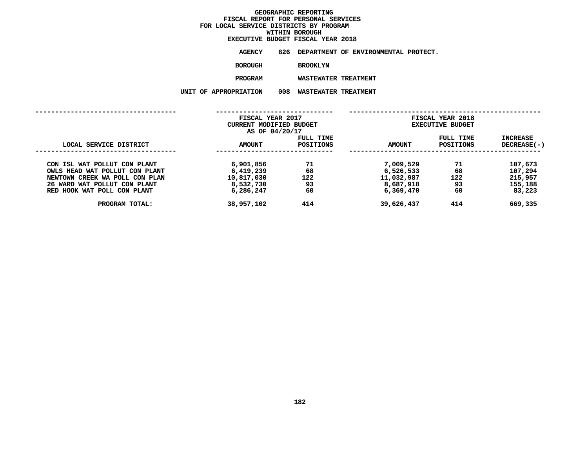## **WITHIN BOROUGH EXECUTIVE BUDGET FISCAL YEAR <sup>2018</sup>**

**AGENCY <sup>826</sup> DEPARTMENT OF ENVIRONMENTAL PROTECT.**

**BOROUGH**

BROOKLYN<br>WASTEWATER TREATMENT **PROGRAM**

 **WASTEWATER TREATMENT UNIT OF APPROPRIATION <sup>008</sup> WASTEWATER TREATMENT**

|                                                                  | FISCAL YEAR 2017<br>CURRENT MODIFIED BUDGET<br>AS OF 04/20/17 |                        | FISCAL YEAR 2018<br><b>EXECUTIVE BUDGET</b> |                        |                                  |
|------------------------------------------------------------------|---------------------------------------------------------------|------------------------|---------------------------------------------|------------------------|----------------------------------|
| LOCAL SERVICE DISTRICT                                           | AMOUNT                                                        | FULL TIME<br>POSITIONS | <b>AMOUNT</b>                               | FULL TIME<br>POSITIONS | <b>INCREASE</b><br>$DECREASE(-)$ |
| CON ISL WAT POLLUT CON PLANT                                     | 6,901,856                                                     | 71<br>68               | 7,009,529<br>6,526,533                      | 71<br>68               | 107,673                          |
| OWLS HEAD WAT POLLUT CON PLANT<br>NEWTOWN CREEK WA POLL CON PLAN | 6,419,239<br>10,817,030                                       | 122                    | 11,032,987                                  | 122                    | 107,294<br>215,957               |
| 26 WARD WAT POLLUT CON PLANT                                     | 8,532,730                                                     | 93                     | 8,687,918                                   | 93                     | 155,188                          |
| RED HOOK WAT POLL CON PLANT                                      | 6,286,247                                                     | 60                     | 6,369,470                                   | 60                     | 83,223                           |
| PROGRAM TOTAL:                                                   | 38,957,102                                                    | 414                    | 39,626,437                                  | 414                    | 669,335                          |
|                                                                  |                                                               |                        |                                             |                        |                                  |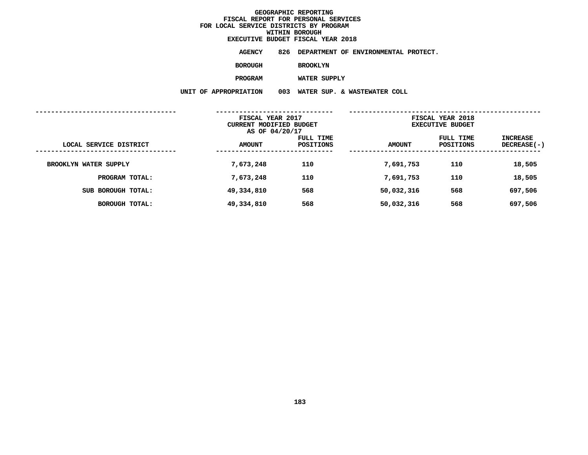# **EXECUTIVE BUDGET FISCAL YEAR <sup>2018</sup>**

**AGENCY <sup>826</sup> DEPARTMENT OF ENVIRONMENTAL PROTECT.**

**BOROUGH**

 **BROOKLYN PROGRAM**

 **WATER SUPPLY UNIT OF APPROPRIATION <sup>003</sup> WATER SUP. & WASTEWATER COLL**

|                        | FISCAL YEAR 2017<br><b>CURRENT MODIFIED BUDGET</b><br>AS OF 04/20/17 |                        | FISCAL YEAR 2018<br><b>EXECUTIVE BUDGET</b> |                        |                           |
|------------------------|----------------------------------------------------------------------|------------------------|---------------------------------------------|------------------------|---------------------------|
| LOCAL SERVICE DISTRICT | <b>AMOUNT</b>                                                        | FULL TIME<br>POSITIONS | <b>AMOUNT</b>                               | FULL TIME<br>POSITIONS | INCREASE<br>$DECREASE(-)$ |
| BROOKLYN WATER SUPPLY  | 7,673,248                                                            | 110                    | 7,691,753                                   | 110                    | 18,505                    |
| PROGRAM TOTAL:         | 7,673,248                                                            | 110                    | 7,691,753                                   | 110                    | 18,505                    |
| SUB BOROUGH TOTAL:     | 49,334,810                                                           | 568                    | 50,032,316                                  | 568                    | 697,506                   |
| <b>BOROUGH TOTAL:</b>  | 49,334,810                                                           | 568                    | 50,032,316                                  | 568                    | 697,506                   |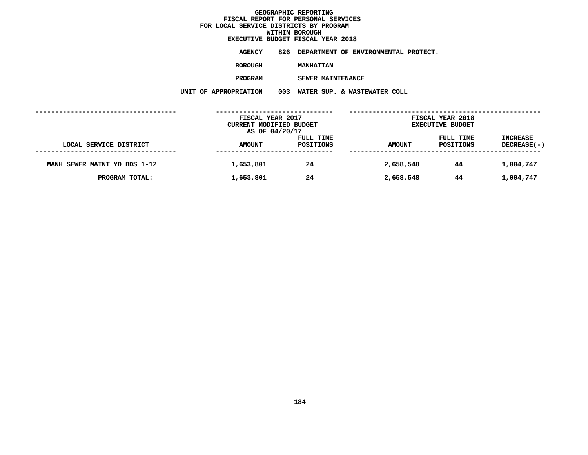## **WITHIN BOROUGH EXECUTIVE BUDGET FISCAL YEAR <sup>2018</sup>**

**AGENCY <sup>826</sup> DEPARTMENT OF ENVIRONMENTAL PROTECT.**

**BOROUGH**

 **MANHATTAN PROGRAM**

 **SEWER MAINTENANCE UNIT OF APPROPRIATION <sup>003</sup> WATER SUP. & WASTEWATER COLL**

|                              | FISCAL YEAR 2017<br>CURRENT MODIFIED BUDGET<br>AS OF 04/20/17 |                               | FISCAL YEAR 2018<br><b>EXECUTIVE BUDGET</b> |                        |                                       |  |
|------------------------------|---------------------------------------------------------------|-------------------------------|---------------------------------------------|------------------------|---------------------------------------|--|
| LOCAL SERVICE DISTRICT       | <b>AMOUNT</b>                                                 | FULL TIME<br><b>POSITIONS</b> | <b>AMOUNT</b>                               | FULL TIME<br>POSITIONS | <b>INCREASE</b><br><b>DECREASE(-)</b> |  |
| MANH SEWER MAINT YD BDS 1-12 | 1,653,801                                                     | 24                            | 2,658,548                                   | 44                     | 1,004,747                             |  |
| PROGRAM TOTAL:               | 1,653,801                                                     | 24                            | 2,658,548                                   | 44                     | 1,004,747                             |  |
|                              |                                                               |                               |                                             |                        |                                       |  |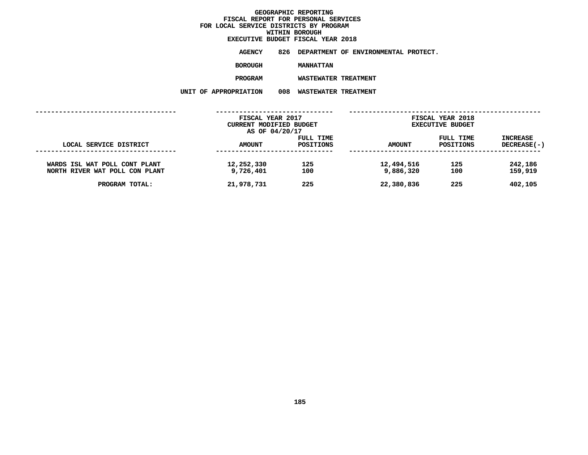# **EXECUTIVE BUDGET FISCAL YEAR <sup>2018</sup>**

**AGENCY <sup>826</sup> DEPARTMENT OF ENVIRONMENTAL PROTECT.**

**BOROUGH**

MANHATTAN<br>WASTEWATER TREATMENT **PROGRAM**

 **WASTEWATER TREATMENT UNIT OF APPROPRIATION <sup>008</sup> WASTEWATER TREATMENT**

|                                                                 | FISCAL YEAR 2017<br>CURRENT MODIFIED BUDGET<br>AS OF 04/20/17 |                        | FISCAL YEAR 2018<br><b>EXECUTIVE BUDGET</b> |                        |                                       |  |
|-----------------------------------------------------------------|---------------------------------------------------------------|------------------------|---------------------------------------------|------------------------|---------------------------------------|--|
| LOCAL SERVICE DISTRICT                                          | <b>AMOUNT</b>                                                 | FULL TIME<br>POSITIONS | <b>AMOUNT</b>                               | FULL TIME<br>POSITIONS | <b>INCREASE</b><br><b>DECREASE(-)</b> |  |
| WARDS ISL WAT POLL CONT PLANT<br>NORTH RIVER WAT POLL CON PLANT | 12,252,330<br>9,726,401                                       | 125<br>100             | 12,494,516<br>9,886,320                     | 125<br>100             | 242,186<br>159,919                    |  |
| PROGRAM TOTAL:                                                  | 21,978,731                                                    | 225                    | 22,380,836                                  | 225                    | 402,105                               |  |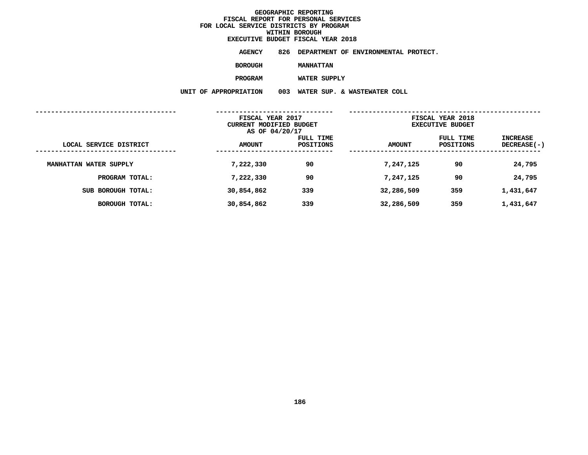# **EXECUTIVE BUDGET FISCAL YEAR <sup>2018</sup>**

**AGENCY <sup>826</sup> DEPARTMENT OF ENVIRONMENTAL PROTECT.**

**BOROUGH**

MANHATTAN<br>WATER SUPPLY **PROGRAM**

 **WATER SUPPLY UNIT OF APPROPRIATION <sup>003</sup> WATER SUP. & WASTEWATER COLL**

|                        | FISCAL YEAR 2017<br><b>CURRENT MODIFIED BUDGET</b><br>AS OF 04/20/17 |                        | FISCAL YEAR 2018<br><b>EXECUTIVE BUDGET</b> |                        |                           |
|------------------------|----------------------------------------------------------------------|------------------------|---------------------------------------------|------------------------|---------------------------|
| LOCAL SERVICE DISTRICT | <b>AMOUNT</b>                                                        | FULL TIME<br>POSITIONS | <b>AMOUNT</b>                               | FULL TIME<br>POSITIONS | INCREASE<br>$DECREASE(-)$ |
| MANHATTAN WATER SUPPLY | 7,222,330                                                            | 90                     | 7,247,125                                   | 90                     | 24,795                    |
| PROGRAM TOTAL:         | 7,222,330                                                            | 90                     | 7,247,125                                   | 90                     | 24,795                    |
| SUB BOROUGH TOTAL:     | 30,854,862                                                           | 339                    | 32,286,509                                  | 359                    | 1,431,647                 |
| <b>BOROUGH TOTAL:</b>  | 30,854,862                                                           | 339                    | 32,286,509                                  | 359                    | 1,431,647                 |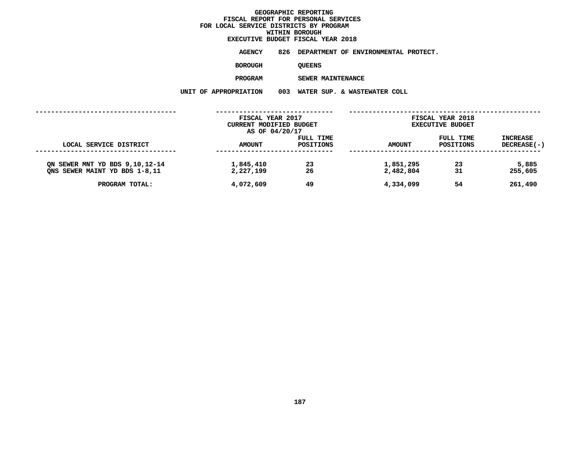## **WITHIN BOROUGH EXECUTIVE BUDGET FISCAL YEAR <sup>2018</sup>**

**AGENCY <sup>826</sup> DEPARTMENT OF ENVIRONMENTAL PROTECT.**

**BOROUGH**

QUEENS<br>SEWER MAINTENANCE **PROGRAM**

**SEWER MAINTENANCE**

|                                                                   | UNIT OF APPROPRIATION  | 003<br>WATER SUP. & WASTEWATER COLL         |                        |                                             |                                       |
|-------------------------------------------------------------------|------------------------|---------------------------------------------|------------------------|---------------------------------------------|---------------------------------------|
|                                                                   |                        | FISCAL YEAR 2017<br>CURRENT MODIFIED BUDGET |                        | FISCAL YEAR 2018<br><b>EXECUTIVE BUDGET</b> |                                       |
| LOCAL SERVICE DISTRICT                                            | <b>AMOUNT</b>          | AS OF 04/20/17<br>FULL TIME<br>POSITIONS    | <b>AMOUNT</b>          | FULL TIME<br><b>POSITIONS</b>               | <b>INCREASE</b><br><b>DECREASE(-)</b> |
| ON SEWER MNT YD BDS 9, 10, 12-14<br>ONS SEWER MAINT YD BDS 1-8,11 | 1,845,410<br>2,227,199 | 23<br>26                                    | 1,851,295<br>2,482,804 | 23<br>31                                    | 5,885<br>255,605                      |
| PROGRAM TOTAL:                                                    | 4,072,609              | 49                                          | 4,334,099              | 54                                          | 261,490                               |
|                                                                   |                        |                                             |                        |                                             |                                       |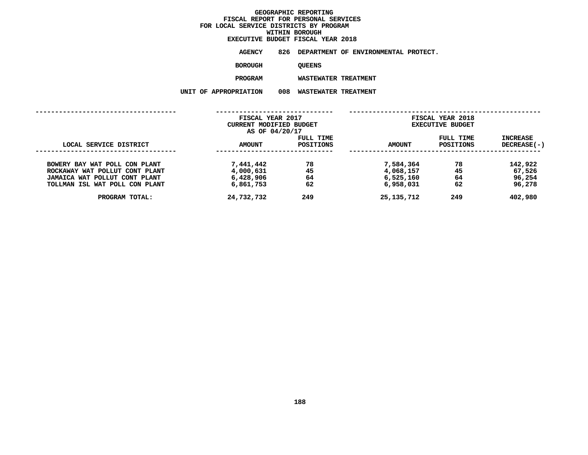## **WITHIN BOROUGH EXECUTIVE BUDGET FISCAL YEAR <sup>2018</sup>**

**AGENCY <sup>826</sup> DEPARTMENT OF ENVIRONMENTAL PROTECT.**

**BOROUGH**

QUEENS<br>WASTEWATER TREATMENT **PROGRAM**

 **WASTEWATER TREATMENT UNIT OF APPROPRIATION <sup>008</sup> WASTEWATER TREATMENT**

|                                | FISCAL YEAR 2017        |           | FISCAL YEAR 2018 |                         |               |
|--------------------------------|-------------------------|-----------|------------------|-------------------------|---------------|
|                                | CURRENT MODIFIED BUDGET |           |                  | <b>EXECUTIVE BUDGET</b> |               |
|                                | AS OF 04/20/17          |           |                  |                         |               |
|                                |                         | FULL TIME |                  | FULL TIME               | INCREASE      |
| LOCAL SERVICE DISTRICT         | <b>AMOUNT</b>           | POSITIONS | <b>AMOUNT</b>    | POSITIONS               | $DECREASE(-)$ |
|                                |                         |           |                  |                         |               |
| BOWERY BAY WAT POLL CON PLANT  | 7,441,442               | 78        | 7,584,364        | 78                      | 142,922       |
| ROCKAWAY WAT POLLUT CONT PLANT | 4,000,631               | 45        | 4,068,157        | 45                      | 67,526        |
| JAMAICA WAT POLLUT CONT PLANT  | 6,428,906               | 64        | 6,525,160        | 64                      | 96,254        |
| TOLLMAN ISL WAT POLL CON PLANT | 6,861,753               | 62        | 6,958,031        | 62                      | 96,278        |
| PROGRAM TOTAL:                 | 24,732,732              | 249       | 25, 135, 712     | 249                     | 402,980       |
|                                |                         |           |                  |                         |               |
|                                |                         |           |                  |                         |               |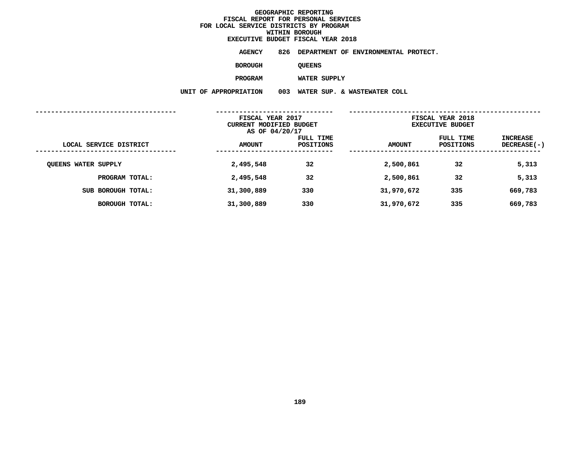# **EXECUTIVE BUDGET FISCAL YEAR <sup>2018</sup>**

**AGENCY <sup>826</sup> DEPARTMENT OF ENVIRONMENTAL PROTECT.**

**BOROUGH**

QUEENS<br>WATER SUPPLY

**PROGRAM**

 **WATER SUPPLY UNIT OF APPROPRIATION <sup>003</sup> WATER SUP. & WASTEWATER COLL**

|                            | FISCAL YEAR 2017<br>CURRENT MODIFIED BUDGET<br>AS OF 04/20/17 |                        |               | FISCAL YEAR 2018<br><b>EXECUTIVE BUDGET</b> |                                |
|----------------------------|---------------------------------------------------------------|------------------------|---------------|---------------------------------------------|--------------------------------|
| LOCAL SERVICE DISTRICT     | <b>AMOUNT</b>                                                 | FULL TIME<br>POSITIONS | <b>AMOUNT</b> | FULL TIME<br><b>POSITIONS</b>               | INCREASE<br><b>DECREASE(-)</b> |
| <b>QUEENS WATER SUPPLY</b> | 2,495,548                                                     | 32                     | 2,500,861     | 32                                          | 5,313                          |
| PROGRAM TOTAL:             | 2,495,548                                                     | 32                     | 2,500,861     | 32                                          | 5,313                          |
| SUB BOROUGH TOTAL:         | 31,300,889                                                    | 330                    | 31,970,672    | 335                                         | 669,783                        |
| <b>BOROUGH TOTAL:</b>      | 31,300,889                                                    | 330                    | 31,970,672    | 335                                         | 669,783                        |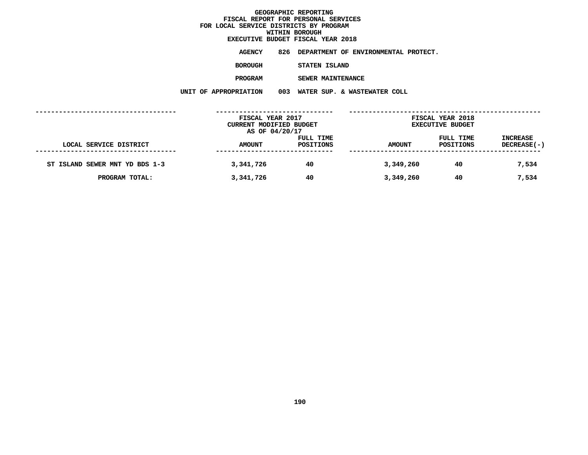## **WITHIN BOROUGH EXECUTIVE BUDGET FISCAL YEAR <sup>2018</sup>**

**AGENCY <sup>826</sup> DEPARTMENT OF ENVIRONMENTAL PROTECT.**

**BOROUGH**

 **STATEN ISLAND PROGRAM**

 **SEWER MAINTENANCE UNIT OF APPROPRIATION <sup>003</sup> WATER SUP. & WASTEWATER COLL**

|                                | FISCAL YEAR 2017        |           |               | FISCAL YEAR 2018        |             |
|--------------------------------|-------------------------|-----------|---------------|-------------------------|-------------|
|                                | CURRENT MODIFIED BUDGET |           |               | <b>EXECUTIVE BUDGET</b> |             |
|                                | AS OF 04/20/17          |           |               |                         |             |
|                                |                         | FULL TIME |               | FULL TIME               | INCREASE    |
| LOCAL SERVICE DISTRICT         | <b>AMOUNT</b>           | POSITIONS | <b>AMOUNT</b> | POSITIONS               | DECREASE(-) |
|                                |                         |           |               |                         |             |
| ST ISLAND SEWER MNT YD BDS 1-3 | 3,341,726               | 40        | 3,349,260     | 40                      | 7,534       |
|                                |                         |           |               |                         |             |
| PROGRAM TOTAL:                 | 3,341,726               | 40        | 3,349,260     | 40                      | 7,534       |
|                                |                         |           |               |                         |             |
|                                |                         |           |               |                         |             |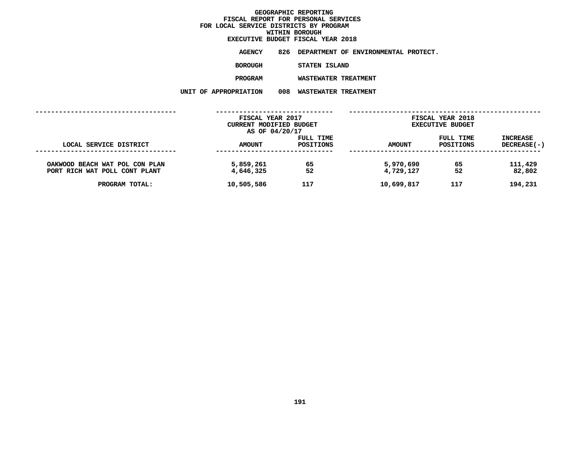## **WITHIN BOROUGH EXECUTIVE BUDGET FISCAL YEAR <sup>2018</sup>**

**AGENCY <sup>826</sup> DEPARTMENT OF ENVIRONMENTAL PROTECT.**

**BOROUGH**

**STATEN ISLAND**

**PROGRAM**

 **WASTEWATER TREATMENT UNIT OF APPROPRIATION <sup>008</sup> WASTEWATER TREATMENT**

| AMOUNT                 | FULL TIME<br>POSITIONS | <b>AMOUNT</b>                                                 | FULL TIME<br><b>POSITIONS</b> | <b>INCREASE</b><br><b>DECREASE(-)</b>       |
|------------------------|------------------------|---------------------------------------------------------------|-------------------------------|---------------------------------------------|
| 5,859,261<br>4,646,325 | 65<br>52               | 5,970,690<br>4,729,127                                        | 65<br>52                      | 111,429<br>82,802                           |
| 10,505,586             | 117                    | 10,699,817                                                    | 117                           | 194,231                                     |
|                        |                        | FISCAL YEAR 2017<br>CURRENT MODIFIED BUDGET<br>AS OF 04/20/17 |                               | FISCAL YEAR 2018<br><b>EXECUTIVE BUDGET</b> |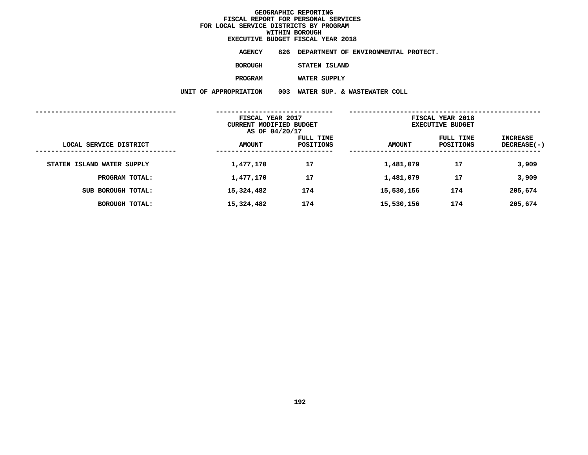**EXECUTIVE BUDGET FISCAL YEAR <sup>2018</sup>AGENCY <sup>826</sup> DEPARTMENT OF ENVIRONMENTAL PROTECT. BOROUGH STATEN ISLAND PROGRAMWATER SUPPLY**

**UNIT OF APPROPRIATION <sup>003</sup> WATER SUP. & WASTEWATER COLL ------------------------------------ ------------------------------ ------------------------------------------------- FISCAL YEAR <sup>2017</sup> FISCAL YEAR <sup>2018</sup> CURRENT MODIFIED BUDGET**<br> **AS OF 04/20/17**<br> **FULL TIME**<br> **FULL TIME**<br> **EXECUTIVE**<br> **FULL TIME AS OF 04/20/17 FULL TIME FULL TIME INCREASE LOCAL SERVICE DISTRICT AMOUNT POSITIONS AMOUNT POSITIONS DECREASE(-) ------------------------------------ ------------------------------ ------------------------------------------------- STATEN ISLAND WATER SUPPLY 1,477,170 <sup>17</sup> 1,481,079 <sup>17</sup> 3,909 PROGRAM TOTAL: 1,477,170 <sup>17</sup> 1,481,079 <sup>17</sup> 3,909 SUB BOROUGH TOTAL: 15,324,482 <sup>174</sup> 15,530,156 <sup>174</sup> 205,674 BOROUGH TOTAL: 15,324,482 <sup>174</sup> 15,530,156 <sup>174</sup> 205,674**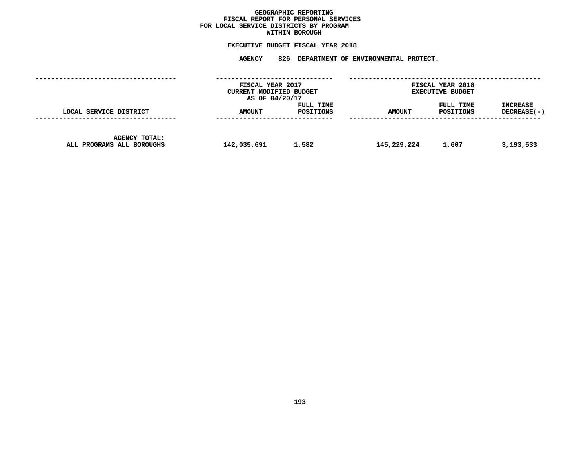## GEOGRAPHIC REPORTING<br>FISCAL REPORT FOR PERSONAL SERVICES<br>OCAL SERVICE DISTRICTS BY PROGRAM<br>WITHIN BOROUGH **FISCAL REPORT FOR PERSONAL SERVICES FOR LOCAL SERVICE DISTRICTS BY PROGRAM**

## **WITHIN BOROUGH EXECUTIVE BUDGET FISCAL YEAR <sup>2018</sup>**

**AGENCY <sup>826</sup> DEPARTMENT OF ENVIRONMENTAL PROTECT.**

|                                                   | FISCAL YEAR 2017<br>CURRENT MODIFIED BUDGET<br>AS OF 04/20/17 |                        |               | FISCAL YEAR 2018<br><b>EXECUTIVE BUDGET</b> |                                |
|---------------------------------------------------|---------------------------------------------------------------|------------------------|---------------|---------------------------------------------|--------------------------------|
| LOCAL SERVICE DISTRICT                            | AMOUNT                                                        | FULL TIME<br>POSITIONS | <b>AMOUNT</b> | FULL TIME<br>POSITIONS                      | <b>INCREASE</b><br>DECREASE(-) |
| <b>AGENCY TOTAL:</b><br>ALL PROGRAMS ALL BOROUGHS | 142,035,691                                                   | 1,582                  | 145,229,224   | 1,607                                       | 3,193,533                      |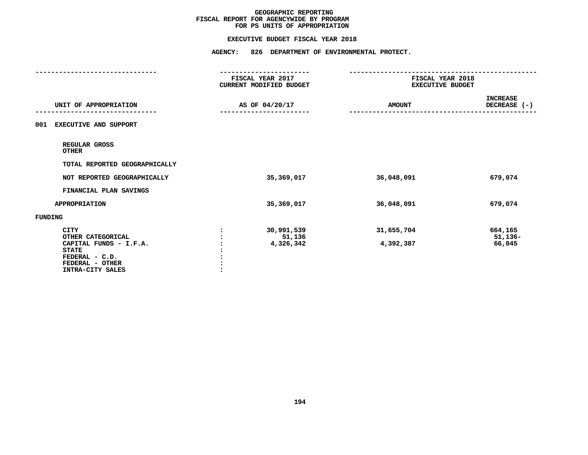#### **EXECUTIVE BUDGET FISCAL YEAR 2018**

|                                                            | <b>AGENCY:</b><br>826 DEPARTMENT OF ENVIRONMENTAL PROTECT. |                                             |                                 |
|------------------------------------------------------------|------------------------------------------------------------|---------------------------------------------|---------------------------------|
|                                                            | FISCAL YEAR 2017<br>CURRENT MODIFIED BUDGET                | FISCAL YEAR 2018<br><b>EXECUTIVE BUDGET</b> |                                 |
| UNIT OF APPROPRIATION                                      | AS OF 04/20/17                                             | <b>AMOUNT</b>                               | <b>INCREASE</b><br>DECREASE (-) |
| <b>EXECUTIVE AND SUPPORT</b><br>001                        |                                                            |                                             |                                 |
| REGULAR GROSS<br><b>OTHER</b>                              |                                                            |                                             |                                 |
| TOTAL REPORTED GEOGRAPHICALLY                              |                                                            |                                             |                                 |
| NOT REPORTED GEOGRAPHICALLY                                | 35,369,017                                                 | 36,048,091                                  | 679,074                         |
| FINANCIAL PLAN SAVINGS                                     |                                                            |                                             |                                 |
| <b>APPROPRIATION</b>                                       | 35,369,017                                                 | 36,048,091                                  | 679,074                         |
| FUNDING                                                    |                                                            |                                             |                                 |
| <b>CITY</b><br>OTHER CATEGORICAL<br>CAPITAL FUNDS - I.F.A. | 30,991,539<br>51,136<br>4,326,342                          | 31,655,704<br>4,392,387                     | 664,165<br>$51,136-$<br>66,045  |
| <b>STATE</b><br>FEDERAL - C.D.<br>FEDERAL - OTHER          |                                                            |                                             |                                 |
| INTRA-CITY SALES                                           |                                                            |                                             |                                 |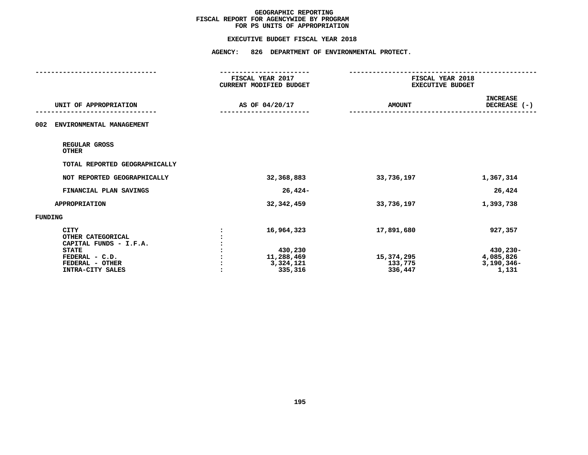#### **EXECUTIVE BUDGET FISCAL YEAR 2018**

|                                                            | FISCAL YEAR 2017<br>CURRENT MODIFIED BUDGET | FISCAL YEAR 2018<br><b>EXECUTIVE BUDGET</b> |                                 |
|------------------------------------------------------------|---------------------------------------------|---------------------------------------------|---------------------------------|
| UNIT OF APPROPRIATION                                      | AS OF 04/20/17                              | <b>AMOUNT</b>                               | <b>INCREASE</b><br>DECREASE (-) |
| 002<br>ENVIRONMENTAL MANAGEMENT                            |                                             |                                             |                                 |
| REGULAR GROSS<br><b>OTHER</b>                              |                                             |                                             |                                 |
| TOTAL REPORTED GEOGRAPHICALLY                              |                                             |                                             |                                 |
| NOT REPORTED GEOGRAPHICALLY                                | 32,368,883                                  | 33,736,197                                  | 1,367,314                       |
| FINANCIAL PLAN SAVINGS                                     | $26,424-$                                   |                                             | 26,424                          |
| <b>APPROPRIATION</b>                                       | 32, 342, 459                                | 33,736,197                                  | 1,393,738                       |
| <b>FUNDING</b>                                             |                                             |                                             |                                 |
| <b>CITY</b><br>OTHER CATEGORICAL<br>CAPITAL FUNDS - I.F.A. | 16,964,323                                  | 17,891,680                                  | 927,357                         |
| <b>STATE</b>                                               | 430,230                                     |                                             | 430,230-                        |
| FEDERAL - C.D.<br>FEDERAL - OTHER                          | 11,288,469<br>3,324,121                     | 15,374,295<br>133,775                       | 4,085,826<br>$3,190,346 -$      |
| INTRA-CITY SALES                                           | 335,316                                     | 336,447                                     | 1,131                           |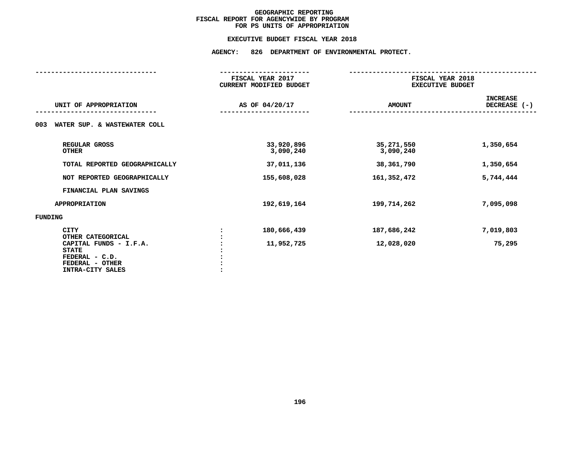### **EXECUTIVE BUDGET FISCAL YEAR 2018**

## **EXECUTIVE BUDGET FISCAL YEAR <sup>2018</sup>AGENCY: <sup>826</sup> DEPARTMENT OF ENVIRONMENTAL PROTECT.**

|                                                                                                        | FISCAL YEAR 2017<br><b>CURRENT MODIFIED BUDGET</b> | FISCAL YEAR 2018<br>EXECUTIVE BUDGET |                                 |  |
|--------------------------------------------------------------------------------------------------------|----------------------------------------------------|--------------------------------------|---------------------------------|--|
| UNIT OF APPROPRIATION                                                                                  | AS OF 04/20/17                                     | <b>AMOUNT</b>                        | <b>INCREASE</b><br>DECREASE (-) |  |
| WATER SUP. & WASTEWATER COLL<br>003                                                                    |                                                    |                                      |                                 |  |
| REGULAR GROSS<br><b>OTHER</b>                                                                          | 33,920,896<br>3,090,240                            | 35,271,550<br>3,090,240              | 1,350,654                       |  |
| TOTAL REPORTED GEOGRAPHICALLY                                                                          | 37,011,136                                         | 38,361,790                           | 1,350,654                       |  |
| NOT REPORTED GEOGRAPHICALLY                                                                            | 155,608,028                                        | 161,352,472                          | 5,744,444                       |  |
| FINANCIAL PLAN SAVINGS                                                                                 |                                                    |                                      |                                 |  |
| <b>APPROPRIATION</b>                                                                                   | 192,619,164                                        | 199,714,262                          | 7,095,098                       |  |
| <b>FUNDING</b>                                                                                         |                                                    |                                      |                                 |  |
| <b>CITY</b><br>OTHER CATEGORICAL                                                                       | 180,666,439                                        | 187,686,242                          | 7,019,803                       |  |
| CAPITAL FUNDS - I.F.A.<br><b>STATE</b><br>FEDERAL - C.D.<br>FEDERAL - OTHER<br><b>INTRA-CITY SALES</b> | 11,952,725                                         | 12,028,020                           | 75,295                          |  |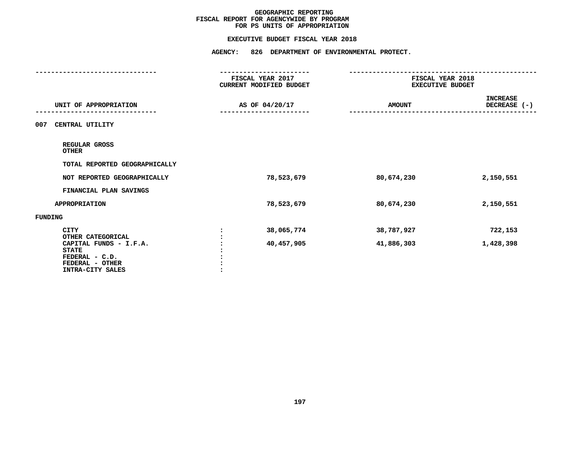#### **EXECUTIVE BUDGET FISCAL YEAR 2018**

**EXECUTIVE BUDGET FISCAL YEAR <sup>2018</sup>AGENCY: <sup>826</sup> DEPARTMENT OF ENVIRONMENTAL PROTECT.**

|                                                                                                 | CURRENT MODIFIED BUDGET<br><b>EXECUTIVE BUDGET</b> |                | FISCAL YEAR 2018 |                                 | FISCAL YEAR 2017 |  |
|-------------------------------------------------------------------------------------------------|----------------------------------------------------|----------------|------------------|---------------------------------|------------------|--|
| UNIT OF APPROPRIATION                                                                           |                                                    | AS OF 04/20/17 | <b>AMOUNT</b>    | <b>INCREASE</b><br>DECREASE (-) |                  |  |
| CENTRAL UTILITY<br>007                                                                          |                                                    |                |                  |                                 |                  |  |
| REGULAR GROSS<br><b>OTHER</b>                                                                   |                                                    |                |                  |                                 |                  |  |
| TOTAL REPORTED GEOGRAPHICALLY                                                                   |                                                    |                |                  |                                 |                  |  |
| NOT REPORTED GEOGRAPHICALLY                                                                     |                                                    | 78,523,679     | 80,674,230       | 2,150,551                       |                  |  |
| FINANCIAL PLAN SAVINGS                                                                          |                                                    |                |                  |                                 |                  |  |
| <b>APPROPRIATION</b>                                                                            |                                                    | 78,523,679     | 80,674,230       | 2,150,551                       |                  |  |
| <b>FUNDING</b>                                                                                  |                                                    |                |                  |                                 |                  |  |
| <b>CITY</b><br>OTHER CATEGORICAL                                                                |                                                    | 38,065,774     | 38,787,927       | 722,153                         |                  |  |
| CAPITAL FUNDS - I.F.A.<br><b>STATE</b><br>FEDERAL - C.D.<br>FEDERAL - OTHER<br>INTRA-CITY SALES |                                                    | 40,457,905     | 41,886,303       | 1,428,398                       |                  |  |
|                                                                                                 |                                                    |                |                  |                                 |                  |  |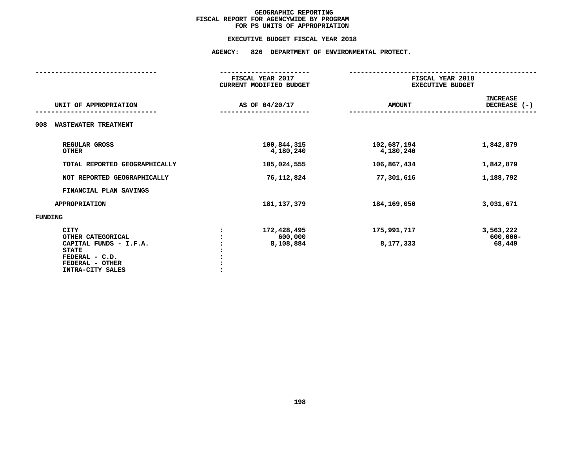### **EXECUTIVE BUDGET FISCAL YEAR 2018**

## **EXECUTIVE BUDGET FISCAL YEAR <sup>2018</sup>AGENCY: <sup>826</sup> DEPARTMENT OF ENVIRONMENTAL PROTECT.**

|                                                                                                                                     | FISCAL YEAR 2017<br>CURRENT MODIFIED BUDGET | FISCAL YEAR 2018<br>EXECUTIVE BUDGET |                                    |  |
|-------------------------------------------------------------------------------------------------------------------------------------|---------------------------------------------|--------------------------------------|------------------------------------|--|
| UNIT OF APPROPRIATION                                                                                                               | AS OF 04/20/17                              | <b>AMOUNT</b>                        | <b>INCREASE</b><br>DECREASE (-)    |  |
| <b>WASTEWATER TREATMENT</b><br>008                                                                                                  |                                             |                                      |                                    |  |
| REGULAR GROSS<br><b>OTHER</b>                                                                                                       | 100,844,315<br>4,180,240                    | 102,687,194<br>4,180,240             | 1,842,879                          |  |
| TOTAL REPORTED GEOGRAPHICALLY                                                                                                       | 105,024,555                                 | 106,867,434                          | 1,842,879                          |  |
| NOT REPORTED GEOGRAPHICALLY                                                                                                         | 76,112,824                                  | 77,301,616                           | 1,188,792                          |  |
| FINANCIAL PLAN SAVINGS                                                                                                              |                                             |                                      |                                    |  |
| <b>APPROPRIATION</b>                                                                                                                | 181, 137, 379                               | 184,169,050                          | 3,031,671                          |  |
| FUNDING                                                                                                                             |                                             |                                      |                                    |  |
| <b>CITY</b><br>OTHER CATEGORICAL<br>CAPITAL FUNDS - I.F.A.<br><b>STATE</b><br>FEDERAL - C.D.<br>FEDERAL - OTHER<br>INTRA-CITY SALES | 172,428,495<br>600,000<br>8,108,884         | 175,991,717<br>8,177,333             | 3,563,222<br>$600,000 -$<br>68,449 |  |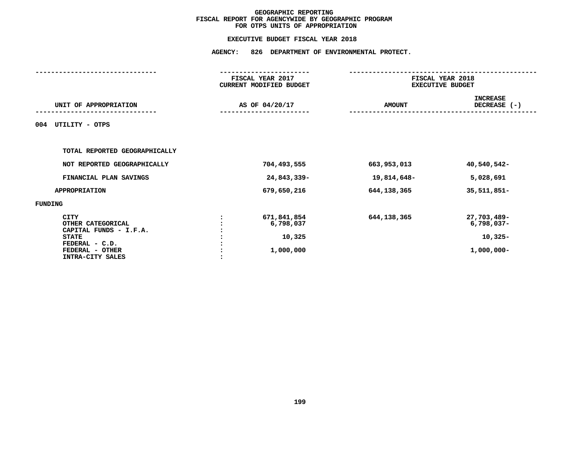| <b>AGENCY:</b><br>826 DEPARTMENT OF ENVIRONMENTAL PROTECT. |               |                                                           |  |  |  |
|------------------------------------------------------------|---------------|-----------------------------------------------------------|--|--|--|
| FISCAL YEAR 2017<br>CURRENT MODIFIED BUDGET                |               | FISCAL YEAR 2018<br><b>EXECUTIVE BUDGET</b>               |  |  |  |
| AS OF 04/20/17                                             | <b>AMOUNT</b> | <b>INCREASE</b><br>DECREASE (-)                           |  |  |  |
|                                                            |               |                                                           |  |  |  |
|                                                            |               |                                                           |  |  |  |
| 704,493,555                                                | 663,953,013   | 40,540,542-                                               |  |  |  |
| 24,843,339-                                                | 19,814,648-   | 5,028,691                                                 |  |  |  |
| 679,650,216                                                | 644, 138, 365 | 35, 511, 851-                                             |  |  |  |
|                                                            |               |                                                           |  |  |  |
| 671,841,854<br>6,798,037<br>10,325<br>1,000,000            | 644, 138, 365 | 27,703,489-<br>$6,798,037-$<br>$10,325-$<br>$1,000,000 -$ |  |  |  |
|                                                            |               |                                                           |  |  |  |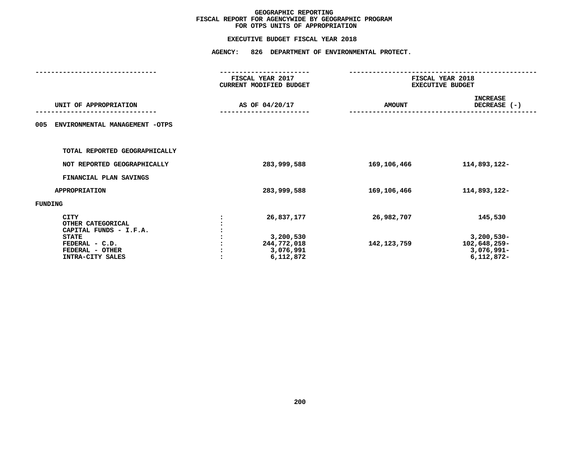|                                                                       | <b>AGENCY:</b><br>826 DEPARTMENT OF ENVIRONMENTAL PROTECT. |               |                                                             |  |  |  |
|-----------------------------------------------------------------------|------------------------------------------------------------|---------------|-------------------------------------------------------------|--|--|--|
|                                                                       | FISCAL YEAR 2017<br>CURRENT MODIFIED BUDGET                |               | FISCAL YEAR 2018<br><b>EXECUTIVE BUDGET</b>                 |  |  |  |
| UNIT OF APPROPRIATION                                                 | AS OF 04/20/17                                             | <b>AMOUNT</b> | <b>INCREASE</b><br>DECREASE (-)                             |  |  |  |
| ENVIRONMENTAL MANAGEMENT -OTPS<br>005                                 |                                                            |               |                                                             |  |  |  |
| TOTAL REPORTED GEOGRAPHICALLY                                         |                                                            |               |                                                             |  |  |  |
| NOT REPORTED GEOGRAPHICALLY                                           | 283,999,588                                                | 169,106,466   | 114,893,122-                                                |  |  |  |
| FINANCIAL PLAN SAVINGS                                                |                                                            |               |                                                             |  |  |  |
| <b>APPROPRIATION</b>                                                  | 283,999,588                                                | 169,106,466   | 114,893,122-                                                |  |  |  |
| FUNDING                                                               |                                                            |               |                                                             |  |  |  |
| <b>CITY</b><br>OTHER CATEGORICAL<br>CAPITAL FUNDS - I.F.A.            | 26,837,177                                                 | 26,982,707    | 145,530                                                     |  |  |  |
| <b>STATE</b><br>FEDERAL - C.D.<br>FEDERAL - OTHER<br>INTRA-CITY SALES | 3,200,530<br>244,772,018<br>3,076,991<br>6,112,872         | 142, 123, 759 | $3,200,530 -$<br>102,648,259-<br>3,076,991-<br>$6,112,872-$ |  |  |  |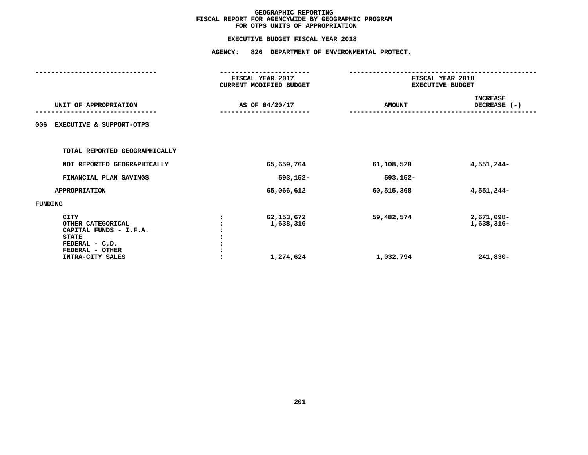|                                                                                                                                     | <b>AGENCY:</b><br>826 DEPARTMENT OF ENVIRONMENTAL PROTECT. |                                      |                                             |                                      |  |  |
|-------------------------------------------------------------------------------------------------------------------------------------|------------------------------------------------------------|--------------------------------------|---------------------------------------------|--------------------------------------|--|--|
|                                                                                                                                     | FISCAL YEAR 2017<br>CURRENT MODIFIED BUDGET                |                                      | FISCAL YEAR 2018<br><b>EXECUTIVE BUDGET</b> |                                      |  |  |
| UNIT OF APPROPRIATION                                                                                                               |                                                            | AS OF 04/20/17                       | <b>AMOUNT</b>                               | <b>INCREASE</b><br>DECREASE (-)      |  |  |
| 006<br><b>EXECUTIVE &amp; SUPPORT-OTPS</b>                                                                                          |                                                            |                                      |                                             |                                      |  |  |
| TOTAL REPORTED GEOGRAPHICALLY                                                                                                       |                                                            |                                      |                                             |                                      |  |  |
| NOT REPORTED GEOGRAPHICALLY                                                                                                         |                                                            | 65,659,764                           | 61,108,520                                  | 4,551,244-                           |  |  |
| FINANCIAL PLAN SAVINGS                                                                                                              |                                                            | 593,152-                             | 593,152-                                    |                                      |  |  |
| <b>APPROPRIATION</b>                                                                                                                |                                                            | 65,066,612                           | 60,515,368                                  | 4,551,244-                           |  |  |
| FUNDING                                                                                                                             |                                                            |                                      |                                             |                                      |  |  |
| <b>CITY</b><br>OTHER CATEGORICAL<br>CAPITAL FUNDS - I.F.A.<br><b>STATE</b><br>FEDERAL - C.D.<br>FEDERAL - OTHER<br>INTRA-CITY SALES |                                                            | 62,153,672<br>1,638,316<br>1,274,624 | 59,482,574<br>1,032,794                     | 2,671,098-<br>1,638,316-<br>241,830- |  |  |
|                                                                                                                                     |                                                            |                                      |                                             |                                      |  |  |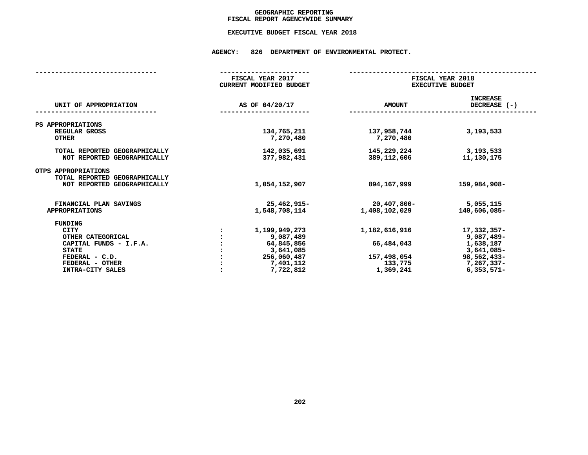## GEOGRAPHIC REPORTING<br>FISCAL REPORT AGENCYWIDE SUMMARY

## **FISCAL REPORT AGENCYWIDE SUMMARY EXECUTIVE BUDGET FISCAL YEAR <sup>2018</sup>**

#### **AGENCY: <sup>826</sup> DEPARTMENT OF ENVIRONMENTAL PROTECT.**

|                                                              | FISCAL YEAR 2017<br><b>CURRENT MODIFIED BUDGET</b> | FISCAL YEAR 2018<br><b>EXECUTIVE BUDGET</b> |                                   |
|--------------------------------------------------------------|----------------------------------------------------|---------------------------------------------|-----------------------------------|
| UNIT OF APPROPRIATION                                        | AS OF 04/20/17                                     | <b>AMOUNT</b>                               | <b>INCREASE</b><br>DECREASE $(-)$ |
| PS APPROPRIATIONS                                            |                                                    |                                             |                                   |
| REGULAR GROSS<br><b>OTHER</b>                                | 134,765,211<br>7,270,480                           | 137,958,744<br>7,270,480                    | 3,193,533                         |
| TOTAL REPORTED GEOGRAPHICALLY<br>NOT REPORTED GEOGRAPHICALLY | 142,035,691<br>377,982,431                         | 145,229,224<br>389,112,606                  | 3,193,533<br>11,130,175           |
| OTPS APPROPRIATIONS<br>TOTAL REPORTED GEOGRAPHICALLY         |                                                    |                                             |                                   |
| NOT REPORTED GEOGRAPHICALLY                                  | 1,054,152,907                                      | 894,167,999                                 | 159,984,908-                      |
| FINANCIAL PLAN SAVINGS<br><b>APPROPRIATIONS</b>              | 25,462,915-<br>1,548,708,114                       | $20,407,800 -$<br>1,408,102,029             | 5,055,115<br>140,606,085-         |
|                                                              |                                                    |                                             |                                   |
| <b>FUNDING</b>                                               |                                                    |                                             |                                   |
| <b>CITY</b>                                                  | 1,199,949,273                                      | 1,182,616,916                               | $17,332,357-$                     |
| OTHER CATEGORICAL                                            | 9,087,489                                          |                                             | $9,087,489-$                      |
| CAPITAL FUNDS - I.F.A.                                       | 64,845,856                                         | 66,484,043                                  | 1,638,187                         |
| <b>STATE</b>                                                 | 3,641,085                                          |                                             | $3,641,085-$                      |
| FEDERAL - C.D.                                               | 256,060,487                                        | 157,498,054                                 | 98,562,433-                       |
| FEDERAL - OTHER                                              | 7,401,112                                          | 133,775                                     | 7,267,337-                        |
| INTRA-CITY SALES                                             | 7,722,812                                          | 1,369,241                                   | $6,353,571-$                      |
|                                                              |                                                    |                                             |                                   |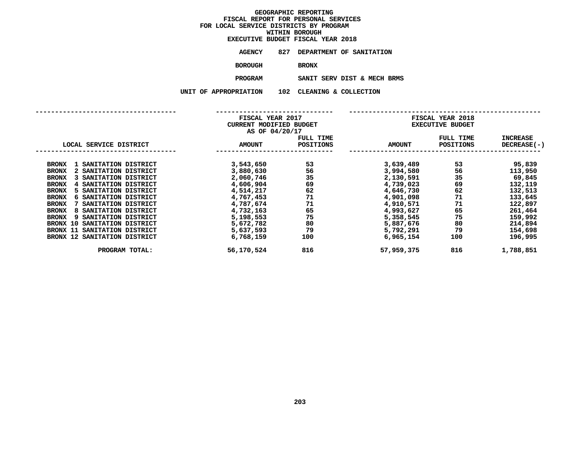|                  |     | EXECUTIVE BUDGET FISCAL YEAR 2018 |  |
|------------------|-----|-----------------------------------|--|
| <b>AGENCY</b>    |     | 827 DEPARTMENT OF SANITATION      |  |
| BOROUGH          |     | <b>BRONX</b>                      |  |
| <b>PROGRAM</b>   |     | SANIT SERV DIST & MECH BRMS       |  |
| <b>OPRIATION</b> | 102 | CLEANING & COLLECTION             |  |

**UNIT OF APPROPRIATION <sup>102</sup> CLEANING & COLLECTION**

|                                           | FISCAL YEAR 2017        |           | FISCAL YEAR 2018 |                         |                    |  |
|-------------------------------------------|-------------------------|-----------|------------------|-------------------------|--------------------|--|
|                                           | CURRENT MODIFIED BUDGET |           |                  | <b>EXECUTIVE BUDGET</b> |                    |  |
|                                           | AS OF 04/20/17          |           |                  |                         |                    |  |
|                                           |                         | FULL TIME |                  | FULL TIME               | <b>INCREASE</b>    |  |
| LOCAL SERVICE DISTRICT                    | <b>AMOUNT</b>           | POSITIONS | <b>AMOUNT</b>    | POSITIONS               | <b>DECREASE(-)</b> |  |
|                                           |                         |           |                  |                         |                    |  |
| 1 SANITATION DISTRICT<br><b>BRONX</b>     | 3,543,650               | 53        | 3,639,489        | 53                      | 95,839             |  |
| 2 SANITATION DISTRICT<br><b>BRONX</b>     | 3,880,630               | 56        | 3,994,580        | 56                      | 113,950            |  |
| SANITATION DISTRICT<br><b>BRONX</b>       | 2,060,746               | 35        | 2,130,591        | 35                      | 69,845             |  |
| 4 SANITATION DISTRICT<br><b>BRONX</b>     | 4,606,904               | 69        | 4,739,023        | 69                      | 132,119            |  |
| 5 SANITATION DISTRICT<br><b>BRONX</b>     | 4,514,217               | 62        | 4,646,730        | 62                      | 132,513            |  |
| 6 SANITATION DISTRICT<br><b>BRONX</b>     | 4,767,453               | 71        | 4,901,098        | 71                      | 133,645            |  |
| <b>BRONX</b><br>SANITATION DISTRICT       | 4,787,674               | 71        | 4,910,571        | 71                      | 122,897            |  |
| 8 SANITATION DISTRICT<br><b>BRONX</b>     | 4,732,163               | 65        | 4,993,627        | 65                      | 261,464            |  |
| SANITATION DISTRICT<br><b>BRONX</b><br>9. | 5,198,553               | 75        | 5,358,545        | 75                      | 159,992            |  |
| SANITATION DISTRICT<br>BRONX 10           | 5,672,782               | 80        | 5,887,676        | 80                      | 214,894            |  |
| BRONX 11 SANITATION DISTRICT              | 5,637,593               | 79        | 5,792,291        | 79                      | 154,698            |  |
| BRONX 12 SANITATION DISTRICT              | 6,768,159               | 100       | 6,965,154        | 100                     | 196,995            |  |
| PROGRAM TOTAL:                            | 56,170,524              | 816       | 57,959,375       | 816                     | 1,788,851          |  |
|                                           |                         |           |                  |                         |                    |  |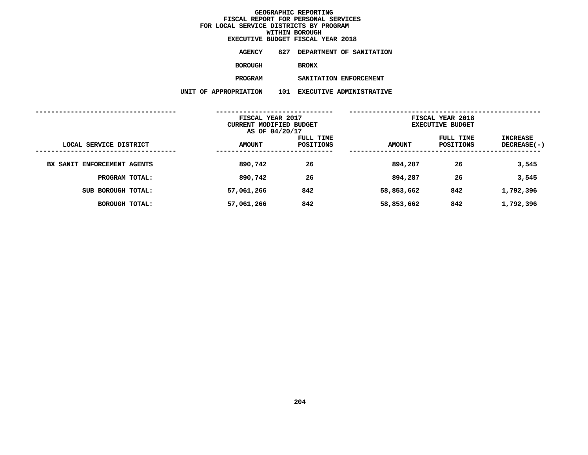**EXECUTIVE BUDGET FISCAL YEAR <sup>2018</sup>**

| AGENCY  | 827 DEPARTMENT OF SANITATION |  |
|---------|------------------------------|--|
| BOROUGH | <b>BRONX</b>                 |  |
| PROGRAM | SANITATION ENFORCEMENT       |  |

 **SANITATION ENFORCEMENT UNIT OF APPROPRIATION <sup>101</sup> EXECUTIVE ADMINISTRATIVE**

|                             | FISCAL YEAR 2017<br>CURRENT MODIFIED BUDGET<br>AS OF 04/20/17 |                        | FISCAL YEAR 2018<br><b>EXECUTIVE BUDGET</b> |                        |                           |  |
|-----------------------------|---------------------------------------------------------------|------------------------|---------------------------------------------|------------------------|---------------------------|--|
| LOCAL SERVICE DISTRICT      | <b>AMOUNT</b>                                                 | FULL TIME<br>POSITIONS | <b>AMOUNT</b>                               | FULL TIME<br>POSITIONS | INCREASE<br>$DECREASE(-)$ |  |
| BX SANIT ENFORCEMENT AGENTS | 890,742                                                       | 26                     | 894,287                                     | 26                     | 3,545                     |  |
| PROGRAM TOTAL:              | 890,742                                                       | 26                     | 894,287                                     | 26                     | 3,545                     |  |
| SUB BOROUGH TOTAL:          | 57,061,266                                                    | 842                    | 58,853,662                                  | 842                    | 1,792,396                 |  |
| <b>BOROUGH TOTAL:</b>       | 57,061,266                                                    | 842                    | 58,853,662                                  | 842                    | 1,792,396                 |  |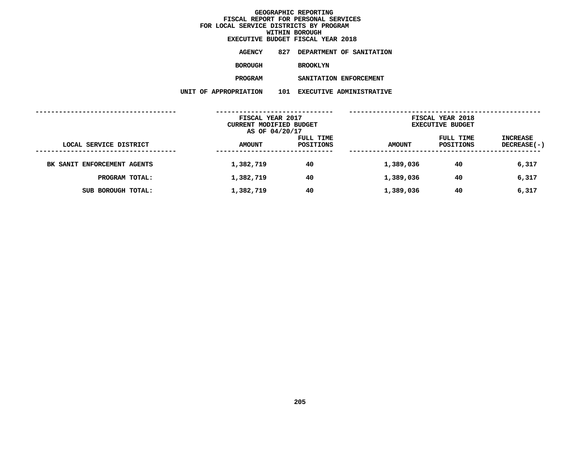| EXECUTIVE BUDGET FISCAL YEAR 2018 |     |                 |  |                          |
|-----------------------------------|-----|-----------------|--|--------------------------|
| <b>AGENCY</b>                     | 827 |                 |  | DEPARTMENT OF SANITATION |
| BOROUGH                           |     | <b>BROOKLYN</b> |  |                          |
| <b>PROGRAM</b>                    |     |                 |  | SANITATION ENFORCEMENT   |
| <b>OPRIATION</b>                  | 101 |                 |  | EXECUTIVE ADMINISTRATIVE |

**UNIT OF APPROPRIATION <sup>101</sup> EXECUTIVE ADMINISTRATIVE**

|                             | FISCAL YEAR 2017<br>CURRENT MODIFIED BUDGET<br>AS OF 04/20/17 |                        | FISCAL YEAR 2018<br><b>EXECUTIVE BUDGET</b> |                        |                                |
|-----------------------------|---------------------------------------------------------------|------------------------|---------------------------------------------|------------------------|--------------------------------|
| LOCAL SERVICE DISTRICT      | <b>AMOUNT</b>                                                 | FULL TIME<br>POSITIONS | <b>AMOUNT</b>                               | FULL TIME<br>POSITIONS | INCREASE<br><b>DECREASE(-)</b> |
| BK SANIT ENFORCEMENT AGENTS | 1,382,719                                                     | 40                     | 1,389,036                                   | 40                     | 6,317                          |
| PROGRAM TOTAL:              | 1,382,719                                                     | 40                     | 1,389,036                                   | 40                     | 6,317                          |
| SUB BOROUGH TOTAL:          | 1,382,719                                                     | 40                     | 1,389,036                                   | 40                     | 6,317                          |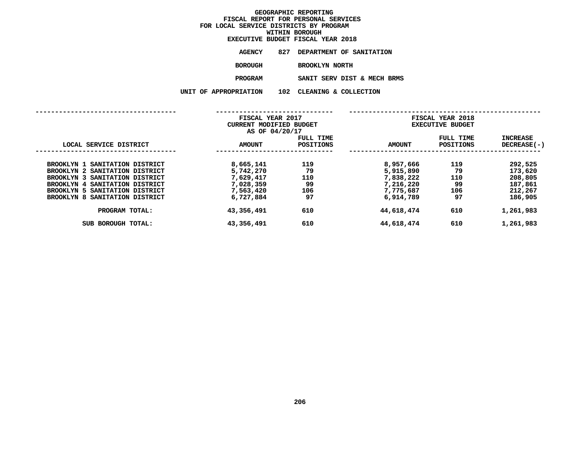# **WITHIN BOROUGH**

|                     |     | EXECUTIVE BUDGET FISCAL YEAR 2018 |  |
|---------------------|-----|-----------------------------------|--|
| <b>AGENCY</b>       | 827 | <b>DEPARTMENT OF SANITATION</b>   |  |
| <b>BOROUGH</b>      |     | <b>BROOKLYN NORTH</b>             |  |
| <b>PROGRAM</b>      |     | SANIT SERV DIST & MECH BRMS       |  |
| <b>PPROPRIATION</b> |     | 102 CLEANING & COLLECTION         |  |

| UNIT OF APPROPRIATION  | 102                           |                                                                                   |                                                 |                                                          |
|------------------------|-------------------------------|-----------------------------------------------------------------------------------|-------------------------------------------------|----------------------------------------------------------|
|                        |                               |                                                                                   |                                                 |                                                          |
| <b>AMOUNT</b>          | FULL TIME<br><b>POSITIONS</b> | <b>AMOUNT</b>                                                                     | FULL TIME<br><b>POSITIONS</b>                   | <b>INCREASE</b><br>DECREASE(-)                           |
| 8,665,141<br>5,742,270 | 119<br>79                     | 8,957,666<br>5,915,890                                                            | 119<br>79                                       | 292,525<br>173,620                                       |
| 7,028,359<br>7,563,420 | 99<br>106                     | 7,216,220<br>7,775,687                                                            | 99<br>106                                       | 208,805<br>187,861<br>212,267                            |
| 43,356,491             | 610                           | 44,618,474                                                                        | 610                                             | 186,905<br>1,261,983                                     |
| 43,356,491             | 610                           | 44,618,474                                                                        | 610                                             | 1,261,983                                                |
|                        | 7,629,417<br>6,727,884        | FISCAL YEAR 2017<br><b>CURRENT MODIFIED BUDGET</b><br>AS OF 04/20/17<br>110<br>97 | CLEANING & COLLECTION<br>7,838,222<br>6,914,789 | FISCAL YEAR 2018<br><b>EXECUTIVE BUDGET</b><br>110<br>97 |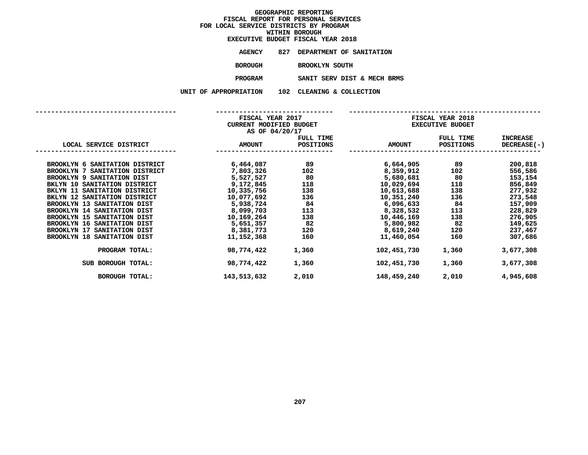# **WITHIN BOROUGH**

|                     |     | EXECUTIVE BUDGET FISCAL YEAR 2018 |  |
|---------------------|-----|-----------------------------------|--|
| AGENCY              | 827 | <b>DEPARTMENT OF SANITATION</b>   |  |
| <b>BOROUGH</b>      |     | <b>BROOKLYN SOUTH</b>             |  |
| <b>PROGRAM</b>      |     | SANIT SERV DIST & MECH BRMS       |  |
| <b>PPROPRIATION</b> | 102 | CLEANING & COLLECTION             |  |

**UNIT OF APPROPRIATION <sup>102</sup> CLEANING & COLLECTION**

|                                    | FISCAL YEAR 2017<br>CURRENT MODIFIED BUDGET<br>AS OF 04/20/17 |           | FISCAL YEAR 2018<br><b>EXECUTIVE BUDGET</b> |                  |                    |  |
|------------------------------------|---------------------------------------------------------------|-----------|---------------------------------------------|------------------|--------------------|--|
|                                    |                                                               | FULL TIME |                                             | <b>FULL TIME</b> | <b>INCREASE</b>    |  |
| LOCAL SERVICE DISTRICT             | <b>AMOUNT</b>                                                 | POSITIONS | <b>AMOUNT</b>                               | POSITIONS        | <b>DECREASE(-)</b> |  |
|                                    |                                                               |           |                                             |                  |                    |  |
| BROOKLYN 6 SANITATION DISTRICT     | 6,464,087                                                     | 89        | 6,664,905                                   | 89               | 200,818            |  |
| BROOKLYN 7 SANITATION DISTRICT     | 7,803,326                                                     | 102       | 8,359,912                                   | 102              | 556,586            |  |
| BROOKLYN 9 SANITATION DIST         | 5,527,527                                                     | 80        | 5,680,681                                   | 80               | 153,154            |  |
| BKLYN 10 SANITATION DISTRICT       | 9,172,845                                                     | 118       | 10,029,694                                  | 118              | 856,849            |  |
| BKLYN 11 SANITATION DISTRICT       | 10,335,756                                                    | 138       | 10,613,688                                  | 138              | 277,932            |  |
| BKLYN 12 SANITATION DISTRICT       | 10,077,692                                                    | 136       | 10,351,240                                  | 136              | 273,548            |  |
| BROOKLYN 13 SANITATION DIST        | 5,938,724                                                     | 84        | 6,096,633                                   | 84               | 157,909            |  |
| BROOKLYN 14 SANITATION DIST        | 8,099,703                                                     | 113       | 8,328,532                                   | 113              | 228,829            |  |
| BROOKLYN 15 SANITATION DIST        | 10,169,264                                                    | 138       | 10,446,169                                  | 138              | 276,905            |  |
| <b>BROOKLYN 16 SANITATION DIST</b> | 5,651,357                                                     | 82        | 5,800,982                                   | 82               | 149,625            |  |
| BROOKLYN 17 SANITATION DIST        | 8,381,773                                                     | 120       | 8,619,240                                   | 120              | 237,467            |  |
| BROOKLYN 18 SANITATION DIST        | 11,152,368                                                    | 160       | 11,460,054                                  | 160              | 307,686            |  |
| PROGRAM TOTAL:                     | 98,774,422                                                    | 1,360     | 102,451,730                                 | 1,360            | 3,677,308          |  |
| SUB BOROUGH TOTAL:                 | 98,774,422                                                    | 1,360     | 102,451,730                                 | 1,360            | 3,677,308          |  |
| <b>BOROUGH TOTAL:</b>              | 143,513,632                                                   | 2,010     | 148,459,240                                 | 2,010            | 4,945,608          |  |
|                                    |                                                               |           |                                             |                  |                    |  |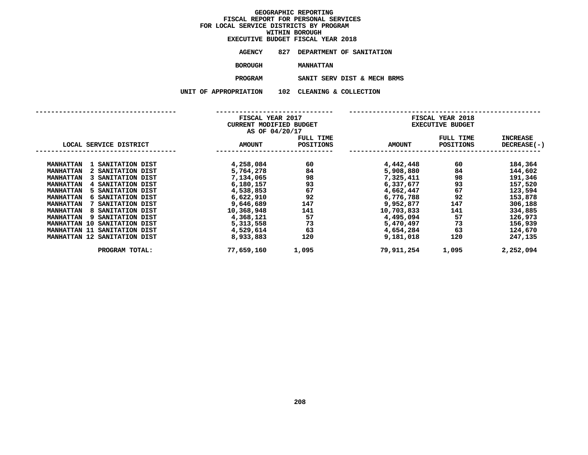|                  |     | EXECUTIVE BUDGET FISCAL YEAR 2018 |  |
|------------------|-----|-----------------------------------|--|
| <b>AGENCY</b>    |     | 827 DEPARTMENT OF SANITATION      |  |
| BOROUGH          |     | <b>MANHATTAN</b>                  |  |
| <b>PROGRAM</b>   |     | SANIT SERV DIST & MECH BRMS       |  |
| <b>OPRIATION</b> | 102 | CLEANING & COLLECTION             |  |

|                                       | FISCAL YEAR 2017<br>CURRENT MODIFIED BUDGET<br>AS OF 04/20/17 |                        |               | FISCAL YEAR 2018<br><b>EXECUTIVE BUDGET</b> |                                |
|---------------------------------------|---------------------------------------------------------------|------------------------|---------------|---------------------------------------------|--------------------------------|
| LOCAL SERVICE DISTRICT                | <b>AMOUNT</b>                                                 | FULL TIME<br>POSITIONS | <b>AMOUNT</b> | FULL TIME<br>POSITIONS                      | <b>INCREASE</b><br>DECREASE(-) |
| <b>MANHATTAN</b><br>1 SANITATION DIST | 4,258,084                                                     | 60                     | 4,442,448     | 60                                          | 184,364                        |
| 2 SANITATION DIST<br><b>MANHATTAN</b> | 5,764,278                                                     | 84                     | 5,908,880     | 84                                          | 144,602                        |
| 3 SANITATION DIST<br><b>MANHATTAN</b> | 7,134,065                                                     | 98                     | 7,325,411     | 98                                          | 191,346                        |
| <b>MANHATTAN</b><br>4 SANITATION DIST | 6,180,157                                                     | 93                     | 6,337,677     | 93                                          | 157,520                        |
| 5 SANITATION DIST<br><b>MANHATTAN</b> | 4,538,853                                                     | 67                     | 4,662,447     | 67                                          | 123,594                        |
| <b>MANHATTAN</b><br>6 SANITATION DIST | 6,622,910                                                     | 92                     | 6,776,788     | 92                                          | 153,878                        |
| 7 SANITATION DIST<br><b>MANHATTAN</b> | 9,646,689                                                     | 147                    | 9,952,877     | 147                                         | 306,188                        |
| 8 SANITATION DIST<br><b>MANHATTAN</b> | 10,368,948                                                    | 141                    | 10,703,833    | 141                                         | 334,885                        |
| 9 SANITATION DIST<br><b>MANHATTAN</b> | 4,368,121                                                     | 57                     | 4,495,094     | 57                                          | 126,973                        |
| MANHATTAN 10 SANITATION DIST          | 5,313,558                                                     | 73                     | 5,470,497     | 73                                          | 156,939                        |
| MANHATTAN 11 SANITATION DIST          | 4,529,614                                                     | 63                     | 4,654,284     | 63                                          | 124,670                        |
| MANHATTAN 12 SANITATION DIST          | 8,933,883                                                     | 120                    | 9,181,018     | 120                                         | 247,135                        |
| PROGRAM TOTAL:                        | 77,659,160                                                    | 1,095                  | 79,911,254    | 1,095                                       | 2,252,094                      |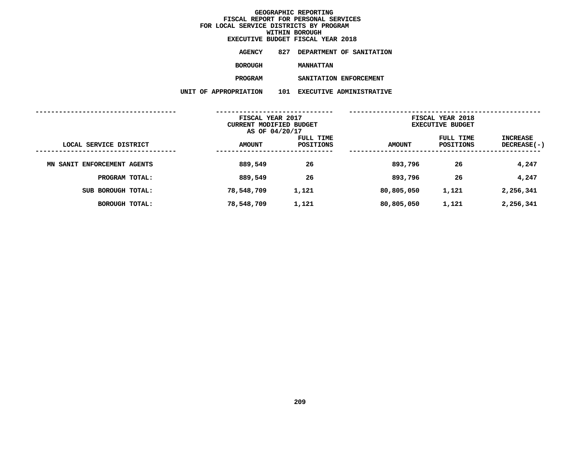|                  |     | EXECUTIVE BUDGET FISCAL YEAR 2018 |
|------------------|-----|-----------------------------------|
| <b>AGENCY</b>    | 827 | DEPARTMENT OF SANITATION          |
| BOROUGH          |     | <b>MANHATTAN</b>                  |
| <b>PROGRAM</b>   |     | SANITATION ENFORCEMENT            |
| <b>OPRIATION</b> | 101 | EXECUTIVE ADMINISTRATIVE          |

**UNIT OF APPROPRIATION <sup>101</sup> EXECUTIVE ADMINISTRATIVE**

| FISCAL YEAR 2017<br>CURRENT MODIFIED BUDGET |                |           | FISCAL YEAR 2018<br><b>EXECUTIVE BUDGET</b> |           |                    |  |
|---------------------------------------------|----------------|-----------|---------------------------------------------|-----------|--------------------|--|
|                                             | AS OF 04/20/17 |           |                                             |           |                    |  |
|                                             |                | FULL TIME |                                             | FULL TIME | <b>INCREASE</b>    |  |
| LOCAL SERVICE DISTRICT                      | <b>AMOUNT</b>  | POSITIONS | <b>AMOUNT</b>                               | POSITIONS | <b>DECREASE(-)</b> |  |
| MN SANIT ENFORCEMENT AGENTS                 | 889,549        | 26        | 893,796                                     | 26        | 4,247              |  |
| PROGRAM TOTAL:                              | 889,549        | 26        | 893,796                                     | 26        | 4,247              |  |
| SUB BOROUGH TOTAL:                          | 78,548,709     | 1,121     | 80,805,050                                  | 1,121     | 2,256,341          |  |
| <b>BOROUGH TOTAL:</b>                       | 78,548,709     | 1,121     | 80,805,050                                  | 1,121     | 2,256,341          |  |
|                                             |                |           |                                             |           |                    |  |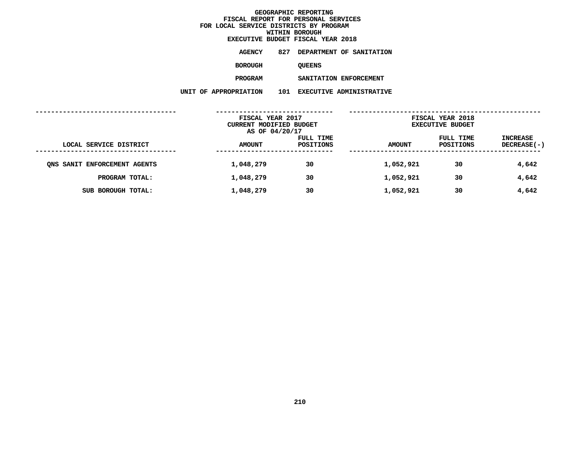| EXECUTIVE BUDGET FISCAL YEAR 2018 |     |               |  |                          |
|-----------------------------------|-----|---------------|--|--------------------------|
| AGENCY                            | 827 |               |  | DEPARTMENT OF SANITATION |
| <b>BOROUGH</b>                    |     | <b>OUEENS</b> |  |                          |
| <b>PROGRAM</b>                    |     |               |  | SANITATION ENFORCEMENT   |

 **SANITATION ENFORCEMENT UNIT OF APPROPRIATION <sup>101</sup> EXECUTIVE ADMINISTRATIVE**

|                                             | FISCAL YEAR 2017<br>CURRENT MODIFIED BUDGET<br>AS OF 04/20/17 |                        | FISCAL YEAR 2018<br><b>EXECUTIVE BUDGET</b> |                        |                                |  |
|---------------------------------------------|---------------------------------------------------------------|------------------------|---------------------------------------------|------------------------|--------------------------------|--|
| LOCAL SERVICE DISTRICT<br>----------------- | <b>AMOUNT</b>                                                 | FULL TIME<br>POSITIONS | <b>AMOUNT</b>                               | FULL TIME<br>POSITIONS | <b>INCREASE</b><br>DECREASE(-) |  |
| ONS SANIT ENFORCEMENT AGENTS                | 1,048,279                                                     | 30                     | 1,052,921                                   | 30                     | 4,642                          |  |
| PROGRAM TOTAL:                              | 1,048,279                                                     | 30                     | 1,052,921                                   | 30                     | 4,642                          |  |
| SUB BOROUGH TOTAL:                          | 1,048,279                                                     | 30                     | 1,052,921                                   | 30                     | 4,642                          |  |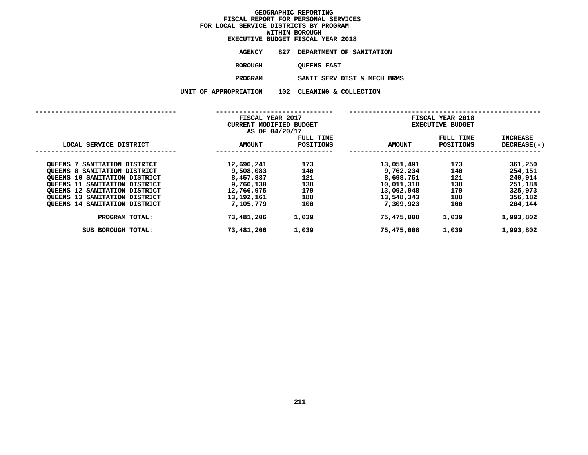|                      | EXECUTIVE BUDGET FISCAL YEAR 2018 |  |
|----------------------|-----------------------------------|--|
| <b>AGENCY</b>        | 827 DEPARTMENT OF SANITATION      |  |
| <b>BOROUGH</b>       | <b>OUEENS EAST</b>                |  |
| <b>PROGRAM</b>       | SANIT SERV DIST & MECH BRMS       |  |
| <b>\PPROPRIATION</b> | 102 CLEANING & COLLECTION         |  |

**UNIT OF APPROPRIATION <sup>102</sup> CLEANING & COLLECTION**

|                                         |  | FISCAL YEAR 2017<br><b>CURRENT MODIFIED BUDGET</b><br>AS OF 04/20/17 |                        | FISCAL YEAR 2018<br><b>EXECUTIVE BUDGET</b> |                               |                           |
|-----------------------------------------|--|----------------------------------------------------------------------|------------------------|---------------------------------------------|-------------------------------|---------------------------|
| LOCAL SERVICE DISTRICT                  |  | <b>AMOUNT</b>                                                        | FULL TIME<br>POSITIONS | <b>AMOUNT</b>                               | FULL TIME<br><b>POSITIONS</b> | INCREASE<br>$DECREASE(-)$ |
| SANITATION DISTRICT<br>OUEENS 7         |  | 12,690,241                                                           | 173                    | 13,051,491                                  | 173                           | 361,250                   |
| <b>QUEENS 8 SANITATION DISTRICT</b>     |  | 9,508,083                                                            | 140                    | 9,762,234                                   | 140                           | 254,151                   |
| OUEENS 10 SANITATION DISTRICT           |  | 8,457,837                                                            | 121                    | 8,698,751                                   | 121                           | 240,914                   |
| <b>QUEENS 11</b><br>SANITATION DISTRICT |  | 9,760,130                                                            | 138                    | 10,011,318                                  | 138                           | 251,188                   |
| <b>OUEENS 12 SANITATION DISTRICT</b>    |  | 12,766,975                                                           | 179                    | 13,092,948                                  | 179                           | 325,973                   |
| QUEENS 13 SANITATION DISTRICT           |  | 13,192,161                                                           | 188                    | 13,548,343                                  | 188                           | 356,182                   |
| <b>QUEENS 14 SANITATION DISTRICT</b>    |  | 7,105,779                                                            | 100                    | 7,309,923                                   | 100                           | 204,144                   |
| PROGRAM TOTAL:                          |  | 73,481,206                                                           | 1,039                  | 75,475,008                                  | 1,039                         | 1,993,802                 |
| SUB BOROUGH TOTAL:                      |  | 73,481,206                                                           | 1,039                  | 75,475,008                                  | 1,039                         | 1,993,802                 |
|                                         |  |                                                                      |                        |                                             |                               |                           |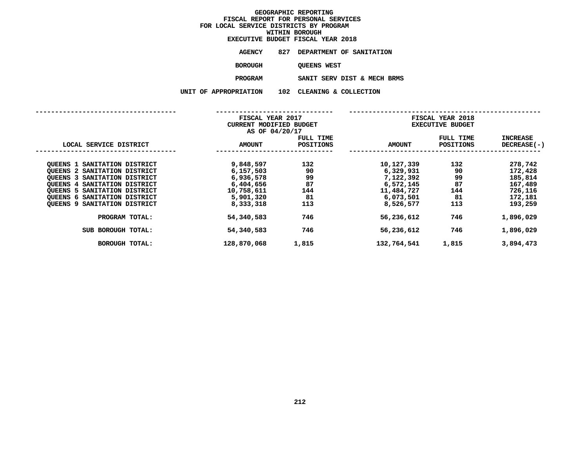|                      | EXECUTIVE BUDGET FISCAL YEAR 2018 |
|----------------------|-----------------------------------|
| <b>AGENCY</b>        | 827 DEPARTMENT OF SANITATION      |
| <b>BOROUGH</b>       | <b>OUEENS WEST</b>                |
| PROGRAM              | SANIT SERV DIST & MECH BRMS       |
| <b>APPROPRIATION</b> | 102 CLEANING & COLLECTION         |

**UNIT OF APPROPRIATION <sup>102</sup> CLEANING & COLLECTION**

|                                                                                                                                                                                                                                                                |                                                                                          | FISCAL YEAR 2017<br>FISCAL YEAR 2018<br><b>EXECUTIVE BUDGET</b><br><b>CURRENT MODIFIED BUDGET</b><br>AS OF 04/20/17 |                                                                                           |                                           |                                                                           |
|----------------------------------------------------------------------------------------------------------------------------------------------------------------------------------------------------------------------------------------------------------------|------------------------------------------------------------------------------------------|---------------------------------------------------------------------------------------------------------------------|-------------------------------------------------------------------------------------------|-------------------------------------------|---------------------------------------------------------------------------|
| LOCAL SERVICE DISTRICT                                                                                                                                                                                                                                         | <b>AMOUNT</b>                                                                            | FULL TIME<br>POSITIONS                                                                                              | <b>AMOUNT</b>                                                                             | FULL TIME<br><b>POSITIONS</b>             | <b>INCREASE</b><br>DECREASE(-)                                            |
| OUEENS 1 SANITATION DISTRICT<br><b>QUEENS 2 SANITATION DISTRICT</b><br>QUEENS 3<br>SANITATION DISTRICT<br><b>QUEENS 4 SANITATION DISTRICT</b><br>OUEENS 5 SANITATION DISTRICT<br><b>SANITATION DISTRICT</b><br>QUEENS 6<br><b>QUEENS 9 SANITATION DISTRICT</b> | 9,848,597<br>6,157,503<br>6,936,578<br>6,404,656<br>10,758,611<br>5,901,320<br>8,333,318 | 132<br>90<br>99<br>87<br>144<br>81<br>113                                                                           | 10,127,339<br>6,329,931<br>7,122,392<br>6,572,145<br>11,484,727<br>6,073,501<br>8,526,577 | 132<br>90<br>99<br>87<br>144<br>81<br>113 | 278,742<br>172,428<br>185,814<br>167,489<br>726,116<br>172,181<br>193,259 |
| PROGRAM TOTAL:                                                                                                                                                                                                                                                 | 54,340,583                                                                               | 746                                                                                                                 | 56,236,612                                                                                | 746                                       | 1,896,029                                                                 |
| SUB BOROUGH TOTAL:<br><b>BOROUGH TOTAL:</b>                                                                                                                                                                                                                    | 54,340,583<br>128,870,068                                                                | 746<br>1,815                                                                                                        | 56,236,612<br>132,764,541                                                                 | 746<br>1,815                              | 1,896,029<br>3,894,473                                                    |
|                                                                                                                                                                                                                                                                |                                                                                          |                                                                                                                     |                                                                                           |                                           |                                                                           |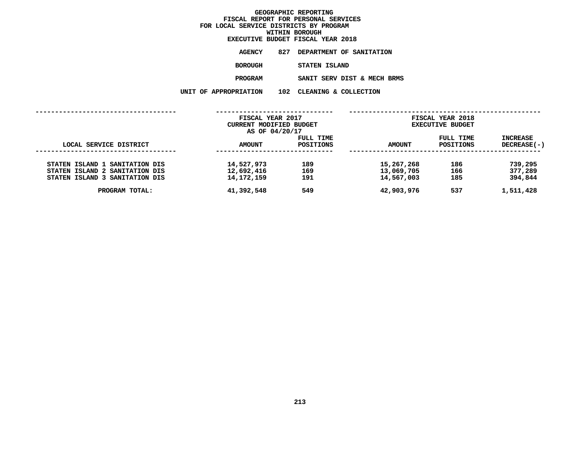**WITHIN BOROUGH EXECUTIVE BUDGET FISCAL YEAR <sup>2018</sup>AGENCY <sup>827</sup> DEPARTMENT OF SANITATION BOROUGH**

STATEN ISLAND<br>SANIT SERV DIST & MECH BRMS **PROGRAMM**<br>**N** 102 CLEANING & COLLECTION<br>**N** 102 CLEANING & COLLECTION

**UNIT OF APPROPRIATION <sup>102</sup> CLEANING & COLLECTION**

|                                | FISCAL YEAR 2017<br>CURRENT MODIFIED BUDGET |                        |               | FISCAL YEAR 2018<br><b>EXECUTIVE BUDGET</b> |                           |
|--------------------------------|---------------------------------------------|------------------------|---------------|---------------------------------------------|---------------------------|
|                                | AS OF 04/20/17                              |                        |               |                                             |                           |
| LOCAL SERVICE DISTRICT         | <b>AMOUNT</b>                               | FULL TIME<br>POSITIONS | <b>AMOUNT</b> | FULL TIME<br>POSITIONS                      | INCREASE<br>$DECREASE(-)$ |
|                                |                                             |                        |               |                                             |                           |
| STATEN ISLAND 1 SANITATION DIS | 14,527,973                                  | 189                    | 15,267,268    | 186                                         | 739,295                   |
| STATEN ISLAND 2 SANITATION DIS | 12,692,416                                  | 169                    | 13,069,705    | 166                                         | 377,289                   |
| STATEN ISLAND 3 SANITATION DIS | 14, 172, 159                                | 191                    | 14,567,003    | 185                                         | 394,844                   |
| PROGRAM TOTAL:                 | 41,392,548                                  | 549                    | 42,903,976    | 537                                         | 1,511,428                 |
|                                |                                             |                        |               |                                             |                           |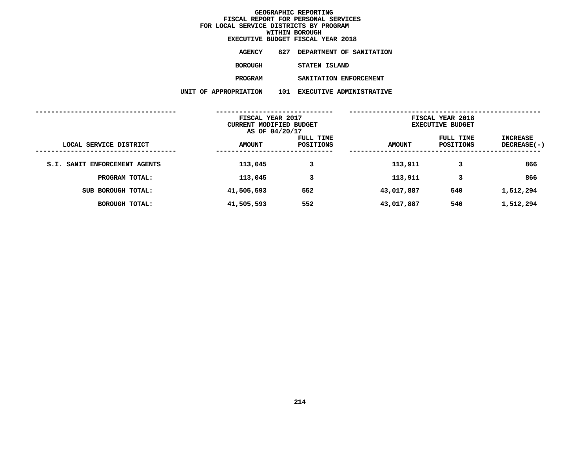|                        |     | EXECUTIVE BUDGET FISCAL YEAR 2018 |
|------------------------|-----|-----------------------------------|
| <b>AGENCY</b>          | 827 | DEPARTMENT OF SANITATION          |
| <b>BOROUGH</b>         |     | STATEN ISLAND                     |
| <b>PROGRAM</b>         |     | SANITATION ENFORCEMENT            |
| <b>F APPROPRIATION</b> | 101 | <b>EXECUTIVE ADMINISTRATIVE</b>   |

|                               | UNIT OF APPROPRIATION                       | 101<br><b>EXECUTIVE ADMINISTRATIVE</b> |               |                                             |                                       |
|-------------------------------|---------------------------------------------|----------------------------------------|---------------|---------------------------------------------|---------------------------------------|
|                               | FISCAL YEAR 2017<br>CURRENT MODIFIED BUDGET | AS OF 04/20/17                         |               | FISCAL YEAR 2018<br><b>EXECUTIVE BUDGET</b> |                                       |
| LOCAL SERVICE DISTRICT        | <b>AMOUNT</b>                               | FULL TIME<br><b>POSITIONS</b>          | <b>AMOUNT</b> | FULL TIME<br><b>POSITIONS</b>               | <b>INCREASE</b><br><b>DECREASE(-)</b> |
| S.I. SANIT ENFORCEMENT AGENTS | 113,045                                     | 3                                      | 113,911       | 3                                           | 866                                   |
| PROGRAM TOTAL:                | 113,045                                     | 3                                      | 113,911       | 3                                           | 866                                   |
| SUB BOROUGH TOTAL:            | 41,505,593                                  | 552                                    | 43,017,887    | 540                                         | 1,512,294                             |
| <b>BOROUGH TOTAL:</b>         | 41,505,593                                  | 552                                    | 43,017,887    | 540                                         | 1,512,294                             |
|                               |                                             |                                        |               |                                             |                                       |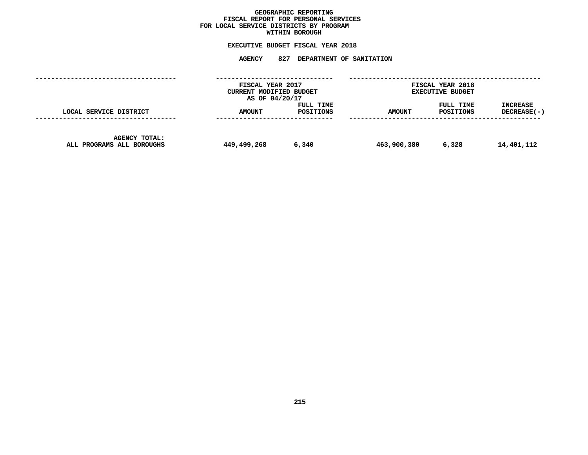## GEOGRAPHIC REPORTING<br>FISCAL REPORT FOR PERSONAL SERVICES<br>OCAL SERVICE DISTRICTS BY PROGRAM<br>WITHIN BOROUGH **FISCAL REPORT FOR PERSONAL SERVICES FOR LOCAL SERVICE DISTRICTS BY PROGRAM**

# **WITHIN BOROUGH EXECUTIVE BUDGET FISCAL YEAR <sup>2018</sup>**

# **AGENCY <sup>827</sup> DEPARTMENT OF SANITATION**

|                                                   | FISCAL YEAR 2017<br>CURRENT MODIFIED BUDGET<br>AS OF 04/20/17 |                        | FISCAL YEAR 2018<br><b>EXECUTIVE BUDGET</b> |                        |                         |
|---------------------------------------------------|---------------------------------------------------------------|------------------------|---------------------------------------------|------------------------|-------------------------|
| LOCAL SERVICE DISTRICT                            | AMOUNT                                                        | FULL TIME<br>POSITIONS | <b>AMOUNT</b>                               | FULL TIME<br>POSITIONS | INCREASE<br>DECREASE(-) |
| <b>AGENCY TOTAL:</b><br>ALL PROGRAMS ALL BOROUGHS | 449,499,268                                                   | 6,340                  | 463,900,380                                 | 6,328                  | 14,401,112              |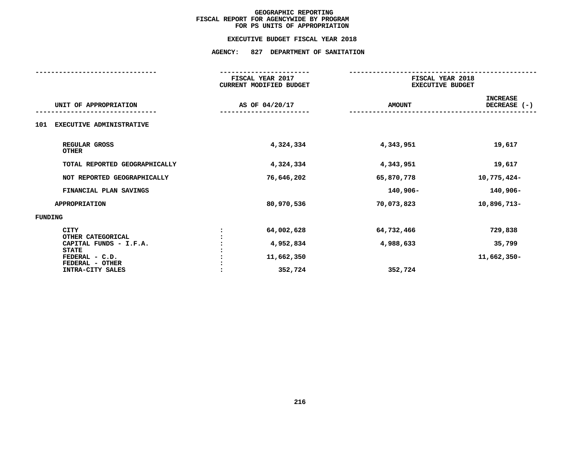#### **EXECUTIVE BUDGET FISCAL YEAR 2018**

|                                                                       | FISCAL YEAR 2017<br><b>CURRENT MODIFIED BUDGET</b> |                         | FISCAL YEAR 2018<br><b>EXECUTIVE BUDGET</b> |  |  |
|-----------------------------------------------------------------------|----------------------------------------------------|-------------------------|---------------------------------------------|--|--|
| UNIT OF APPROPRIATION                                                 | AS OF 04/20/17                                     | <b>AMOUNT</b>           | <b>INCREASE</b><br>DECREASE (-)             |  |  |
| EXECUTIVE ADMINISTRATIVE<br>101                                       |                                                    |                         |                                             |  |  |
| REGULAR GROSS<br><b>OTHER</b>                                         | 4,324,334                                          | 4,343,951               | 19,617                                      |  |  |
| TOTAL REPORTED GEOGRAPHICALLY                                         | 4,324,334                                          | 4,343,951               | 19,617                                      |  |  |
| NOT REPORTED GEOGRAPHICALLY                                           | 76,646,202                                         | 65,870,778              | 10,775,424-                                 |  |  |
| FINANCIAL PLAN SAVINGS                                                |                                                    | 140,906-                | 140,906-                                    |  |  |
| <b>APPROPRIATION</b>                                                  | 80,970,536                                         | 70,073,823              | 10,896,713-                                 |  |  |
| FUNDING                                                               |                                                    |                         |                                             |  |  |
| <b>CITY</b><br>OTHER CATEGORICAL<br>CAPITAL FUNDS - I.F.A.            | 64,002,628<br>4,952,834                            | 64,732,466<br>4,988,633 | 729,838<br>35,799                           |  |  |
| <b>STATE</b><br>FEDERAL - C.D.<br>FEDERAL - OTHER<br>INTRA-CITY SALES | 11,662,350<br>352,724                              | 352,724                 | 11,662,350-                                 |  |  |
|                                                                       |                                                    |                         |                                             |  |  |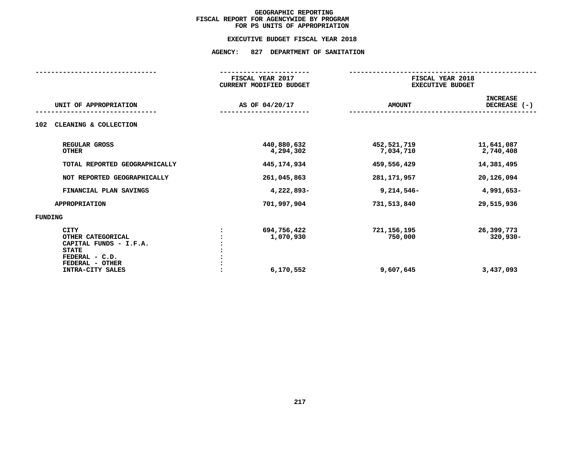#### **EXECUTIVE BUDGET FISCAL YEAR 2018**

| FISCAL YEAR 2017<br>CURRENT MODIFIED BUDGET |                                       | FISCAL YEAR 2018<br><b>EXECUTIVE BUDGET</b> |  |  |
|---------------------------------------------|---------------------------------------|---------------------------------------------|--|--|
| AS OF 04/20/17                              | <b>AMOUNT</b>                         | <b>INCREASE</b><br>DECREASE (-)             |  |  |
|                                             |                                       |                                             |  |  |
| 440,880,632<br>4,294,302                    | 452,521,719<br>7,034,710              | 11,641,087<br>2,740,408                     |  |  |
| 445,174,934                                 | 459,556,429                           | 14,381,495                                  |  |  |
| 261,045,863                                 | 281, 171, 957                         | 20,126,094                                  |  |  |
| 4,222,893-                                  | $9,214,546-$                          | 4,991,653-                                  |  |  |
| 701,997,904                                 | 731,513,840                           | 29,515,936                                  |  |  |
|                                             |                                       |                                             |  |  |
| 694,756,422<br>1,070,930<br>6,170,552       | 721, 156, 195<br>750,000<br>9,607,645 | 26,399,773<br>$320,930 -$<br>3,437,093      |  |  |
|                                             |                                       |                                             |  |  |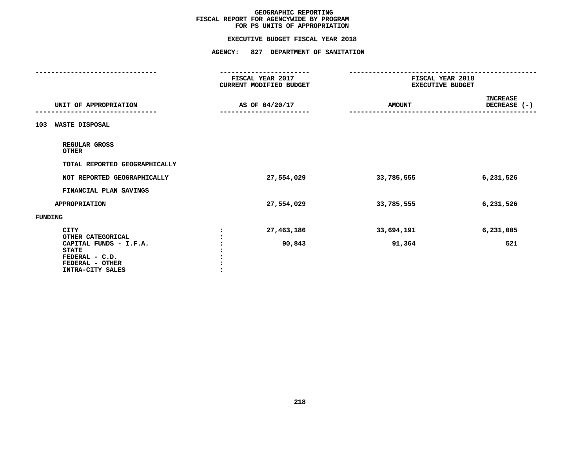#### **EXECUTIVE BUDGET FISCAL YEAR 2018**

|                                  | FISCAL YEAR 2017<br><b>CURRENT MODIFIED BUDGET</b> | FISCAL YEAR 2018<br><b>EXECUTIVE BUDGET</b> |                                 |
|----------------------------------|----------------------------------------------------|---------------------------------------------|---------------------------------|
|                                  |                                                    |                                             |                                 |
| UNIT OF APPROPRIATION            | AS OF 04/20/17                                     | <b>AMOUNT</b>                               | <b>INCREASE</b><br>DECREASE (-) |
|                                  |                                                    |                                             |                                 |
| WASTE DISPOSAL<br>103            |                                                    |                                             |                                 |
| REGULAR GROSS<br><b>OTHER</b>    |                                                    |                                             |                                 |
| TOTAL REPORTED GEOGRAPHICALLY    |                                                    |                                             |                                 |
| NOT REPORTED GEOGRAPHICALLY      | 27,554,029                                         | 33,785,555                                  | 6,231,526                       |
| FINANCIAL PLAN SAVINGS           |                                                    |                                             |                                 |
| <b>APPROPRIATION</b>             | 27,554,029                                         | 33,785,555                                  | 6,231,526                       |
| FUNDING                          |                                                    |                                             |                                 |
| <b>CITY</b><br>OTHER CATEGORICAL | 27,463,186                                         | 33,694,191                                  | 6,231,005                       |
| CAPITAL FUNDS - I.F.A.           | 90,843                                             | 91,364                                      | 521                             |
| <b>STATE</b>                     |                                                    |                                             |                                 |
| FEDERAL - C.D.                   |                                                    |                                             |                                 |
| FEDERAL - OTHER                  |                                                    |                                             |                                 |
| INTRA-CITY SALES                 |                                                    |                                             |                                 |
|                                  |                                                    |                                             |                                 |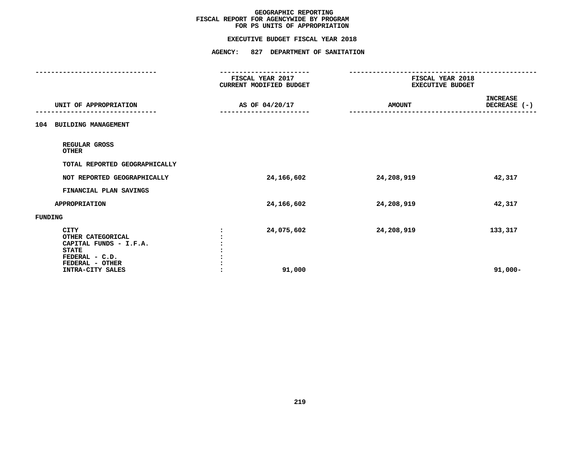#### **EXECUTIVE BUDGET FISCAL YEAR 2018**

|                                                                                                                                     | FISCAL YEAR 2017<br>CURRENT MODIFIED BUDGET | FISCAL YEAR 2018<br><b>EXECUTIVE BUDGET</b> |                                 |
|-------------------------------------------------------------------------------------------------------------------------------------|---------------------------------------------|---------------------------------------------|---------------------------------|
|                                                                                                                                     |                                             |                                             |                                 |
| UNIT OF APPROPRIATION                                                                                                               | AS OF 04/20/17                              | <b>AMOUNT</b>                               | <b>INCREASE</b><br>DECREASE (-) |
|                                                                                                                                     |                                             |                                             |                                 |
| <b>BUILDING MANAGEMENT</b><br>104                                                                                                   |                                             |                                             |                                 |
| REGULAR GROSS<br><b>OTHER</b>                                                                                                       |                                             |                                             |                                 |
| TOTAL REPORTED GEOGRAPHICALLY                                                                                                       |                                             |                                             |                                 |
| NOT REPORTED GEOGRAPHICALLY                                                                                                         | 24,166,602                                  | 24,208,919                                  | 42,317                          |
| FINANCIAL PLAN SAVINGS                                                                                                              |                                             |                                             |                                 |
| <b>APPROPRIATION</b>                                                                                                                | 24,166,602                                  | 24,208,919                                  | 42,317                          |
| FUNDING                                                                                                                             |                                             |                                             |                                 |
| <b>CITY</b><br>OTHER CATEGORICAL<br>CAPITAL FUNDS - I.F.A.<br><b>STATE</b><br>FEDERAL - C.D.<br>FEDERAL - OTHER<br>INTRA-CITY SALES | 24,075,602<br>91,000                        | 24,208,919                                  | 133,317<br>$91,000 -$           |
|                                                                                                                                     |                                             |                                             |                                 |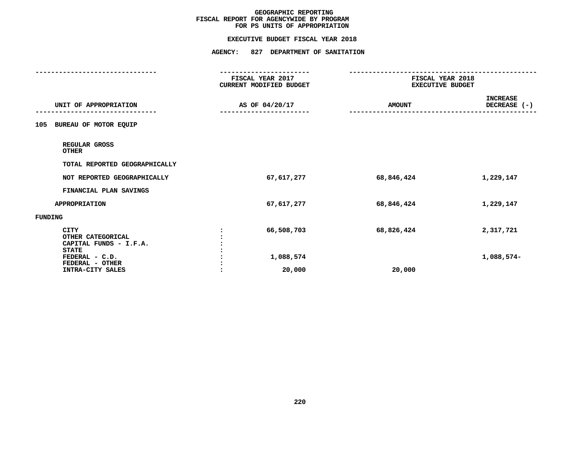#### **EXECUTIVE BUDGET FISCAL YEAR 2018**

|                                        | FISCAL YEAR 2017<br>CURRENT MODIFIED BUDGET | FISCAL YEAR 2018<br><b>EXECUTIVE BUDGET</b> |                                 |  |
|----------------------------------------|---------------------------------------------|---------------------------------------------|---------------------------------|--|
|                                        |                                             |                                             |                                 |  |
| UNIT OF APPROPRIATION                  |                                             | <b>AMOUNT</b>                               | <b>INCREASE</b><br>DECREASE (-) |  |
|                                        | AS OF 04/20/17                              |                                             |                                 |  |
| BUREAU OF MOTOR EQUIP<br>105           |                                             |                                             |                                 |  |
| REGULAR GROSS<br><b>OTHER</b>          |                                             |                                             |                                 |  |
| TOTAL REPORTED GEOGRAPHICALLY          |                                             |                                             |                                 |  |
| NOT REPORTED GEOGRAPHICALLY            | 67,617,277                                  | 68,846,424                                  | 1,229,147                       |  |
| FINANCIAL PLAN SAVINGS                 |                                             |                                             |                                 |  |
| <b>APPROPRIATION</b>                   | 67,617,277                                  | 68,846,424                                  | 1,229,147                       |  |
| <b>FUNDING</b>                         |                                             |                                             |                                 |  |
| <b>CITY</b>                            | 66,508,703                                  | 68,826,424                                  | 2,317,721                       |  |
| OTHER CATEGORICAL                      |                                             |                                             |                                 |  |
| CAPITAL FUNDS - I.F.A.<br><b>STATE</b> |                                             |                                             |                                 |  |
| FEDERAL - C.D.                         | 1,088,574                                   |                                             | 1,088,574-                      |  |
| FEDERAL - OTHER                        |                                             |                                             |                                 |  |
| INTRA-CITY SALES                       | 20,000                                      | 20,000                                      |                                 |  |
|                                        |                                             |                                             |                                 |  |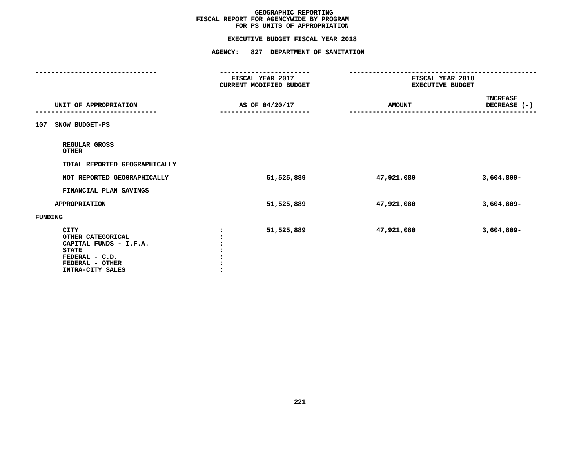#### **EXECUTIVE BUDGET FISCAL YEAR 2018**

|                                | FISCAL YEAR 2017               | FISCAL YEAR 2018        |                                 |
|--------------------------------|--------------------------------|-------------------------|---------------------------------|
|                                | <b>CURRENT MODIFIED BUDGET</b> | <b>EXECUTIVE BUDGET</b> |                                 |
| UNIT OF APPROPRIATION          | AS OF 04/20/17                 | <b>AMOUNT</b>           | <b>INCREASE</b><br>DECREASE (-) |
|                                |                                |                         |                                 |
| SNOW BUDGET-PS<br>107          |                                |                         |                                 |
| REGULAR GROSS<br><b>OTHER</b>  |                                |                         |                                 |
| TOTAL REPORTED GEOGRAPHICALLY  |                                |                         |                                 |
| NOT REPORTED GEOGRAPHICALLY    | 51,525,889                     | 47,921,080              | $3,604,809-$                    |
| FINANCIAL PLAN SAVINGS         |                                |                         |                                 |
| <b>APPROPRIATION</b>           | 51,525,889                     | 47,921,080              | $3,604,809 -$                   |
| FUNDING                        |                                |                         |                                 |
| CITY                           | 51,525,889                     | 47,921,080              | $3,604,809-$                    |
| OTHER CATEGORICAL              |                                |                         |                                 |
| CAPITAL FUNDS - I.F.A.         |                                |                         |                                 |
| <b>STATE</b><br>FEDERAL - C.D. |                                |                         |                                 |
| FEDERAL - OTHER                |                                |                         |                                 |
| INTRA-CITY SALES               |                                |                         |                                 |
|                                |                                |                         |                                 |
|                                |                                |                         |                                 |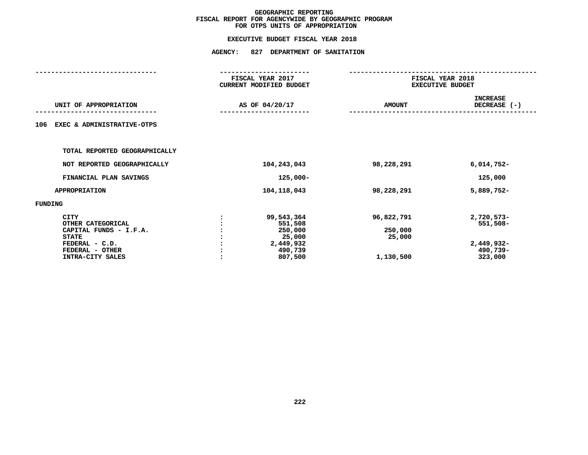|                                                                                                                              |                | FISCAL YEAR 2017<br>CURRENT MODIFIED BUDGET                                   | FISCAL YEAR 2018<br><b>EXECUTIVE BUDGET</b>  |                                                             |  |
|------------------------------------------------------------------------------------------------------------------------------|----------------|-------------------------------------------------------------------------------|----------------------------------------------|-------------------------------------------------------------|--|
| UNIT OF APPROPRIATION                                                                                                        | AS OF 04/20/17 |                                                                               | <b>AMOUNT</b>                                | <b>INCREASE</b><br>DECREASE (-)                             |  |
| EXEC & ADMINISTRATIVE-OTPS<br>106                                                                                            |                |                                                                               |                                              |                                                             |  |
| TOTAL REPORTED GEOGRAPHICALLY                                                                                                |                |                                                                               |                                              |                                                             |  |
| NOT REPORTED GEOGRAPHICALLY                                                                                                  |                | 104,243,043                                                                   | 98,228,291                                   | $6,014,752-$                                                |  |
| FINANCIAL PLAN SAVINGS                                                                                                       |                | $125,000 -$                                                                   |                                              | 125,000                                                     |  |
| <b>APPROPRIATION</b>                                                                                                         |                | 104, 118, 043                                                                 | 98,228,291                                   | 5,889,752-                                                  |  |
| FUNDING                                                                                                                      |                |                                                                               |                                              |                                                             |  |
| CITY<br>OTHER CATEGORICAL<br>CAPITAL FUNDS - I.F.A.<br><b>STATE</b><br>FEDERAL - C.D.<br>FEDERAL - OTHER<br>INTRA-CITY SALES | $\cdot$        | 99,543,364<br>551,508<br>250,000<br>25,000<br>2,449,932<br>490,739<br>807,500 | 96,822,791<br>250,000<br>25,000<br>1,130,500 | 2,720,573-<br>551,508-<br>2,449,932-<br>490,739-<br>323,000 |  |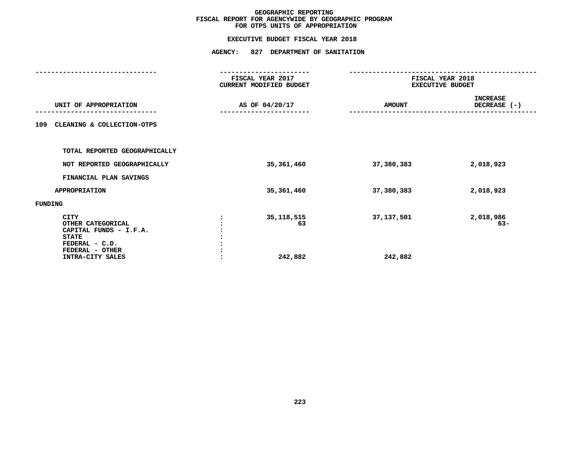|                                                                                                                              |                | FISCAL YEAR 2017<br>CURRENT MODIFIED BUDGET | FISCAL YEAR 2018<br><b>EXECUTIVE BUDGET</b> |                    |               |                                 |
|------------------------------------------------------------------------------------------------------------------------------|----------------|---------------------------------------------|---------------------------------------------|--------------------|---------------|---------------------------------|
| UNIT OF APPROPRIATION                                                                                                        | AS OF 04/20/17 |                                             |                                             |                    | <b>AMOUNT</b> | <b>INCREASE</b><br>DECREASE (-) |
| CLEANING & COLLECTION-OTPS<br>109                                                                                            |                |                                             |                                             |                    |               |                                 |
| TOTAL REPORTED GEOGRAPHICALLY                                                                                                |                |                                             |                                             |                    |               |                                 |
| NOT REPORTED GEOGRAPHICALLY                                                                                                  |                | 35,361,460                                  | 37,380,383                                  | 2,018,923          |               |                                 |
| FINANCIAL PLAN SAVINGS                                                                                                       |                |                                             |                                             |                    |               |                                 |
| <b>APPROPRIATION</b>                                                                                                         |                | 35,361,460                                  | 37,380,383                                  | 2,018,923          |               |                                 |
| FUNDING                                                                                                                      |                |                                             |                                             |                    |               |                                 |
| CITY<br>OTHER CATEGORICAL<br>CAPITAL FUNDS - I.F.A.<br><b>STATE</b><br>FEDERAL - C.D.<br>FEDERAL - OTHER<br>INTRA-CITY SALES |                | 35, 118, 515<br>63<br>242,882               | 37,137,501<br>242,882                       | 2,018,986<br>$63-$ |               |                                 |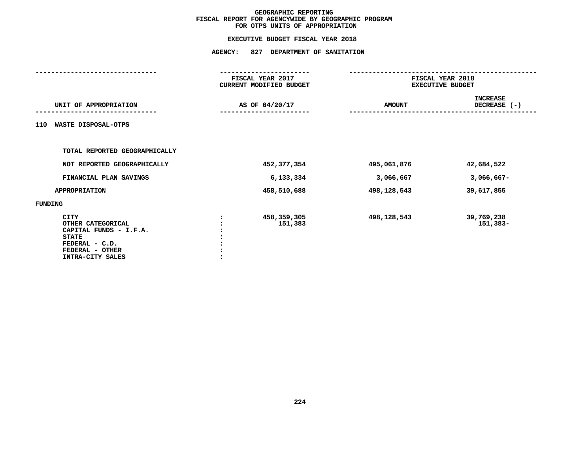|                                                                                                                              | FISCAL YEAR 2017<br>CURRENT MODIFIED BUDGET | FISCAL YEAR 2018<br><b>EXECUTIVE BUDGET</b> |                                 |
|------------------------------------------------------------------------------------------------------------------------------|---------------------------------------------|---------------------------------------------|---------------------------------|
| UNIT OF APPROPRIATION                                                                                                        | AS OF 04/20/17                              | <b>AMOUNT</b>                               | <b>INCREASE</b><br>DECREASE (-) |
| WASTE DISPOSAL-OTPS<br>110                                                                                                   |                                             |                                             |                                 |
| TOTAL REPORTED GEOGRAPHICALLY                                                                                                |                                             |                                             |                                 |
| NOT REPORTED GEOGRAPHICALLY                                                                                                  | 452,377,354                                 | 495,061,876                                 | 42,684,522                      |
| FINANCIAL PLAN SAVINGS                                                                                                       | 6,133,334                                   | 3,066,667                                   | $3,066,667-$                    |
| <b>APPROPRIATION</b>                                                                                                         | 458,510,688                                 | 498,128,543                                 | 39,617,855                      |
| FUNDING                                                                                                                      |                                             |                                             |                                 |
| CITY<br>OTHER CATEGORICAL<br>CAPITAL FUNDS - I.F.A.<br><b>STATE</b><br>FEDERAL - C.D.<br>FEDERAL - OTHER<br>INTRA-CITY SALES | 458,359,305<br>151,383                      | 498,128,543                                 | 39,769,238<br>151,383-          |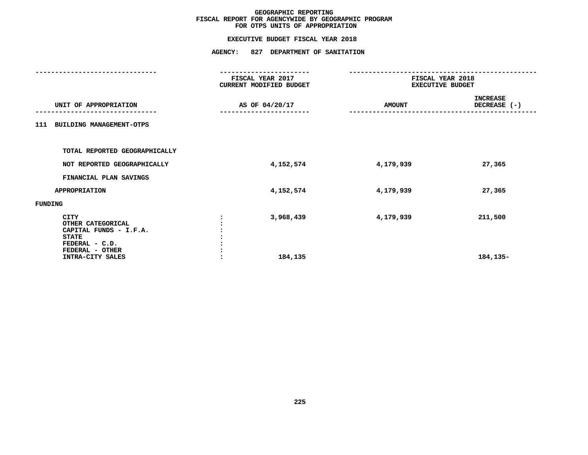|                                                                                                                                     | FISCAL YEAR 2017<br>CURRENT MODIFIED BUDGET | FISCAL YEAR 2018<br><b>EXECUTIVE BUDGET</b> |                                 |  |  |
|-------------------------------------------------------------------------------------------------------------------------------------|---------------------------------------------|---------------------------------------------|---------------------------------|--|--|
| UNIT OF APPROPRIATION                                                                                                               | AS OF 04/20/17                              | <b>AMOUNT</b>                               | <b>INCREASE</b><br>DECREASE (-) |  |  |
| 111 BUILDING MANAGEMENT-OTPS                                                                                                        |                                             |                                             |                                 |  |  |
| TOTAL REPORTED GEOGRAPHICALLY                                                                                                       |                                             |                                             |                                 |  |  |
| NOT REPORTED GEOGRAPHICALLY                                                                                                         | 4,152,574                                   | 4,179,939                                   | 27,365                          |  |  |
| FINANCIAL PLAN SAVINGS                                                                                                              |                                             |                                             |                                 |  |  |
| <b>APPROPRIATION</b>                                                                                                                | 4,152,574                                   | 4,179,939                                   | 27,365                          |  |  |
| FUNDING                                                                                                                             |                                             |                                             |                                 |  |  |
| <b>CITY</b><br>OTHER CATEGORICAL<br>CAPITAL FUNDS - I.F.A.<br><b>STATE</b><br>FEDERAL - C.D.<br>FEDERAL - OTHER<br>INTRA-CITY SALES | 3,968,439<br>184,135                        | 4,179,939                                   | 211,500<br>184,135-             |  |  |
|                                                                                                                                     |                                             |                                             |                                 |  |  |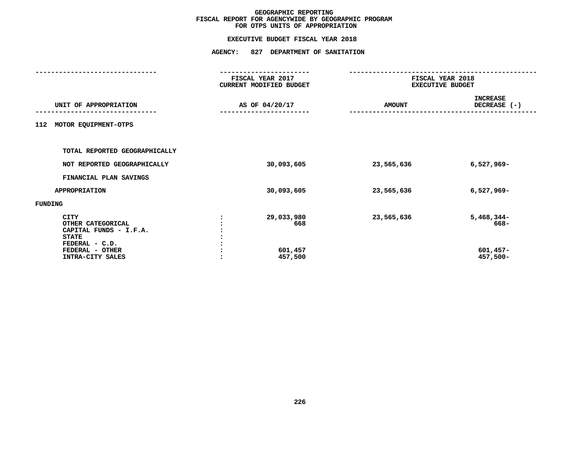|                |                                         | FISCAL YEAR 2018<br><b>EXECUTIVE BUDGET</b> |                                                |
|----------------|-----------------------------------------|---------------------------------------------|------------------------------------------------|
| AS OF 04/20/17 |                                         | <b>AMOUNT</b>                               | <b>INCREASE</b><br>DECREASE $(-)$              |
|                |                                         |                                             |                                                |
|                |                                         |                                             |                                                |
|                | 30,093,605                              | 23,565,636                                  | $6,527,969-$                                   |
|                |                                         |                                             |                                                |
|                | 30,093,605                              | 23,565,636                                  | $6,527,969-$                                   |
|                |                                         |                                             |                                                |
|                | 29,033,980<br>668<br>601,457<br>457,500 | 23,565,636                                  | $5,468,344-$<br>668-<br>$601,457-$<br>457,500- |
|                |                                         | FISCAL YEAR 2017<br>CURRENT MODIFIED BUDGET |                                                |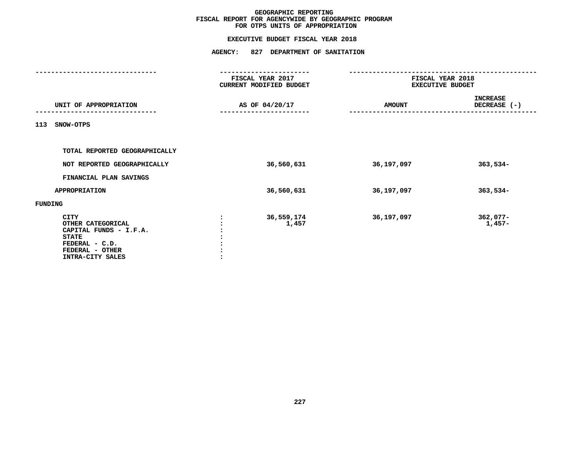|                                                                                                                                     |                | FISCAL YEAR 2017<br>CURRENT MODIFIED BUDGET | FISCAL YEAR 2018<br><b>EXECUTIVE BUDGET</b> |                                 |  |  |
|-------------------------------------------------------------------------------------------------------------------------------------|----------------|---------------------------------------------|---------------------------------------------|---------------------------------|--|--|
| UNIT OF APPROPRIATION                                                                                                               | AS OF 04/20/17 |                                             | <b>AMOUNT</b>                               | <b>INCREASE</b><br>DECREASE (-) |  |  |
| 113<br>SNOW-OTPS                                                                                                                    |                |                                             |                                             |                                 |  |  |
| TOTAL REPORTED GEOGRAPHICALLY                                                                                                       |                |                                             |                                             |                                 |  |  |
| NOT REPORTED GEOGRAPHICALLY                                                                                                         |                | 36,560,631                                  | 36,197,097                                  | $363,534-$                      |  |  |
| FINANCIAL PLAN SAVINGS                                                                                                              |                |                                             |                                             |                                 |  |  |
| <b>APPROPRIATION</b>                                                                                                                |                | 36,560,631                                  | 36,197,097                                  | $363,534-$                      |  |  |
| FUNDING                                                                                                                             |                |                                             |                                             |                                 |  |  |
| <b>CITY</b><br>OTHER CATEGORICAL<br>CAPITAL FUNDS - I.F.A.<br><b>STATE</b><br>FEDERAL - C.D.<br>FEDERAL - OTHER<br>INTRA-CITY SALES |                | 36,559,174<br>1,457                         | 36,197,097                                  | $362,077-$<br>1,457-            |  |  |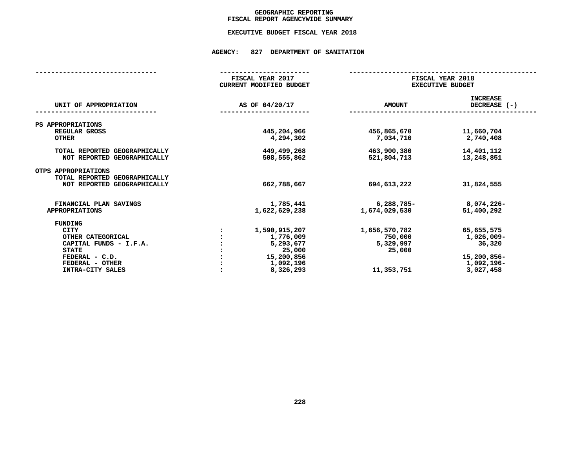## GEOGRAPHIC REPORTING<br>FISCAL REPORT AGENCYWIDE SUMMARY

# **FISCAL REPORT AGENCYWIDE SUMMARY EXECUTIVE BUDGET FISCAL YEAR <sup>2018</sup>**

#### **AGENCY: <sup>827</sup> DEPARTMENT OF SANITATION**

|                                                              | FISCAL YEAR 2017<br><b>CURRENT MODIFIED BUDGET</b> | FISCAL YEAR 2018<br><b>EXECUTIVE BUDGET</b> |                                 |
|--------------------------------------------------------------|----------------------------------------------------|---------------------------------------------|---------------------------------|
| UNIT OF APPROPRIATION                                        | AS OF 04/20/17                                     | <b>AMOUNT</b>                               | <b>INCREASE</b><br>DECREASE (-) |
| PS APPROPRIATIONS                                            |                                                    |                                             |                                 |
| REGULAR GROSS<br><b>OTHER</b>                                | 445,204,966<br>4,294,302                           | 456,865,670<br>7,034,710                    | 11,660,704<br>2,740,408         |
| TOTAL REPORTED GEOGRAPHICALLY<br>NOT REPORTED GEOGRAPHICALLY | 449,499,268<br>508,555,862                         | 463,900,380<br>521,804,713                  | 14,401,112<br>13,248,851        |
| OTPS APPROPRIATIONS<br>TOTAL REPORTED GEOGRAPHICALLY         |                                                    |                                             |                                 |
| NOT REPORTED GEOGRAPHICALLY                                  | 662,788,667                                        | 694,613,222                                 | 31,824,555                      |
| FINANCIAL PLAN SAVINGS                                       | 1,785,441                                          | 6,288,785-                                  | 8,074,226-                      |
| <b>APPROPRIATIONS</b>                                        | 1,622,629,238                                      | 1,674,029,530                               | 51,400,292                      |
| FUNDING                                                      |                                                    |                                             |                                 |
| <b>CITY</b>                                                  | 1,590,915,207                                      | 1,656,570,782                               | 65,655,575                      |
| OTHER CATEGORICAL                                            | 1,776,009                                          | 750,000                                     | 1,026,009-                      |
| CAPITAL FUNDS - I.F.A.                                       | 5,293,677                                          | 5,329,997                                   | 36,320                          |
| <b>STATE</b>                                                 | 25,000                                             | 25,000                                      |                                 |
| FEDERAL - C.D.                                               | 15,200,856                                         |                                             | 15,200,856-                     |
| FEDERAL - OTHER                                              | 1,092,196                                          |                                             | 1,092,196-                      |
| INTRA-CITY SALES                                             | 8,326,293                                          | 11,353,751                                  | 3,027,458                       |
|                                                              |                                                    |                                             |                                 |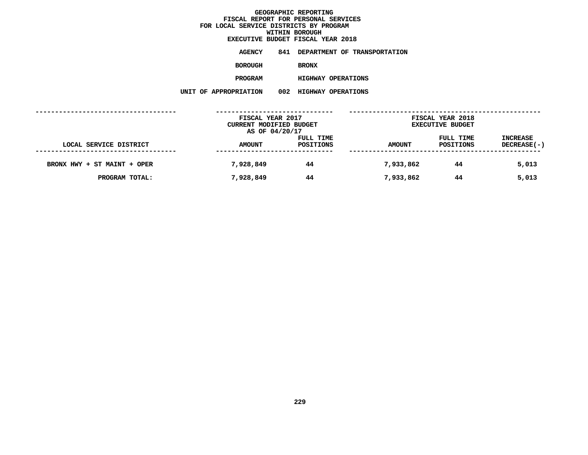| EXECUTIVE BUDGET FISCAL YEAR 2018 |     |                           |                                     |
|-----------------------------------|-----|---------------------------|-------------------------------------|
| AGENCY                            | 841 |                           | <b>DEPARTMENT OF TRANSPORTATION</b> |
| BOROUGH                           |     | <b>BRONX</b>              |                                     |
| <b>PROGRAM</b>                    |     | <b>HIGHWAY OPERATIONS</b> |                                     |
| <b>ROPRIATION</b>                 | 002 | <b>HIGHWAY OPERATIONS</b> |                                     |

|                             | FISCAL YEAR 2017<br>CURRENT MODIFIED BUDGET<br>AS OF 04/20/17 |                        | FISCAL YEAR 2018<br><b>EXECUTIVE BUDGET</b> |                        |                                |
|-----------------------------|---------------------------------------------------------------|------------------------|---------------------------------------------|------------------------|--------------------------------|
| LOCAL SERVICE DISTRICT      | <b>AMOUNT</b>                                                 | FULL TIME<br>POSITIONS | <b>AMOUNT</b>                               | FULL TIME<br>POSITIONS | <b>INCREASE</b><br>DECREASE(-) |
| BRONX HWY + ST MAINT + OPER | 7,928,849                                                     | 44                     | 7,933,862                                   | 44                     | 5,013                          |
| PROGRAM TOTAL:              | 7,928,849                                                     | 44                     | 7,933,862                                   | 44                     | 5,013                          |
|                             |                                                               |                        |                                             |                        |                                |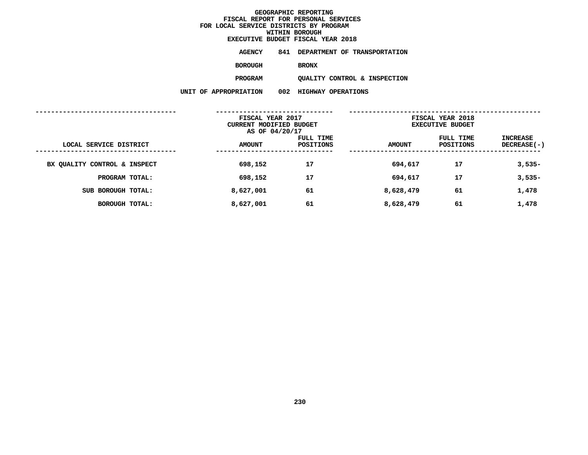|                   |     | EXECUTIVE BUDGET FISCAL YEAR 2018 |
|-------------------|-----|-----------------------------------|
| <b>AGENCY</b>     | 841 | DEPARTMENT OF TRANSPORTATION      |
| <b>BOROUGH</b>    |     | <b>BRONX</b>                      |
| <b>PROGRAM</b>    |     | QUALITY CONTROL & INSPECTION      |
| <b>ROPRIATION</b> | 002 | HIGHWAY OPERATIONS                |

|                              |               | FISCAL YEAR 2017<br>CURRENT MODIFIED BUDGET<br>AS OF 04/20/17 |               |                        | FISCAL YEAR 2018<br><b>EXECUTIVE BUDGET</b> |  |
|------------------------------|---------------|---------------------------------------------------------------|---------------|------------------------|---------------------------------------------|--|
| LOCAL SERVICE DISTRICT       | <b>AMOUNT</b> | FULL TIME<br>POSITIONS                                        | <b>AMOUNT</b> | FULL TIME<br>POSITIONS | INCREASE<br>$DECREASE(-)$                   |  |
| BX QUALITY CONTROL & INSPECT | 698,152       | 17                                                            | 694,617       | 17                     | $3,535-$                                    |  |
| PROGRAM TOTAL:               | 698,152       | 17                                                            | 694,617       | 17                     | $3,535-$                                    |  |
| SUB BOROUGH TOTAL:           | 8,627,001     | 61                                                            | 8,628,479     | 61                     | 1,478                                       |  |
| BOROUGH TOTAL:               | 8,627,001     | 61                                                            | 8,628,479     | 61                     | 1,478                                       |  |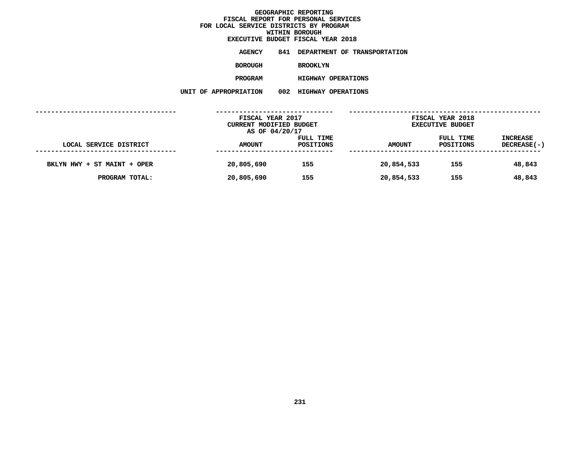**EXECUTIVE BUDGET FISCAL YEAR <sup>2018</sup>AGENCY <sup>841</sup> DEPARTMENT OF TRANSPORTATION BOROUGH BROOKLYN PROGRAMHIGHWAY OPERATIONS**

|                             | FISCAL YEAR 2017<br>CURRENT MODIFIED BUDGET |                        |               | FISCAL YEAR 2018<br><b>EXECUTIVE BUDGET</b> |                                |  |
|-----------------------------|---------------------------------------------|------------------------|---------------|---------------------------------------------|--------------------------------|--|
| LOCAL SERVICE DISTRICT      | AS OF 04/20/17<br><b>AMOUNT</b>             | FULL TIME<br>POSITIONS | <b>AMOUNT</b> | FULL TIME<br>POSITIONS                      | <b>INCREASE</b><br>DECREASE(-) |  |
| BKLYN HWY + ST MAINT + OPER | 20,805,690                                  | 155                    | 20,854,533    | 155                                         | 48,843                         |  |
| PROGRAM TOTAL:              | 20,805,690                                  | 155                    | 20,854,533    | 155                                         | 48,843                         |  |
|                             |                                             |                        |               |                                             |                                |  |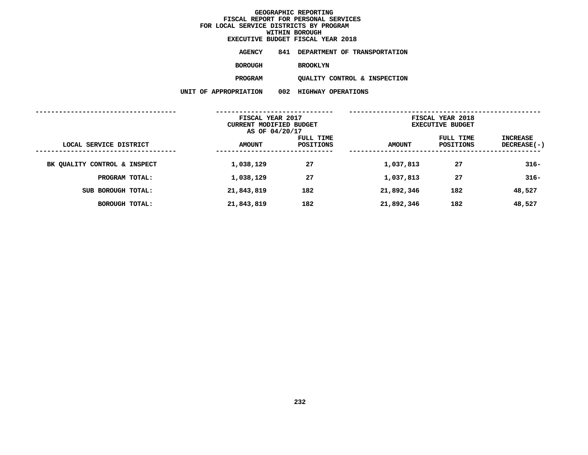**EXECUTIVE BUDGET FISCAL YEAR <sup>2018</sup>**

**AGENCY <sup>841</sup> DEPARTMENT OF TRANSPORTATION**

**BOROUGH**

BROOKLYN<br>QUALITY CONTROL & INSPECTION **PROGRAMQUALITY CONTROL & INSPECTION**

|                              | FISCAL YEAR 2017<br>CURRENT MODIFIED BUDGET<br>AS OF 04/20/17 |                        | FISCAL YEAR 2018<br><b>EXECUTIVE BUDGET</b> |                        |                           |
|------------------------------|---------------------------------------------------------------|------------------------|---------------------------------------------|------------------------|---------------------------|
| LOCAL SERVICE DISTRICT       | <b>AMOUNT</b>                                                 | FULL TIME<br>POSITIONS | <b>AMOUNT</b>                               | FULL TIME<br>POSITIONS | INCREASE<br>$DECREASE(-)$ |
| BK QUALITY CONTROL & INSPECT | 1,038,129                                                     | 27                     | 1,037,813                                   | 27                     | $316 -$                   |
| PROGRAM TOTAL:               | 1,038,129                                                     | 27                     | 1,037,813                                   | 27                     | $316 -$                   |
| SUB BOROUGH TOTAL:           | 21,843,819                                                    | 182                    | 21,892,346                                  | 182                    | 48,527                    |
| BOROUGH TOTAL:               | 21,843,819                                                    | 182                    | 21,892,346                                  | 182                    | 48,527                    |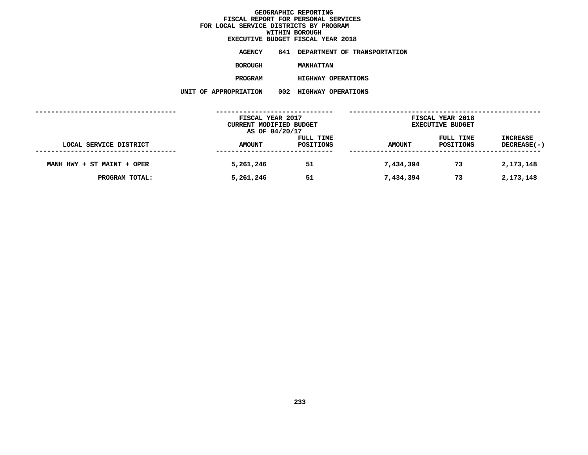**EXECUTIVE BUDGET FISCAL YEAR <sup>2018</sup>AGENCY <sup>841</sup> DEPARTMENT OF TRANSPORTATION BOROUGHMANHATTAN<br>HIGHWAY OPERATIONS** 

**PROGRAM**

 **HIGHWAY OPERATIONS UNIT OF APPROPRIATION <sup>002</sup> HIGHWAY OPERATIONS**

|                            | FISCAL YEAR 2017<br>CURRENT MODIFIED BUDGET<br>AS OF 04/20/17 |                        |               | FISCAL YEAR 2018<br><b>EXECUTIVE BUDGET</b> |                                |
|----------------------------|---------------------------------------------------------------|------------------------|---------------|---------------------------------------------|--------------------------------|
| LOCAL SERVICE DISTRICT     | <b>AMOUNT</b>                                                 | FULL TIME<br>POSITIONS | <b>AMOUNT</b> | FULL TIME<br>POSITIONS                      | <b>INCREASE</b><br>DECREASE(-) |
| MANH HWY + ST MAINT + OPER | 5,261,246                                                     | 51                     | 7,434,394     | 73                                          | 2,173,148                      |
| PROGRAM TOTAL:             | 5,261,246                                                     | 51                     | 7,434,394     | 73                                          | 2,173,148                      |
|                            |                                                               |                        |               |                                             |                                |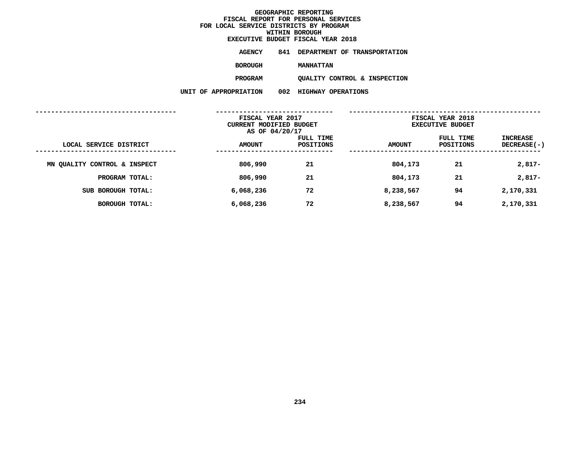**EXECUTIVE BUDGET FISCAL YEAR <sup>2018</sup>**

**AGENCY <sup>841</sup> DEPARTMENT OF TRANSPORTATION**

**BOROUGH**

**MANHATTAN<br>QUALITY CONTROL & INSPECTION PROGRAMQUALITY CONTROL & INSPECTION**

**UNIT OF APPROPRIATION <sup>002</sup> HIGHWAY OPERATIONS**

|                              | FISCAL YEAR 2017<br>CURRENT MODIFIED BUDGET<br>AS OF 04/20/17 |                        | FISCAL YEAR 2018<br><b>EXECUTIVE BUDGET</b> |                        |                                |  |
|------------------------------|---------------------------------------------------------------|------------------------|---------------------------------------------|------------------------|--------------------------------|--|
| LOCAL SERVICE DISTRICT       | <b>AMOUNT</b>                                                 | FULL TIME<br>POSITIONS | <b>AMOUNT</b>                               | FULL TIME<br>POSITIONS | INCREASE<br><b>DECREASE(-)</b> |  |
| MN QUALITY CONTROL & INSPECT | 806,990                                                       | 21                     | 804,173                                     | 21                     | $2,817-$                       |  |
| PROGRAM TOTAL:               | 806,990                                                       | 21                     | 804,173                                     | 21                     | $2,817-$                       |  |
| SUB BOROUGH TOTAL:           | 6,068,236                                                     | 72                     | 8,238,567                                   | 94                     | 2,170,331                      |  |
| <b>BOROUGH TOTAL:</b>        | 6,068,236                                                     | 72                     | 8,238,567                                   | 94                     | 2,170,331                      |  |
|                              |                                                               |                        |                                             |                        |                                |  |

**234**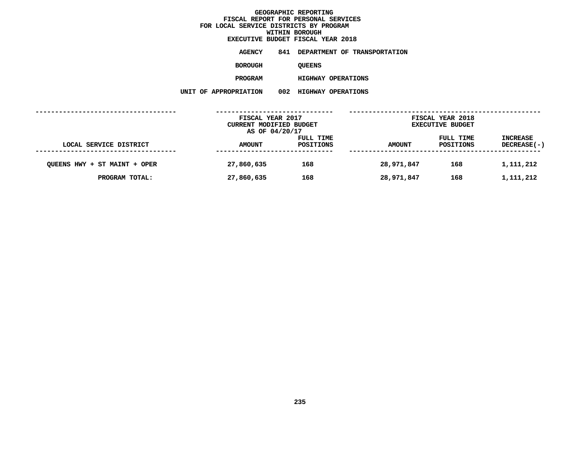**EXECUTIVE BUDGET FISCAL YEAR <sup>2018</sup>AGENCY <sup>841</sup> DEPARTMENT OF TRANSPORTATION BOROUGH**QUEENS<br>HIGHWAY OPERATIONS **PROGRAMHIGHWAY OPERATIONS**

|                              | FISCAL YEAR 2017<br>CURRENT MODIFIED BUDGET |                        | FISCAL YEAR 2018<br><b>EXECUTIVE BUDGET</b> |                        |                                |
|------------------------------|---------------------------------------------|------------------------|---------------------------------------------|------------------------|--------------------------------|
|                              | AS OF 04/20/17                              |                        |                                             |                        |                                |
| LOCAL SERVICE DISTRICT       | <b>AMOUNT</b>                               | FULL TIME<br>POSITIONS | <b>AMOUNT</b>                               | FULL TIME<br>POSITIONS | <b>INCREASE</b><br>DECREASE(-) |
|                              |                                             |                        |                                             |                        |                                |
| QUEENS HWY + ST MAINT + OPER | 27,860,635                                  | 168                    | 28,971,847                                  | 168                    | 1,111,212                      |
| PROGRAM TOTAL:               | 27,860,635                                  | 168                    | 28,971,847                                  | 168                    | 1,111,212                      |
|                              |                                             |                        |                                             |                        |                                |
|                              |                                             |                        |                                             |                        |                                |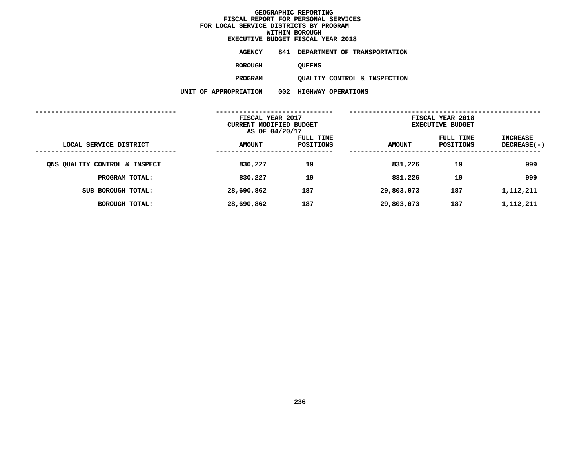| EXECUTIVE BUDGET FISCAL YEAR 2018 |               |  |                                  |
|-----------------------------------|---------------|--|----------------------------------|
| AGENCY                            |               |  | 841 DEPARTMENT OF TRANSPORTATION |
| <b>BOROUGH</b>                    | <b>OUEENS</b> |  |                                  |

QUEENS<br>QUALITY CONTROL & INSPECTION **PROGRAMQUALITY CONTROL & INSPECTION**

|                               | FISCAL YEAR 2017<br>CURRENT MODIFIED BUDGET<br>AS OF 04/20/17 |                        | FISCAL YEAR 2018<br><b>EXECUTIVE BUDGET</b> |                               |                                |  |
|-------------------------------|---------------------------------------------------------------|------------------------|---------------------------------------------|-------------------------------|--------------------------------|--|
| LOCAL SERVICE DISTRICT        | <b>AMOUNT</b>                                                 | FULL TIME<br>POSITIONS | <b>AMOUNT</b>                               | FULL TIME<br><b>POSITIONS</b> | INCREASE<br><b>DECREASE(-)</b> |  |
| ONS QUALITY CONTROL & INSPECT | 830,227                                                       | 19                     | 831,226                                     | 19                            | 999                            |  |
| PROGRAM TOTAL:                | 830,227                                                       | 19                     | 831,226                                     | 19                            | 999                            |  |
| SUB BOROUGH TOTAL:            | 28,690,862                                                    | 187                    | 29,803,073                                  | 187                           | 1,112,211                      |  |
| BOROUGH TOTAL:                | 28,690,862                                                    | 187                    | 29,803,073                                  | 187                           | 1,112,211                      |  |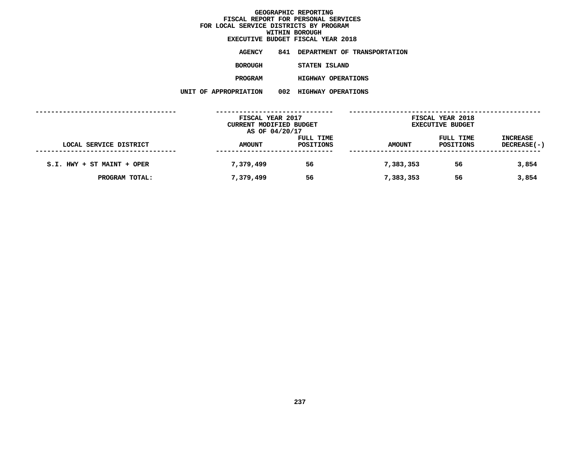|  |                       | EXECUTIVE BUDGET FISCAL YEAR 2018 |  |
|--|-----------------------|-----------------------------------|--|
|  | <b>AGENCY</b>         | 841 DEPARTMENT OF TRANSPORTATION  |  |
|  | BOROUGH               | STATEN ISLAND                     |  |
|  | <b>PROGRAM</b>        | <b>HIGHWAY OPERATIONS</b>         |  |
|  | UNIT OF APPROPRIATION | 002 HIGHWAY OPERATIONS            |  |
|  |                       |                                   |  |

|                            | FISCAL YEAR 2017<br>CURRENT MODIFIED BUDGET |           | FISCAL YEAR 2018<br><b>EXECUTIVE BUDGET</b> |           |                 |
|----------------------------|---------------------------------------------|-----------|---------------------------------------------|-----------|-----------------|
|                            | AS OF 04/20/17                              |           |                                             |           |                 |
|                            |                                             | FULL TIME |                                             | FULL TIME | <b>INCREASE</b> |
| LOCAL SERVICE DISTRICT     | <b>AMOUNT</b>                               | POSITIONS | <b>AMOUNT</b>                               | POSITIONS | DECREASE(-)     |
|                            |                                             |           |                                             |           |                 |
| S.I. HWY + ST MAINT + OPER | 7,379,499                                   | 56        | 7,383,353                                   | 56        | 3,854           |
| PROGRAM TOTAL:             | 7,379,499                                   | 56        | 7,383,353                                   | 56        | 3,854           |
|                            |                                             |           |                                             |           |                 |
|                            |                                             |           |                                             |           |                 |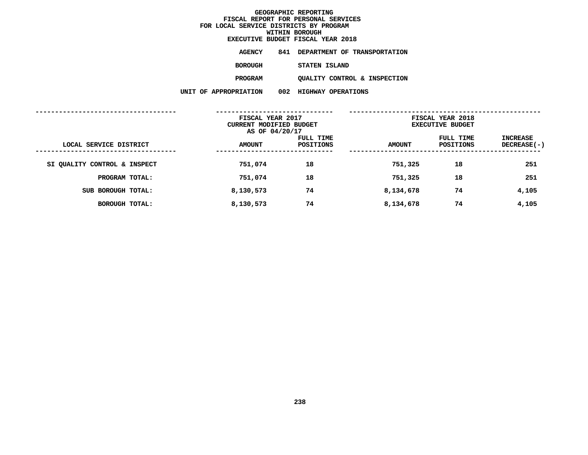|  |                       | EXECUTIVE BUDGET FISCAL YEAR 2018 |
|--|-----------------------|-----------------------------------|
|  | AGENCY                | 841 DEPARTMENT OF TRANSPORTATION  |
|  | BOROUGH               | STATEN ISLAND                     |
|  | <b>PROGRAM</b>        | OUALITY CONTROL & INSPECTION      |
|  | UNIT OF APPROPRIATION | 002 HIGHWAY OPERATIONS            |
|  |                       |                                   |

|                              |               | FISCAL YEAR 2017<br>CURRENT MODIFIED BUDGET<br>AS OF 04/20/17 |               | FISCAL YEAR 2018<br><b>EXECUTIVE BUDGET</b> |                           |
|------------------------------|---------------|---------------------------------------------------------------|---------------|---------------------------------------------|---------------------------|
| LOCAL SERVICE DISTRICT       | <b>AMOUNT</b> | FULL TIME<br>POSITIONS                                        | <b>AMOUNT</b> | FULL TIME<br>POSITIONS                      | INCREASE<br>$DECREASE(-)$ |
| SI QUALITY CONTROL & INSPECT | 751,074       | 18                                                            | 751,325       | 18                                          | 251                       |
| PROGRAM TOTAL:               | 751,074       | 18                                                            | 751,325       | 18                                          | 251                       |
| SUB BOROUGH TOTAL:           | 8,130,573     | 74                                                            | 8,134,678     | 74                                          | 4,105                     |
| BOROUGH TOTAL:               | 8,130,573     | 74                                                            | 8,134,678     | 74                                          | 4,105                     |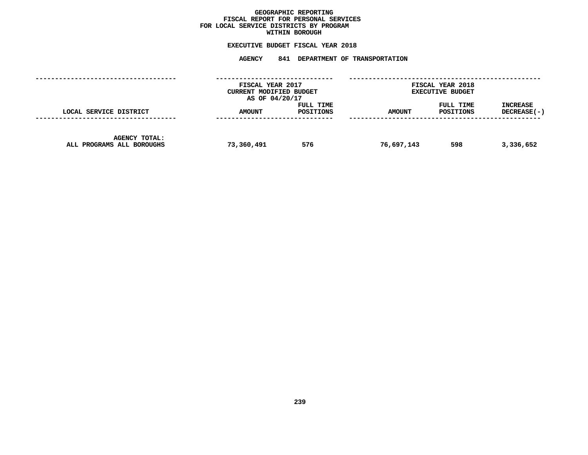## GEOGRAPHIC REPORTING<br>FISCAL REPORT FOR PERSONAL SERVICES<br>OCAL SERVICE DISTRICTS BY PROGRAM<br>WITHIN BOROUGH **FISCAL REPORT FOR PERSONAL SERVICES FOR LOCAL SERVICE DISTRICTS BY PROGRAM**

# **WITHIN BOROUGH EXECUTIVE BUDGET FISCAL YEAR <sup>2018</sup>**

# **AGENCY <sup>841</sup> DEPARTMENT OF TRANSPORTATION**

|                                                   | FISCAL YEAR 2017<br>CURRENT MODIFIED BUDGET<br>AS OF 04/20/17 |                        | FISCAL YEAR 2018<br><b>EXECUTIVE BUDGET</b> |                        |                         |  |
|---------------------------------------------------|---------------------------------------------------------------|------------------------|---------------------------------------------|------------------------|-------------------------|--|
| LOCAL SERVICE DISTRICT                            | <b>AMOUNT</b>                                                 | FULL TIME<br>POSITIONS | <b>AMOUNT</b>                               | FULL TIME<br>POSITIONS | INCREASE<br>DECREASE(-) |  |
| <b>AGENCY TOTAL:</b><br>ALL PROGRAMS ALL BOROUGHS | 73,360,491                                                    | 576                    | 76,697,143                                  | 598                    | 3,336,652               |  |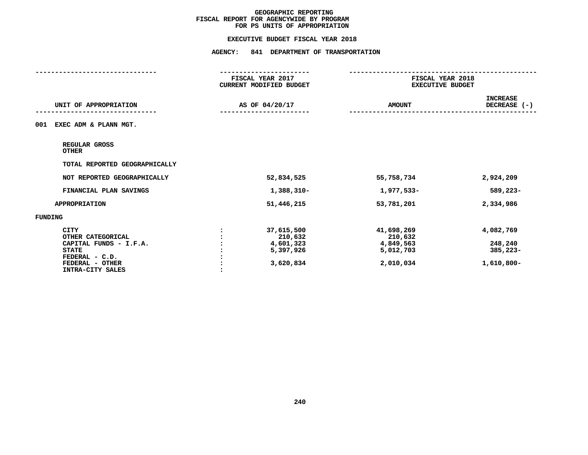#### **EXECUTIVE BUDGET FISCAL YEAR 2018**

|                                        | FISCAL YEAR 2017<br>CURRENT MODIFIED BUDGET | FISCAL YEAR 2018<br><b>EXECUTIVE BUDGET</b> |                                 |
|----------------------------------------|---------------------------------------------|---------------------------------------------|---------------------------------|
| UNIT OF APPROPRIATION                  | AS OF 04/20/17                              | <b>AMOUNT</b>                               | <b>INCREASE</b><br>DECREASE (-) |
| 001<br>EXEC ADM & PLANN MGT.           |                                             |                                             |                                 |
| REGULAR GROSS<br><b>OTHER</b>          |                                             |                                             |                                 |
| TOTAL REPORTED GEOGRAPHICALLY          |                                             |                                             |                                 |
| NOT REPORTED GEOGRAPHICALLY            | 52,834,525                                  | 55,758,734                                  | 2,924,209                       |
| FINANCIAL PLAN SAVINGS                 | 1,388,310-                                  | 1,977,533-                                  | 589,223-                        |
| <b>APPROPRIATION</b>                   | 51,446,215                                  | 53,781,201                                  | 2,334,986                       |
| <b>FUNDING</b>                         |                                             |                                             |                                 |
| <b>CITY</b><br>OTHER CATEGORICAL       | 37,615,500<br>210,632                       | 41,698,269<br>210,632                       | 4,082,769                       |
| CAPITAL FUNDS - I.F.A.<br><b>STATE</b> | 4,601,323<br>5,397,926                      | 4,849,563<br>5,012,703                      | 248,240<br>385,223-             |
| FEDERAL - C.D.                         |                                             |                                             |                                 |
| FEDERAL - OTHER<br>INTRA-CITY SALES    | 3,620,834                                   | 2,010,034                                   | 1,610,800-                      |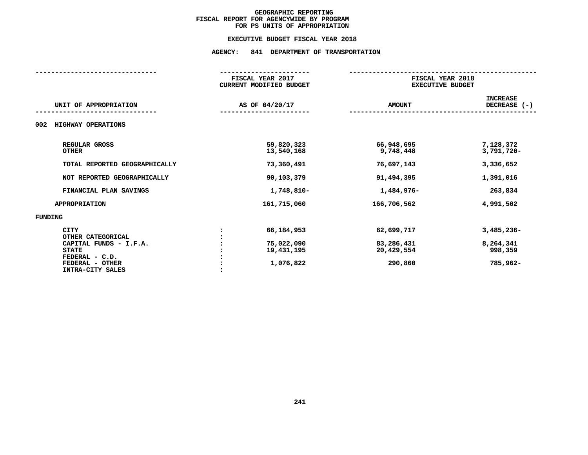#### **EXECUTIVE BUDGET FISCAL YEAR 2018**

|                                                          | FISCAL YEAR 2017<br><b>CURRENT MODIFIED BUDGET</b> | FISCAL YEAR 2018<br><b>EXECUTIVE BUDGET</b> |                                 |  |
|----------------------------------------------------------|----------------------------------------------------|---------------------------------------------|---------------------------------|--|
| UNIT OF APPROPRIATION                                    | AS OF 04/20/17                                     | <b>AMOUNT</b>                               | <b>INCREASE</b><br>DECREASE (-) |  |
| 002<br>HIGHWAY OPERATIONS                                |                                                    |                                             |                                 |  |
| REGULAR GROSS<br><b>OTHER</b>                            | 59,820,323<br>13,540,168                           | 66,948,695<br>9,748,448                     | 7,128,372<br>3,791,720-         |  |
| TOTAL REPORTED GEOGRAPHICALLY                            | 73,360,491                                         | 76,697,143                                  | 3,336,652                       |  |
| NOT REPORTED GEOGRAPHICALLY                              | 90,103,379                                         | 91,494,395                                  | 1,391,016                       |  |
| FINANCIAL PLAN SAVINGS                                   | 1,748,810-                                         | 1,484,976-                                  | 263,834                         |  |
| <b>APPROPRIATION</b>                                     | 161,715,060                                        | 166,706,562                                 | 4,991,502                       |  |
| <b>FUNDING</b>                                           |                                                    |                                             |                                 |  |
| <b>CITY</b><br>OTHER CATEGORICAL                         | 66,184,953                                         | 62,699,717                                  | $3,485,236 -$                   |  |
| CAPITAL FUNDS - I.F.A.<br><b>STATE</b><br>FEDERAL - C.D. | 75,022,090<br>19,431,195                           | 83,286,431<br>20,429,554                    | 8,264,341<br>998,359            |  |
| FEDERAL - OTHER<br>INTRA-CITY SALES                      | 1,076,822                                          | 290,860                                     | 785,962-                        |  |
|                                                          |                                                    |                                             |                                 |  |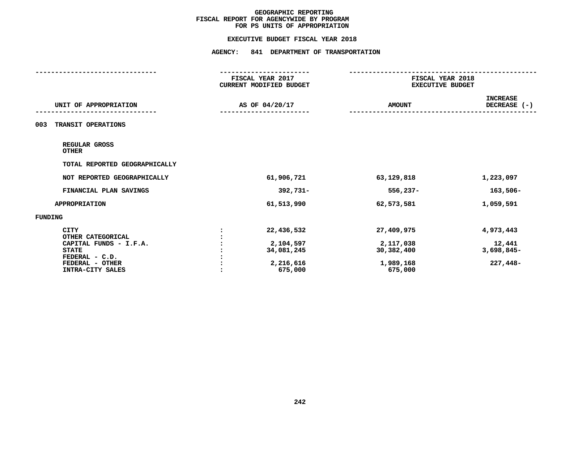#### **EXECUTIVE BUDGET FISCAL YEAR 2018**

|                                   | FISCAL YEAR 2017<br>CURRENT MODIFIED BUDGET | FISCAL YEAR 2018<br><b>EXECUTIVE BUDGET</b> |                                 |
|-----------------------------------|---------------------------------------------|---------------------------------------------|---------------------------------|
| UNIT OF APPROPRIATION             | AS OF 04/20/17                              | <b>AMOUNT</b>                               | <b>INCREASE</b><br>DECREASE (-) |
| TRANSIT OPERATIONS<br>003         |                                             |                                             |                                 |
| REGULAR GROSS<br><b>OTHER</b>     |                                             |                                             |                                 |
| TOTAL REPORTED GEOGRAPHICALLY     |                                             |                                             |                                 |
| NOT REPORTED GEOGRAPHICALLY       | 61,906,721                                  | 63,129,818                                  | 1,223,097                       |
| FINANCIAL PLAN SAVINGS            | $392,731 -$                                 | $556,237-$                                  | $163,506-$                      |
| <b>APPROPRIATION</b>              | 61,513,990                                  | 62,573,581                                  | 1,059,591                       |
| <b>FUNDING</b>                    |                                             |                                             |                                 |
| <b>CITY</b><br>OTHER CATEGORICAL  | 22,436,532                                  | 27,409,975                                  | 4,973,443                       |
| CAPITAL FUNDS - I.F.A.            | 2,104,597                                   | 2,117,038                                   | 12,441                          |
| <b>STATE</b>                      | 34,081,245                                  | 30,382,400                                  | 3,698,845-                      |
| FEDERAL - C.D.<br>FEDERAL - OTHER |                                             |                                             | 227,448-                        |
| INTRA-CITY SALES                  | 2,216,616<br>675,000                        | 1,989,168<br>675,000                        |                                 |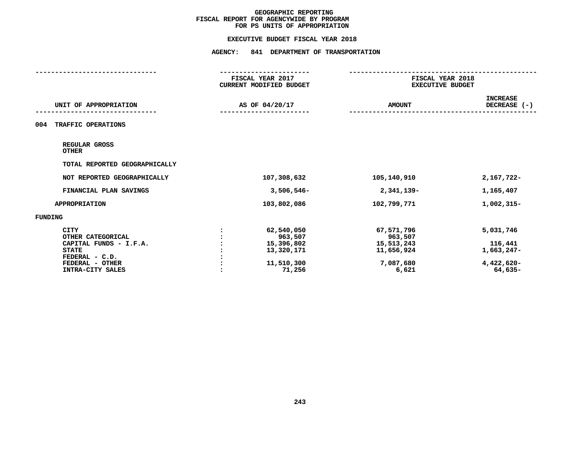#### **EXECUTIVE BUDGET FISCAL YEAR 2018**

|                                                            | FISCAL YEAR 2017<br>CURRENT MODIFIED BUDGET |                                     | FISCAL YEAR 2018<br><b>EXECUTIVE BUDGET</b> |  |
|------------------------------------------------------------|---------------------------------------------|-------------------------------------|---------------------------------------------|--|
| UNIT OF APPROPRIATION                                      | AS OF 04/20/17                              | <b>AMOUNT</b>                       | <b>INCREASE</b><br>DECREASE (-)             |  |
| 004<br>TRAFFIC OPERATIONS                                  |                                             |                                     |                                             |  |
| REGULAR GROSS<br><b>OTHER</b>                              |                                             |                                     |                                             |  |
| TOTAL REPORTED GEOGRAPHICALLY                              |                                             |                                     |                                             |  |
| NOT REPORTED GEOGRAPHICALLY                                | 107,308,632                                 | 105,140,910                         | 2,167,722-                                  |  |
| FINANCIAL PLAN SAVINGS                                     | $3,506,546 -$                               | 2,341,139-                          | 1,165,407                                   |  |
| <b>APPROPRIATION</b>                                       | 103,802,086                                 | 102,799,771                         | 1,002,315-                                  |  |
| <b>FUNDING</b>                                             |                                             |                                     |                                             |  |
| <b>CITY</b><br>OTHER CATEGORICAL<br>CAPITAL FUNDS - I.F.A. | 62,540,050<br>963,507<br>15,396,802         | 67,571,796<br>963,507<br>15,513,243 | 5,031,746<br>116,441                        |  |
| <b>STATE</b><br>FEDERAL - C.D.                             | 13,320,171                                  | 11,656,924                          | 1,663,247-                                  |  |
| FEDERAL - OTHER<br>INTRA-CITY SALES                        | 11,510,300<br>71,256                        | 7,087,680<br>6,621                  | $4,422,620-$<br>64,635-                     |  |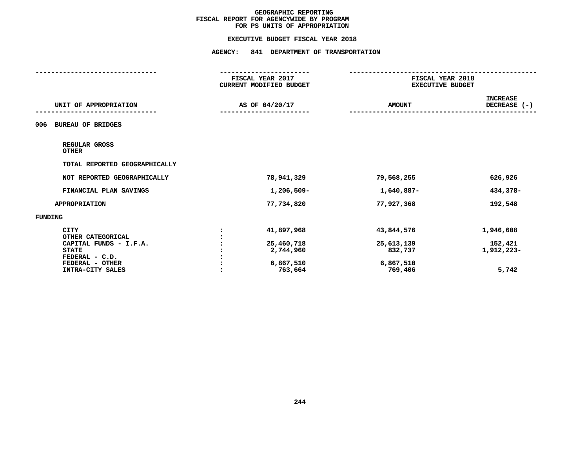#### **EXECUTIVE BUDGET FISCAL YEAR 2018**

|                                     | CURRENT MODIFIED BUDGET | FISCAL YEAR 2018<br><b>EXECUTIVE BUDGET</b> |                                 |
|-------------------------------------|-------------------------|---------------------------------------------|---------------------------------|
| UNIT OF APPROPRIATION               | AS OF 04/20/17          | <b>AMOUNT</b>                               | <b>INCREASE</b><br>DECREASE (-) |
| <b>BUREAU OF BRIDGES</b><br>006     |                         |                                             |                                 |
| REGULAR GROSS<br><b>OTHER</b>       |                         |                                             |                                 |
| TOTAL REPORTED GEOGRAPHICALLY       |                         |                                             |                                 |
| NOT REPORTED GEOGRAPHICALLY         | 78,941,329              | 79,568,255                                  | 626,926                         |
| FINANCIAL PLAN SAVINGS              | 1,206,509-              | 1,640,887-                                  | 434,378-                        |
| <b>APPROPRIATION</b>                | 77,734,820              | 77,927,368                                  | 192,548                         |
| <b>FUNDING</b>                      |                         |                                             |                                 |
| <b>CITY</b><br>OTHER CATEGORICAL    | 41,897,968              | 43,844,576                                  | 1,946,608                       |
| CAPITAL FUNDS - I.F.A.              | 25,460,718              | 25,613,139                                  | 152,421                         |
| <b>STATE</b>                        | 2,744,960               | 832,737                                     | 1,912,223-                      |
| FEDERAL - C.D.                      |                         |                                             |                                 |
| FEDERAL - OTHER<br>INTRA-CITY SALES | 6,867,510<br>763,664    | 6,867,510<br>769,406                        | 5,742                           |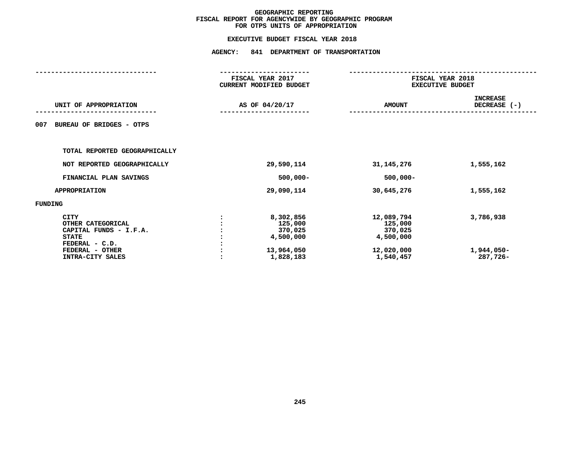|                                                                                                                                     | FISCAL YEAR 2017<br>CURRENT MODIFIED BUDGET<br>AS OF 04/20/17 |                                                                         | FISCAL YEAR 2018<br><b>EXECUTIVE BUDGET</b>                              |                                     |
|-------------------------------------------------------------------------------------------------------------------------------------|---------------------------------------------------------------|-------------------------------------------------------------------------|--------------------------------------------------------------------------|-------------------------------------|
| UNIT OF APPROPRIATION                                                                                                               |                                                               |                                                                         | <b>AMOUNT</b>                                                            | <b>INCREASE</b><br>DECREASE (-)     |
| <b>BUREAU OF BRIDGES - OTPS</b><br>007                                                                                              |                                                               |                                                                         |                                                                          |                                     |
| TOTAL REPORTED GEOGRAPHICALLY                                                                                                       |                                                               |                                                                         |                                                                          |                                     |
| NOT REPORTED GEOGRAPHICALLY                                                                                                         |                                                               | 29,590,114                                                              | 31, 145, 276                                                             | 1,555,162                           |
| FINANCIAL PLAN SAVINGS                                                                                                              |                                                               | $500,000 -$                                                             | $500,000 -$                                                              |                                     |
| <b>APPROPRIATION</b>                                                                                                                |                                                               | 29,090,114                                                              | 30,645,276                                                               | 1,555,162                           |
| FUNDING                                                                                                                             |                                                               |                                                                         |                                                                          |                                     |
| <b>CITY</b><br>OTHER CATEGORICAL<br>CAPITAL FUNDS - I.F.A.<br><b>STATE</b><br>FEDERAL - C.D.<br>FEDERAL - OTHER<br>INTRA-CITY SALES |                                                               | 8,302,856<br>125,000<br>370,025<br>4,500,000<br>13,964,050<br>1,828,183 | 12,089,794<br>125,000<br>370,025<br>4,500,000<br>12,020,000<br>1,540,457 | 3,786,938<br>1,944,050-<br>287,726- |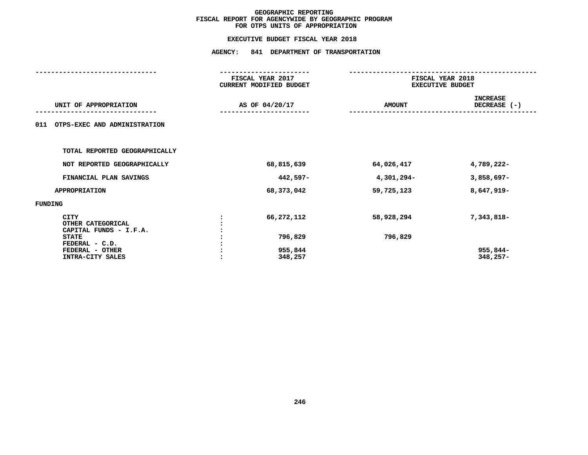|                                                                                              | <b>AGENCY:</b><br>841 DEPARTMENT OF TRANSPORTATION |                       |                                             |  |
|----------------------------------------------------------------------------------------------|----------------------------------------------------|-----------------------|---------------------------------------------|--|
|                                                                                              | FISCAL YEAR 2017<br>CURRENT MODIFIED BUDGET        |                       | FISCAL YEAR 2018<br><b>EXECUTIVE BUDGET</b> |  |
| UNIT OF APPROPRIATION                                                                        | AS OF 04/20/17                                     | <b>AMOUNT</b>         | <b>INCREASE</b><br>DECREASE (-)             |  |
| OTPS-EXEC AND ADMINISTRATION<br>011                                                          |                                                    |                       |                                             |  |
| TOTAL REPORTED GEOGRAPHICALLY                                                                |                                                    |                       |                                             |  |
| NOT REPORTED GEOGRAPHICALLY                                                                  | 68,815,639                                         | 64,026,417            | 4,789,222-                                  |  |
| FINANCIAL PLAN SAVINGS                                                                       | 442,597-                                           | 4,301,294-            | $3,858,697-$                                |  |
| <b>APPROPRIATION</b>                                                                         | 68,373,042                                         | 59,725,123            | 8,647,919-                                  |  |
| <b>FUNDING</b>                                                                               |                                                    |                       |                                             |  |
| <b>CITY</b><br>OTHER CATEGORICAL<br>CAPITAL FUNDS - I.F.A.<br><b>STATE</b><br>FEDERAL - C.D. | 66,272,112<br>796,829                              | 58,928,294<br>796,829 | 7,343,818-                                  |  |
| FEDERAL - OTHER<br>INTRA-CITY SALES                                                          | 955,844<br>348,257                                 |                       | 955,844-<br>$348,257-$                      |  |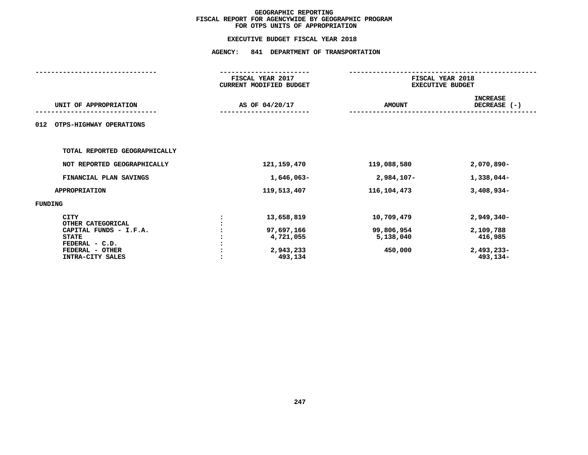|                                                                                                                 | FISCAL YEAR 2017<br>CURRENT MODIFIED BUDGET<br>AS OF 04/20/17 |                                                    | FISCAL YEAR 2018<br><b>EXECUTIVE BUDGET</b>      |                                                    |
|-----------------------------------------------------------------------------------------------------------------|---------------------------------------------------------------|----------------------------------------------------|--------------------------------------------------|----------------------------------------------------|
| UNIT OF APPROPRIATION                                                                                           |                                                               |                                                    | <b>AMOUNT</b>                                    | <b>INCREASE</b><br>DECREASE (-)                    |
| OTPS-HIGHWAY OPERATIONS<br>012                                                                                  |                                                               |                                                    |                                                  |                                                    |
| TOTAL REPORTED GEOGRAPHICALLY                                                                                   |                                                               |                                                    |                                                  |                                                    |
| NOT REPORTED GEOGRAPHICALLY                                                                                     |                                                               | 121,159,470                                        | 119,088,580                                      | $2,070,890 -$                                      |
| FINANCIAL PLAN SAVINGS                                                                                          |                                                               | 1,646,063-                                         | 2,984,107-                                       | 1,338,044-                                         |
| <b>APPROPRIATION</b>                                                                                            |                                                               | 119,513,407                                        | 116,104,473                                      | $3,408,934-$                                       |
| FUNDING                                                                                                         |                                                               |                                                    |                                                  |                                                    |
| <b>CITY</b><br>OTHER CATEGORICAL<br>CAPITAL FUNDS - I.F.A.<br><b>STATE</b><br>FEDERAL - C.D.<br>FEDERAL - OTHER |                                                               | 13,658,819<br>97,697,166<br>4,721,055<br>2,943,233 | 10,709,479<br>99,806,954<br>5,138,040<br>450,000 | $2,949,340-$<br>2,109,788<br>416,985<br>2,493,233- |
| INTRA-CITY SALES                                                                                                |                                                               | 493,134                                            |                                                  | 493,134-                                           |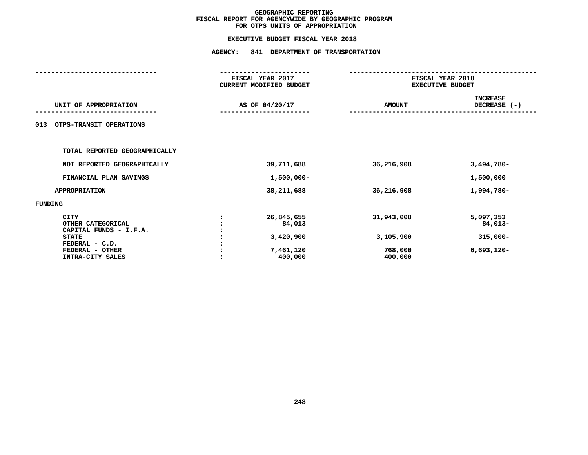| FISCAL YEAR 2017<br>CURRENT MODIFIED BUDGET               | FISCAL YEAR 2018<br><b>EXECUTIVE BUDGET</b>   |                                                     |  |
|-----------------------------------------------------------|-----------------------------------------------|-----------------------------------------------------|--|
| AS OF 04/20/17                                            | <b>AMOUNT</b>                                 | <b>INCREASE</b><br>DECREASE $(-)$                   |  |
|                                                           |                                               |                                                     |  |
|                                                           |                                               |                                                     |  |
| 39,711,688                                                | 36,216,908                                    | $3,494,780-$                                        |  |
| $1,500,000 -$                                             |                                               | 1,500,000                                           |  |
| 38,211,688                                                | 36,216,908                                    | 1,994,780-                                          |  |
|                                                           |                                               |                                                     |  |
| 26,845,655<br>84,013<br>3,420,900<br>7,461,120<br>400,000 | 31,943,008<br>3,105,900<br>768,000<br>400,000 | 5,097,353<br>84,013-<br>$315,000 -$<br>$6,693,120-$ |  |
|                                                           |                                               |                                                     |  |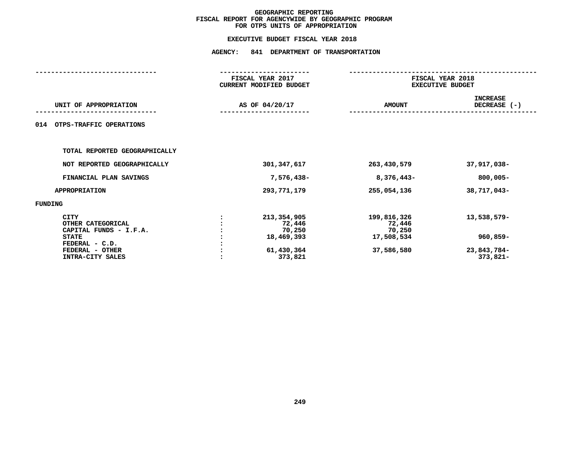### **EXECUTIVE BUDGET FISCAL YEAR <sup>2018</sup>AGENCY: <sup>841</sup> DEPARTMENT OF TRANSPORTATION**

|                                                                                                                              | FISCAL YEAR 2017<br>CURRENT MODIFIED BUDGET                            |                                                             | FISCAL YEAR 2018<br><b>EXECUTIVE BUDGET</b>        |
|------------------------------------------------------------------------------------------------------------------------------|------------------------------------------------------------------------|-------------------------------------------------------------|----------------------------------------------------|
| UNIT OF APPROPRIATION                                                                                                        | AS OF 04/20/17                                                         | <b>AMOUNT</b>                                               | <b>INCREASE</b><br>DECREASE (-)                    |
| OTPS-TRAFFIC OPERATIONS<br>014                                                                                               |                                                                        |                                                             |                                                    |
| TOTAL REPORTED GEOGRAPHICALLY                                                                                                |                                                                        |                                                             |                                                    |
| NOT REPORTED GEOGRAPHICALLY                                                                                                  | 301, 347, 617                                                          | 263,430,579                                                 | 37,917,038-                                        |
| FINANCIAL PLAN SAVINGS                                                                                                       | 7,576,438-                                                             | 8,376,443-                                                  | 800,005-                                           |
| <b>APPROPRIATION</b>                                                                                                         | 293,771,179                                                            | 255,054,136                                                 | 38,717,043-                                        |
| FUNDING                                                                                                                      |                                                                        |                                                             |                                                    |
| CITY<br>OTHER CATEGORICAL<br>CAPITAL FUNDS - I.F.A.<br><b>STATE</b><br>FEDERAL - C.D.<br>FEDERAL - OTHER<br>INTRA-CITY SALES | 213,354,905<br>72,446<br>70,250<br>18,469,393<br>61,430,364<br>373,821 | 199,816,326<br>72,446<br>70,250<br>17,508,534<br>37,586,580 | 13,538,579-<br>960,859-<br>23,843,784-<br>373,821- |
|                                                                                                                              |                                                                        |                                                             |                                                    |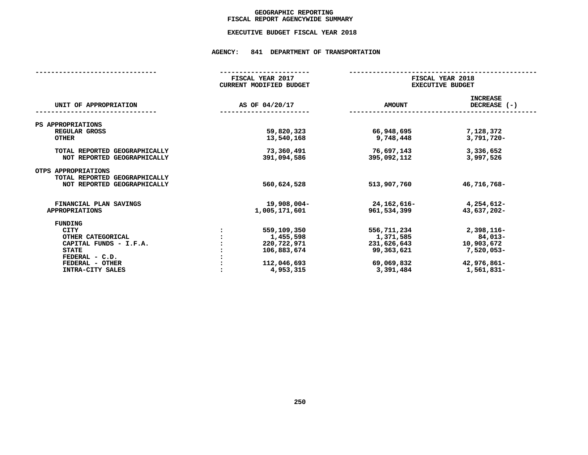### GEOGRAPHIC REPORTING<br>FISCAL REPORT AGENCYWIDE SUMMARY

### **FISCAL REPORT AGENCYWIDE SUMMARY EXECUTIVE BUDGET FISCAL YEAR <sup>2018</sup>**

#### **AGENCY: <sup>841</sup> DEPARTMENT OF TRANSPORTATION**

|                                                              | FISCAL YEAR 2017<br>CURRENT MODIFIED BUDGET | FISCAL YEAR 2018<br><b>EXECUTIVE BUDGET</b> |                                 |
|--------------------------------------------------------------|---------------------------------------------|---------------------------------------------|---------------------------------|
| UNIT OF APPROPRIATION                                        | AS OF 04/20/17                              | <b>AMOUNT</b>                               | <b>INCREASE</b><br>DECREASE (-) |
| PS APPROPRIATIONS                                            |                                             |                                             |                                 |
| REGULAR GROSS<br><b>OTHER</b>                                | 59,820,323<br>13,540,168                    | 66,948,695<br>9,748,448                     | 7,128,372<br>3,791,720-         |
| TOTAL REPORTED GEOGRAPHICALLY<br>NOT REPORTED GEOGRAPHICALLY | 73,360,491<br>391,094,586                   | 76,697,143<br>395,092,112                   | 3,336,652<br>3,997,526          |
| OTPS APPROPRIATIONS<br>TOTAL REPORTED GEOGRAPHICALLY         |                                             |                                             |                                 |
| NOT REPORTED GEOGRAPHICALLY                                  | 560,624,528                                 | 513,907,760                                 | 46,716,768-                     |
| FINANCIAL PLAN SAVINGS                                       | 19,908,004-                                 | 24, 162, 616-                               | 4,254,612-                      |
| <b>APPROPRIATIONS</b>                                        | 1,005,171,601                               | 961,534,399                                 | 43,637,202-                     |
| FUNDING                                                      |                                             |                                             |                                 |
| CITY                                                         | 559,109,350                                 | 556,711,234                                 | 2,398,116-                      |
| OTHER CATEGORICAL                                            | 1,455,598                                   | 1,371,585                                   | 84,013-                         |
| CAPITAL FUNDS - I.F.A.                                       | 220,722,971                                 | 231,626,643                                 | 10,903,672                      |
| <b>STATE</b>                                                 | 106,883,674                                 | 99,363,621                                  | $7,520,053-$                    |
| FEDERAL - C.D.                                               |                                             |                                             |                                 |
| FEDERAL - OTHER                                              | 112,046,693                                 | 69,069,832                                  | 42,976,861-                     |
| INTRA-CITY SALES                                             | 4,953,315                                   | 3,391,484                                   | 1,561,831-                      |
|                                                              |                                             |                                             |                                 |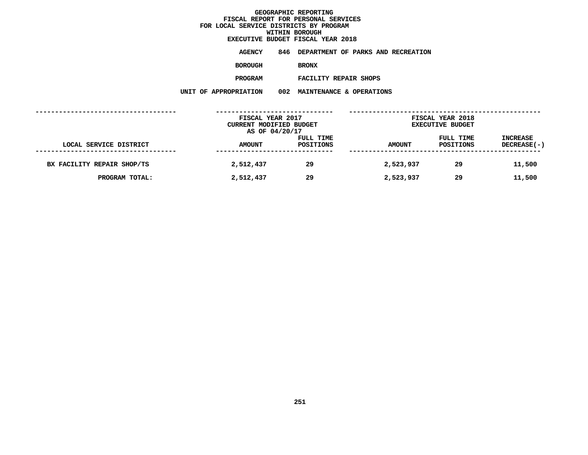# **EXECUTIVE BUDGET FISCAL YEAR <sup>2018</sup>**

**AGENCY <sup>846</sup> DEPARTMENT OF PARKS AND RECREATION**

**BOROUGH**

BRONX<br>FACILITY REPAIR SHOPS **PROGRAM**

 **FACILITY REPAIR SHOPS UNIT OF APPROPRIATION <sup>002</sup> MAINTENANCE & OPERATIONS**

|                            | FISCAL YEAR 2017<br>CURRENT MODIFIED BUDGET |                        | FISCAL YEAR 2018<br><b>EXECUTIVE BUDGET</b> |                        |                                |
|----------------------------|---------------------------------------------|------------------------|---------------------------------------------|------------------------|--------------------------------|
|                            | AS OF 04/20/17                              |                        |                                             |                        |                                |
| LOCAL SERVICE DISTRICT     | <b>AMOUNT</b>                               | FULL TIME<br>POSITIONS | <b>AMOUNT</b>                               | FULL TIME<br>POSITIONS | <b>INCREASE</b><br>DECREASE(-) |
|                            |                                             |                        |                                             |                        |                                |
| BX FACILITY REPAIR SHOP/TS | 2,512,437                                   | 29                     | 2,523,937                                   | 29                     | 11,500                         |
| PROGRAM TOTAL:             | 2,512,437                                   | 29                     | 2,523,937                                   | 29                     | 11,500                         |
|                            |                                             |                        |                                             |                        |                                |
|                            |                                             |                        |                                             |                        |                                |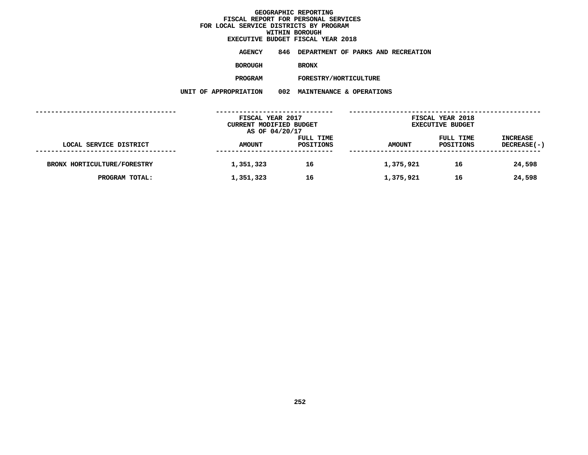# **EXECUTIVE BUDGET FISCAL YEAR <sup>2018</sup>**

**AGENCY <sup>846</sup> DEPARTMENT OF PARKS AND RECREATION**

**BOROUGH**

BRONX<br>FORESTRY/HORTICULTURE **PROGRAM**

**M** FORESTRY/HORTICULTURE<br>N 002 MAINTENANCE & OPERATI **UNIT OF APPROPRIATION <sup>002</sup> MAINTENANCE & OPERATIONS**

|                             | FISCAL YEAR 2017<br>CURRENT MODIFIED BUDGET |                        | FISCAL YEAR 2018<br><b>EXECUTIVE BUDGET</b> |                        |                                |
|-----------------------------|---------------------------------------------|------------------------|---------------------------------------------|------------------------|--------------------------------|
| LOCAL SERVICE DISTRICT      | AS OF 04/20/17<br><b>AMOUNT</b>             | FULL TIME<br>POSITIONS | <b>AMOUNT</b>                               | FULL TIME<br>POSITIONS | <b>INCREASE</b><br>DECREASE(-) |
| BRONX HORTICULTURE/FORESTRY | 1,351,323                                   | 16                     | 1,375,921                                   | 16                     | 24,598                         |
| PROGRAM TOTAL:              | 1,351,323                                   | 16                     | 1,375,921                                   | 16                     | 24,598                         |
|                             |                                             |                        |                                             |                        |                                |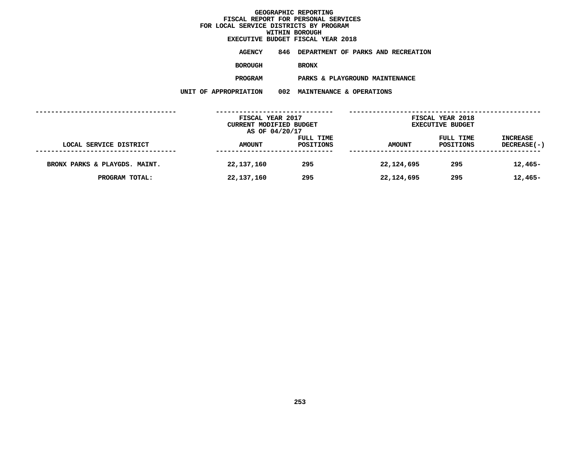# **EXECUTIVE BUDGET FISCAL YEAR <sup>2018</sup>**

**AGENCY <sup>846</sup> DEPARTMENT OF PARKS AND RECREATION**

**BOROUGH**

BRONX<br>PARKS & PLAYGROUND MAINTENANCE **PROGRAM**

 **PARKS & PLAYGROUND MAINTENANCE UNIT OF APPROPRIATION <sup>002</sup> MAINTENANCE & OPERATIONS**

|                               | FISCAL YEAR 2017<br>CURRENT MODIFIED BUDGET<br>AS OF 04/20/17 |                        | FISCAL YEAR 2018<br><b>EXECUTIVE BUDGET</b> |                        |                                |  |
|-------------------------------|---------------------------------------------------------------|------------------------|---------------------------------------------|------------------------|--------------------------------|--|
| LOCAL SERVICE DISTRICT        | <b>AMOUNT</b>                                                 | FULL TIME<br>POSITIONS | <b>AMOUNT</b>                               | FULL TIME<br>POSITIONS | <b>INCREASE</b><br>DECREASE(-) |  |
| BRONX PARKS & PLAYGDS. MAINT. | 22,137,160                                                    | 295                    | 22,124,695                                  | 295                    | $12,465-$                      |  |
| PROGRAM TOTAL:                | 22,137,160                                                    | 295                    | 22,124,695                                  | 295                    | $12,465-$                      |  |
|                               |                                                               |                        |                                             |                        |                                |  |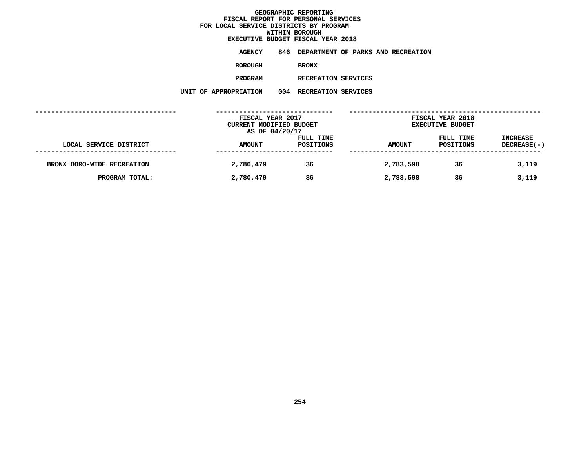**EXECUTIVE BUDGET FISCAL YEAR <sup>2018</sup>AGENCY <sup>846</sup> DEPARTMENT OF PARKS AND RECREATION**

**BOROUGH**

BRONX<br>RECREATION SERVICES **PROGRAM**

**M** RECREATION SERVICES<br>N 004 RECREATION SERVICES **UNIT OF APPROPRIATION <sup>004</sup> RECREATION SERVICES**

|                            | FISCAL YEAR 2017<br>CURRENT MODIFIED BUDGET<br>AS OF 04/20/17 |                        | FISCAL YEAR 2018<br><b>EXECUTIVE BUDGET</b> |                        |                                |  |
|----------------------------|---------------------------------------------------------------|------------------------|---------------------------------------------|------------------------|--------------------------------|--|
| LOCAL SERVICE DISTRICT     | <b>AMOUNT</b>                                                 | FULL TIME<br>POSITIONS | <b>AMOUNT</b>                               | FULL TIME<br>POSITIONS | <b>INCREASE</b><br>DECREASE(-) |  |
| BRONX BORO-WIDE RECREATION | 2,780,479                                                     | 36                     | 2,783,598                                   | 36                     | 3,119                          |  |
| PROGRAM TOTAL:             | 2,780,479                                                     | 36                     | 2,783,598                                   | 36                     | 3,119                          |  |
|                            |                                                               |                        |                                             |                        |                                |  |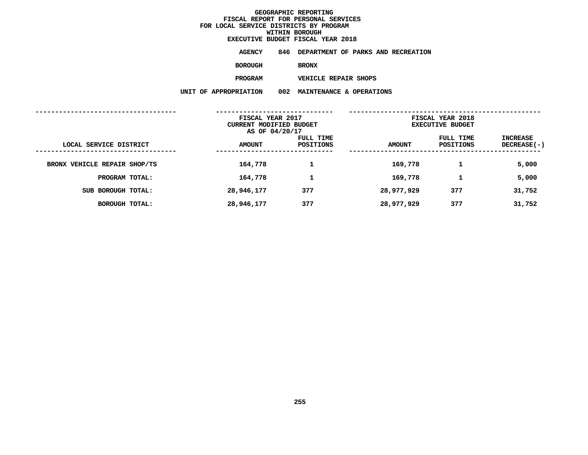# **EXECUTIVE BUDGET FISCAL YEAR <sup>2018</sup>**

**AGENCY <sup>846</sup> DEPARTMENT OF PARKS AND RECREATION**

**BOROUGH**

BRONX<br>VEHICLE REPAIR SHOPS **PROGRAM**

 **VEHICLE REPAIR SHOPS UNIT OF APPROPRIATION <sup>002</sup> MAINTENANCE & OPERATIONS**

|                              | FISCAL YEAR 2017<br>CURRENT MODIFIED BUDGET<br>AS OF 04/20/17 |                        | FISCAL YEAR 2018<br><b>EXECUTIVE BUDGET</b> |                        |                                |
|------------------------------|---------------------------------------------------------------|------------------------|---------------------------------------------|------------------------|--------------------------------|
| LOCAL SERVICE DISTRICT       | <b>AMOUNT</b>                                                 | FULL TIME<br>POSITIONS | <b>AMOUNT</b>                               | FULL TIME<br>POSITIONS | INCREASE<br><b>DECREASE(-)</b> |
| BRONX VEHICLE REPAIR SHOP/TS | 164,778                                                       |                        | 169,778                                     |                        | 5,000                          |
| PROGRAM TOTAL:               | 164,778                                                       | 1                      | 169,778                                     | 1                      | 5,000                          |
| SUB BOROUGH TOTAL:           | 28,946,177                                                    | 377                    | 28,977,929                                  | 377                    | 31,752                         |
| <b>BOROUGH TOTAL:</b>        | 28,946,177                                                    | 377                    | 28,977,929                                  | 377                    | 31,752                         |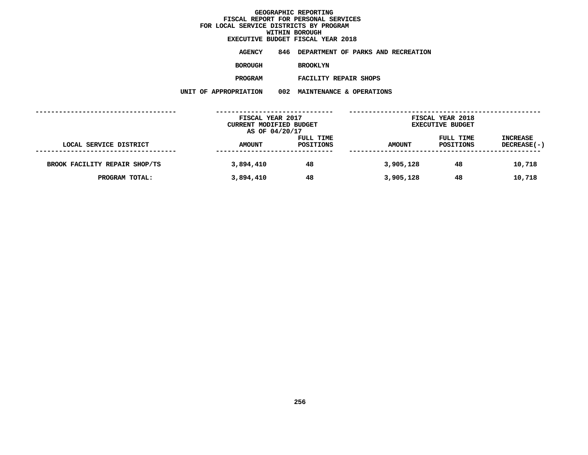# **EXECUTIVE BUDGET FISCAL YEAR <sup>2018</sup>**

**AGENCY <sup>846</sup> DEPARTMENT OF PARKS AND RECREATION**

**BOROUGH**

BROOKLYN<br>FACILITY REPAIR SHOPS

**PROGRAM**

 **FACILITY REPAIR SHOPS UNIT OF APPROPRIATION <sup>002</sup> MAINTENANCE & OPERATIONS**

|                               | FISCAL YEAR 2017<br>CURRENT MODIFIED BUDGET<br>AS OF 04/20/17 |                        | FISCAL YEAR 2018<br><b>EXECUTIVE BUDGET</b> |                        |                                |  |
|-------------------------------|---------------------------------------------------------------|------------------------|---------------------------------------------|------------------------|--------------------------------|--|
| LOCAL SERVICE DISTRICT        | <b>AMOUNT</b>                                                 | FULL TIME<br>POSITIONS | <b>AMOUNT</b>                               | FULL TIME<br>POSITIONS | <b>INCREASE</b><br>DECREASE(-) |  |
| BROOK FACILITY REPAIR SHOP/TS | 3,894,410                                                     | 48                     | 3,905,128                                   | 48                     | 10,718                         |  |
| PROGRAM TOTAL:                | 3,894,410                                                     | 48                     | 3,905,128                                   | 48                     | 10,718                         |  |
|                               |                                                               |                        |                                             |                        |                                |  |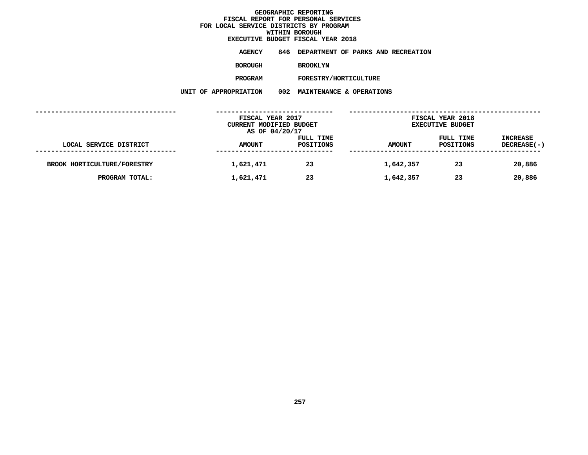# **EXECUTIVE BUDGET FISCAL YEAR <sup>2018</sup>**

**AGENCY <sup>846</sup> DEPARTMENT OF PARKS AND RECREATION**

**BOROUGH**

BROOKLYN<br>FORESTRY/HORTICULTURE

**PROGRAM**

**M** FORESTRY/HORTICULTURE<br>N 002 MAINTENANCE & OPERATI **UNIT OF APPROPRIATION <sup>002</sup> MAINTENANCE & OPERATIONS**

|                             | FISCAL YEAR 2017<br>CURRENT MODIFIED BUDGET |                        | FISCAL YEAR 2018<br><b>EXECUTIVE BUDGET</b> |                        |                                |
|-----------------------------|---------------------------------------------|------------------------|---------------------------------------------|------------------------|--------------------------------|
|                             | AS OF 04/20/17                              |                        |                                             |                        |                                |
| LOCAL SERVICE DISTRICT      | <b>AMOUNT</b>                               | FULL TIME<br>POSITIONS | <b>AMOUNT</b>                               | FULL TIME<br>POSITIONS | <b>INCREASE</b><br>DECREASE(-) |
|                             |                                             |                        |                                             |                        |                                |
| BROOK HORTICULTURE/FORESTRY | 1,621,471                                   | 23                     | 1,642,357                                   | 23                     | 20,886                         |
| PROGRAM TOTAL:              | 1,621,471                                   | 23                     | 1,642,357                                   | 23                     | 20,886                         |
|                             |                                             |                        |                                             |                        |                                |
|                             |                                             |                        |                                             |                        |                                |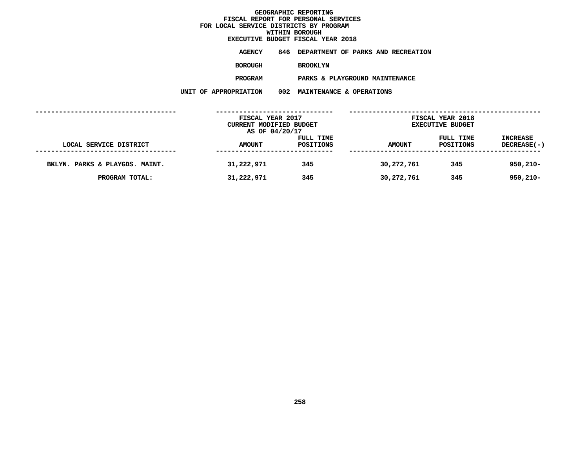# **EXECUTIVE BUDGET FISCAL YEAR <sup>2018</sup>**

**AGENCY <sup>846</sup> DEPARTMENT OF PARKS AND RECREATION**

**BOROUGH**

BROOKLYN<br>PARKS & PLAYGROUND MAINTENANCE **PROGRAM**

 **PARKS & PLAYGROUND MAINTENANCE UNIT OF APPROPRIATION <sup>002</sup> MAINTENANCE & OPERATIONS**

|                                | FISCAL YEAR 2017<br><b>CURRENT MODIFIED BUDGET</b><br>AS OF 04/20/17 |                        | FISCAL YEAR 2018<br><b>EXECUTIVE BUDGET</b> |                        |                                |  |
|--------------------------------|----------------------------------------------------------------------|------------------------|---------------------------------------------|------------------------|--------------------------------|--|
| LOCAL SERVICE DISTRICT         | <b>AMOUNT</b>                                                        | FULL TIME<br>POSITIONS | <b>AMOUNT</b>                               | FULL TIME<br>POSITIONS | <b>INCREASE</b><br>DECREASE(-) |  |
| BKLYN. PARKS & PLAYGDS. MAINT. | 31,222,971                                                           | 345                    | 30,272,761                                  | 345                    | $950,210 -$                    |  |
| PROGRAM TOTAL:                 | 31,222,971                                                           | 345                    | 30,272,761                                  | 345                    | $950,210 -$                    |  |
|                                |                                                                      |                        |                                             |                        |                                |  |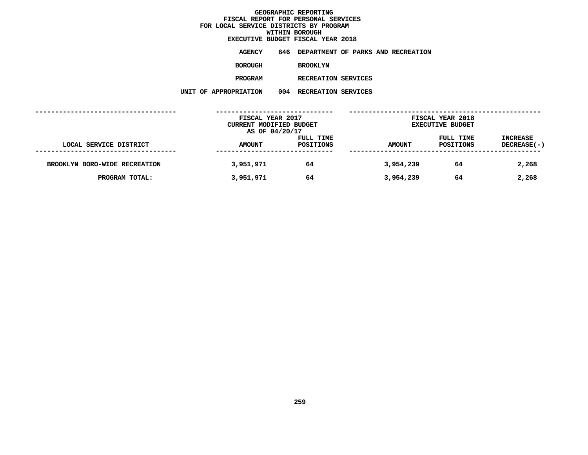**EXECUTIVE BUDGET FISCAL YEAR <sup>2018</sup>**

**AGENCY <sup>846</sup> DEPARTMENT OF PARKS AND RECREATION**

**BOROUGH**

BROOKLYN<br>RECREATION SERVICES

**PROGRAM**

**M** RECREATION SERVICES<br>N 004 RECREATION SERVICES **UNIT OF APPROPRIATION <sup>004</sup> RECREATION SERVICES**

|                               | FISCAL YEAR 2017                          |           | FISCAL YEAR 2018        |           |                    |  |
|-------------------------------|-------------------------------------------|-----------|-------------------------|-----------|--------------------|--|
|                               | CURRENT MODIFIED BUDGET<br>AS OF 04/20/17 |           | <b>EXECUTIVE BUDGET</b> |           |                    |  |
|                               |                                           | FULL TIME |                         | FULL TIME | INCREASE           |  |
| LOCAL SERVICE DISTRICT        | <b>AMOUNT</b>                             | POSITIONS | <b>AMOUNT</b>           | POSITIONS | <b>DECREASE(-)</b> |  |
|                               |                                           |           |                         |           |                    |  |
| BROOKLYN BORO-WIDE RECREATION | 3,951,971                                 | 64        | 3,954,239               | 64        | 2,268              |  |
| PROGRAM TOTAL:                | 3,951,971                                 | 64        | 3,954,239               | 64        | 2,268              |  |
|                               |                                           |           |                         |           |                    |  |
|                               |                                           |           |                         |           |                    |  |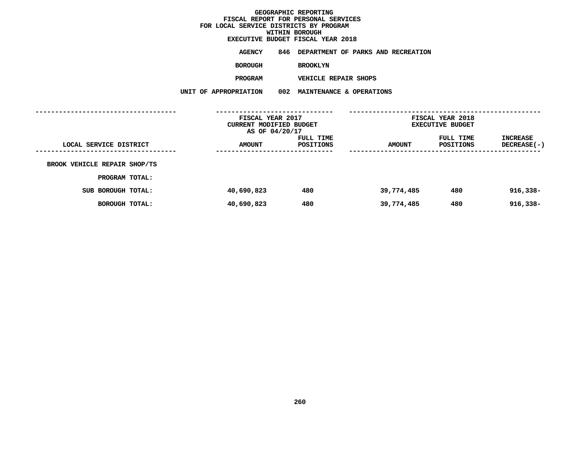# **EXECUTIVE BUDGET FISCAL YEAR <sup>2018</sup>**

**AGENCY <sup>846</sup> DEPARTMENT OF PARKS AND RECREATION**

**BOROUGH**

BROOKLYN<br>VEHICLE REPAIR SHOPS

**PROGRAM**

 **VEHICLE REPAIR SHOPS UNIT OF APPROPRIATION <sup>002</sup> MAINTENANCE & OPERATIONS**

|                              | FISCAL YEAR 2017<br>CURRENT MODIFIED BUDGET<br>AS OF 04/20/17 |                                        | FISCAL YEAR 2018<br><b>EXECUTIVE BUDGET</b> |                        |                                |  |
|------------------------------|---------------------------------------------------------------|----------------------------------------|---------------------------------------------|------------------------|--------------------------------|--|
| LOCAL SERVICE DISTRICT       | <b>AMOUNT</b>                                                 | FULL TIME<br>POSITIONS<br>------------ | <b>AMOUNT</b>                               | FULL TIME<br>POSITIONS | INCREASE<br><b>DECREASE(-)</b> |  |
| BROOK VEHICLE REPAIR SHOP/TS |                                                               |                                        |                                             |                        |                                |  |
| PROGRAM TOTAL:               |                                                               |                                        |                                             |                        |                                |  |
| SUB BOROUGH TOTAL:           | 40,690,823                                                    | 480                                    | 39,774,485                                  | 480                    | $916,338 -$                    |  |
| BOROUGH TOTAL:               | 40,690,823                                                    | 480                                    | 39,774,485                                  | 480                    | $916,338 -$                    |  |
|                              |                                                               |                                        |                                             |                        |                                |  |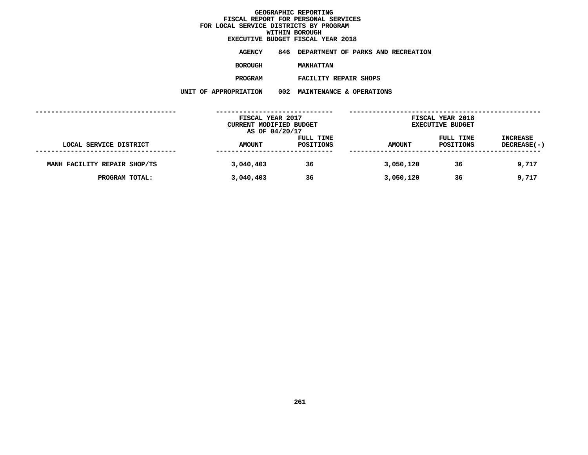# **EXECUTIVE BUDGET FISCAL YEAR <sup>2018</sup>**

**AGENCY <sup>846</sup> DEPARTMENT OF PARKS AND RECREATION**

**BOROUGH**

**MANHATTAN**

**PROGRAM**

 **FACILITY REPAIR SHOPS UNIT OF APPROPRIATION <sup>002</sup> MAINTENANCE & OPERATIONS**

|                              | FISCAL YEAR 2017<br>CURRENT MODIFIED BUDGET |                        |               | FISCAL YEAR 2018<br><b>EXECUTIVE BUDGET</b> |                                |
|------------------------------|---------------------------------------------|------------------------|---------------|---------------------------------------------|--------------------------------|
| LOCAL SERVICE DISTRICT       | AS OF 04/20/17<br><b>AMOUNT</b>             | FULL TIME<br>POSITIONS | <b>AMOUNT</b> | FULL TIME<br>POSITIONS                      | <b>INCREASE</b><br>DECREASE(-) |
|                              |                                             |                        |               |                                             |                                |
| MANH FACILITY REPAIR SHOP/TS | 3,040,403                                   | 36                     | 3,050,120     | 36                                          | 9,717                          |
| PROGRAM TOTAL:               | 3,040,403                                   | 36                     | 3,050,120     | 36                                          | 9,717                          |
|                              |                                             |                        |               |                                             |                                |
|                              |                                             |                        |               |                                             |                                |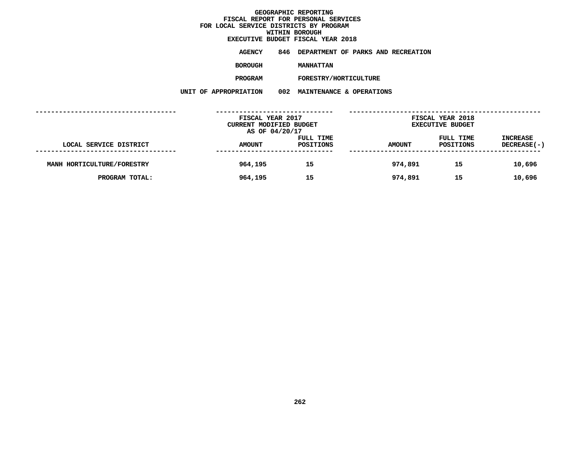# **EXECUTIVE BUDGET FISCAL YEAR <sup>2018</sup>**

**AGENCY <sup>846</sup> DEPARTMENT OF PARKS AND RECREATION**

**BOROUGH**

MANHATTAN<br>FORESTRY/HORTICULTURE **PROGRAM**

**M** FORESTRY/HORTICULTURE<br>N 002 MAINTENANCE & OPERATI **UNIT OF APPROPRIATION <sup>002</sup> MAINTENANCE & OPERATIONS**

|                            | FISCAL YEAR 2017<br>CURRENT MODIFIED BUDGET |                        |               | FISCAL YEAR 2018<br><b>EXECUTIVE BUDGET</b> |                                |
|----------------------------|---------------------------------------------|------------------------|---------------|---------------------------------------------|--------------------------------|
|                            | AS OF 04/20/17                              |                        |               |                                             |                                |
| LOCAL SERVICE DISTRICT     | <b>AMOUNT</b>                               | FULL TIME<br>POSITIONS | <b>AMOUNT</b> | FULL TIME<br>POSITIONS                      | <b>INCREASE</b><br>DECREASE(-) |
|                            |                                             |                        |               |                                             |                                |
| MANH HORTICULTURE/FORESTRY | 964,195                                     | 15                     | 974,891       | 15                                          | 10,696                         |
| PROGRAM TOTAL:             | 964,195                                     | 15                     | 974,891       | 15                                          | 10,696                         |
|                            |                                             |                        |               |                                             |                                |
|                            |                                             |                        |               |                                             |                                |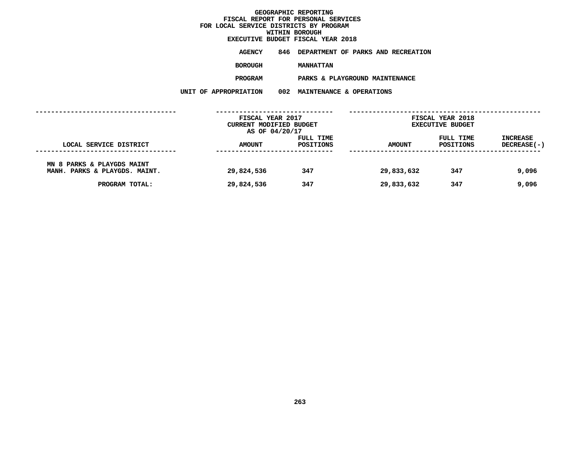# **EXECUTIVE BUDGET FISCAL YEAR <sup>2018</sup>**

**AGENCY <sup>846</sup> DEPARTMENT OF PARKS AND RECREATION**

**BOROUGH**

**MANHATTAN<br>PARKS & PLAYGROUND MAINTENANCE PROGRAM**

 **PARKS & PLAYGROUND MAINTENANCE UNIT OF APPROPRIATION <sup>002</sup> MAINTENANCE & OPERATIONS**

|                                                                                                  | FISCAL YEAR 2017         |            |                          | FISCAL YEAR 2018        |                 |  |
|--------------------------------------------------------------------------------------------------|--------------------------|------------|--------------------------|-------------------------|-----------------|--|
|                                                                                                  | CURRENT MODIFIED BUDGET  |            |                          | <b>EXECUTIVE BUDGET</b> |                 |  |
|                                                                                                  | AS OF 04/20/17           |            |                          |                         |                 |  |
|                                                                                                  |                          | FULL TIME  |                          | FULL TIME               | <b>INCREASE</b> |  |
| LOCAL SERVICE DISTRICT                                                                           | <b>AMOUNT</b>            | POSITIONS  | <b>AMOUNT</b>            | POSITIONS               | DECREASE(-)     |  |
| ---------------<br>MN 8 PARKS & PLAYGDS MAINT<br>MANH. PARKS & PLAYGDS. MAINT.<br>PROGRAM TOTAL: | 29,824,536<br>29,824,536 | 347<br>347 | 29,833,632<br>29,833,632 | 347<br>347              | 9,096<br>9,096  |  |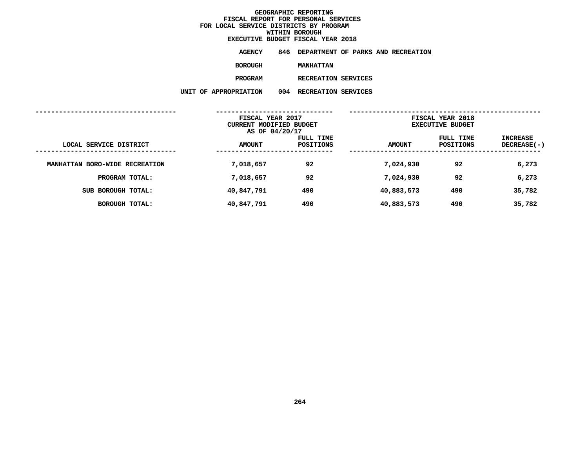**EXECUTIVE BUDGET FISCAL YEAR <sup>2018</sup>**

**AGENCY <sup>846</sup> DEPARTMENT OF PARKS AND RECREATION**

**BOROUGH**

 **MANHATTAN PROGRAM**

**M** RECREATION SERVICES<br>N 004 RECREATION SERVICES **UNIT OF APPROPRIATION <sup>004</sup> RECREATION SERVICES**

|                                |               | FISCAL YEAR 2017<br>CURRENT MODIFIED BUDGET<br>AS OF 04/20/17 |               | FISCAL YEAR 2018<br><b>EXECUTIVE BUDGET</b> |                                       |
|--------------------------------|---------------|---------------------------------------------------------------|---------------|---------------------------------------------|---------------------------------------|
| LOCAL SERVICE DISTRICT         | <b>AMOUNT</b> | FULL TIME<br>POSITIONS                                        | <b>AMOUNT</b> | FULL TIME<br>POSITIONS                      | <b>INCREASE</b><br><b>DECREASE(-)</b> |
| MANHATTAN BORO-WIDE RECREATION | 7,018,657     | 92                                                            | 7,024,930     | 92                                          | 6,273                                 |
| PROGRAM TOTAL:                 | 7,018,657     | 92                                                            | 7,024,930     | 92                                          | 6,273                                 |
| SUB BOROUGH TOTAL:             | 40,847,791    | 490                                                           | 40,883,573    | 490                                         | 35,782                                |
| BOROUGH TOTAL:                 | 40,847,791    | 490                                                           | 40,883,573    | 490                                         | 35,782                                |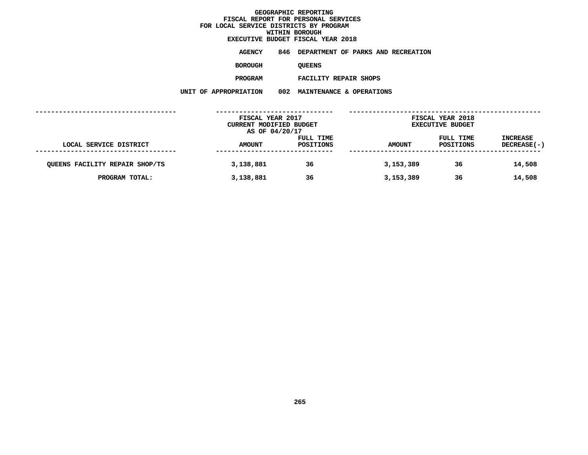# **EXECUTIVE BUDGET FISCAL YEAR <sup>2018</sup>**

**AGENCY <sup>846</sup> DEPARTMENT OF PARKS AND RECREATION**

**BOROUGH**

QUEENS<br>FACILITY REPAIR SHOPS **PROGRAM**

 **FACILITY REPAIR SHOPS UNIT OF APPROPRIATION <sup>002</sup> MAINTENANCE & OPERATIONS**

|                                | FISCAL YEAR 2017<br>CURRENT MODIFIED BUDGET<br>AS OF 04/20/17 |           |               | FISCAL YEAR 2018<br><b>EXECUTIVE BUDGET</b> |                    |
|--------------------------------|---------------------------------------------------------------|-----------|---------------|---------------------------------------------|--------------------|
|                                |                                                               |           |               |                                             |                    |
|                                |                                                               | FULL TIME |               | FULL TIME                                   | <b>INCREASE</b>    |
| LOCAL SERVICE DISTRICT         | <b>AMOUNT</b>                                                 | POSITIONS | <b>AMOUNT</b> | POSITIONS                                   | <b>DECREASE(-)</b> |
|                                |                                                               |           |               |                                             |                    |
| QUEENS FACILITY REPAIR SHOP/TS | 3,138,881                                                     | 36        | 3,153,389     | 36                                          | 14,508             |
| PROGRAM TOTAL:                 | 3,138,881                                                     | 36        | 3,153,389     | 36                                          | 14,508             |
|                                |                                                               |           |               |                                             |                    |
|                                |                                                               |           |               |                                             |                    |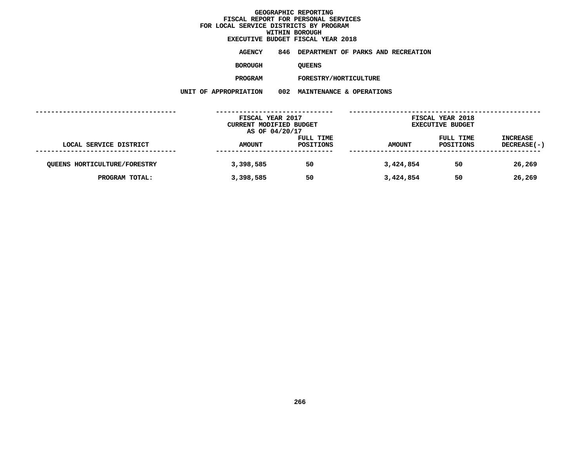# **EXECUTIVE BUDGET FISCAL YEAR <sup>2018</sup>**

**AGENCY <sup>846</sup> DEPARTMENT OF PARKS AND RECREATION**

**BOROUGH**

QUEENS<br>FORESTRY/HORTICULTURE **PROGRAM**

**M** FORESTRY/HORTICULTURE<br>N 002 MAINTENANCE & OPERATI **UNIT OF APPROPRIATION <sup>002</sup> MAINTENANCE & OPERATIONS**

|                                     | FISCAL YEAR 2017<br>CURRENT MODIFIED BUDGET |                  |               | FISCAL YEAR 2018        |                 |
|-------------------------------------|---------------------------------------------|------------------|---------------|-------------------------|-----------------|
|                                     |                                             |                  |               | <b>EXECUTIVE BUDGET</b> |                 |
|                                     | AS OF 04/20/17                              |                  |               |                         |                 |
|                                     |                                             | FULL TIME        |               | FULL TIME               | <b>INCREASE</b> |
| LOCAL SERVICE DISTRICT              | <b>AMOUNT</b>                               | <b>POSITIONS</b> | <b>AMOUNT</b> | POSITIONS               | DECREASE(-)     |
|                                     |                                             |                  |               |                         |                 |
| <b>QUEENS HORTICULTURE/FORESTRY</b> | 3,398,585                                   | 50               | 3,424,854     | 50                      | 26,269          |
|                                     |                                             |                  |               |                         |                 |
| PROGRAM TOTAL:                      | 3,398,585                                   | 50               | 3,424,854     | 50                      | 26,269          |
|                                     |                                             |                  |               |                         |                 |
|                                     |                                             |                  |               |                         |                 |
|                                     |                                             |                  |               |                         |                 |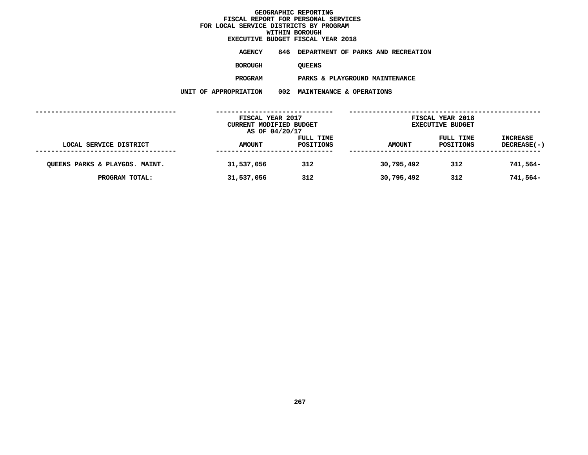# **EXECUTIVE BUDGET FISCAL YEAR <sup>2018</sup>**

**AGENCY <sup>846</sup> DEPARTMENT OF PARKS AND RECREATION**

**BOROUGH**

QUEENS<br>PARKS & PLAYGROUND MAINTENANCE **PROGRAM**

 **PARKS & PLAYGROUND MAINTENANCE UNIT OF APPROPRIATION <sup>002</sup> MAINTENANCE & OPERATIONS**

|                                | FISCAL YEAR 2017<br><b>CURRENT MODIFIED BUDGET</b><br>AS OF 04/20/17 |                        | FISCAL YEAR 2018<br><b>EXECUTIVE BUDGET</b> |                        |                                |  |
|--------------------------------|----------------------------------------------------------------------|------------------------|---------------------------------------------|------------------------|--------------------------------|--|
| LOCAL SERVICE DISTRICT         | <b>AMOUNT</b>                                                        | FULL TIME<br>POSITIONS | <b>AMOUNT</b>                               | FULL TIME<br>POSITIONS | <b>INCREASE</b><br>DECREASE(-) |  |
| QUEENS PARKS & PLAYGDS. MAINT. | 31,537,056                                                           | 312                    | 30,795,492                                  | 312                    | 741,564-                       |  |
| PROGRAM TOTAL:                 | 31,537,056                                                           | 312                    | 30,795,492                                  | 312                    | 741,564-                       |  |
|                                |                                                                      |                        |                                             |                        |                                |  |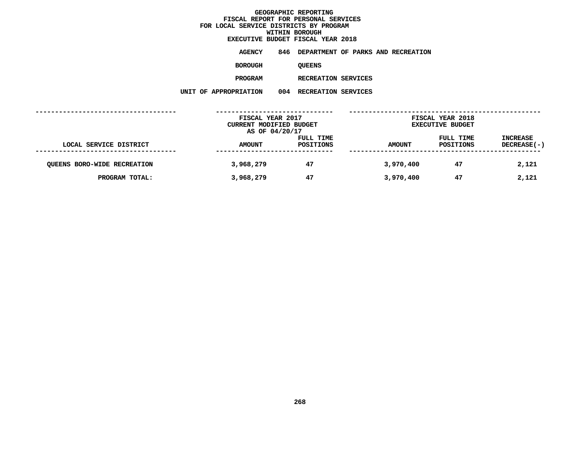**EXECUTIVE BUDGET FISCAL YEAR <sup>2018</sup>**

**AGENCY <sup>846</sup> DEPARTMENT OF PARKS AND RECREATION**

**BOROUGH**

QUEENS<br>RECREATION SERVICES

**PROGRAM**

**M** RECREATION SERVICES<br>N 004 RECREATION SERVICES **UNIT OF APPROPRIATION <sup>004</sup> RECREATION SERVICES**

|                                    | FISCAL YEAR 2017<br>CURRENT MODIFIED BUDGET |                        |               | FISCAL YEAR 2018<br><b>EXECUTIVE BUDGET</b> |                                |
|------------------------------------|---------------------------------------------|------------------------|---------------|---------------------------------------------|--------------------------------|
|                                    | AS OF 04/20/17                              |                        |               |                                             |                                |
| LOCAL SERVICE DISTRICT             | <b>AMOUNT</b>                               | FULL TIME<br>POSITIONS | <b>AMOUNT</b> | FULL TIME<br>POSITIONS                      | <b>INCREASE</b><br>DECREASE(-) |
|                                    |                                             |                        |               |                                             |                                |
| <b>QUEENS BORO-WIDE RECREATION</b> | 3,968,279                                   | 47                     | 3,970,400     | 47                                          | 2,121                          |
| PROGRAM TOTAL:                     | 3,968,279                                   | 47                     | 3,970,400     | 47                                          | 2,121                          |
|                                    |                                             |                        |               |                                             |                                |
|                                    |                                             |                        |               |                                             |                                |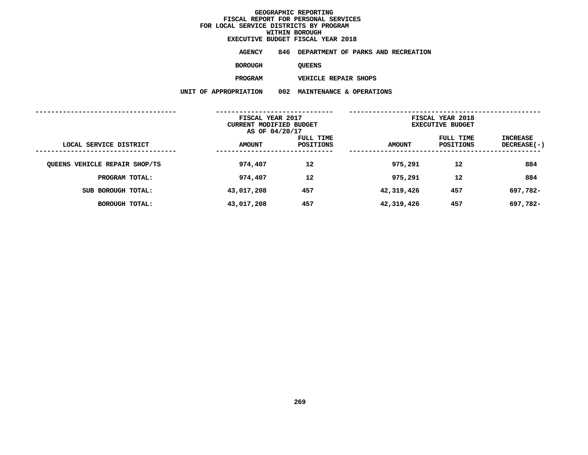# **EXECUTIVE BUDGET FISCAL YEAR <sup>2018</sup>**

**AGENCY <sup>846</sup> DEPARTMENT OF PARKS AND RECREATION**

**BOROUGH**

QUEENS<br>VEHICLE REPAIR SHOPS **PROGRAM**

 **VEHICLE REPAIR SHOPS UNIT OF APPROPRIATION <sup>002</sup> MAINTENANCE & OPERATIONS**

|                               | FISCAL YEAR 2017<br>CURRENT MODIFIED BUDGET<br>AS OF 04/20/17 |                        | FISCAL YEAR 2018<br><b>EXECUTIVE BUDGET</b> |                        |                         |
|-------------------------------|---------------------------------------------------------------|------------------------|---------------------------------------------|------------------------|-------------------------|
| LOCAL SERVICE DISTRICT        | <b>AMOUNT</b>                                                 | FULL TIME<br>POSITIONS | <b>AMOUNT</b>                               | FULL TIME<br>POSITIONS | INCREASE<br>DECREASE(-) |
| QUEENS VEHICLE REPAIR SHOP/TS | 974,407                                                       | 12                     | 975,291                                     | 12                     | 884                     |
| PROGRAM TOTAL:                | 974,407                                                       | 12                     | 975,291                                     | 12                     | 884                     |
| SUB BOROUGH TOTAL:            | 43,017,208                                                    | 457                    | 42,319,426                                  | 457                    | 697,782-                |
| BOROUGH TOTAL:                | 43,017,208                                                    | 457                    | 42,319,426                                  | 457                    | 697,782-                |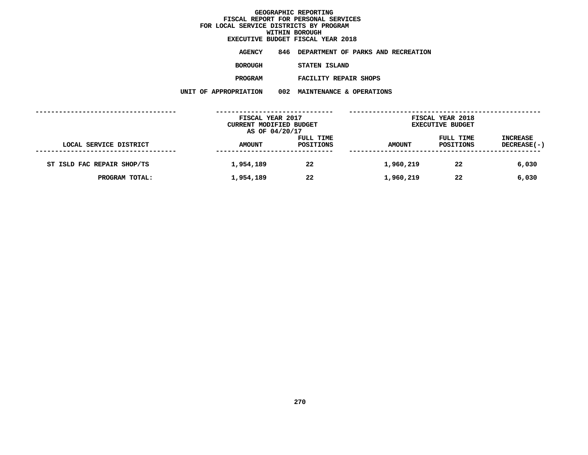# **EXECUTIVE BUDGET FISCAL YEAR <sup>2018</sup>**

**AGENCY <sup>846</sup> DEPARTMENT OF PARKS AND RECREATION**

**BOROUGH**

 **STATEN ISLAND PROGRAM**

 **FACILITY REPAIR SHOPS UNIT OF APPROPRIATION <sup>002</sup> MAINTENANCE & OPERATIONS**

|                            | FISCAL YEAR 2017<br>CURRENT MODIFIED BUDGET<br>AS OF 04/20/17 |                        |           | FISCAL YEAR 2018<br><b>EXECUTIVE BUDGET</b> |                                |
|----------------------------|---------------------------------------------------------------|------------------------|-----------|---------------------------------------------|--------------------------------|
| LOCAL SERVICE DISTRICT     | <b>AMOUNT</b>                                                 | FULL TIME<br>POSITIONS | AMOUNT    | FULL TIME<br>POSITIONS                      | <b>INCREASE</b><br>DECREASE(-) |
| ST ISLD FAC REPAIR SHOP/TS | 1,954,189                                                     | 22                     | 1,960,219 | 22                                          | 6,030                          |
| PROGRAM TOTAL:             | 1,954,189                                                     | 22                     | 1,960,219 | 22                                          | 6,030                          |
|                            |                                                               |                        |           |                                             |                                |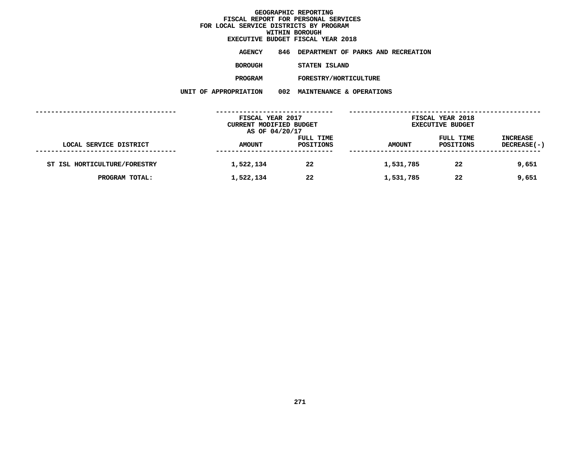# **EXECUTIVE BUDGET FISCAL YEAR <sup>2018</sup>**

**AGENCY <sup>846</sup> DEPARTMENT OF PARKS AND RECREATION**

**BOROUGH**

**STATEN ISLAND**

**PROGRAM**

**M** FORESTRY/HORTICULTURE<br>N 002 MAINTENANCE & OPERATI **UNIT OF APPROPRIATION <sup>002</sup> MAINTENANCE & OPERATIONS**

|                              | FISCAL YEAR 2017<br>CURRENT MODIFIED BUDGET<br>AS OF 04/20/17 |                        |               | FISCAL YEAR 2018<br><b>EXECUTIVE BUDGET</b> |                                       |
|------------------------------|---------------------------------------------------------------|------------------------|---------------|---------------------------------------------|---------------------------------------|
|                              |                                                               |                        |               |                                             |                                       |
| LOCAL SERVICE DISTRICT       | <b>AMOUNT</b>                                                 | FULL TIME<br>POSITIONS | <b>AMOUNT</b> | FULL TIME<br>POSITIONS                      | <b>INCREASE</b><br><b>DECREASE(-)</b> |
|                              |                                                               |                        |               |                                             |                                       |
| ST ISL HORTICULTURE/FORESTRY | 1,522,134                                                     | 22                     | 1,531,785     | 22                                          | 9,651                                 |
| PROGRAM TOTAL:               | 1,522,134                                                     | 22                     | 1,531,785     | 22                                          | 9,651                                 |
|                              |                                                               |                        |               |                                             |                                       |
|                              |                                                               |                        |               |                                             |                                       |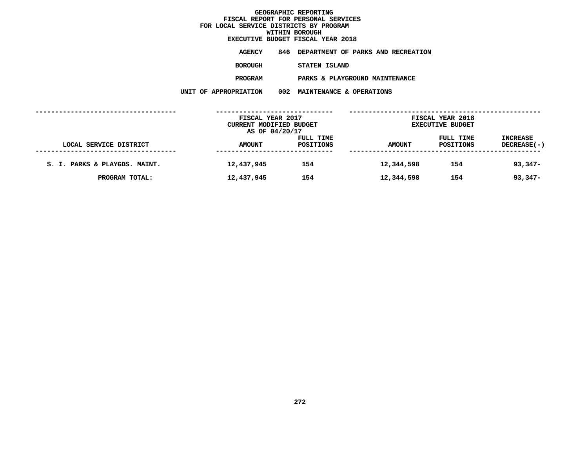### **WITHIN BOROUGH EXECUTIVE BUDGET FISCAL YEAR <sup>2018</sup>**

**AGENCY <sup>846</sup> DEPARTMENT OF PARKS AND RECREATION**

**BOROUGH**

 **STATEN ISLAND PROGRAM**

 **PARKS & PLAYGROUND MAINTENANCE UNIT OF APPROPRIATION <sup>002</sup> MAINTENANCE & OPERATIONS**

| LOCAL SERVICE DISTRICT        | FISCAL YEAR 2017<br>CURRENT MODIFIED BUDGET<br>AS OF 04/20/17 |                        |               | FISCAL YEAR 2018<br><b>EXECUTIVE BUDGET</b> |                                |
|-------------------------------|---------------------------------------------------------------|------------------------|---------------|---------------------------------------------|--------------------------------|
|                               | <b>AMOUNT</b>                                                 | FULL TIME<br>POSITIONS | <b>AMOUNT</b> | FULL TIME<br>POSITIONS                      | <b>INCREASE</b><br>DECREASE(-) |
| S. I. PARKS & PLAYGDS. MAINT. | 12,437,945                                                    | 154                    | 12,344,598    | 154                                         | $93,347-$                      |
| PROGRAM TOTAL:                | 12,437,945                                                    | 154                    | 12,344,598    | 154                                         | $93,347-$                      |
|                               |                                                               |                        |               |                                             |                                |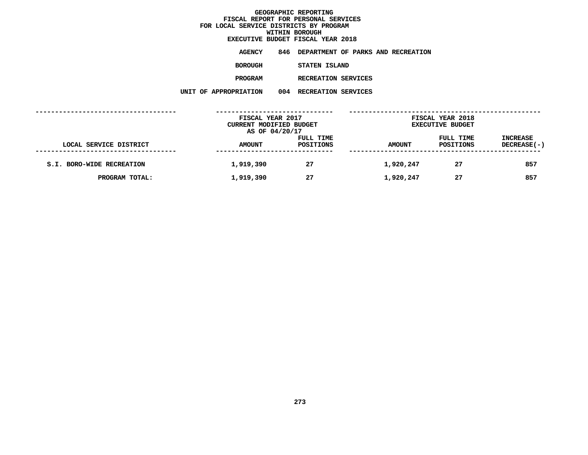**EXECUTIVE BUDGET FISCAL YEAR <sup>2018</sup>AGENCY <sup>846</sup> DEPARTMENT OF PARKS AND RECREATION**

**BOROUGH**

 **STATEN ISLAND PROGRAM**

**M** RECREATION SERVICES<br>N 004 RECREATION SERVICES **UNIT OF APPROPRIATION <sup>004</sup> RECREATION SERVICES**

|                           | FISCAL YEAR 2017<br>CURRENT MODIFIED BUDGET<br>AS OF 04/20/17 |                        | FISCAL YEAR 2018<br><b>EXECUTIVE BUDGET</b> |                        |                                |  |
|---------------------------|---------------------------------------------------------------|------------------------|---------------------------------------------|------------------------|--------------------------------|--|
| LOCAL SERVICE DISTRICT    | <b>AMOUNT</b>                                                 | FULL TIME<br>POSITIONS | <b>AMOUNT</b>                               | FULL TIME<br>POSITIONS | <b>INCREASE</b><br>DECREASE(-) |  |
| S.I. BORO-WIDE RECREATION | 1,919,390                                                     | 27                     | 1,920,247                                   | 27                     | 857                            |  |
| PROGRAM TOTAL:            | 1,919,390                                                     | 27                     | 1,920,247                                   | 27                     | 857                            |  |
|                           |                                                               |                        |                                             |                        |                                |  |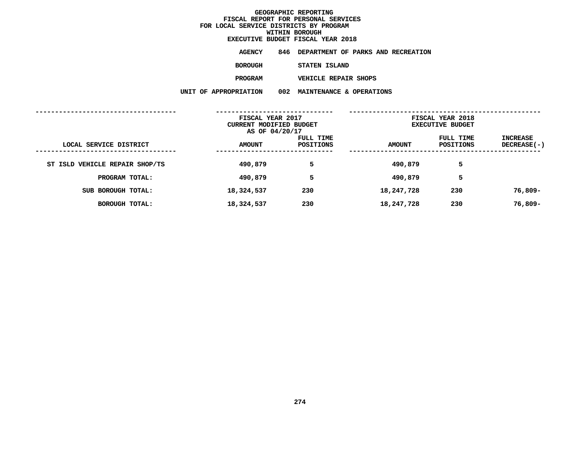| EXECUTIVE BUDGET FISCAL YEAR 2018 |               |  |                             |                                        |  |
|-----------------------------------|---------------|--|-----------------------------|----------------------------------------|--|
| AGENCY                            |               |  |                             | 846 DEPARTMENT OF PARKS AND RECREATION |  |
| <b>BOROUGH</b>                    | STATEN ISLAND |  |                             |                                        |  |
| <b>PROGRAM</b>                    |               |  | <b>VEHICLE REPAIR SHOPS</b> |                                        |  |

 **VEHICLE REPAIR SHOPS UNIT OF APPROPRIATION <sup>002</sup> MAINTENANCE & OPERATIONS**

|                                | FISCAL YEAR 2017<br>CURRENT MODIFIED BUDGET<br>AS OF 04/20/17 |                        | FISCAL YEAR 2018<br><b>EXECUTIVE BUDGET</b> |                        |                                |
|--------------------------------|---------------------------------------------------------------|------------------------|---------------------------------------------|------------------------|--------------------------------|
| LOCAL SERVICE DISTRICT         | <b>AMOUNT</b>                                                 | FULL TIME<br>POSITIONS | <b>AMOUNT</b>                               | FULL TIME<br>POSITIONS | <b>INCREASE</b><br>DECREASE(-) |
| ST ISLD VEHICLE REPAIR SHOP/TS | 490,879                                                       | 5                      | 490,879                                     | 5                      |                                |
| PROGRAM TOTAL:                 | 490,879                                                       | 5                      | 490,879                                     | 5                      |                                |
| SUB BOROUGH TOTAL:             | 18,324,537                                                    | 230                    | 18,247,728                                  | 230                    | 76,809-                        |
| <b>BOROUGH TOTAL:</b>          | 18,324,537                                                    | 230                    | 18,247,728                                  | 230                    | 76,809-                        |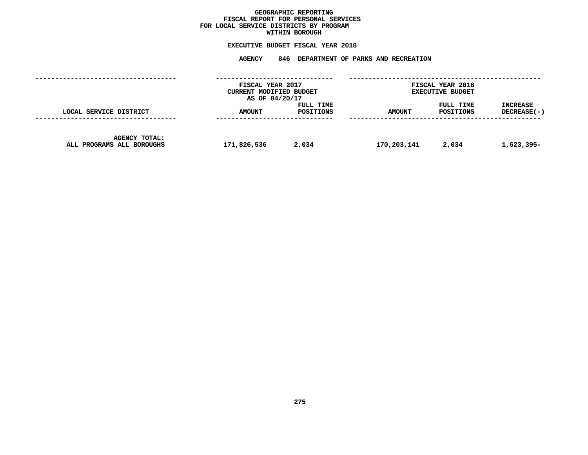### GEOGRAPHIC REPORTING<br>FISCAL REPORT FOR PERSONAL SERVICES<br>OCAL SERVICE DISTRICTS BY PROGRAM<br>WITHIN BOROUGH **FISCAL REPORT FOR PERSONAL SERVICES FOR LOCAL SERVICE DISTRICTS BY PROGRAM**

### **WITHIN BOROUGH EXECUTIVE BUDGET FISCAL YEAR <sup>2018</sup>**

**AGENCY <sup>846</sup> DEPARTMENT OF PARKS AND RECREATION**

|                                                   | FISCAL YEAR 2017<br>CURRENT MODIFIED BUDGET<br>AS OF 04/20/17 |                        | FISCAL YEAR 2018<br><b>EXECUTIVE BUDGET</b> |                        |                                |
|---------------------------------------------------|---------------------------------------------------------------|------------------------|---------------------------------------------|------------------------|--------------------------------|
| LOCAL SERVICE DISTRICT                            | <b>AMOUNT</b>                                                 | FULL TIME<br>POSITIONS | <b>AMOUNT</b>                               | FULL TIME<br>POSITIONS | <b>INCREASE</b><br>DECREASE(-) |
| <b>AGENCY TOTAL:</b><br>ALL PROGRAMS ALL BOROUGHS | 171,826,536                                                   | 2,034                  | 170,203,141                                 | 2,034                  | 1,623,395-                     |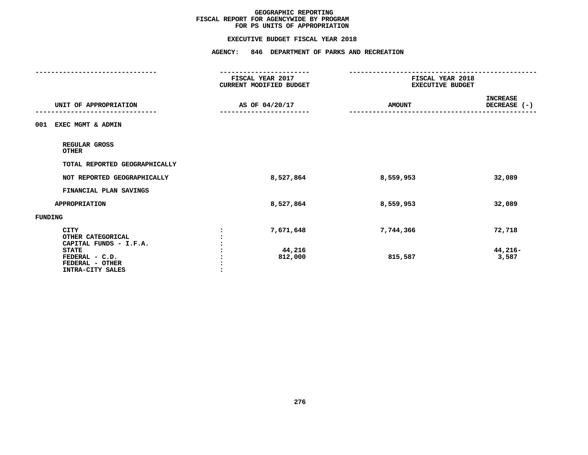#### **EXECUTIVE BUDGET FISCAL YEAR 2018**

**EXECUTIVE BUDGET FISCAL YEAR <sup>2018</sup>**

|                                                                       | <b>AGENCY:</b><br>846 DEPARTMENT OF PARKS AND RECREATION         |                                                                      |                                 |  |
|-----------------------------------------------------------------------|------------------------------------------------------------------|----------------------------------------------------------------------|---------------------------------|--|
|                                                                       | -----------------<br>FISCAL YEAR 2017<br>CURRENT MODIFIED BUDGET | ---------------------<br>FISCAL YEAR 2018<br><b>EXECUTIVE BUDGET</b> |                                 |  |
| UNIT OF APPROPRIATION                                                 | AS OF 04/20/17                                                   | <b>AMOUNT</b>                                                        | <b>INCREASE</b><br>DECREASE (-) |  |
| EXEC MGMT & ADMIN<br>001                                              |                                                                  |                                                                      |                                 |  |
| REGULAR GROSS<br><b>OTHER</b>                                         |                                                                  |                                                                      |                                 |  |
| TOTAL REPORTED GEOGRAPHICALLY                                         |                                                                  |                                                                      |                                 |  |
| NOT REPORTED GEOGRAPHICALLY                                           | 8,527,864                                                        | 8,559,953                                                            | 32,089                          |  |
| FINANCIAL PLAN SAVINGS                                                |                                                                  |                                                                      |                                 |  |
| <b>APPROPRIATION</b>                                                  | 8,527,864                                                        | 8,559,953                                                            | 32,089                          |  |
| <b>FUNDING</b>                                                        |                                                                  |                                                                      |                                 |  |
| <b>CITY</b><br>OTHER CATEGORICAL<br>CAPITAL FUNDS - I.F.A.            | 7,671,648                                                        | 7,744,366                                                            | 72,718                          |  |
| <b>STATE</b><br>FEDERAL - C.D.<br>FEDERAL - OTHER<br>INTRA-CITY SALES | 44,216<br>812,000                                                | 815,587                                                              | 44,216-<br>3,587                |  |
|                                                                       |                                                                  |                                                                      |                                 |  |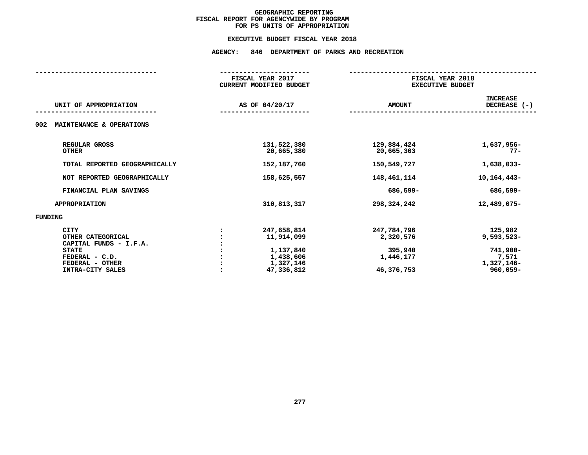#### **EXECUTIVE BUDGET FISCAL YEAR 2018**

|                                                                                                                                     | FISCAL YEAR 2017<br><b>CURRENT MODIFIED BUDGET</b>                             | FISCAL YEAR 2018<br><b>EXECUTIVE BUDGET</b>                    |                                                                           |  |
|-------------------------------------------------------------------------------------------------------------------------------------|--------------------------------------------------------------------------------|----------------------------------------------------------------|---------------------------------------------------------------------------|--|
| UNIT OF APPROPRIATION                                                                                                               | AS OF 04/20/17                                                                 | <b>AMOUNT</b>                                                  | <b>INCREASE</b><br>DECREASE (-)                                           |  |
| 002<br>MAINTENANCE & OPERATIONS                                                                                                     |                                                                                |                                                                |                                                                           |  |
| REGULAR GROSS<br><b>OTHER</b>                                                                                                       | 131,522,380<br>20,665,380                                                      | 129,884,424<br>20,665,303                                      | 1,637,956-<br>$77 -$                                                      |  |
| TOTAL REPORTED GEOGRAPHICALLY                                                                                                       | 152,187,760                                                                    | 150,549,727                                                    | 1,638,033-                                                                |  |
| NOT REPORTED GEOGRAPHICALLY                                                                                                         | 158,625,557                                                                    | 148,461,114                                                    | 10, 164, 443-                                                             |  |
| FINANCIAL PLAN SAVINGS                                                                                                              |                                                                                | 686,599-                                                       | 686,599-                                                                  |  |
| <b>APPROPRIATION</b>                                                                                                                | 310,813,317                                                                    | 298,324,242                                                    | 12,489,075-                                                               |  |
| <b>FUNDING</b>                                                                                                                      |                                                                                |                                                                |                                                                           |  |
| <b>CITY</b><br>OTHER CATEGORICAL<br>CAPITAL FUNDS - I.F.A.<br><b>STATE</b><br>FEDERAL - C.D.<br>FEDERAL - OTHER<br>INTRA-CITY SALES | 247,658,814<br>11,914,099<br>1,137,840<br>1,438,606<br>1,327,146<br>47,336,812 | 247,784,796<br>2,320,576<br>395,940<br>1,446,177<br>46,376,753 | 125,982<br>$9,593,523-$<br>741,900-<br>7,571<br>1,327,146-<br>$960,059 -$ |  |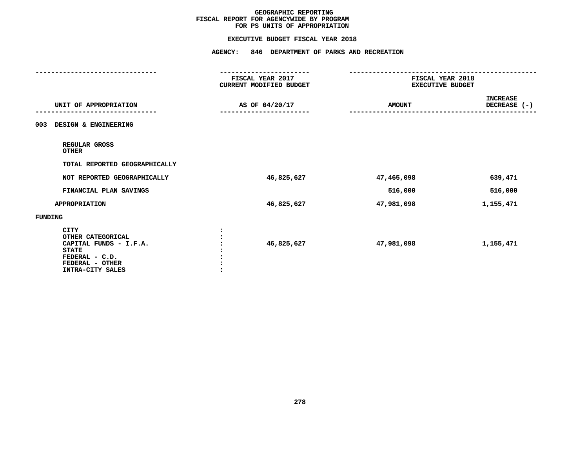#### **EXECUTIVE BUDGET FISCAL YEAR 2018**

**EXECUTIVE BUDGET FISCAL YEAR <sup>2018</sup>**

|                                                                                                                                     | <b>AGENCY:</b><br>846 DEPARTMENT OF PARKS AND RECREATION |                                             |                          |
|-------------------------------------------------------------------------------------------------------------------------------------|----------------------------------------------------------|---------------------------------------------|--------------------------|
|                                                                                                                                     | FISCAL YEAR 2017<br>CURRENT MODIFIED BUDGET              | FISCAL YEAR 2018<br><b>EXECUTIVE BUDGET</b> |                          |
| UNIT OF APPROPRIATION                                                                                                               | AS OF 04/20/17                                           | <b>AMOUNT</b>                               | INCREASE<br>DECREASE (-) |
| DESIGN & ENGINEERING<br>003                                                                                                         |                                                          |                                             |                          |
| REGULAR GROSS<br><b>OTHER</b>                                                                                                       |                                                          |                                             |                          |
| TOTAL REPORTED GEOGRAPHICALLY                                                                                                       |                                                          |                                             |                          |
| NOT REPORTED GEOGRAPHICALLY                                                                                                         | 46,825,627                                               | 47,465,098                                  | 639,471                  |
| FINANCIAL PLAN SAVINGS                                                                                                              |                                                          | 516,000                                     | 516,000                  |
| <b>APPROPRIATION</b>                                                                                                                | 46,825,627                                               | 47,981,098                                  | 1,155,471                |
| FUNDING                                                                                                                             |                                                          |                                             |                          |
| <b>CITY</b><br>OTHER CATEGORICAL<br>CAPITAL FUNDS - I.F.A.<br><b>STATE</b><br>FEDERAL - C.D.<br>FEDERAL - OTHER<br>INTRA-CITY SALES | 46,825,627                                               | 47,981,098                                  | 1,155,471                |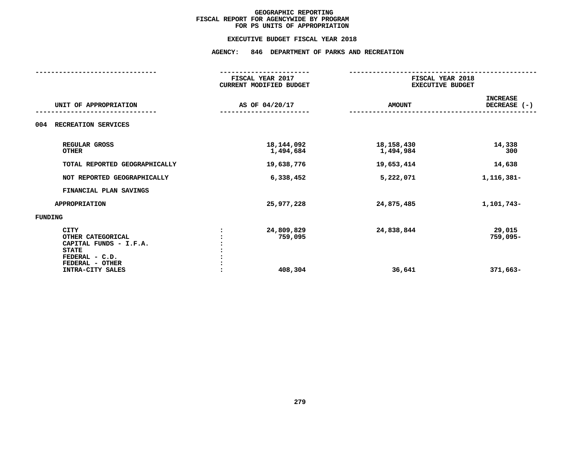#### **EXECUTIVE BUDGET FISCAL YEAR 2018**

|                                                                                                                 | FISCAL YEAR 2017<br>CURRENT MODIFIED BUDGET |                           | FISCAL YEAR 2018<br>EXECUTIVE BUDGET |  |  |  |
|-----------------------------------------------------------------------------------------------------------------|---------------------------------------------|---------------------------|--------------------------------------|--|--|--|
| UNIT OF APPROPRIATION                                                                                           | AS OF 04/20/17                              | <b>AMOUNT</b>             | <b>INCREASE</b><br>DECREASE (-)      |  |  |  |
| RECREATION SERVICES<br>004                                                                                      |                                             |                           |                                      |  |  |  |
| REGULAR GROSS<br><b>OTHER</b>                                                                                   | 18, 144, 092<br>1,494,684                   | 18, 158, 430<br>1,494,984 | 14,338<br>300                        |  |  |  |
| TOTAL REPORTED GEOGRAPHICALLY                                                                                   | 19,638,776                                  | 19,653,414                | 14,638                               |  |  |  |
| NOT REPORTED GEOGRAPHICALLY                                                                                     | 6,338,452                                   | 5,222,071                 | 1,116,381-                           |  |  |  |
| FINANCIAL PLAN SAVINGS                                                                                          |                                             |                           |                                      |  |  |  |
| <b>APPROPRIATION</b>                                                                                            | 25, 977, 228                                | 24,875,485                | 1,101,743-                           |  |  |  |
| <b>FUNDING</b>                                                                                                  |                                             |                           |                                      |  |  |  |
| <b>CITY</b><br>OTHER CATEGORICAL<br>CAPITAL FUNDS - I.F.A.<br><b>STATE</b><br>FEDERAL - C.D.<br>FEDERAL - OTHER | 24,809,829<br>759,095                       | 24,838,844                | 29,015<br>759,095-                   |  |  |  |
| INTRA-CITY SALES                                                                                                | 408,304                                     | 36,641                    | 371,663-                             |  |  |  |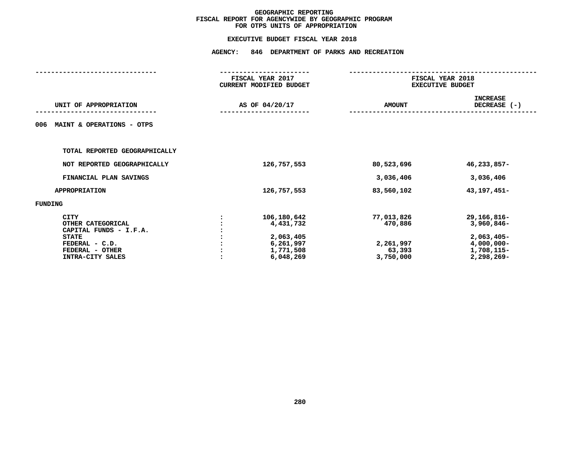|                                                                                                                              |                | FISCAL YEAR 2017<br><b>CURRENT MODIFIED BUDGET</b>                           |                                                           | FISCAL YEAR 2018<br><b>EXECUTIVE BUDGET</b>                                            |  |  |
|------------------------------------------------------------------------------------------------------------------------------|----------------|------------------------------------------------------------------------------|-----------------------------------------------------------|----------------------------------------------------------------------------------------|--|--|
| UNIT OF APPROPRIATION                                                                                                        | AS OF 04/20/17 |                                                                              | <b>AMOUNT</b>                                             | <b>INCREASE</b><br>DECREASE (-)                                                        |  |  |
| MAINT & OPERATIONS - OTPS<br>006                                                                                             |                |                                                                              |                                                           |                                                                                        |  |  |
| TOTAL REPORTED GEOGRAPHICALLY                                                                                                |                |                                                                              |                                                           |                                                                                        |  |  |
| NOT REPORTED GEOGRAPHICALLY                                                                                                  |                | 126,757,553                                                                  | 80,523,696                                                | 46,233,857-                                                                            |  |  |
| FINANCIAL PLAN SAVINGS                                                                                                       |                |                                                                              | 3,036,406                                                 | 3,036,406                                                                              |  |  |
| <b>APPROPRIATION</b>                                                                                                         |                | 126,757,553                                                                  | 83,560,102                                                | 43, 197, 451-                                                                          |  |  |
| FUNDING                                                                                                                      |                |                                                                              |                                                           |                                                                                        |  |  |
| CITY<br>OTHER CATEGORICAL<br>CAPITAL FUNDS - I.F.A.<br><b>STATE</b><br>FEDERAL - C.D.<br>FEDERAL - OTHER<br>INTRA-CITY SALES |                | 106,180,642<br>4,431,732<br>2,063,405<br>6,261,997<br>1,771,508<br>6,048,269 | 77,013,826<br>470,886<br>2,261,997<br>63,393<br>3,750,000 | 29,166,816-<br>3,960,846-<br>$2,063,405-$<br>$4,000,000 -$<br>1,708,115-<br>2,298,269- |  |  |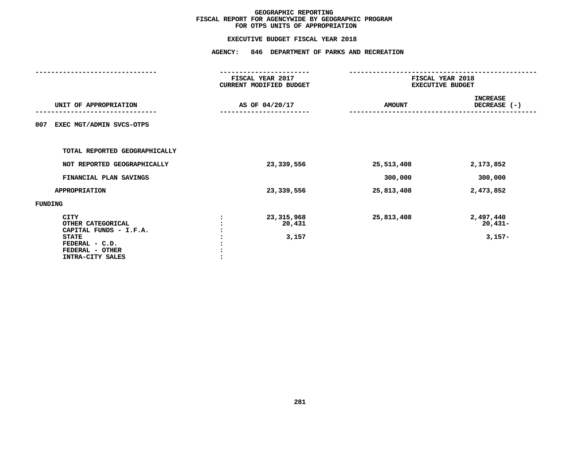|                                                                                                                                     |                | FISCAL YEAR 2017<br><b>CURRENT MODIFIED BUDGET</b> | FISCAL YEAR 2018<br><b>EXECUTIVE BUDGET</b> |                                    |  |  |
|-------------------------------------------------------------------------------------------------------------------------------------|----------------|----------------------------------------------------|---------------------------------------------|------------------------------------|--|--|
| UNIT OF APPROPRIATION                                                                                                               | AS OF 04/20/17 |                                                    | <b>AMOUNT</b>                               | <b>INCREASE</b><br>DECREASE (-)    |  |  |
| EXEC MGT/ADMIN SVCS-OTPS<br>007                                                                                                     |                |                                                    |                                             |                                    |  |  |
| TOTAL REPORTED GEOGRAPHICALLY                                                                                                       |                |                                                    |                                             |                                    |  |  |
| NOT REPORTED GEOGRAPHICALLY                                                                                                         |                | 23,339,556                                         | 25,513,408                                  | 2,173,852                          |  |  |
| FINANCIAL PLAN SAVINGS                                                                                                              |                |                                                    | 300,000                                     | 300,000                            |  |  |
| <b>APPROPRIATION</b>                                                                                                                |                | 23,339,556                                         | 25,813,408                                  | 2,473,852                          |  |  |
| FUNDING                                                                                                                             |                |                                                    |                                             |                                    |  |  |
| <b>CITY</b><br>OTHER CATEGORICAL<br>CAPITAL FUNDS - I.F.A.<br><b>STATE</b><br>FEDERAL - C.D.<br>FEDERAL - OTHER<br>INTRA-CITY SALES |                | 23,315,968<br>20,431<br>3,157                      | 25,813,408                                  | 2,497,440<br>$20,431-$<br>$3,157-$ |  |  |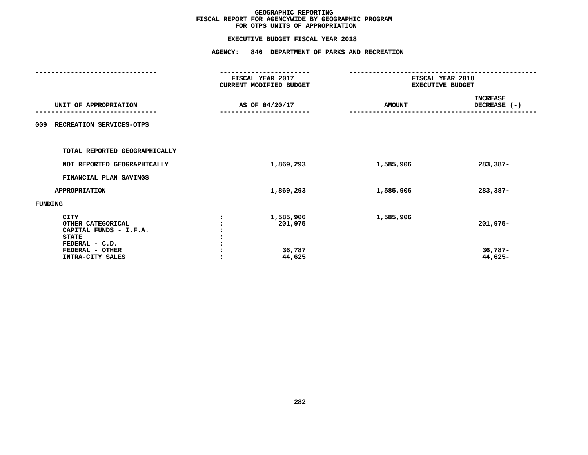| AS OF 04/20/17 |                                          | <b>AMOUNT</b>                               | <b>INCREASE</b><br>DECREASE (-)             |  |  |
|----------------|------------------------------------------|---------------------------------------------|---------------------------------------------|--|--|
|                |                                          |                                             |                                             |  |  |
|                |                                          |                                             |                                             |  |  |
|                | 1,869,293                                | 1,585,906                                   | 283,387-                                    |  |  |
|                |                                          |                                             |                                             |  |  |
|                | 1,869,293                                | 1,585,906                                   | 283,387-                                    |  |  |
|                |                                          |                                             |                                             |  |  |
|                | 1,585,906<br>201,975<br>36,787<br>44,625 | 1,585,906                                   | 201,975-<br>$36,787-$<br>44,625-            |  |  |
|                |                                          | FISCAL YEAR 2017<br>CURRENT MODIFIED BUDGET | FISCAL YEAR 2018<br><b>EXECUTIVE BUDGET</b> |  |  |